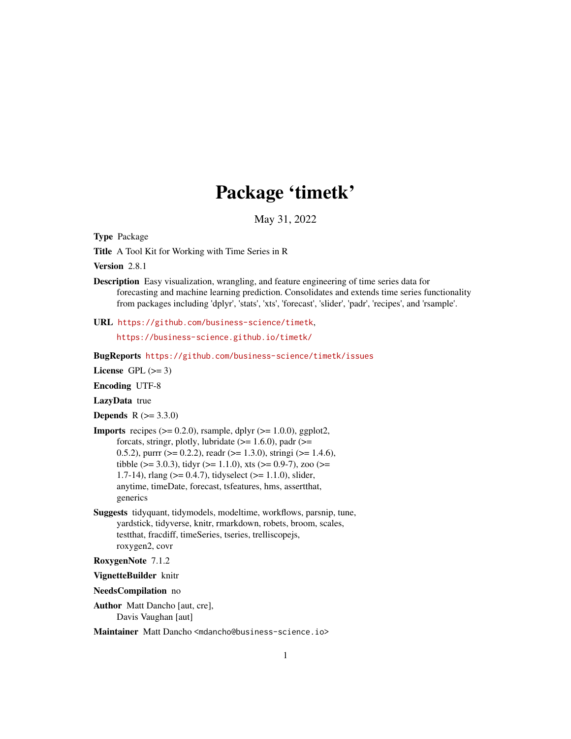# Package 'timetk'

May 31, 2022

<span id="page-0-0"></span>Type Package

Title A Tool Kit for Working with Time Series in R

Version 2.8.1

- Description Easy visualization, wrangling, and feature engineering of time series data for forecasting and machine learning prediction. Consolidates and extends time series functionality from packages including 'dplyr', 'stats', 'xts', 'forecast', 'slider', 'padr', 'recipes', and 'rsample'.
- URL <https://github.com/business-science/timetk>,

<https://business-science.github.io/timetk/>

BugReports <https://github.com/business-science/timetk/issues>

License GPL  $(>= 3)$ 

Encoding UTF-8

LazyData true

**Depends**  $R (= 3.3.0)$ 

- **Imports** recipes  $(>= 0.2.0)$ , rsample, dplyr  $(>= 1.0.0)$ , ggplot2, forcats, stringr, plotly, lubridate  $(>= 1.6.0)$ , padr  $(>=$ 0.5.2), purrr ( $> = 0.2.2$ ), readr ( $> = 1.3.0$ ), stringi ( $> = 1.4.6$ ), tibble ( $>= 3.0.3$ ), tidyr ( $>= 1.1.0$ ), xts ( $>= 0.9-7$ ), zoo ( $>=$ 1.7-14), rlang ( $>= 0.4.7$ ), tidyselect ( $>= 1.1.0$ ), slider, anytime, timeDate, forecast, tsfeatures, hms, assertthat, generics
- Suggests tidyquant, tidymodels, modeltime, workflows, parsnip, tune, yardstick, tidyverse, knitr, rmarkdown, robets, broom, scales, testthat, fracdiff, timeSeries, tseries, trelliscopejs, roxygen2, covr

RoxygenNote 7.1.2

VignetteBuilder knitr

NeedsCompilation no

Author Matt Dancho [aut, cre], Davis Vaughan [aut]

Maintainer Matt Dancho <mdancho@business-science.io>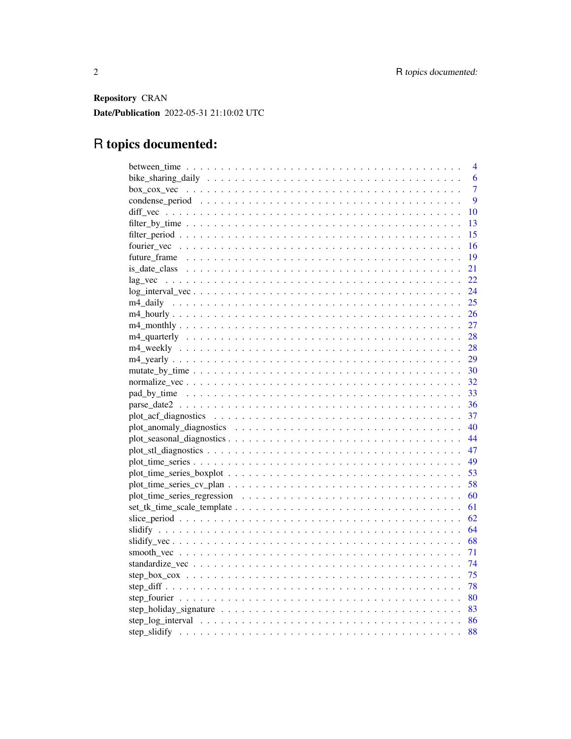Repository CRAN Date/Publication 2022-05-31 21:10:02 UTC

# R topics documented:

| 4              |
|----------------|
| 6              |
| $\overline{7}$ |
| 9              |
| 10             |
| 13             |
| 15             |
| -16            |
| - 19           |
| 21             |
| 22             |
| 24             |
|                |
|                |
| 27             |
|                |
|                |
|                |
|                |
|                |
|                |
|                |
| 37             |
|                |
|                |
|                |
|                |
|                |
| 58             |
|                |
|                |
|                |
|                |
|                |
|                |
|                |
|                |
|                |
|                |
|                |
|                |
| 88             |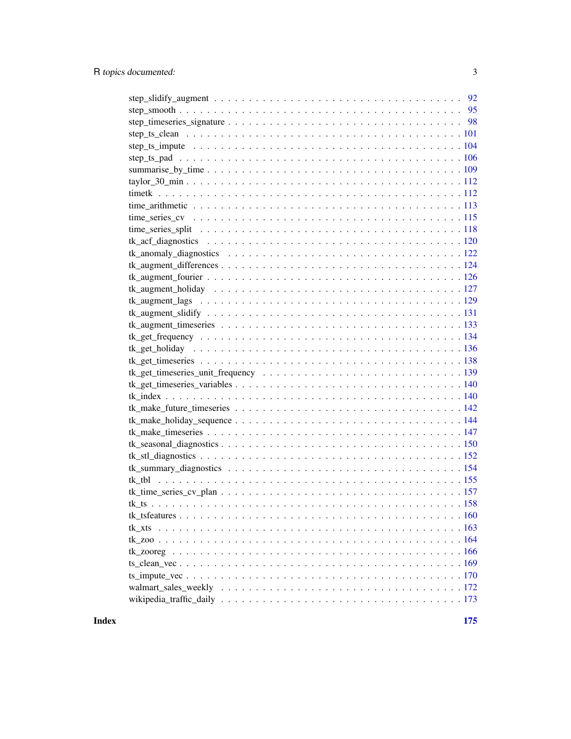**Index** the contract of the contract of the contract of the contract of the contract of the contract of the contract of the contract of the contract of the contract of the contract of the contract of the contract of the co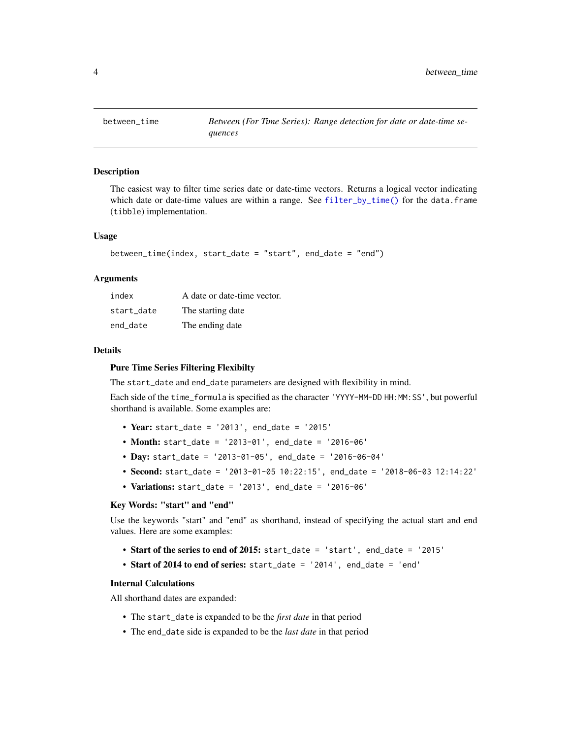<span id="page-3-1"></span><span id="page-3-0"></span>

## Description

The easiest way to filter time series date or date-time vectors. Returns a logical vector indicating which date or date-time values are within a range. See [filter\\_by\\_time\(\)](#page-12-1) for the data.frame (tibble) implementation.

#### Usage

```
between_time(index, start_date = "start", end_date = "end")
```
#### Arguments

| index      | A date or date-time vector. |
|------------|-----------------------------|
| start date | The starting date           |
| end_date   | The ending date             |

## Details

#### Pure Time Series Filtering Flexibilty

The start\_date and end\_date parameters are designed with flexibility in mind.

Each side of the time\_formula is specified as the character 'YYYY-MM-DD HH:MM:SS', but powerful shorthand is available. Some examples are:

- Year: start\_date = '2013', end\_date = '2015'
- Month: start\_date = '2013-01', end\_date = '2016-06'
- Day: start\_date = '2013-01-05', end\_date = '2016-06-04'
- Second: start\_date = '2013-01-05 10:22:15', end\_date = '2018-06-03 12:14:22'
- Variations: start\_date = '2013', end\_date = '2016-06'

#### Key Words: "start" and "end"

Use the keywords "start" and "end" as shorthand, instead of specifying the actual start and end values. Here are some examples:

- Start of the series to end of 2015: start\_date = 'start', end\_date = '2015'
- Start of 2014 to end of series: start\_date = '2014', end\_date = 'end'

## Internal Calculations

All shorthand dates are expanded:

- The start\_date is expanded to be the *first date* in that period
- The end\_date side is expanded to be the *last date* in that period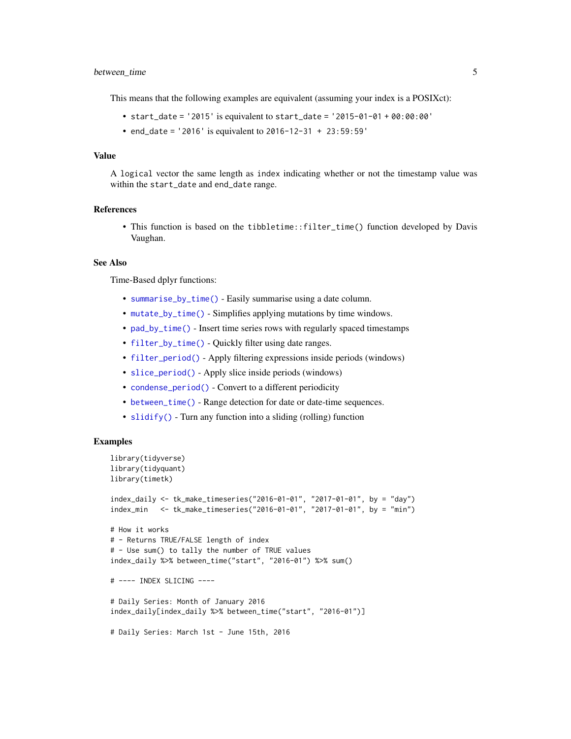## between\_time 5

This means that the following examples are equivalent (assuming your index is a POSIXct):

- start\_date = '2015' is equivalent to start\_date = '2015-01-01 + 00:00:00'
- end\_date = '2016' is equivalent to 2016-12-31 + 23:59:59'

## Value

A logical vector the same length as index indicating whether or not the timestamp value was within the start\_date and end\_date range.

#### References

• This function is based on the tibbletime::filter\_time() function developed by Davis Vaughan.

#### See Also

Time-Based dplyr functions:

- [summarise\\_by\\_time\(\)](#page-108-1) Easily summarise using a date column.
- [mutate\\_by\\_time\(\)](#page-29-1) Simplifies applying mutations by time windows.
- [pad\\_by\\_time\(\)](#page-32-1) Insert time series rows with regularly spaced timestamps
- [filter\\_by\\_time\(\)](#page-12-1) Quickly filter using date ranges.
- [filter\\_period\(\)](#page-14-1) Apply filtering expressions inside periods (windows)
- [slice\\_period\(\)](#page-61-1) Apply slice inside periods (windows)
- [condense\\_period\(\)](#page-8-1) Convert to a different periodicity
- [between\\_time\(\)](#page-3-1) Range detection for date or date-time sequences.
- [slidify\(\)](#page-63-1) Turn any function into a sliding (rolling) function

```
library(tidyverse)
library(tidyquant)
library(timetk)
index_daily <- tk_make_timeseries("2016-01-01", "2017-01-01", by = "day")
index_min <- tk_make_timeseries("2016-01-01", "2017-01-01", by = "min")
# How it works
# - Returns TRUE/FALSE length of index
# - Use sum() to tally the number of TRUE values
index_daily %>% between_time("start", "2016-01") %>% sum()
# ---- INDEX SLICING ----
# Daily Series: Month of January 2016
index_daily[index_daily %>% between_time("start", "2016-01")]
# Daily Series: March 1st - June 15th, 2016
```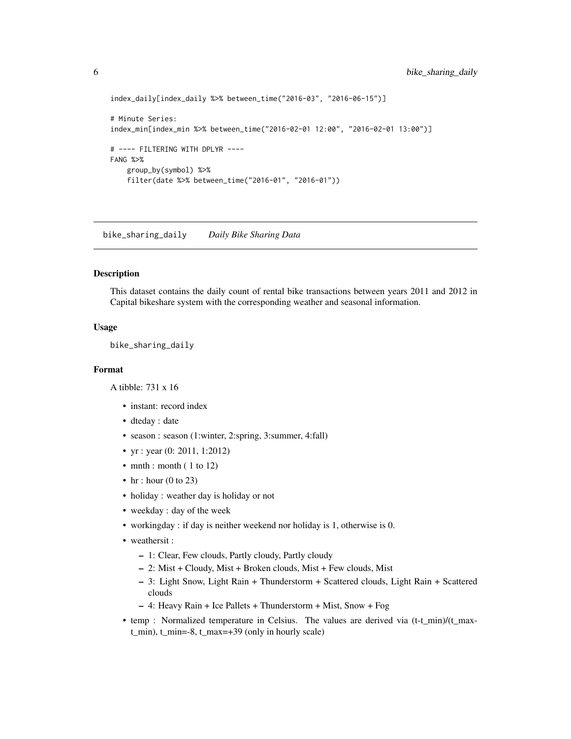```
index_daily[index_daily %>% between_time("2016-03", "2016-06-15")]
# Minute Series:
index_min[index_min %>% between_time("2016-02-01 12:00", "2016-02-01 13:00")]
# ---- FILTERING WITH DPLYR ----
FANG %>%
   group_by(symbol) %>%
   filter(date %>% between_time("2016-01", "2016-01"))
```
bike\_sharing\_daily *Daily Bike Sharing Data*

#### Description

This dataset contains the daily count of rental bike transactions between years 2011 and 2012 in Capital bikeshare system with the corresponding weather and seasonal information.

## Usage

bike\_sharing\_daily

## Format

A tibble: 731 x 16

- instant: record index
- dteday : date
- season : season (1:winter, 2:spring, 3:summer, 4:fall)
- yr : year (0: 2011, 1:2012)
- mnth : month (  $1$  to  $12$ )
- hr : hour  $(0 \text{ to } 23)$
- holiday : weather day is holiday or not
- weekday : day of the week
- workingday : if day is neither weekend nor holiday is 1, otherwise is 0.
- weathersit :
	- 1: Clear, Few clouds, Partly cloudy, Partly cloudy
	- 2: Mist + Cloudy, Mist + Broken clouds, Mist + Few clouds, Mist
	- 3: Light Snow, Light Rain + Thunderstorm + Scattered clouds, Light Rain + Scattered clouds
	- 4: Heavy Rain + Ice Pallets + Thunderstorm + Mist, Snow + Fog
- temp : Normalized temperature in Celsius. The values are derived via (t-t\_min)/(t\_maxt\_min), t\_min=-8, t\_max=+39 (only in hourly scale)

<span id="page-5-0"></span>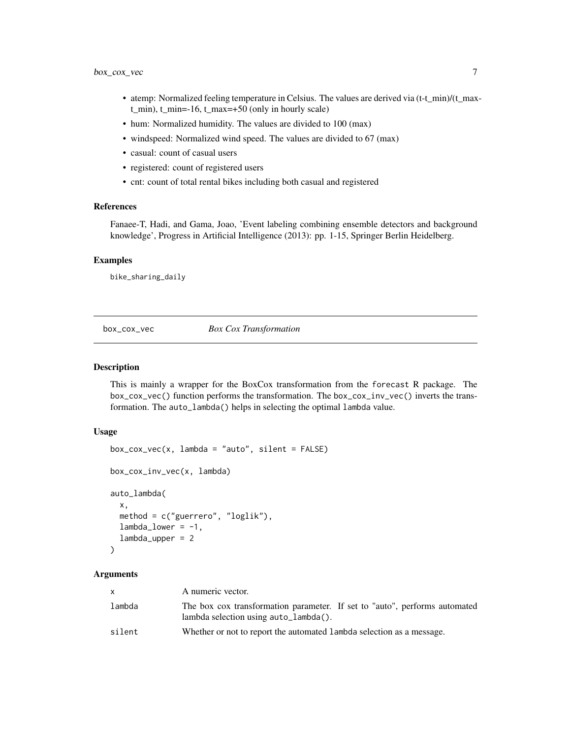- <span id="page-6-0"></span>• atemp: Normalized feeling temperature in Celsius. The values are derived via (t-t\_min)/(t\_maxt\_min), t\_min=-16, t\_max=+50 (only in hourly scale)
- hum: Normalized humidity. The values are divided to 100 (max)
- windspeed: Normalized wind speed. The values are divided to 67 (max)
- casual: count of casual users
- registered: count of registered users
- cnt: count of total rental bikes including both casual and registered

#### References

Fanaee-T, Hadi, and Gama, Joao, 'Event labeling combining ensemble detectors and background knowledge', Progress in Artificial Intelligence (2013): pp. 1-15, Springer Berlin Heidelberg.

## Examples

bike\_sharing\_daily

<span id="page-6-1"></span>box\_cox\_vec *Box Cox Transformation*

#### Description

This is mainly a wrapper for the BoxCox transformation from the forecast R package. The box\_cox\_vec() function performs the transformation. The box\_cox\_inv\_vec() inverts the transformation. The auto\_lambda() helps in selecting the optimal lambda value.

# Usage

```
box\_cox\_vec(x, lambda = "auto", silent = FALSE)box_cox_inv_vec(x, lambda)
auto_lambda(
  x,
 method = c("guerrero", "loglik"),
  lambda_lower = -1,
  lambda_upper = 2
)
```
## Arguments

| <b>X</b> | A numeric vector.                                                                                                   |
|----------|---------------------------------------------------------------------------------------------------------------------|
| lambda   | The box cox transformation parameter. If set to "auto", performs automated<br>lambda selection using auto_lambda(). |
| silent   | Whether or not to report the automated lambda selection as a message.                                               |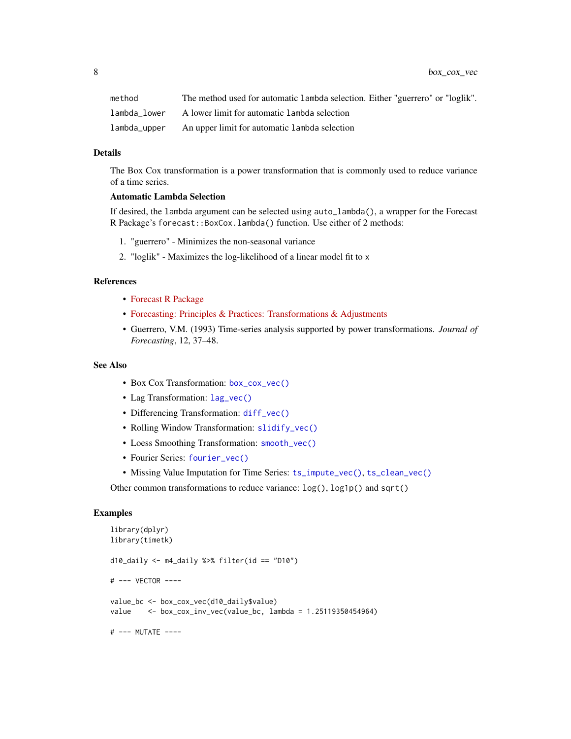| method       | The method used for automatic 1 ambda selection. Either "guerrero" or "loglik". |
|--------------|---------------------------------------------------------------------------------|
| lambda lower | A lower limit for automatic 1 ambda selection                                   |
| lambda_upper | An upper limit for automatic lambda selection                                   |

## Details

The Box Cox transformation is a power transformation that is commonly used to reduce variance of a time series.

#### Automatic Lambda Selection

If desired, the lambda argument can be selected using auto\_lambda(), a wrapper for the Forecast R Package's forecast::BoxCox.lambda() function. Use either of 2 methods:

- 1. "guerrero" Minimizes the non-seasonal variance
- 2. "loglik" Maximizes the log-likelihood of a linear model fit to x

## References

- [Forecast R Package](https://github.com/robjhyndman/forecast)
- [Forecasting: Principles & Practices: Transformations & Adjustments](https://otexts.com/fpp2/transformations.html)
- Guerrero, V.M. (1993) Time-series analysis supported by power transformations. *Journal of Forecasting*, 12, 37–48.

## See Also

- Box Cox Transformation: [box\\_cox\\_vec\(\)](#page-6-1)
- Lag Transformation: [lag\\_vec\(\)](#page-21-1)
- Differencing Transformation: [diff\\_vec\(\)](#page-9-1)
- Rolling Window Transformation: [slidify\\_vec\(\)](#page-67-1)
- Loess Smoothing Transformation: [smooth\\_vec\(\)](#page-70-1)
- Fourier Series: [fourier\\_vec\(\)](#page-15-1)
- Missing Value Imputation for Time Series: [ts\\_impute\\_vec\(\)](#page-169-1), [ts\\_clean\\_vec\(\)](#page-168-1)

Other common transformations to reduce variance: log(), log1p() and sqrt()

```
library(dplyr)
library(timetk)
d10_daily \leq m4_daily %>% filter(id == "D10")
# --- VECTOR ----
value_bc <- box_cox_vec(d10_daily$value)
value <- box_cox_inv_vec(value_bc, lambda = 1.25119350454964)
# --- MUTATE ----
```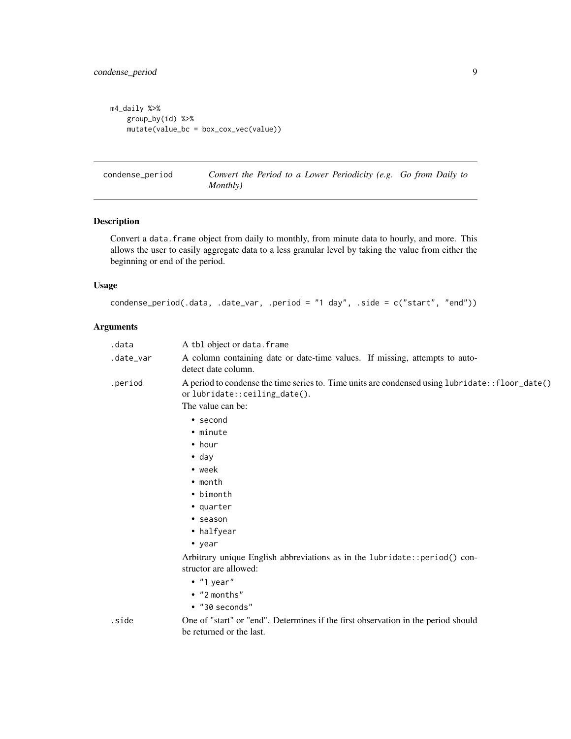```
m4_daily %>%
   group_by(id) %>%
   mutate(value_bc = box_cox_vec(value))
```
<span id="page-8-1"></span>condense\_period *Convert the Period to a Lower Periodicity (e.g. Go from Daily to Monthly)*

## Description

Convert a data. frame object from daily to monthly, from minute data to hourly, and more. This allows the user to easily aggregate data to a less granular level by taking the value from either the beginning or end of the period.

## Usage

condense\_period(.data, .date\_var, .period = "1 day", .side = c("start", "end"))

## Arguments

| .data     | A tbl object or data. frame                                                                                                     |
|-----------|---------------------------------------------------------------------------------------------------------------------------------|
| .date_var | A column containing date or date-time values. If missing, attempts to auto-<br>detect date column.                              |
| .period   | A period to condense the time series to. Time units are condensed using lubridate::floor_date()<br>orlubridate::ceiling_date(). |
|           | The value can be:                                                                                                               |
|           | • second                                                                                                                        |
|           | • minute                                                                                                                        |
|           | $\bullet$ hour                                                                                                                  |
|           | $\bullet$ day                                                                                                                   |
|           | $\bullet$ week                                                                                                                  |
|           | $\cdot$ month                                                                                                                   |
|           | • bimonth                                                                                                                       |
|           | • quarter                                                                                                                       |
|           | • season                                                                                                                        |
|           | • halfyear                                                                                                                      |
|           | $\bullet$ year                                                                                                                  |
|           | Arbitrary unique English abbreviations as in the lubridate::period() con-<br>structor are allowed:<br>$\bullet$ "1 year"        |
|           | • "2 months"                                                                                                                    |
|           | $\bullet$ "30 seconds"                                                                                                          |

.side One of "start" or "end". Determines if the first observation in the period should be returned or the last.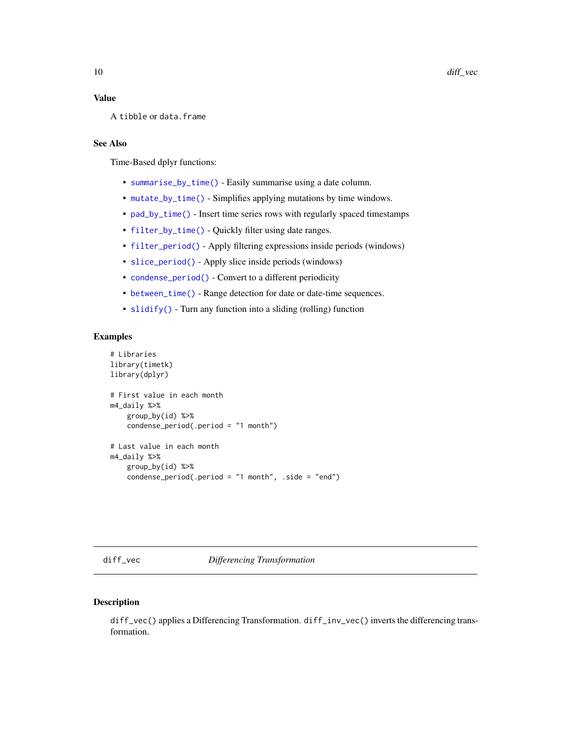## <span id="page-9-0"></span>Value

```
A tibble or data.frame
```
# See Also

Time-Based dplyr functions:

- [summarise\\_by\\_time\(\)](#page-108-1) Easily summarise using a date column.
- [mutate\\_by\\_time\(\)](#page-29-1) Simplifies applying mutations by time windows.
- [pad\\_by\\_time\(\)](#page-32-1) Insert time series rows with regularly spaced timestamps
- [filter\\_by\\_time\(\)](#page-12-1) Quickly filter using date ranges.
- [filter\\_period\(\)](#page-14-1) Apply filtering expressions inside periods (windows)
- [slice\\_period\(\)](#page-61-1) Apply slice inside periods (windows)
- [condense\\_period\(\)](#page-8-1) Convert to a different periodicity
- [between\\_time\(\)](#page-3-1) Range detection for date or date-time sequences.
- [slidify\(\)](#page-63-1) Turn any function into a sliding (rolling) function

## Examples

```
# Libraries
library(timetk)
library(dplyr)
# First value in each month
m4_daily %>%
   group_by(id) %>%
    condense_period(.period = "1 month")
# Last value in each month
m4_daily %>%
    group_by(id) %>%
    condense_period(.period = "1 month", .side = "end")
```
<span id="page-9-1"></span>diff\_vec *Differencing Transformation*

## Description

diff\_vec() applies a Differencing Transformation. diff\_inv\_vec() inverts the differencing transformation.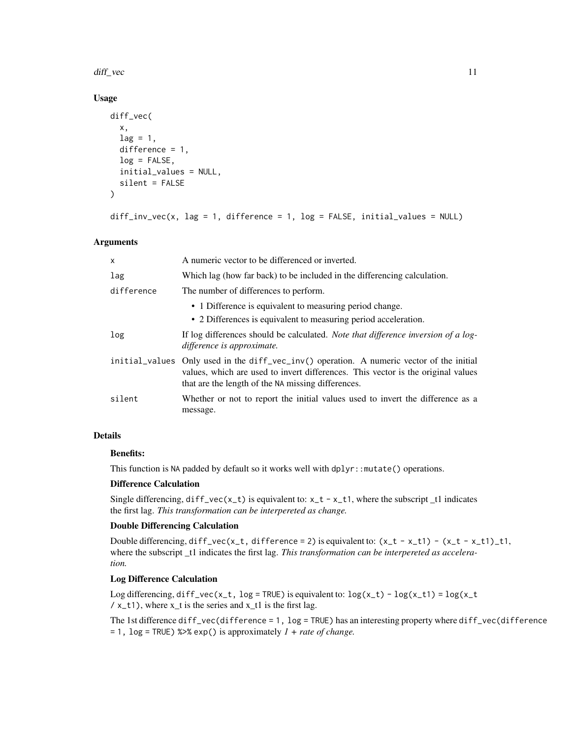#### diff\_vec 11

## Usage

```
diff_vec(
  x,
  lag = 1,difference = 1,
  log = FALSE,
  initial_values = NULL,
  silent = FALSE
)
```

```
diff_inv_vec(x, lag = 1, difference = 1, log = FALSE, initial_values = NULL)
```
# Arguments

| $\boldsymbol{\mathsf{x}}$ | A numeric vector to be differenced or inverted.                                                                                                                                                                                     |
|---------------------------|-------------------------------------------------------------------------------------------------------------------------------------------------------------------------------------------------------------------------------------|
| lag                       | Which lag (how far back) to be included in the differencing calculation.                                                                                                                                                            |
| difference                | The number of differences to perform.                                                                                                                                                                                               |
|                           | • 1 Difference is equivalent to measuring period change.                                                                                                                                                                            |
|                           | • 2 Differences is equivalent to measuring period acceleration.                                                                                                                                                                     |
| log                       | If log differences should be calculated. Note that difference inversion of a log-<br>difference is approximate.                                                                                                                     |
|                           | initial_values Only used in the diff_vec_inv() operation. A numeric vector of the initial<br>values, which are used to invert differences. This vector is the original values<br>that are the length of the NA missing differences. |
| silent                    | Whether or not to report the initial values used to invert the difference as a<br>message.                                                                                                                                          |

# Details

## Benefits:

This function is NA padded by default so it works well with dplyr::mutate() operations.

## Difference Calculation

Single differencing,  $diff\_vec(x_t)$  is equivalent to:  $x_t - x_t$ , where the subscript  $_t1$  indicates the first lag. *This transformation can be interpereted as change.*

#### Double Differencing Calculation

Double differencing, diff\_vec(x\_t, difference = 2) is equivalent to:  $(x_t - x_t) - (x_t - x_t) - t$ , where the subscript \_t1 indicates the first lag. *This transformation can be interpereted as acceleration.*

## Log Difference Calculation

Log differencing,  $diff\_vec(x_t, log = TRUE)$  is equivalent to:  $log(x_t) - log(x_t1) = log(x_t t)$  $\frac{\sqrt{x} - t}{y}$ , where  $x_t$  is the series and  $x_t$  is the first lag.

The 1st difference diff\_vec(difference = 1, log = TRUE) has an interesting property where diff\_vec(difference = 1, log = TRUE) %>% exp() is approximately *1 + rate of change.*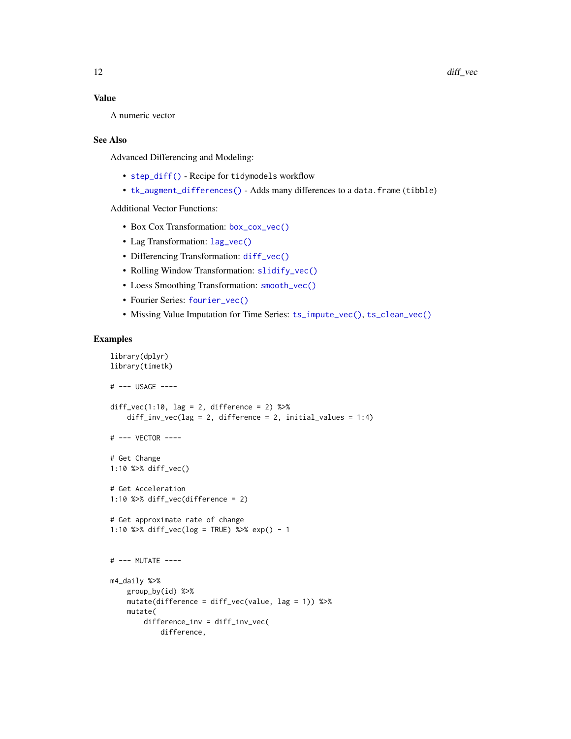## Value

A numeric vector

#### See Also

Advanced Differencing and Modeling:

- [step\\_diff\(\)](#page-77-1) Recipe for tidymodels workflow
- [tk\\_augment\\_differences\(\)](#page-123-1) Adds many differences to a data.frame (tibble)

## Additional Vector Functions:

- Box Cox Transformation: [box\\_cox\\_vec\(\)](#page-6-1)
- Lag Transformation: [lag\\_vec\(\)](#page-21-1)
- Differencing Transformation: [diff\\_vec\(\)](#page-9-1)
- Rolling Window Transformation: [slidify\\_vec\(\)](#page-67-1)
- Loess Smoothing Transformation: [smooth\\_vec\(\)](#page-70-1)
- Fourier Series: [fourier\\_vec\(\)](#page-15-1)
- Missing Value Imputation for Time Series: [ts\\_impute\\_vec\(\)](#page-169-1), [ts\\_clean\\_vec\(\)](#page-168-1)

```
library(dplyr)
library(timetk)
# --- USAGE ----
diff\_vec(1:10, lag = 2, difference = 2) %>%
    diff\_inv\_vec(lag = 2, difference = 2, initial\_values = 1:4)# --- VECTOR ----
# Get Change
1:10 %>% diff_vec()
# Get Acceleration
1:10 %>% diff_vec(difference = 2)
# Get approximate rate of change
1:10 %>% diff_vec(log = TRUE) %>% exp() - 1
# --- MUTATE ----
m4_daily %>%
   group_by(id) %>%
   mutate(difference = diff_vec(value, lag = 1)) %>%
   mutate(
       difference_inv = diff_inv_vec(
           difference,
```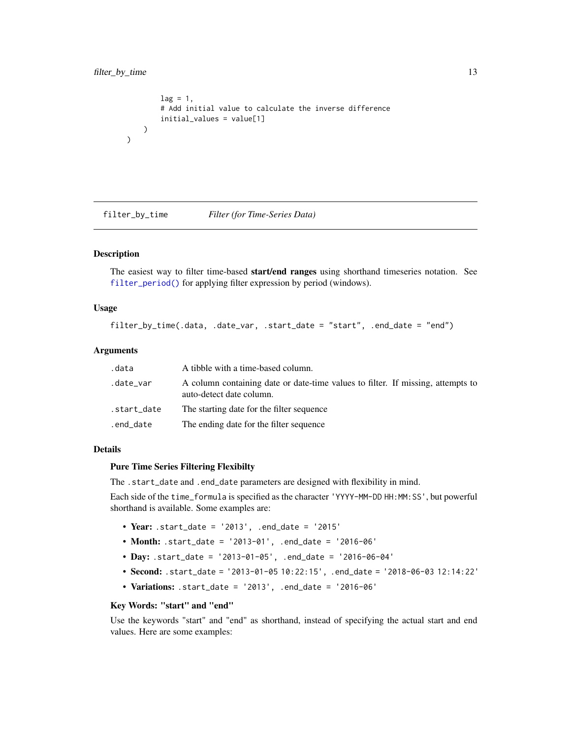)

```
lag = 1,
    # Add initial value to calculate the inverse difference
    initial_values = value[1]
)
```
<span id="page-12-1"></span>filter\_by\_time *Filter (for Time-Series Data)*

## Description

The easiest way to filter time-based start/end ranges using shorthand timeseries notation. See [filter\\_period\(\)](#page-14-1) for applying filter expression by period (windows).

## Usage

filter\_by\_time(.data, .date\_var, .start\_date = "start", .end\_date = "end")

#### Arguments

| .data       | A tibble with a time-based column.                                                                          |
|-------------|-------------------------------------------------------------------------------------------------------------|
| .date_var   | A column containing date or date-time values to filter. If missing, attempts to<br>auto-detect date column. |
| .start_date | The starting date for the filter sequence                                                                   |
| .end_date   | The ending date for the filter sequence                                                                     |

## Details

## Pure Time Series Filtering Flexibilty

The .start\_date and .end\_date parameters are designed with flexibility in mind.

Each side of the time\_formula is specified as the character 'YYYY-MM-DD HH:MM:SS', but powerful shorthand is available. Some examples are:

- Year: .start\_date = '2013', .end\_date = '2015'
- Month: .start\_date = '2013-01', .end\_date = '2016-06'
- Day: .start\_date = '2013-01-05', .end\_date = '2016-06-04'
- Second: .start\_date = '2013-01-05 10:22:15', .end\_date = '2018-06-03 12:14:22'
- Variations: .start\_date = '2013', .end\_date = '2016-06'

## Key Words: "start" and "end"

Use the keywords "start" and "end" as shorthand, instead of specifying the actual start and end values. Here are some examples: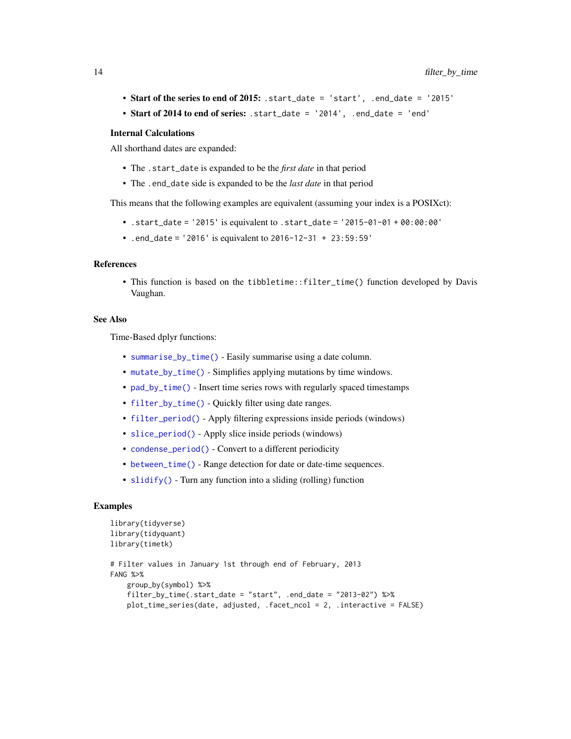- Start of the series to end of 2015: .start\_date = 'start', .end\_date = '2015'
- Start of 2014 to end of series: .start\_date = '2014', .end\_date = 'end'

#### Internal Calculations

All shorthand dates are expanded:

- The .start\_date is expanded to be the *first date* in that period
- The .end\_date side is expanded to be the *last date* in that period

This means that the following examples are equivalent (assuming your index is a POSIXct):

- .start\_date = '2015' is equivalent to .start\_date = '2015-01-01 + 00:00:00'
- .end\_date = '2016' is equivalent to 2016-12-31 + 23:59:59'

# References

• This function is based on the tibbletime::filter\_time() function developed by Davis Vaughan.

#### See Also

Time-Based dplyr functions:

- [summarise\\_by\\_time\(\)](#page-108-1) Easily summarise using a date column.
- [mutate\\_by\\_time\(\)](#page-29-1) Simplifies applying mutations by time windows.
- [pad\\_by\\_time\(\)](#page-32-1) Insert time series rows with regularly spaced timestamps
- [filter\\_by\\_time\(\)](#page-12-1) Quickly filter using date ranges.
- [filter\\_period\(\)](#page-14-1) Apply filtering expressions inside periods (windows)
- [slice\\_period\(\)](#page-61-1) Apply slice inside periods (windows)
- [condense\\_period\(\)](#page-8-1) Convert to a different periodicity
- [between\\_time\(\)](#page-3-1) Range detection for date or date-time sequences.
- [slidify\(\)](#page-63-1) Turn any function into a sliding (rolling) function

```
library(tidyverse)
library(tidyquant)
library(timetk)
# Filter values in January 1st through end of February, 2013
FANG %>%
   group_by(symbol) %>%
   filter_by_time(.start_date = "start", .end_date = "2013-02") %>%
   plot_time_series(date, adjusted, .facet_ncol = 2, .interactive = FALSE)
```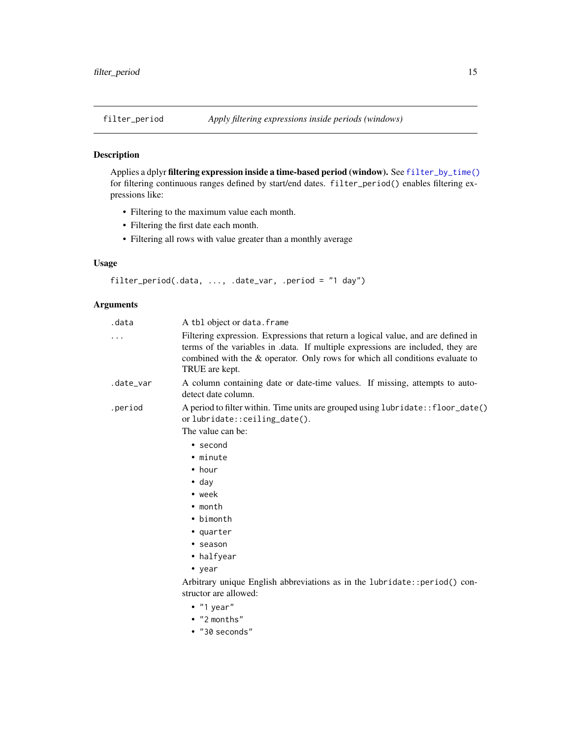<span id="page-14-1"></span><span id="page-14-0"></span>

## Description

Applies a dplyr filtering expression inside a time-based period (window). See [filter\\_by\\_time\(\)](#page-12-1) for filtering continuous ranges defined by start/end dates. filter\_period() enables filtering expressions like:

- Filtering to the maximum value each month.
- Filtering the first date each month.
- Filtering all rows with value greater than a monthly average

# Usage

```
filter_period(.data, ..., .date_var, .period = "1 day")
```
## Arguments

| .data     | A tbl object or data. frame                                                                                                                                                                                                                                            |
|-----------|------------------------------------------------------------------------------------------------------------------------------------------------------------------------------------------------------------------------------------------------------------------------|
| .         | Filtering expression. Expressions that return a logical value, and are defined in<br>terms of the variables in .data. If multiple expressions are included, they are<br>combined with the & operator. Only rows for which all conditions evaluate to<br>TRUE are kept. |
| .date_var | A column containing date or date-time values. If missing, attempts to auto-<br>detect date column.                                                                                                                                                                     |
| .period   | A period to filter within. Time units are grouped using lubridate:: floor_date()<br>orlubridate::ceiling_date().<br>The value can be:                                                                                                                                  |
|           | $\bullet$ second                                                                                                                                                                                                                                                       |
|           | • minute                                                                                                                                                                                                                                                               |
|           | $\bullet$ hour                                                                                                                                                                                                                                                         |
|           | $\bullet$ day                                                                                                                                                                                                                                                          |
|           | $\bullet$ week                                                                                                                                                                                                                                                         |
|           | $\bullet$ month                                                                                                                                                                                                                                                        |
|           | • bimonth                                                                                                                                                                                                                                                              |
|           | • quarter                                                                                                                                                                                                                                                              |
|           | • season                                                                                                                                                                                                                                                               |
|           | • halfyear                                                                                                                                                                                                                                                             |
|           | $\bullet$ year                                                                                                                                                                                                                                                         |
|           | Arbitrary unique English abbreviations as in the lubridate:: period() con-<br>structor are allowed:                                                                                                                                                                    |
|           | $\bullet$ "1 year"                                                                                                                                                                                                                                                     |
|           | • "2 months"                                                                                                                                                                                                                                                           |
|           | $\bullet$ "30 seconds"                                                                                                                                                                                                                                                 |
|           |                                                                                                                                                                                                                                                                        |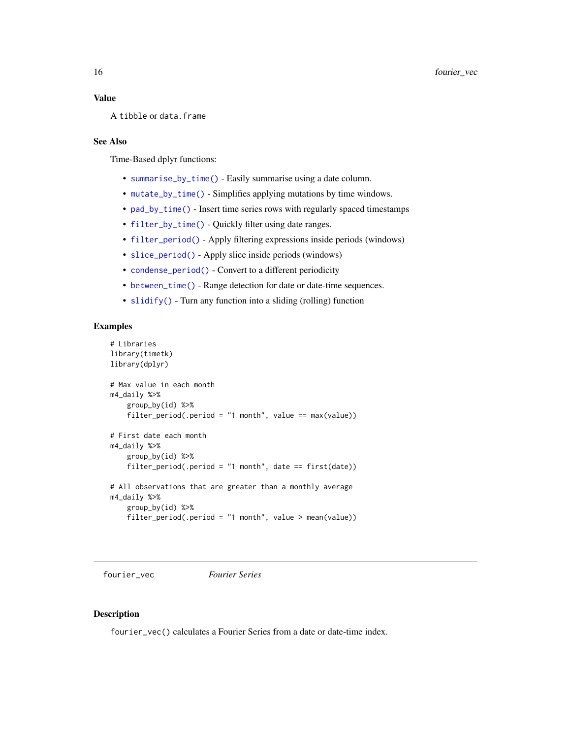## <span id="page-15-0"></span>Value

A tibble or data.frame

# See Also

Time-Based dplyr functions:

- [summarise\\_by\\_time\(\)](#page-108-1) Easily summarise using a date column.
- [mutate\\_by\\_time\(\)](#page-29-1) Simplifies applying mutations by time windows.
- [pad\\_by\\_time\(\)](#page-32-1) Insert time series rows with regularly spaced timestamps
- [filter\\_by\\_time\(\)](#page-12-1) Quickly filter using date ranges.
- [filter\\_period\(\)](#page-14-1) Apply filtering expressions inside periods (windows)
- [slice\\_period\(\)](#page-61-1) Apply slice inside periods (windows)
- [condense\\_period\(\)](#page-8-1) Convert to a different periodicity
- [between\\_time\(\)](#page-3-1) Range detection for date or date-time sequences.
- [slidify\(\)](#page-63-1) Turn any function into a sliding (rolling) function

## Examples

```
# Libraries
library(timetk)
library(dplyr)
# Max value in each month
m4_daily %>%
   group_by(id) %>%
   filter_period(.period = "1 month", value == max(value))
# First date each month
m4_daily %>%
    group_by(id) %>%
   filter_period(.period = "1 month", date == first(date))
# All observations that are greater than a monthly average
m4_daily %>%
    group_by(id) %>%
    filter_period(.period = "1 month", value > mean(value))
```
<span id="page-15-1"></span>fourier\_vec *Fourier Series*

## Description

fourier\_vec() calculates a Fourier Series from a date or date-time index.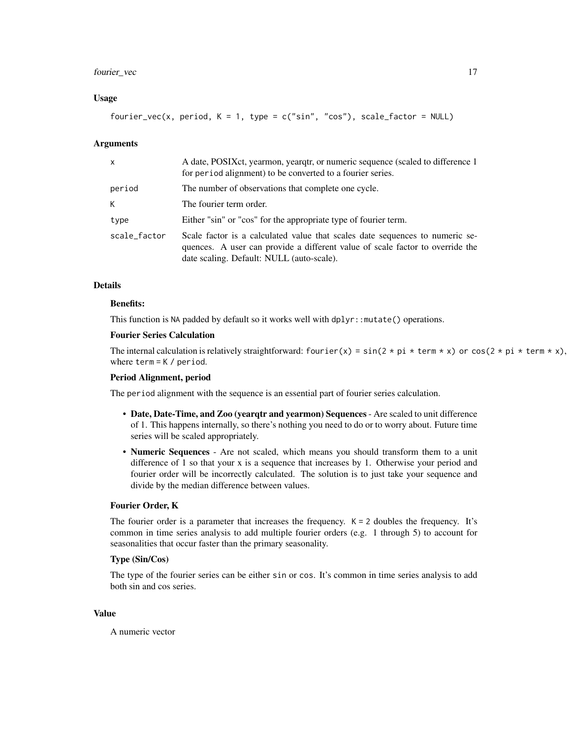# fourier\_vec 17

## Usage

fourier\_vec(x, period,  $K = 1$ , type = c("sin", "cos"), scale\_factor = NULL)

## Arguments

| x            | A date, POSIX et, yearmon, yeargtr, or numeric sequence (scaled to difference 1)<br>for period alignment) to be converted to a fourier series.                                                             |
|--------------|------------------------------------------------------------------------------------------------------------------------------------------------------------------------------------------------------------|
| period       | The number of observations that complete one cycle.                                                                                                                                                        |
| K            | The fourier term order.                                                                                                                                                                                    |
| type         | Either "sin" or "cos" for the appropriate type of fourier term.                                                                                                                                            |
| scale_factor | Scale factor is a calculated value that scales date sequences to numeric se-<br>quences. A user can provide a different value of scale factor to override the<br>date scaling. Default: NULL (auto-scale). |

### Details

# Benefits:

This function is NA padded by default so it works well with dplyr::mutate() operations.

## Fourier Series Calculation

The internal calculation is relatively straightforward: fourier(x) =  $sin(2 * pi * term * x)$  or  $cos(2 * pi * term * x)$ , where term = K / period.

#### Period Alignment, period

The period alignment with the sequence is an essential part of fourier series calculation.

- Date, Date-Time, and Zoo (yearqtr and yearmon) Sequences Are scaled to unit difference of 1. This happens internally, so there's nothing you need to do or to worry about. Future time series will be scaled appropriately.
- Numeric Sequences Are not scaled, which means you should transform them to a unit difference of 1 so that your x is a sequence that increases by 1. Otherwise your period and fourier order will be incorrectly calculated. The solution is to just take your sequence and divide by the median difference between values.

## Fourier Order, K

The fourier order is a parameter that increases the frequency.  $K = 2$  doubles the frequency. It's common in time series analysis to add multiple fourier orders (e.g. 1 through 5) to account for seasonalities that occur faster than the primary seasonality.

## Type (Sin/Cos)

The type of the fourier series can be either sin or cos. It's common in time series analysis to add both sin and cos series.

#### Value

A numeric vector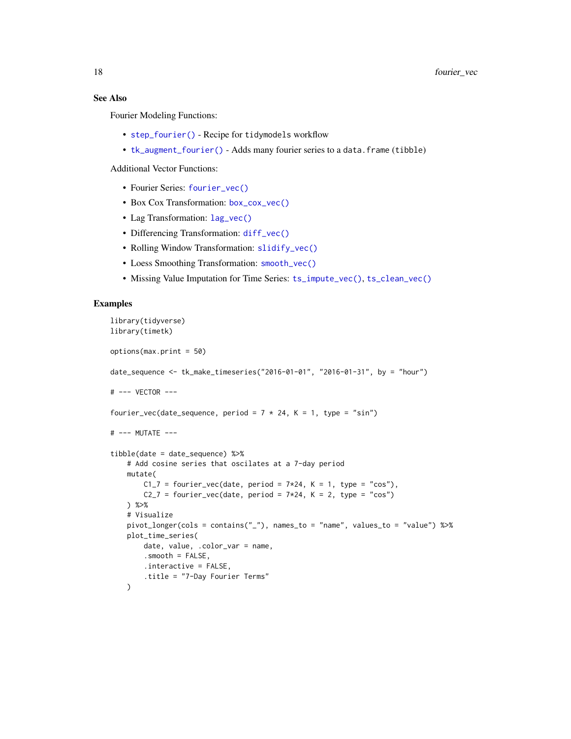# See Also

Fourier Modeling Functions:

- [step\\_fourier\(\)](#page-79-1) Recipe for tidymodels workflow
- [tk\\_augment\\_fourier\(\)](#page-125-1) Adds many fourier series to a data.frame (tibble)

Additional Vector Functions:

- Fourier Series: [fourier\\_vec\(\)](#page-15-1)
- Box Cox Transformation: [box\\_cox\\_vec\(\)](#page-6-1)
- Lag Transformation: [lag\\_vec\(\)](#page-21-1)
- Differencing Transformation: [diff\\_vec\(\)](#page-9-1)
- Rolling Window Transformation: [slidify\\_vec\(\)](#page-67-1)
- Loess Smoothing Transformation: [smooth\\_vec\(\)](#page-70-1)
- Missing Value Imputation for Time Series: [ts\\_impute\\_vec\(\)](#page-169-1), [ts\\_clean\\_vec\(\)](#page-168-1)

```
library(tidyverse)
library(timetk)
options(max.print = 50)
date_sequence <- tk_make_timeseries("2016-01-01", "2016-01-31", by = "hour")
# --- VECTOR ---
fourier_vec(date_sequence, period = 7 * 24, K = 1, type = "sin")
# --- MUTATE ---
tibble(date = date_sequence) %>%
    # Add cosine series that oscilates at a 7-day period
   mutate(
       C1_7 = fourier_vec(date, period = 7*24, K = 1, type = "cos"),
       C2_7 = fourier_vec(date, period = 7*24, K = 2, type = "cos")
    ) %>%
    # Visualize
   pivot_longer(cols = contains("_"), names_to = "name", values_to = "value") %>%
   plot_time_series(
        date, value, .color_var = name,
        .smooth = FALSE,
        .interactive = FALSE,
        .title = "7-Day Fourier Terms"
   )
```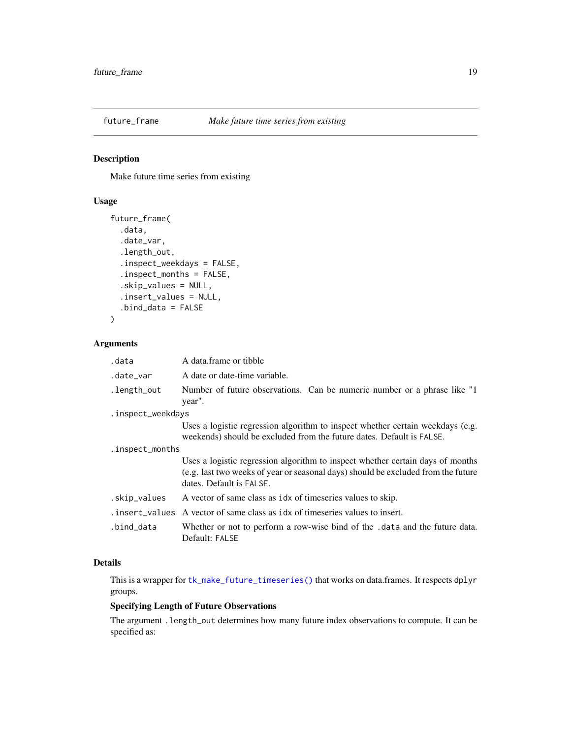<span id="page-18-0"></span>

# Description

Make future time series from existing

# Usage

```
future_frame(
  .data,
  .date_var,
  .length_out,
  .inspect_weekdays = FALSE,
  .inspect_months = FALSE,
  .skip_values = NULL,
  .insert_values = NULL,
  .bind_data = FALSE
\mathcal{L}
```
# Arguments

| .data             | A data frame or tibble                                                                                                                                                                          |
|-------------------|-------------------------------------------------------------------------------------------------------------------------------------------------------------------------------------------------|
| .date_var         | A date or date-time variable.                                                                                                                                                                   |
| .length_out       | Number of future observations. Can be numeric number or a phrase like "1"<br>year".                                                                                                             |
| .inspect_weekdays |                                                                                                                                                                                                 |
|                   | Uses a logistic regression algorithm to inspect whether certain weekdays (e.g.<br>weekends) should be excluded from the future dates. Default is FALSE.                                         |
| .inspect_months   |                                                                                                                                                                                                 |
|                   | Uses a logistic regression algorithm to inspect whether certain days of months<br>(e.g. last two weeks of year or seasonal days) should be excluded from the future<br>dates. Default is FALSE. |
| .skip_values      | A vector of same class as idx of timeseries values to skip.                                                                                                                                     |
|                   | . insert_values A vector of same class as idx of timeseries values to insert.                                                                                                                   |
| .bind_data        | Whether or not to perform a row-wise bind of the .data and the future data.<br>Default: FALSE                                                                                                   |

## Details

This is a wrapper for [tk\\_make\\_future\\_timeseries\(\)](#page-141-1) that works on data.frames. It respects dplyr groups.

# Specifying Length of Future Observations

The argument .length\_out determines how many future index observations to compute. It can be specified as: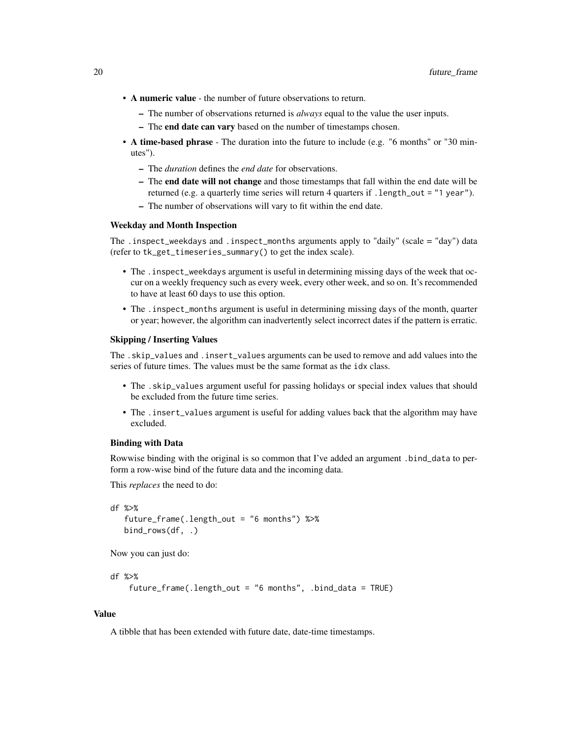- A numeric value the number of future observations to return.
	- The number of observations returned is *always* equal to the value the user inputs.
	- The end date can vary based on the number of timestamps chosen.
- A time-based phrase The duration into the future to include (e.g. "6 months" or "30 minutes").
	- The *duration* defines the *end date* for observations.
	- The end date will not change and those timestamps that fall within the end date will be returned (e.g. a quarterly time series will return 4 quarters if .length\_out = "1 year").
	- The number of observations will vary to fit within the end date.

## Weekday and Month Inspection

The .inspect\_weekdays and .inspect\_months arguments apply to "daily" (scale = "day") data (refer to tk\_get\_timeseries\_summary() to get the index scale).

- The .inspect\_weekdays argument is useful in determining missing days of the week that occur on a weekly frequency such as every week, every other week, and so on. It's recommended to have at least 60 days to use this option.
- The .inspect\_months argument is useful in determining missing days of the month, quarter or year; however, the algorithm can inadvertently select incorrect dates if the pattern is erratic.

#### Skipping / Inserting Values

The .skip\_values and .insert\_values arguments can be used to remove and add values into the series of future times. The values must be the same format as the idx class.

- The .skip\_values argument useful for passing holidays or special index values that should be excluded from the future time series.
- The .insert\_values argument is useful for adding values back that the algorithm may have excluded.

#### Binding with Data

Rowwise binding with the original is so common that I've added an argument .bind\_data to perform a row-wise bind of the future data and the incoming data.

This *replaces* the need to do:

```
df %>%
  future_frame(.length_out = "6 months") %>%
  bind_rows(df, .)
```
Now you can just do:

```
df %>%
```

```
future_frame(.length_out = "6 months", .bind_data = TRUE)
```
#### Value

A tibble that has been extended with future date, date-time timestamps.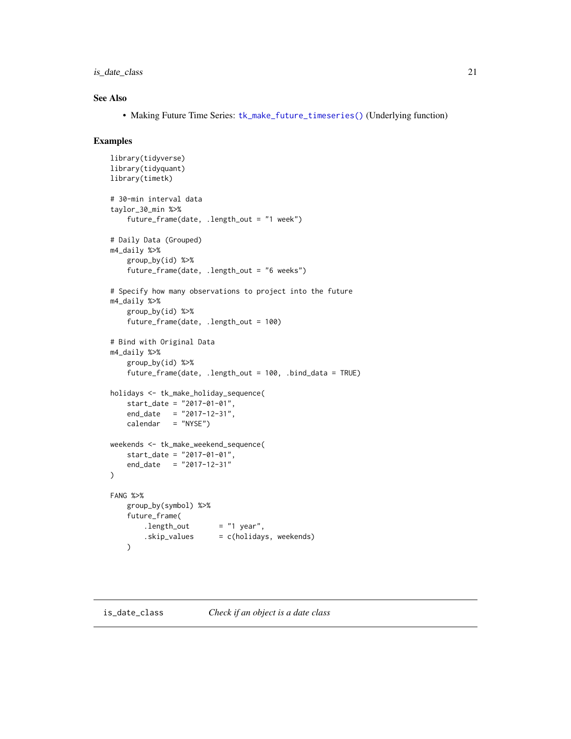<span id="page-20-0"></span>is\_date\_class 21

## See Also

• Making Future Time Series: [tk\\_make\\_future\\_timeseries\(\)](#page-141-1) (Underlying function)

```
library(tidyverse)
library(tidyquant)
library(timetk)
# 30-min interval data
taylor_30_min %>%
    future_frame(date, .length_out = "1 week")
# Daily Data (Grouped)
m4_daily %>%
    group_by(id) %>%
    future_frame(date, .length_out = "6 weeks")
# Specify how many observations to project into the future
m4_daily %>%
    group_by(id) %>%
    future_frame(date, .length_out = 100)
# Bind with Original Data
m4_daily %>%
    group_by(id) %>%
    future_frame(date, .length_out = 100, .bind_data = TRUE)
holidays <- tk_make_holiday_sequence(
    start_date = "2017-01-01",
    end_date = "2017-12-31",
   calendar = "NYSE")
weekends <- tk_make_weekend_sequence(
   start_date = "2017-01-01",
   end_date = "2017-12-31"
)
FANG %>%
   group_by(symbol) %>%
   future_frame(
        .length_out = "1 year",
        .skip_values = c(holidays, weekends)
    )
```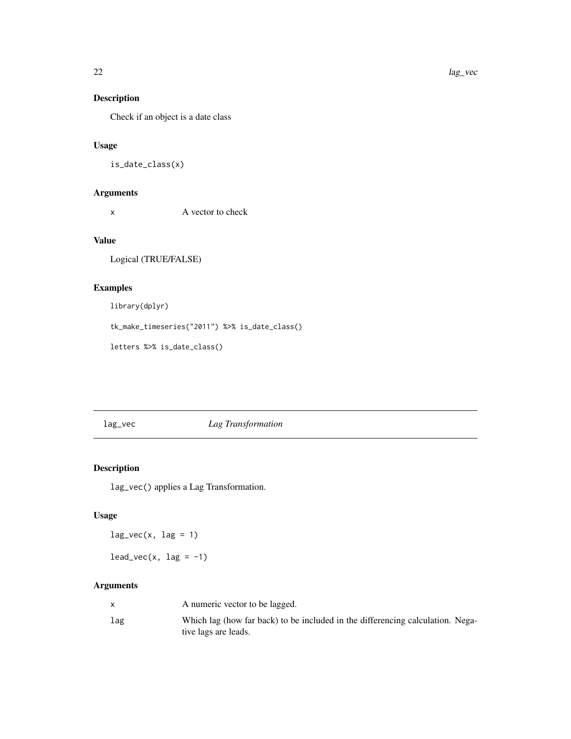# Description

Check if an object is a date class

## Usage

```
is_date_class(x)
```
# Arguments

x A vector to check

# Value

Logical (TRUE/FALSE)

# Examples

library(dplyr)

tk\_make\_timeseries("2011") %>% is\_date\_class()

letters %>% is\_date\_class()

<span id="page-21-1"></span>lag\_vec *Lag Transformation*

# Description

lag\_vec() applies a Lag Transformation.

# Usage

 $lag\_vec(x, lag = 1)$ 

 $lead\_vec(x, lag = -1)$ 

# Arguments

|     | A numeric vector to be lagged.                                                                         |
|-----|--------------------------------------------------------------------------------------------------------|
| lag | Which lag (how far back) to be included in the differencing calculation. Nega-<br>tive lags are leads. |

<span id="page-21-0"></span>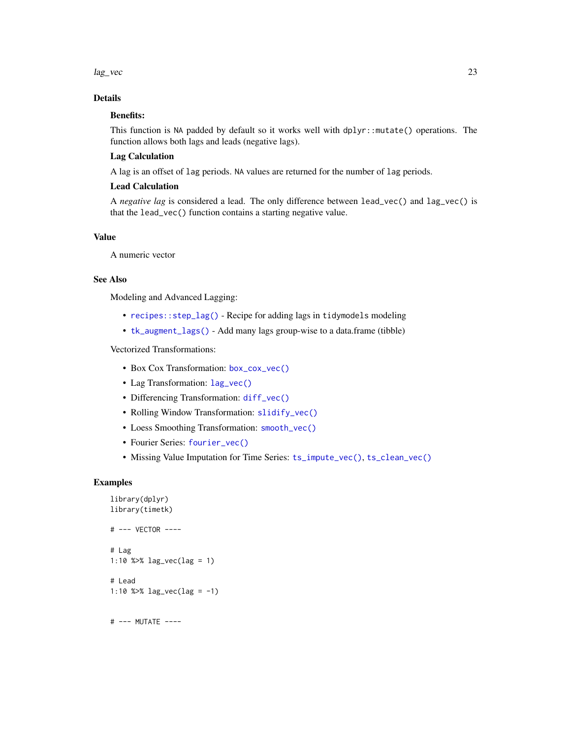lag\_vec 23

# Details

# Benefits:

This function is NA padded by default so it works well with dplyr::mutate() operations. The function allows both lags and leads (negative lags).

## Lag Calculation

A lag is an offset of lag periods. NA values are returned for the number of lag periods.

## Lead Calculation

A *negative lag* is considered a lead. The only difference between lead\_vec() and lag\_vec() is that the lead\_vec() function contains a starting negative value.

# Value

A numeric vector

# See Also

Modeling and Advanced Lagging:

- [recipes::step\\_lag\(\)](#page-0-0) Recipe for adding lags in tidymodels modeling
- [tk\\_augment\\_lags\(\)](#page-128-1) Add many lags group-wise to a data.frame (tibble)

# Vectorized Transformations:

- Box Cox Transformation: [box\\_cox\\_vec\(\)](#page-6-1)
- Lag Transformation: [lag\\_vec\(\)](#page-21-1)
- Differencing Transformation: [diff\\_vec\(\)](#page-9-1)
- Rolling Window Transformation: [slidify\\_vec\(\)](#page-67-1)
- Loess Smoothing Transformation: [smooth\\_vec\(\)](#page-70-1)
- Fourier Series: [fourier\\_vec\(\)](#page-15-1)
- Missing Value Imputation for Time Series: [ts\\_impute\\_vec\(\)](#page-169-1), [ts\\_clean\\_vec\(\)](#page-168-1)

# Examples

```
library(dplyr)
library(timetk)
# --- VECTOR ----
# Lag
1:10 %>% lag_vec(lag = 1)
# Lead
1:10 %>% lag_vec(lag = -1)
```
# --- MUTATE ----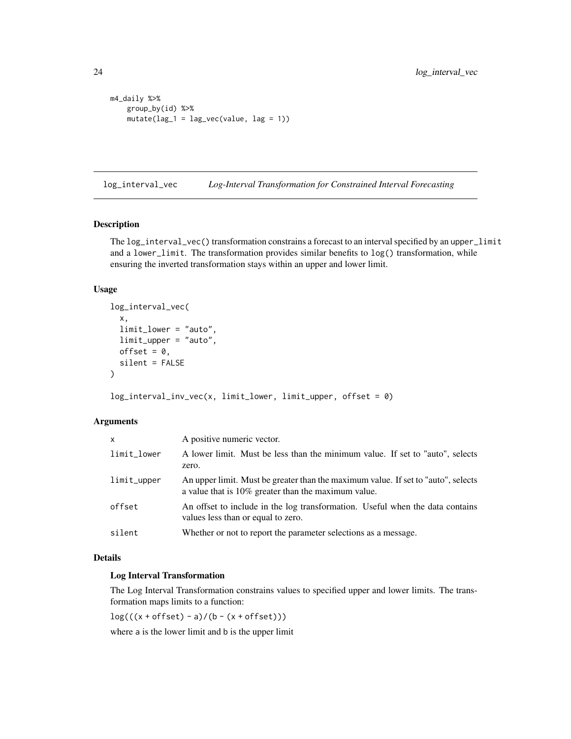```
m4_daily %>%
   group_by(id) %>%
   mutate(lag_1 = lag_vec(value, lag = 1))
```
log\_interval\_vec *Log-Interval Transformation for Constrained Interval Forecasting*

#### Description

The log\_interval\_vec() transformation constrains a forecast to an interval specified by an upper\_limit and a lower\_limit. The transformation provides similar benefits to log() transformation, while ensuring the inverted transformation stays within an upper and lower limit.

## Usage

```
log_interval_vec(
 x,
  limit_lower = "auto",
 limit_upper = "auto",
 offset = 0,
 silent = FALSE
)
```
log\_interval\_inv\_vec(x, limit\_lower, limit\_upper, offset = 0)

# Arguments

| $\mathsf{x}$ | A positive numeric vector.                                                                                                                  |
|--------------|---------------------------------------------------------------------------------------------------------------------------------------------|
| limit_lower  | A lower limit. Must be less than the minimum value. If set to "auto", selects<br>zero.                                                      |
| limit_upper  | An upper limit. Must be greater than the maximum value. If set to "auto", selects<br>a value that is $10\%$ greater than the maximum value. |
| offset       | An offset to include in the log transformation. Useful when the data contains<br>values less than or equal to zero.                         |
| silent       | Whether or not to report the parameter selections as a message.                                                                             |

## Details

## Log Interval Transformation

The Log Interval Transformation constrains values to specified upper and lower limits. The transformation maps limits to a function:

 $log(((x + offset) - a)/(b - (x + offset)))$ 

where a is the lower limit and b is the upper limit

<span id="page-23-0"></span>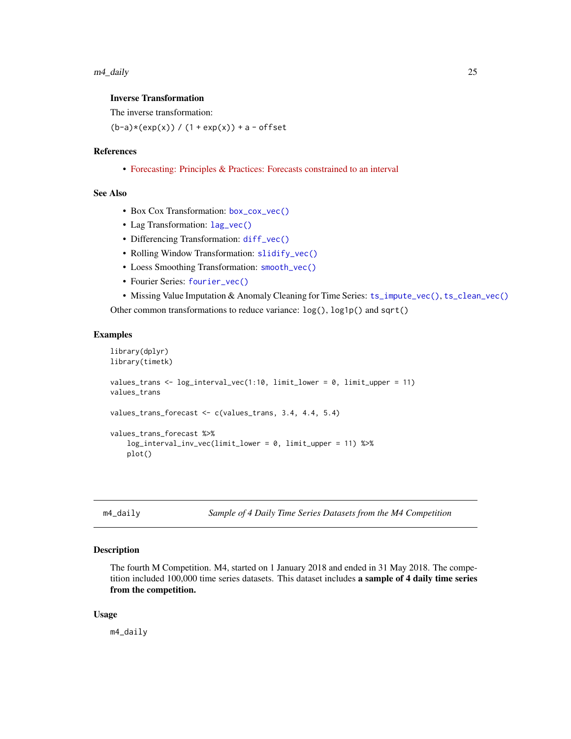## <span id="page-24-0"></span>Inverse Transformation

The inverse transformation:

 $(b-a)*(exp(x)) / (1 + exp(x)) + a - offset$ 

#### References

• [Forecasting: Principles & Practices: Forecasts constrained to an interval](https://otexts.com/fpp2/limits.html)

#### See Also

- Box Cox Transformation: [box\\_cox\\_vec\(\)](#page-6-1)
- Lag Transformation: [lag\\_vec\(\)](#page-21-1)
- Differencing Transformation: [diff\\_vec\(\)](#page-9-1)
- Rolling Window Transformation: [slidify\\_vec\(\)](#page-67-1)
- Loess Smoothing Transformation: [smooth\\_vec\(\)](#page-70-1)
- Fourier Series: [fourier\\_vec\(\)](#page-15-1)
- Missing Value Imputation & Anomaly Cleaning for Time Series: [ts\\_impute\\_vec\(\)](#page-169-1), [ts\\_clean\\_vec\(\)](#page-168-1)

Other common transformations to reduce variance: log(), log1p() and sqrt()

#### Examples

```
library(dplyr)
library(timetk)
values_trans <- log_interval_vec(1:10, limit_lower = 0, limit_upper = 11)
values_trans
values_trans_forecast <- c(values_trans, 3.4, 4.4, 5.4)
values_trans_forecast %>%
   log_interval_inv_vec(limit_lower = 0, limit_upper = 11) %>%
   plot()
```
m4\_daily *Sample of 4 Daily Time Series Datasets from the M4 Competition*

#### Description

The fourth M Competition. M4, started on 1 January 2018 and ended in 31 May 2018. The competition included 100,000 time series datasets. This dataset includes a sample of 4 daily time series from the competition.

#### Usage

m4\_daily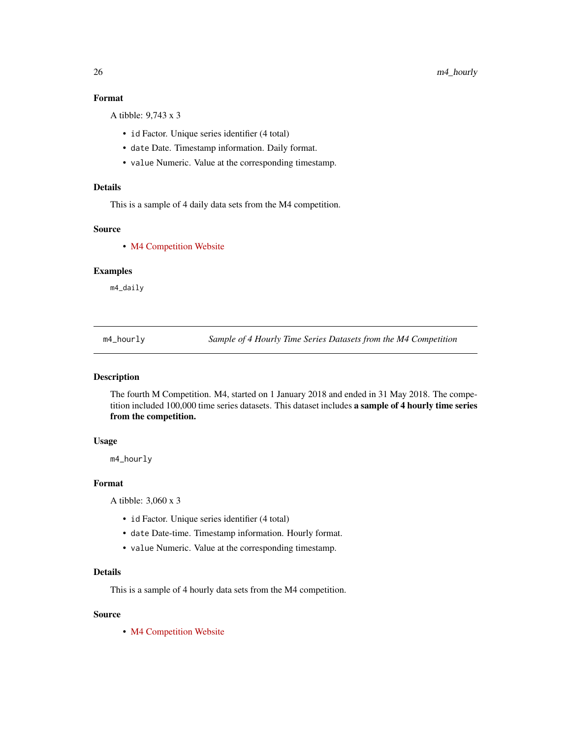# Format

A tibble: 9,743 x 3

- id Factor. Unique series identifier (4 total)
- date Date. Timestamp information. Daily format.
- value Numeric. Value at the corresponding timestamp.

## Details

This is a sample of 4 daily data sets from the M4 competition.

## Source

• [M4 Competition Website](https://mofc.unic.ac.cy/m4/)

## Examples

m4\_daily

m4\_hourly *Sample of 4 Hourly Time Series Datasets from the M4 Competition*

## Description

The fourth M Competition. M4, started on 1 January 2018 and ended in 31 May 2018. The competition included 100,000 time series datasets. This dataset includes a sample of 4 hourly time series from the competition.

# Usage

m4\_hourly

## Format

A tibble: 3,060 x 3

- id Factor. Unique series identifier (4 total)
- date Date-time. Timestamp information. Hourly format.
- value Numeric. Value at the corresponding timestamp.

## Details

This is a sample of 4 hourly data sets from the M4 competition.

#### Source

• [M4 Competition Website](https://mofc.unic.ac.cy/m4/)

<span id="page-25-0"></span>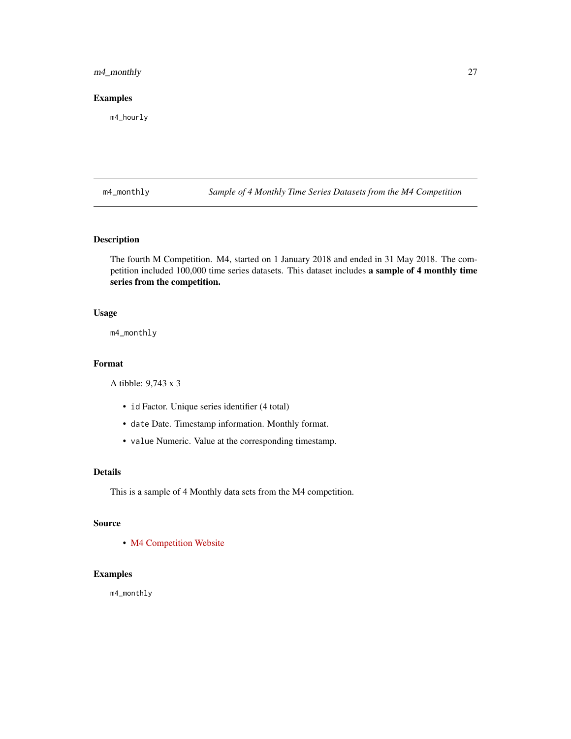# <span id="page-26-0"></span>m4\_monthly 27

## Examples

m4\_hourly

m4\_monthly *Sample of 4 Monthly Time Series Datasets from the M4 Competition*

# Description

The fourth M Competition. M4, started on 1 January 2018 and ended in 31 May 2018. The competition included 100,000 time series datasets. This dataset includes a sample of 4 monthly time series from the competition.

# Usage

m4\_monthly

## Format

A tibble: 9,743 x 3

- id Factor. Unique series identifier (4 total)
- date Date. Timestamp information. Monthly format.
- value Numeric. Value at the corresponding timestamp.

# Details

This is a sample of 4 Monthly data sets from the M4 competition.

## Source

• [M4 Competition Website](https://mofc.unic.ac.cy/m4/)

# Examples

m4\_monthly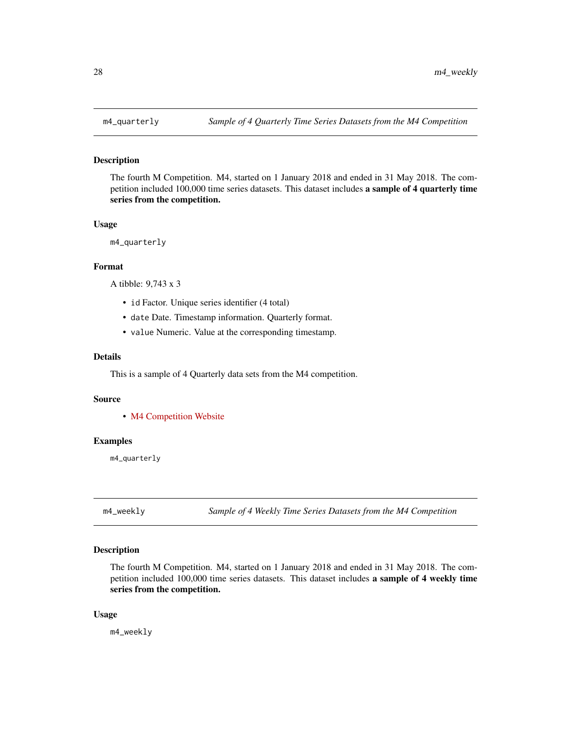#### Description

The fourth M Competition. M4, started on 1 January 2018 and ended in 31 May 2018. The competition included 100,000 time series datasets. This dataset includes a sample of 4 quarterly time series from the competition.

#### Usage

```
m4_quarterly
```
## Format

A tibble: 9,743 x 3

- id Factor. Unique series identifier (4 total)
- date Date. Timestamp information. Quarterly format.
- value Numeric. Value at the corresponding timestamp.

#### Details

This is a sample of 4 Quarterly data sets from the M4 competition.

#### Source

• [M4 Competition Website](https://mofc.unic.ac.cy/m4/)

## Examples

m4\_quarterly

m4\_weekly *Sample of 4 Weekly Time Series Datasets from the M4 Competition*

## Description

The fourth M Competition. M4, started on 1 January 2018 and ended in 31 May 2018. The competition included 100,000 time series datasets. This dataset includes a sample of 4 weekly time series from the competition.

#### Usage

m4\_weekly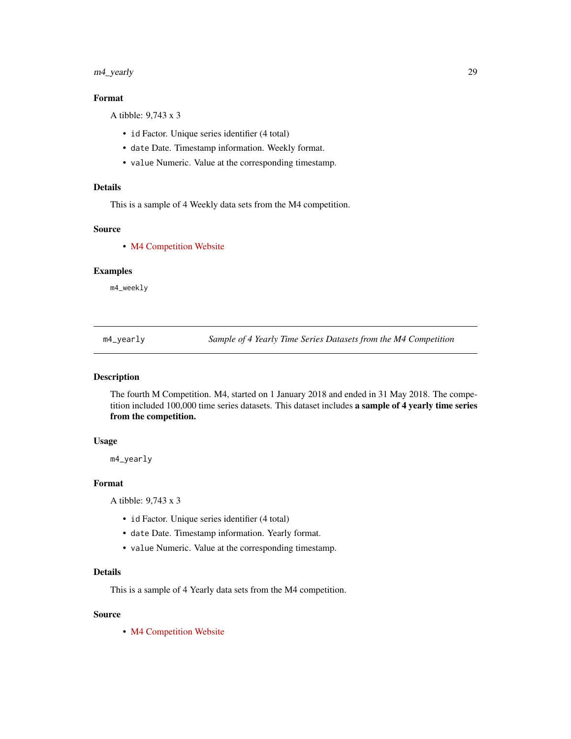# <span id="page-28-0"></span>m4\_yearly 29

## Format

A tibble: 9,743 x 3

- id Factor. Unique series identifier (4 total)
- date Date. Timestamp information. Weekly format.
- value Numeric. Value at the corresponding timestamp.

## Details

This is a sample of 4 Weekly data sets from the M4 competition.

## Source

• [M4 Competition Website](https://mofc.unic.ac.cy/m4/)

## Examples

m4\_weekly

m4\_yearly *Sample of 4 Yearly Time Series Datasets from the M4 Competition*

## Description

The fourth M Competition. M4, started on 1 January 2018 and ended in 31 May 2018. The competition included 100,000 time series datasets. This dataset includes a sample of 4 yearly time series from the competition.

# Usage

m4\_yearly

## Format

A tibble: 9,743 x 3

- id Factor. Unique series identifier (4 total)
- date Date. Timestamp information. Yearly format.
- value Numeric. Value at the corresponding timestamp.

## Details

This is a sample of 4 Yearly data sets from the M4 competition.

#### Source

• [M4 Competition Website](https://mofc.unic.ac.cy/m4/)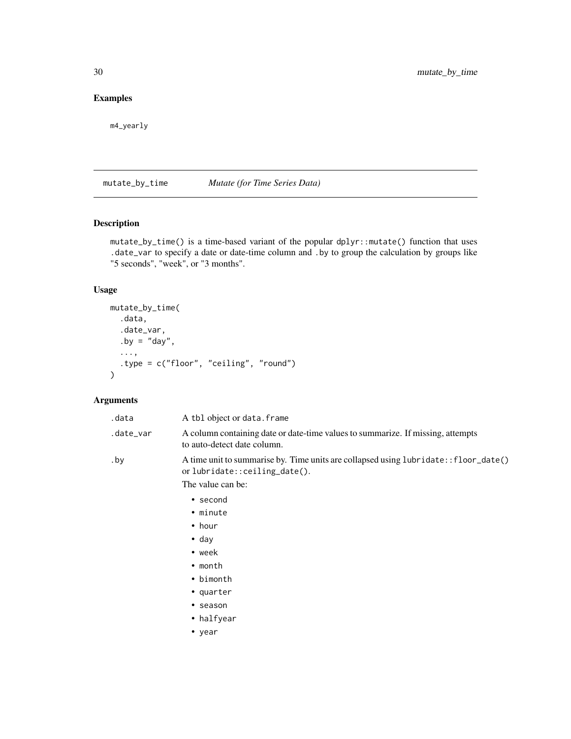# <span id="page-29-0"></span>Examples

m4\_yearly

<span id="page-29-1"></span>mutate\_by\_time *Mutate (for Time Series Data)*

# Description

mutate\_by\_time() is a time-based variant of the popular dplyr::mutate() function that uses .date\_var to specify a date or date-time column and .by to group the calculation by groups like "5 seconds", "week", or "3 months".

## Usage

```
mutate_by_time(
  .data,
  .date_var,
 .by = "day",
  ...,
  .type = c("floor", "ceiling", "round")
\lambda
```
# Arguments

| .data     | A tbl object or data. frame                                                                                                                |
|-----------|--------------------------------------------------------------------------------------------------------------------------------------------|
| .date_var | A column containing date or date-time values to summarize. If missing, attempts<br>to auto-detect date column.                             |
| .by       | A time unit to summarise by. Time units are collapsed using lubridate:: floor_date()<br>or lubridate::ceiling_date().<br>The value can be: |
|           | $\bullet$ second                                                                                                                           |
|           | • minute                                                                                                                                   |

- hour
- day
- week
- month
- bimonth
- quarter
- season
- halfyear
- year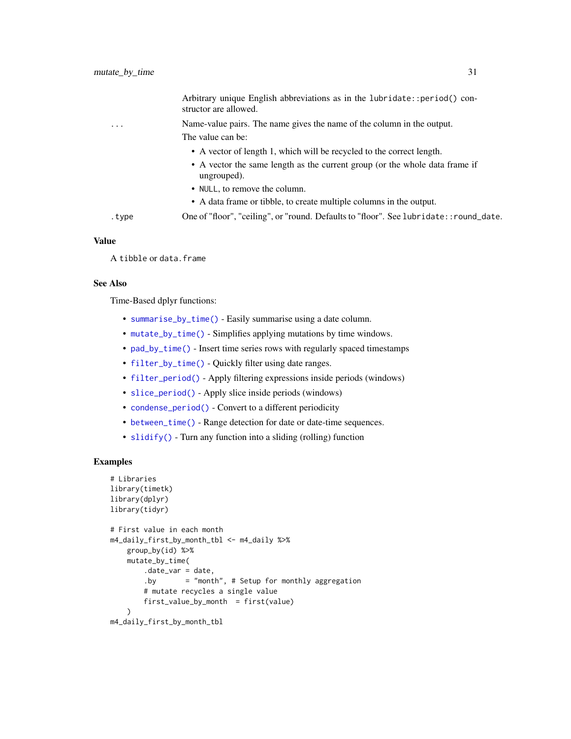|                         | Arbitrary unique English abbreviations as in the lubridate:: period() con-<br>structor are allowed. |
|-------------------------|-----------------------------------------------------------------------------------------------------|
| $\cdot$ $\cdot$ $\cdot$ | Name-value pairs. The name gives the name of the column in the output.                              |
|                         | The value can be:                                                                                   |
|                         | • A vector of length 1, which will be recycled to the correct length.                               |
|                         | • A vector the same length as the current group (or the whole data frame if<br>ungrouped).          |
|                         | • NULL, to remove the column.                                                                       |
|                         | • A data frame or tibble, to create multiple columns in the output.                                 |
| .type                   | One of "floor", "ceiling", or "round. Defaults to "floor". See lubridate::round_date.               |
|                         |                                                                                                     |

## Value

A tibble or data.frame

## See Also

Time-Based dplyr functions:

- [summarise\\_by\\_time\(\)](#page-108-1) Easily summarise using a date column.
- [mutate\\_by\\_time\(\)](#page-29-1) Simplifies applying mutations by time windows.
- [pad\\_by\\_time\(\)](#page-32-1) Insert time series rows with regularly spaced timestamps
- [filter\\_by\\_time\(\)](#page-12-1) Quickly filter using date ranges.
- [filter\\_period\(\)](#page-14-1) Apply filtering expressions inside periods (windows)
- [slice\\_period\(\)](#page-61-1) Apply slice inside periods (windows)
- [condense\\_period\(\)](#page-8-1) Convert to a different periodicity
- [between\\_time\(\)](#page-3-1) Range detection for date or date-time sequences.
- [slidify\(\)](#page-63-1) Turn any function into a sliding (rolling) function

```
# Libraries
library(timetk)
library(dplyr)
library(tidyr)
# First value in each month
m4_daily_first_by_month_tbl <- m4_daily %>%
   group_by(id) %>%
   mutate_by_time(
       .date_var = date,
       .by = "month", # Setup for monthly aggregation
       # mutate recycles a single value
       first_value_by_month = first(value)
    )
m4_daily_first_by_month_tbl
```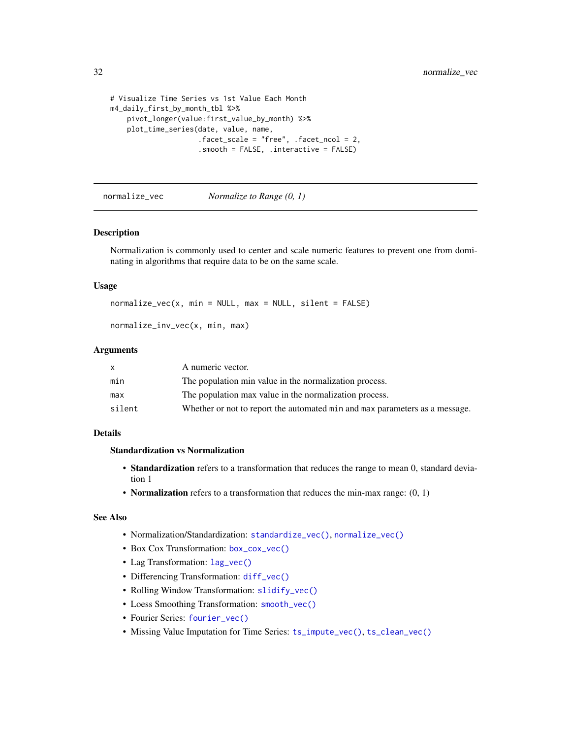```
# Visualize Time Series vs 1st Value Each Month
m4_daily_first_by_month_tbl %>%
    pivot_longer(value:first_value_by_month) %>%
    plot_time_series(date, value, name,
                     .facet_scale = "free", .facet_ncol = 2,
                     .smooth = FALSE, .interactive = FALSE)
```
<span id="page-31-1"></span>normalize\_vec *Normalize to Range (0, 1)*

## Description

Normalization is commonly used to center and scale numeric features to prevent one from dominating in algorithms that require data to be on the same scale.

#### Usage

```
normalize\_vec(x, min = NULL, max = NULL, silent = FALSE)
```

```
normalize_inv_vec(x, min, max)
```
#### Arguments

|        | A numeric vector.                                                           |
|--------|-----------------------------------------------------------------------------|
| min    | The population min value in the normalization process.                      |
| max    | The population max value in the normalization process.                      |
| silent | Whether or not to report the automated min and max parameters as a message. |

# Details

#### Standardization vs Normalization

- Standardization refers to a transformation that reduces the range to mean 0, standard deviation 1
- Normalization refers to a transformation that reduces the min-max range:  $(0, 1)$

## See Also

- Normalization/Standardization: [standardize\\_vec\(\)](#page-73-1), [normalize\\_vec\(\)](#page-31-1)
- Box Cox Transformation: [box\\_cox\\_vec\(\)](#page-6-1)
- Lag Transformation: [lag\\_vec\(\)](#page-21-1)
- Differencing Transformation: [diff\\_vec\(\)](#page-9-1)
- Rolling Window Transformation: [slidify\\_vec\(\)](#page-67-1)
- Loess Smoothing Transformation: [smooth\\_vec\(\)](#page-70-1)
- Fourier Series: [fourier\\_vec\(\)](#page-15-1)
- Missing Value Imputation for Time Series: [ts\\_impute\\_vec\(\)](#page-169-1), [ts\\_clean\\_vec\(\)](#page-168-1)

<span id="page-31-0"></span>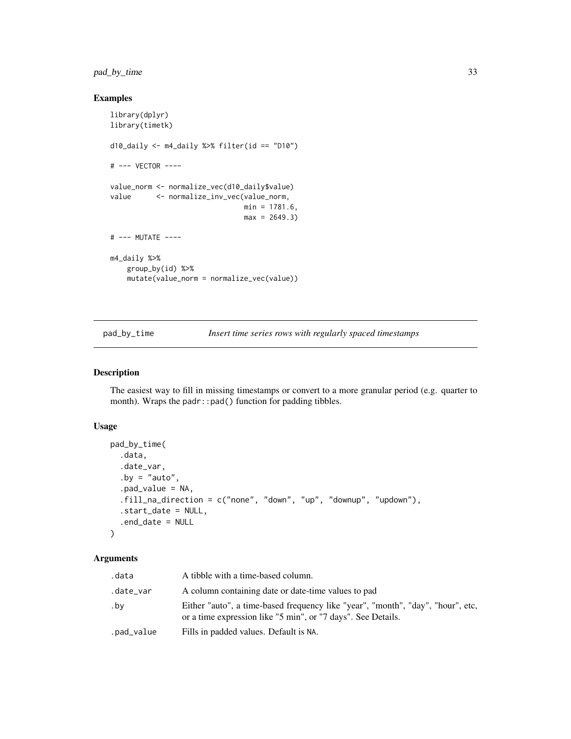# <span id="page-32-0"></span>pad\_by\_time 33

# Examples

```
library(dplyr)
library(timetk)
d10_daily <- m4_daily %>% filter(id == "D10")
# --- VECTOR ----
value_norm <- normalize_vec(d10_daily$value)
value <- normalize_inv_vec(value_norm,
                               min = 1781.6,
                               max = 2649.3# --- MUTATE ----
m4_daily %>%
   group_by(id) %>%
   mutate(value_norm = normalize_vec(value))
```
<span id="page-32-1"></span>pad\_by\_time *Insert time series rows with regularly spaced timestamps*

# Description

The easiest way to fill in missing timestamps or convert to a more granular period (e.g. quarter to month). Wraps the padr::pad() function for padding tibbles.

## Usage

```
pad_by_time(
  .data,
  .date_var,
  .by = "auto",
  .pad_value = NA,
  .fill_na_direction = c("none", "down", "up", "downup", "updown"),
  .start_date = NULL,
  .end_date = NULL
)
```
## Arguments

| .data      | A tibble with a time-based column.                                                                                                              |
|------------|-------------------------------------------------------------------------------------------------------------------------------------------------|
| .date_var  | A column containing date or date-time values to pad                                                                                             |
| .bv        | Either "auto", a time-based frequency like "year", "month", "day", "hour", etc,<br>or a time expression like "5 min", or "7 days". See Details. |
| .pad_value | Fills in padded values. Default is NA.                                                                                                          |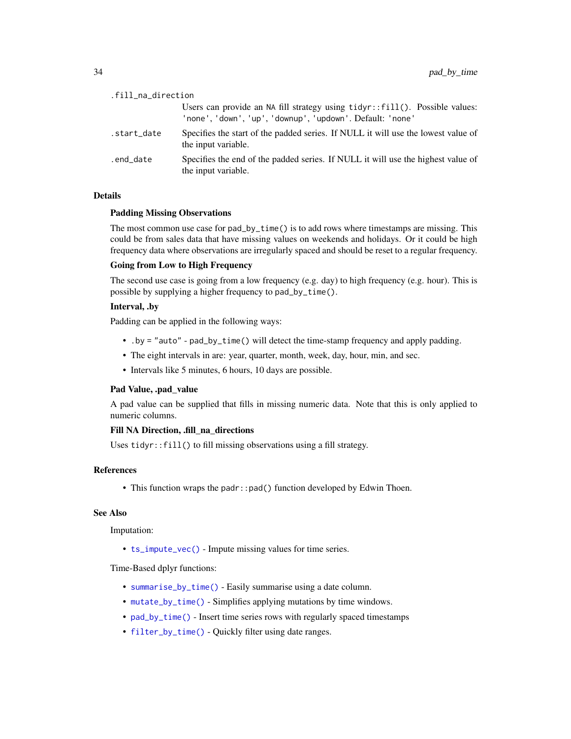| .fill_na_direction |                                                                                                                                          |
|--------------------|------------------------------------------------------------------------------------------------------------------------------------------|
|                    | Users can provide an NA fill strategy using tidyr::fill(). Possible values:<br>'none', 'down', 'up', 'downup', 'updown'. Default: 'none' |
| .start_date        | Specifies the start of the padded series. If NULL it will use the lowest value of<br>the input variable.                                 |
| .end_date          | Specifies the end of the padded series. If NULL it will use the highest value of<br>the input variable.                                  |

## Details

## Padding Missing Observations

The most common use case for pad\_by\_time() is to add rows where timestamps are missing. This could be from sales data that have missing values on weekends and holidays. Or it could be high frequency data where observations are irregularly spaced and should be reset to a regular frequency.

## Going from Low to High Frequency

The second use case is going from a low frequency (e.g. day) to high frequency (e.g. hour). This is possible by supplying a higher frequency to pad\_by\_time().

# Interval, .by

Padding can be applied in the following ways:

- .by = "auto" pad\_by\_time() will detect the time-stamp frequency and apply padding.
- The eight intervals in are: year, quarter, month, week, day, hour, min, and sec.
- Intervals like 5 minutes, 6 hours, 10 days are possible.

#### Pad Value, .pad\_value

A pad value can be supplied that fills in missing numeric data. Note that this is only applied to numeric columns.

## Fill NA Direction, .fill\_na\_directions

Uses tidyr::fill() to fill missing observations using a fill strategy.

#### References

• This function wraps the padr::pad() function developed by Edwin Thoen.

## See Also

Imputation:

• [ts\\_impute\\_vec\(\)](#page-169-1) - Impute missing values for time series.

Time-Based dplyr functions:

- [summarise\\_by\\_time\(\)](#page-108-1) Easily summarise using a date column.
- [mutate\\_by\\_time\(\)](#page-29-1) Simplifies applying mutations by time windows.
- [pad\\_by\\_time\(\)](#page-32-1) Insert time series rows with regularly spaced timestamps
- [filter\\_by\\_time\(\)](#page-12-1) Quickly filter using date ranges.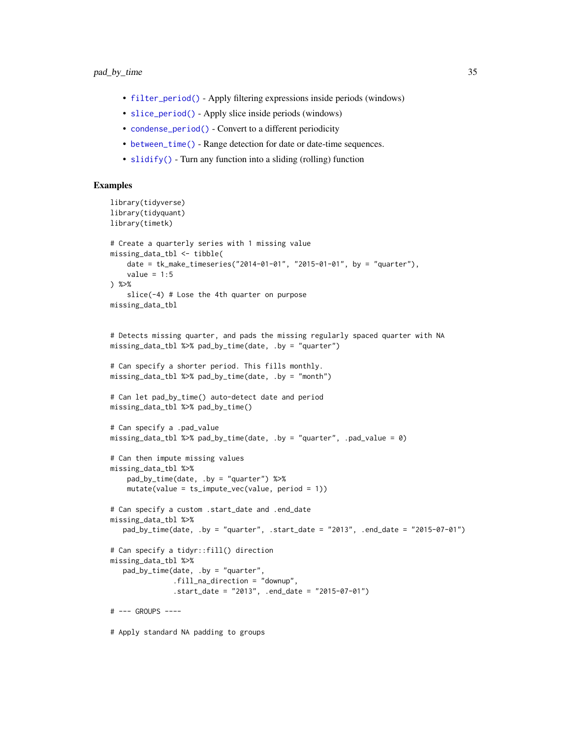- [filter\\_period\(\)](#page-14-1) Apply filtering expressions inside periods (windows)
- [slice\\_period\(\)](#page-61-1) Apply slice inside periods (windows)
- [condense\\_period\(\)](#page-8-1) Convert to a different periodicity
- [between\\_time\(\)](#page-3-1) Range detection for date or date-time sequences.
- [slidify\(\)](#page-63-1) Turn any function into a sliding (rolling) function

```
library(tidyverse)
library(tidyquant)
library(timetk)
# Create a quarterly series with 1 missing value
missing_data_tbl <- tibble(
    date = tk_make_timeseries("2014-01-01", "2015-01-01", by = "quarter"),
    value = 1:5) %>%
    slice(-4) # Lose the 4th quarter on purpose
missing_data_tbl
# Detects missing quarter, and pads the missing regularly spaced quarter with NA
missing_data_tbl %>% pad_by_time(date, .by = "quarter")
# Can specify a shorter period. This fills monthly.
missing_data_tbl %>% pad_by_time(date, .by = "month")
# Can let pad_by_time() auto-detect date and period
missing_data_tbl %>% pad_by_time()
# Can specify a .pad_value
missing_data_tbl %>% pad_by_time(date, .by = "quarter", .pad_value = 0)
# Can then impute missing values
missing_data_tbl %>%
    pad_by_time(date, .by = "quarter") %>%
    mutate(value = ts_impute_vec(value, period = 1))
# Can specify a custom .start_date and .end_date
missing_data_tbl %>%
   pad_by_time(date, .by = "quarter", .start_date = "2013", .end_date = "2015-07-01")
# Can specify a tidyr::fill() direction
missing_data_tbl %>%
   pad_by_time(date, .by = "quarter",
               .fill_na_direction = "downup",
               .start_date = "2013", .end_date = "2015-07-01")
# --- GROUPS ----
# Apply standard NA padding to groups
```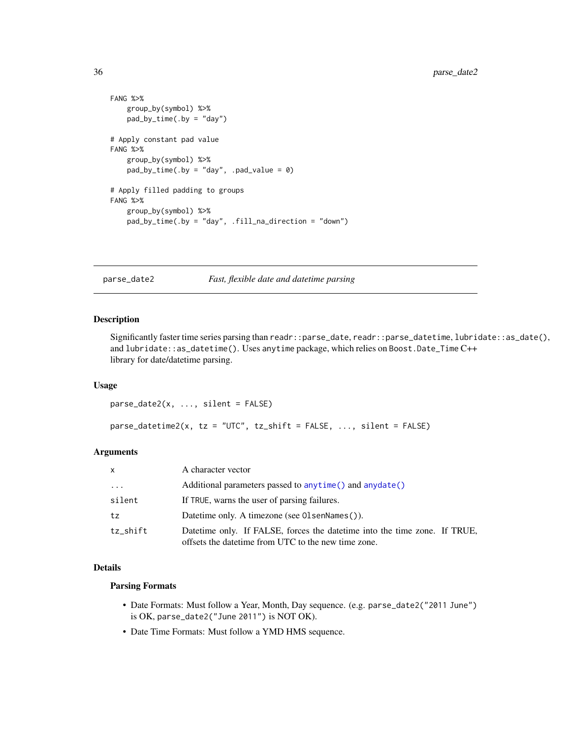```
FANG %>%
   group_by(symbol) %>%
   pad_by_time(.by = "day")
# Apply constant pad value
FANG %>%
   group_by(symbol) %>%
   pad_by_time(.by = "day", .pad_value = 0)# Apply filled padding to groups
FANG %>%
   group_by(symbol) %>%
   pad_by_time(.by = "day", .fill_na_direction = "down")
```
parse\_date2 *Fast, flexible date and datetime parsing*

#### Description

Significantly faster time series parsing than readr::parse\_date, readr::parse\_datetime, lubridate::as\_date(), and lubridate::as\_datetime(). Uses anytime package, which relies on Boost.Date\_Time C++ library for date/datetime parsing.

## Usage

```
parse_date2(x, ..., silent = FALSE)
```
parse\_datetime2(x, tz = "UTC", tz\_shift = FALSE, ..., silent = FALSE)

# Arguments

| $\mathsf{x}$        | A character vector                                                                                                                |
|---------------------|-----------------------------------------------------------------------------------------------------------------------------------|
| $\cdot \cdot \cdot$ | Additional parameters passed to anytime () and anydate ()                                                                         |
| silent              | If TRUE, warns the user of parsing failures.                                                                                      |
| tz                  | Datetime only. A timezone (see OlsenNames()).                                                                                     |
| tz_shift            | Datetime only. If FALSE, forces the datetime into the time zone. If TRUE,<br>offsets the date time from UTC to the new time zone. |

#### Details

## Parsing Formats

- Date Formats: Must follow a Year, Month, Day sequence. (e.g. parse\_date2("2011 June") is OK, parse\_date2("June 2011") is NOT OK).
- Date Time Formats: Must follow a YMD HMS sequence.

<span id="page-35-0"></span>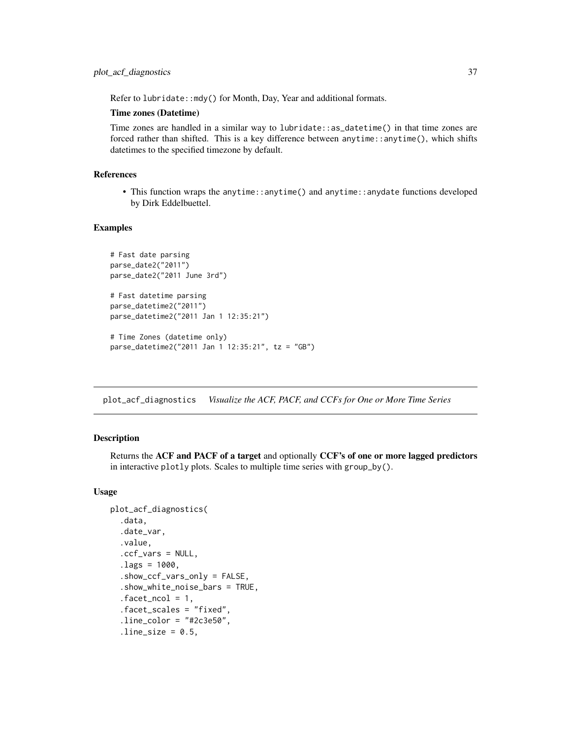Refer to lubridate::mdy() for Month, Day, Year and additional formats.

### Time zones (Datetime)

Time zones are handled in a similar way to lubridate::as\_datetime() in that time zones are forced rather than shifted. This is a key difference between anytime::anytime(), which shifts datetimes to the specified timezone by default.

# References

• This function wraps the anytime::anytime() and anytime::anydate functions developed by Dirk Eddelbuettel.

### Examples

```
# Fast date parsing
parse_date2("2011")
parse_date2("2011 June 3rd")
# Fast datetime parsing
parse_datetime2("2011")
parse_datetime2("2011 Jan 1 12:35:21")
# Time Zones (datetime only)
parse_datetime2("2011 Jan 1 12:35:21", tz = "GB")
```
<span id="page-36-0"></span>plot\_acf\_diagnostics *Visualize the ACF, PACF, and CCFs for One or More Time Series*

## Description

Returns the ACF and PACF of a target and optionally CCF's of one or more lagged predictors in interactive plotly plots. Scales to multiple time series with group\_by().

## Usage

```
plot_acf_diagnostics(
  .data,
  .date_var,
  .value,
  .ccf_vars = NULL,
  -lags = 1000,.show_ccf_vars_only = FALSE,
  .show_white_noise_bars = TRUE,
  facet\_ncol = 1,
  .facet_scales = "fixed",
  .line_color = "#2c3e50",
  .line_size = 0.5,
```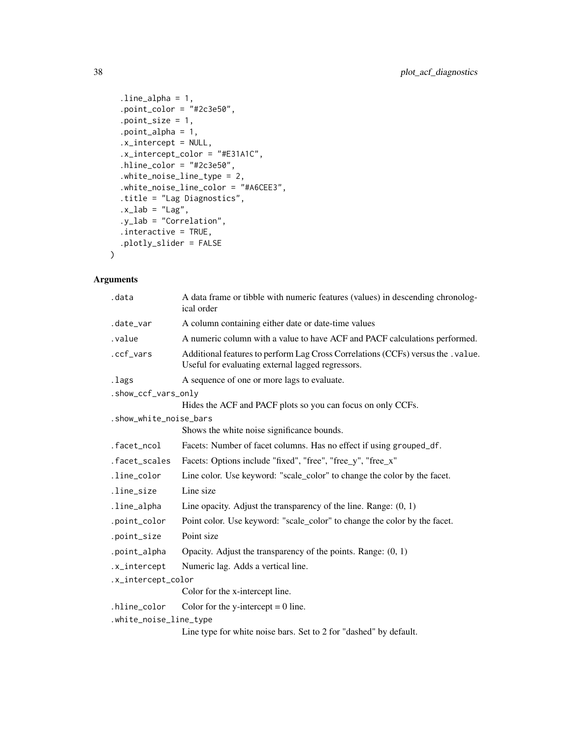```
line\_alpha = 1,
  .point_color = "#2c3e50",
  .point_size = 1,
  .point_alpha = 1,
  .x_intercept = NULL,
  .x_intercept_color = "#E31A1C",
  hline\_color = "#2c3e50",.white_noise_line_type = 2,
  .white_noise_line_color = "#A6CEE3",
  .title = "Lag Diagnostics",
  .x\_lab = "Lag",.y_lab = "Correlation",
  .interactive = TRUE,
 .plotly_slider = FALSE
\mathcal{L}
```

| .data                  | A data frame or tibble with numeric features (values) in descending chronolog-<br>ical order                                         |
|------------------------|--------------------------------------------------------------------------------------------------------------------------------------|
| .date_var              | A column containing either date or date-time values                                                                                  |
| .value                 | A numeric column with a value to have ACF and PACF calculations performed.                                                           |
| .ccf_vars              | Additional features to perform Lag Cross Correlations (CCFs) versus the .value.<br>Useful for evaluating external lagged regressors. |
| .lags                  | A sequence of one or more lags to evaluate.                                                                                          |
| .show_ccf_vars_only    |                                                                                                                                      |
|                        | Hides the ACF and PACF plots so you can focus on only CCFs.                                                                          |
| .show_white_noise_bars |                                                                                                                                      |
|                        | Shows the white noise significance bounds.                                                                                           |
| .facet_ncol            | Facets: Number of facet columns. Has no effect if using grouped_df.                                                                  |
| .facet_scales          | Facets: Options include "fixed", "free", "free_y", "free_x"                                                                          |
| .line_color            | Line color. Use keyword: "scale_color" to change the color by the facet.                                                             |
| .line_size             | Line size                                                                                                                            |
| .line_alpha            | Line opacity. Adjust the transparency of the line. Range: $(0, 1)$                                                                   |
| .point_color           | Point color. Use keyword: "scale_color" to change the color by the facet.                                                            |
| .point_size            | Point size                                                                                                                           |
| .point_alpha           | Opacity. Adjust the transparency of the points. Range: $(0, 1)$                                                                      |
| .x_intercept           | Numeric lag. Adds a vertical line.                                                                                                   |
| .x_intercept_color     |                                                                                                                                      |
|                        | Color for the x-intercept line.                                                                                                      |
| .hline_color           | Color for the y-intercept $= 0$ line.                                                                                                |
| .white_noise_line_type |                                                                                                                                      |
|                        | Line type for white noise bars. Set to 2 for "dashed" by default.                                                                    |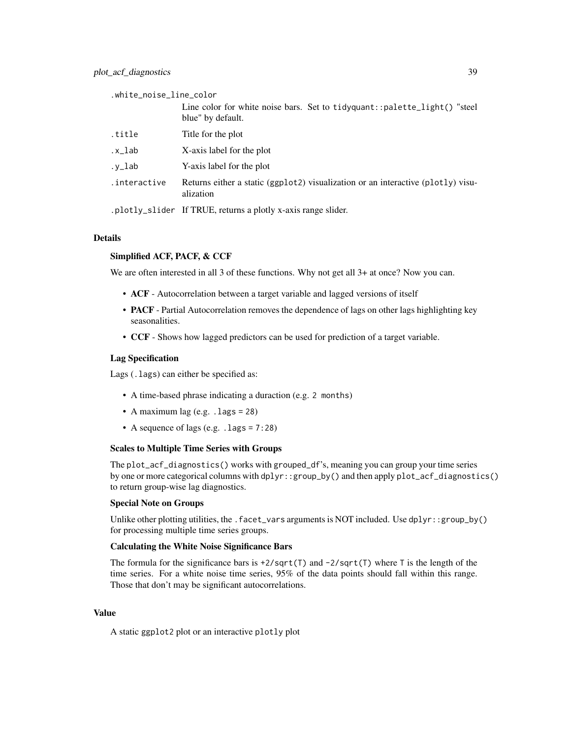.white\_noise\_line\_color Line color for white noise bars. Set to tidyquant::palette\_light() "steel blue" by default. .title Title for the plot .x\_lab X-axis label for the plot .y\_lab Y-axis label for the plot .interactive Returns either a static (ggplot2) visualization or an interactive (plotly) visualization .plotly\_slider If TRUE, returns a plotly x-axis range slider.

## Details

# Simplified ACF, PACF, & CCF

We are often interested in all 3 of these functions. Why not get all 3+ at once? Now you can.

- ACF Autocorrelation between a target variable and lagged versions of itself
- **PACF** Partial Autocorrelation removes the dependence of lags on other lags highlighting key seasonalities.
- CCF Shows how lagged predictors can be used for prediction of a target variable.

#### Lag Specification

Lags (.lags) can either be specified as:

- A time-based phrase indicating a duraction (e.g. 2 months)
- A maximum lag (e.g.  $l$  lags = 28)
- A sequence of lags (e.g. . lags =  $7:28$ )

#### Scales to Multiple Time Series with Groups

The plot\_acf\_diagnostics() works with grouped\_df's, meaning you can group your time series by one or more categorical columns with dplyr::group\_by() and then apply plot\_acf\_diagnostics() to return group-wise lag diagnostics.

### Special Note on Groups

Unlike other plotting utilities, the . facet\_vars arguments is NOT included. Use  $d$ plyr::group\_by() for processing multiple time series groups.

## Calculating the White Noise Significance Bars

The formula for the significance bars is  $\pm 2/\sqrt{5}$  and  $\pm 2/\sqrt{5}$  where T is the length of the time series. For a white noise time series, 95% of the data points should fall within this range. Those that don't may be significant autocorrelations.

### Value

A static ggplot2 plot or an interactive plotly plot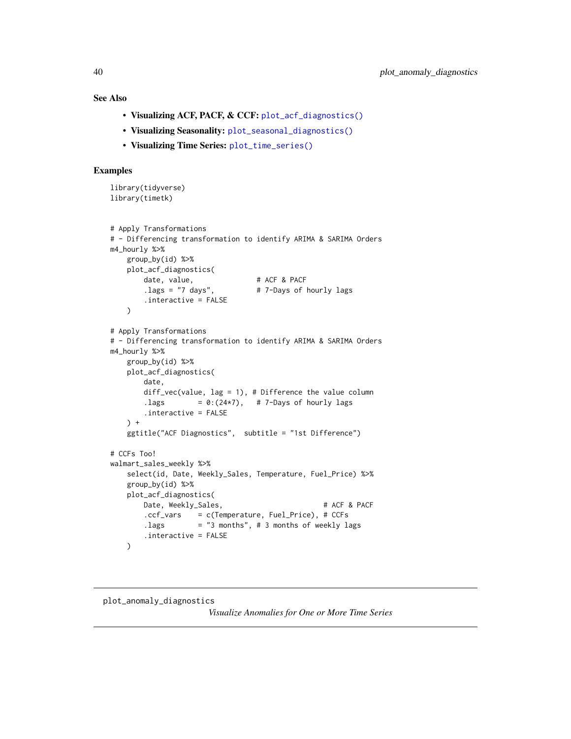# See Also

- Visualizing ACF, PACF, & CCF: [plot\\_acf\\_diagnostics\(\)](#page-36-0)
- Visualizing Seasonality: [plot\\_seasonal\\_diagnostics\(\)](#page-43-0)
- Visualizing Time Series: [plot\\_time\\_series\(\)](#page-48-0)

# Examples

```
library(tidyverse)
library(timetk)
# Apply Transformations
# - Differencing transformation to identify ARIMA & SARIMA Orders
m4_hourly %>%
   group_by(id) %>%
   plot_acf_diagnostics(
       date, value, # ACF & PACF
       .lags = "7 days", # 7-Days of hourly lags
       .interactive = FALSE
   )
# Apply Transformations
# - Differencing transformation to identify ARIMA & SARIMA Orders
m4_hourly %>%
   group_by(id) %>%
   plot_acf_diagnostics(
       date,
       diff_vec(value, lag = 1), # Difference the value column
       .lags = 0:(24*7),  # 7-Days of hourly lags.interactive = FALSE
   ) +ggtitle("ACF Diagnostics", subtitle = "1st Difference")
# CCFs Too!
walmart_sales_weekly %>%
   select(id, Date, Weekly_Sales, Temperature, Fuel_Price) %>%
   group_by(id) %>%
   plot_acf_diagnostics(
       Date, Weekly_Sales, # ACF & PACF
       .ccf_vars = c(Temperature, Fuel_Price), # CCFs
       . lags = "3 months", # 3 months of weekly lags
       .interactive = FALSE
   )
```
# plot\_anomaly\_diagnostics

*Visualize Anomalies for One or More Time Series*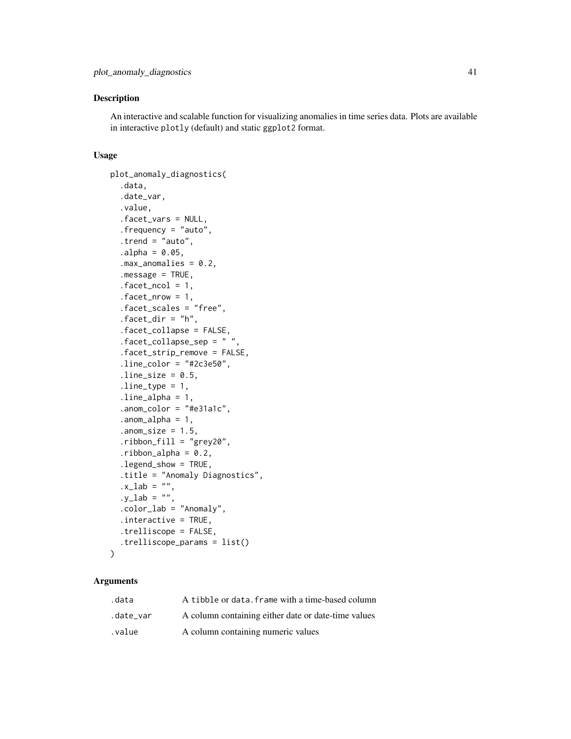## Description

An interactive and scalable function for visualizing anomalies in time series data. Plots are available in interactive plotly (default) and static ggplot2 format.

### Usage

```
plot_anomaly_diagnostics(
  .data,
  .date_var,
  .value,
  .facet_vars = NULL,
  .frequency = "auto",
  .trend = "auto",
  a1pha = 0.05,
  max_annomalies = 0.2,
  .message = TRUE,
  facet\_ncol = 1,
  facet_nrow = 1,
  .facet_scales = "free",
  facet\_dir = "h",.facet_collapse = FALSE,
  .facet_collapse_sep = " ",
  .facet_strip_remove = FALSE,
  .line_color = "#2c3e50",
  .line_size = 0.5,
  line_type = 1,
  line\_alpha = 1,.anom_color = "#e31a1c",
  anom_alpha = 1,
  .anom_size = 1.5,
  .ribbon_fill = "grey20",
  .ribbon_alpha = 0.2,.legend_show = TRUE,
  .title = "Anomaly Diagnostics",
  .x\_lab = "",.y\_lab = ""..color_lab = "Anomaly",
  .interactive = TRUE,
  .trelliscope = FALSE,
  .trelliscope_params = list()
)
```

| .data     | A tibble or data. frame with a time-based column    |
|-----------|-----------------------------------------------------|
| .date var | A column containing either date or date-time values |
| value.    | A column containing numeric values                  |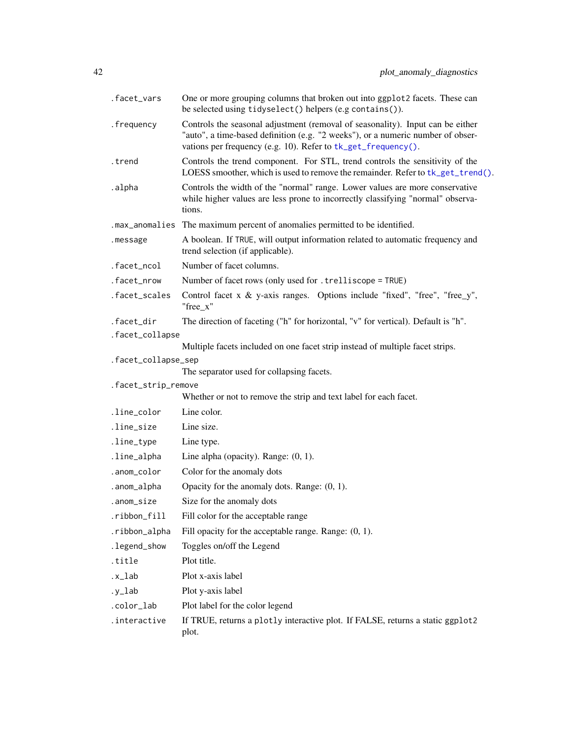| .facet_vars         | One or more grouping columns that broken out into ggplot2 facets. These can<br>be selected using tidyselect() helpers (e.g contains()).                                                                                            |
|---------------------|------------------------------------------------------------------------------------------------------------------------------------------------------------------------------------------------------------------------------------|
| .frequency          | Controls the seasonal adjustment (removal of seasonality). Input can be either<br>"auto", a time-based definition (e.g. "2 weeks"), or a numeric number of obser-<br>vations per frequency (e.g. 10). Refer to tk_get_frequency(). |
| .trend              | Controls the trend component. For STL, trend controls the sensitivity of the<br>LOESS smoother, which is used to remove the remainder. Refer to tk_get_trend().                                                                    |
| .alpha              | Controls the width of the "normal" range. Lower values are more conservative<br>while higher values are less prone to incorrectly classifying "normal" observa-<br>tions.                                                          |
| .max_anomalies      | The maximum percent of anomalies permitted to be identified.                                                                                                                                                                       |
| .message            | A boolean. If TRUE, will output information related to automatic frequency and<br>trend selection (if applicable).                                                                                                                 |
| .facet_ncol         | Number of facet columns.                                                                                                                                                                                                           |
| .facet_nrow         | Number of facet rows (only used for . trelliscope = TRUE)                                                                                                                                                                          |
| .facet_scales       | Control facet x $\&$ y-axis ranges. Options include "fixed", "free", "free_y",<br>"free_x"                                                                                                                                         |
| .facet_dir          | The direction of faceting ("h" for horizontal, "v" for vertical). Default is "h".                                                                                                                                                  |
| .facet_collapse     |                                                                                                                                                                                                                                    |
|                     | Multiple facets included on one facet strip instead of multiple facet strips.                                                                                                                                                      |
| .facet_collapse_sep |                                                                                                                                                                                                                                    |
| .facet_strip_remove | The separator used for collapsing facets.                                                                                                                                                                                          |
|                     | Whether or not to remove the strip and text label for each facet.                                                                                                                                                                  |
| .line_color         | Line color.                                                                                                                                                                                                                        |
| .line_size          | Line size.                                                                                                                                                                                                                         |
| .line_type          | Line type.                                                                                                                                                                                                                         |
| .line_alpha         | Line alpha (opacity). Range: $(0, 1)$ .                                                                                                                                                                                            |
| .anom_color         | Color for the anomaly dots                                                                                                                                                                                                         |
| .anom_alpha         | Opacity for the anomaly dots. Range: $(0, 1)$ .                                                                                                                                                                                    |
| .anom_size          | Size for the anomaly dots                                                                                                                                                                                                          |
| .ribbon_fill        | Fill color for the acceptable range                                                                                                                                                                                                |
| .ribbon_alpha       | Fill opacity for the acceptable range. Range: $(0, 1)$ .                                                                                                                                                                           |
| .legend_show        | Toggles on/off the Legend                                                                                                                                                                                                          |
| .title              | Plot title.                                                                                                                                                                                                                        |
| .x_lab              | Plot x-axis label                                                                                                                                                                                                                  |
| $.y_l$ ab           | Plot y-axis label                                                                                                                                                                                                                  |
| .color_lab          | Plot label for the color legend                                                                                                                                                                                                    |
| .interactive        | If TRUE, returns a plotly interactive plot. If FALSE, returns a static ggplot2<br>plot.                                                                                                                                            |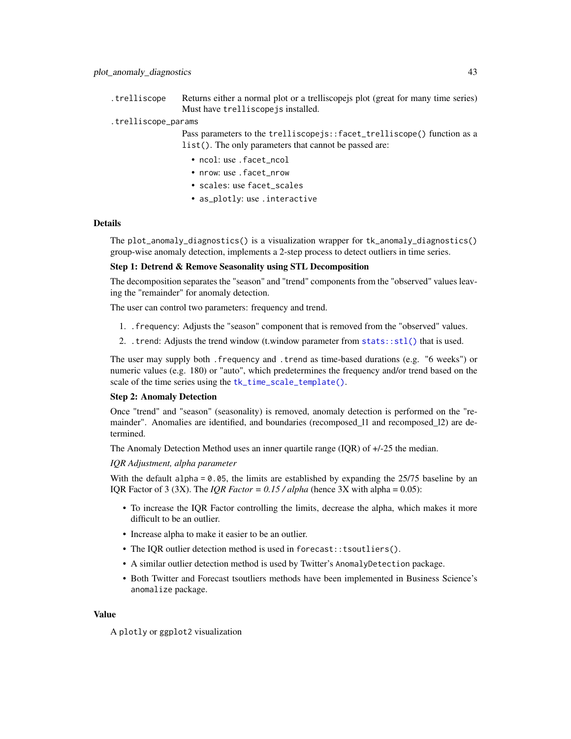.trelliscope Returns either a normal plot or a trelliscopejs plot (great for many time series) Must have trelliscopejs installed.

### .trelliscope\_params

Pass parameters to the trelliscopejs::facet\_trelliscope() function as a list(). The only parameters that cannot be passed are:

- ncol: use .facet\_ncol
- nrow: use . facet nrow
- scales: use facet\_scales
- as\_plotly: use .interactive

## **Details**

The plot\_anomaly\_diagnostics() is a visualization wrapper for tk\_anomaly\_diagnostics() group-wise anomaly detection, implements a 2-step process to detect outliers in time series.

# Step 1: Detrend & Remove Seasonality using STL Decomposition

The decomposition separates the "season" and "trend" components from the "observed" values leaving the "remainder" for anomaly detection.

The user can control two parameters: frequency and trend.

- 1. .frequency: Adjusts the "season" component that is removed from the "observed" values.
- 2. .trend: Adjusts the trend window (t.window parameter from [stats::stl\(\)](#page-0-0) that is used.

The user may supply both .frequency and .trend as time-based durations (e.g. "6 weeks") or numeric values (e.g. 180) or "auto", which predetermines the frequency and/or trend based on the scale of the time series using the [tk\\_time\\_scale\\_template\(\)](#page-60-0).

#### Step 2: Anomaly Detection

Once "trend" and "season" (seasonality) is removed, anomaly detection is performed on the "remainder". Anomalies are identified, and boundaries (recomposed 11 and recomposed 12) are determined.

The Anomaly Detection Method uses an inner quartile range (IQR) of +/-25 the median.

## *IQR Adjustment, alpha parameter*

With the default alpha  $= 0.05$ , the limits are established by expanding the 25/75 baseline by an IQR Factor of 3 (3X). The *IQR Factor = 0.15 / alpha* (hence 3X with alpha = 0.05):

- To increase the IQR Factor controlling the limits, decrease the alpha, which makes it more difficult to be an outlier.
- Increase alpha to make it easier to be an outlier.
- The IQR outlier detection method is used in forecast::tsoutliers().
- A similar outlier detection method is used by Twitter's AnomalyDetection package.
- Both Twitter and Forecast tsoutliers methods have been implemented in Business Science's anomalize package.

### Value

A plotly or ggplot2 visualization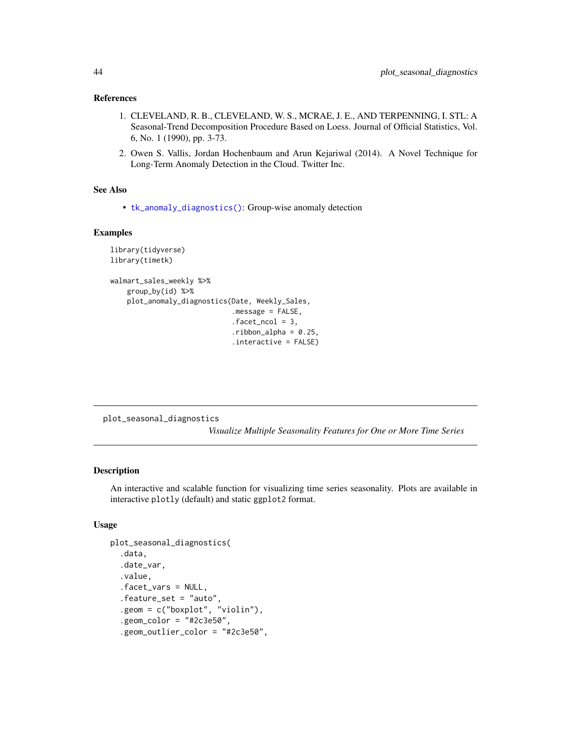### References

- 1. CLEVELAND, R. B., CLEVELAND, W. S., MCRAE, J. E., AND TERPENNING, I. STL: A Seasonal-Trend Decomposition Procedure Based on Loess. Journal of Official Statistics, Vol. 6, No. 1 (1990), pp. 3-73.
- 2. Owen S. Vallis, Jordan Hochenbaum and Arun Kejariwal (2014). A Novel Technique for Long-Term Anomaly Detection in the Cloud. Twitter Inc.

# See Also

• [tk\\_anomaly\\_diagnostics\(\)](#page-121-0): Group-wise anomaly detection

### Examples

```
library(tidyverse)
library(timetk)
walmart_sales_weekly %>%
    group_by(id) %>%
   plot_anomaly_diagnostics(Date, Weekly_Sales,
                             .message = FALSE,
                             facet\_ncol = 3,
                             .ribbon_a1pha = 0.25,.interactive = FALSE)
```
<span id="page-43-0"></span>plot\_seasonal\_diagnostics

*Visualize Multiple Seasonality Features for One or More Time Series*

## Description

An interactive and scalable function for visualizing time series seasonality. Plots are available in interactive plotly (default) and static ggplot2 format.

# Usage

```
plot_seasonal_diagnostics(
  .data,
  .date_var,
  .value,
  .facet_vars = NULL,
  .feature_set = "auto",
  .geom = c("boxplot", "violin"),
  .geom_color = "#2c3e50",
  .geom_outlier_color = "#2c3e50",
```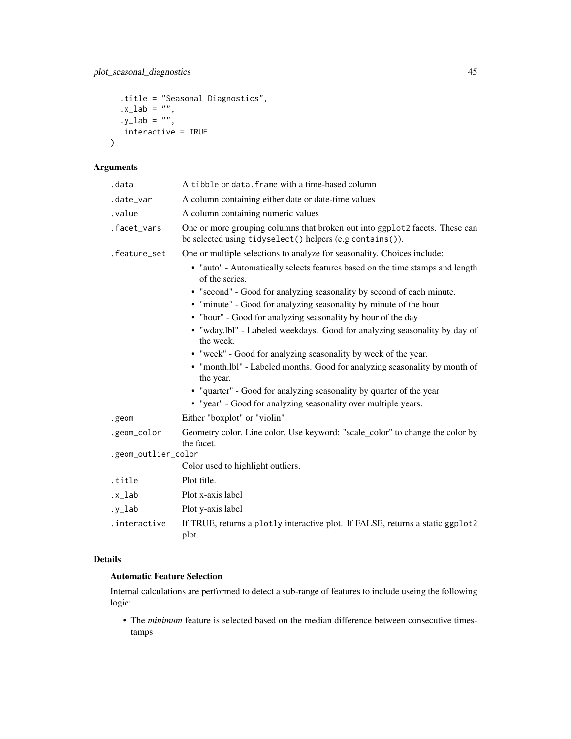```
.title = "Seasonal Diagnostics",
.x\_lab = '''',
.y\_lab = '''',
.interactive = TRUE
```
# Arguments

)

| .data               | A tibble or data. frame with a time-based column                                                                                        |
|---------------------|-----------------------------------------------------------------------------------------------------------------------------------------|
| .date_var           | A column containing either date or date-time values                                                                                     |
| .value              | A column containing numeric values                                                                                                      |
| .facet_vars         | One or more grouping columns that broken out into ggplot2 facets. These can<br>be selected using tidyselect() helpers (e.g contains()). |
| .feature_set        | One or multiple selections to analyze for seasonality. Choices include:                                                                 |
|                     | • "auto" - Automatically selects features based on the time stamps and length<br>of the series.                                         |
|                     | • "second" - Good for analyzing seasonality by second of each minute.                                                                   |
|                     | • "minute" - Good for analyzing seasonality by minute of the hour                                                                       |
|                     | • "hour" - Good for analyzing seasonality by hour of the day                                                                            |
|                     | • "wday.lbl" - Labeled weekdays. Good for analyzing seasonality by day of<br>the week.                                                  |
|                     | • "week" - Good for analyzing seasonality by week of the year.                                                                          |
|                     | • "month.lbl" - Labeled months. Good for analyzing seasonality by month of<br>the year.                                                 |
|                     | • "quarter" - Good for analyzing seasonality by quarter of the year                                                                     |
|                     | • "year" - Good for analyzing seasonality over multiple years.                                                                          |
| .geom               | Either "boxplot" or "violin"                                                                                                            |
| .geom_color         | Geometry color. Line color. Use keyword: "scale_color" to change the color by<br>the facet.                                             |
| .geom_outlier_color |                                                                                                                                         |
|                     | Color used to highlight outliers.                                                                                                       |
| .title              | Plot title.                                                                                                                             |
| .x_lab              | Plot x-axis label                                                                                                                       |
| $.y_l$ ab           | Plot y-axis label                                                                                                                       |
| .interactive        | If TRUE, returns a plotly interactive plot. If FALSE, returns a static ggplot2<br>plot.                                                 |

# Details

# Automatic Feature Selection

Internal calculations are performed to detect a sub-range of features to include useing the following logic:

• The *minimum* feature is selected based on the median difference between consecutive timestamps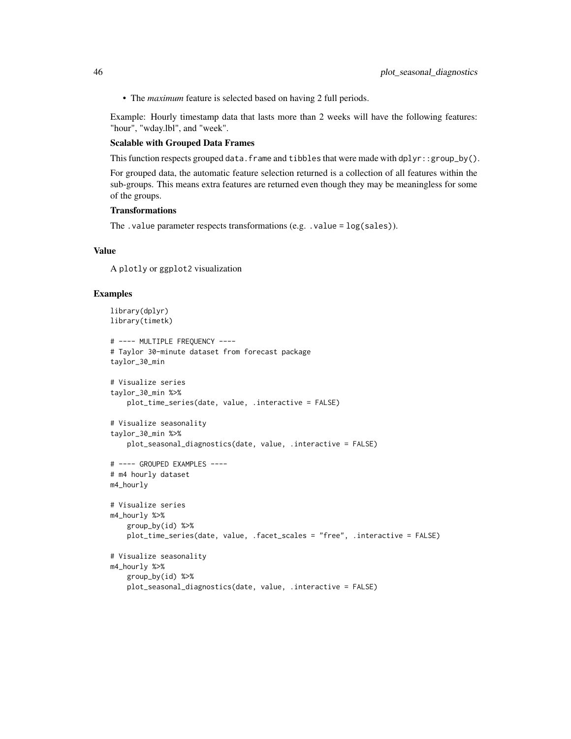• The *maximum* feature is selected based on having 2 full periods.

Example: Hourly timestamp data that lasts more than 2 weeks will have the following features: "hour", "wday.lbl", and "week".

## Scalable with Grouped Data Frames

This function respects grouped data. frame and tibbles that were made with  $dplyr:fgroup_by()$ .

For grouped data, the automatic feature selection returned is a collection of all features within the sub-groups. This means extra features are returned even though they may be meaningless for some of the groups.

# **Transformations**

The .value parameter respects transformations (e.g. .value = log(sales)).

### Value

A plotly or ggplot2 visualization

```
library(dplyr)
library(timetk)
# ---- MULTIPLE FREQUENCY ----
# Taylor 30-minute dataset from forecast package
taylor_30_min
# Visualize series
taylor_30_min %>%
   plot_time_series(date, value, .interactive = FALSE)
# Visualize seasonality
taylor_30_min %>%
    plot_seasonal_diagnostics(date, value, .interactive = FALSE)
# ---- GROUPED EXAMPLES ----
# m4 hourly dataset
m4_hourly
# Visualize series
m4_hourly %>%
    group_by(id) %>%
   plot_time_series(date, value, .facet_scales = "free", .interactive = FALSE)
# Visualize seasonality
m4_hourly %>%
    group_by(id) %>%
    plot_seasonal_diagnostics(date, value, .interactive = FALSE)
```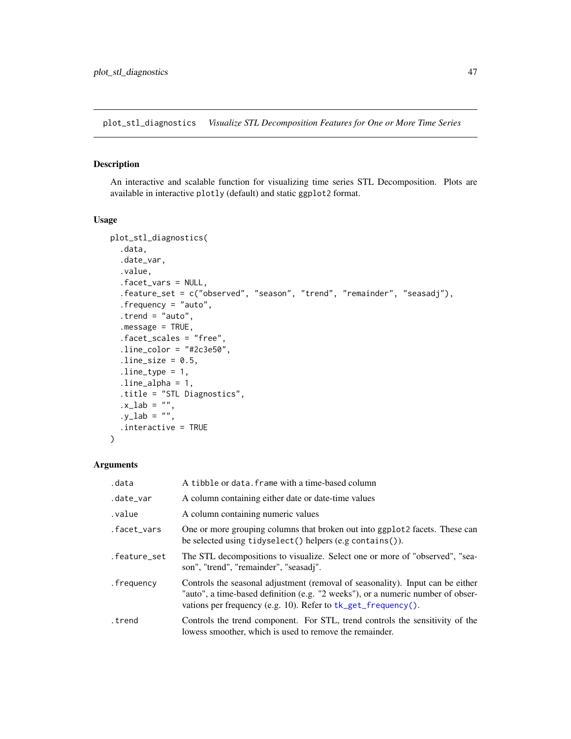plot\_stl\_diagnostics *Visualize STL Decomposition Features for One or More Time Series*

# Description

An interactive and scalable function for visualizing time series STL Decomposition. Plots are available in interactive plotly (default) and static ggplot2 format.

# Usage

```
plot_stl_diagnostics(
  .data,
  .date_var,
  .value,
  .facet_vars = NULL,
  .feature_set = c("observed", "season", "trend", "remainder", "seasadj"),
  .frequency = "auto",
  .trend = "auto",
  .message = TRUE,
  .facet_scales = "free",
  .line\_color = "#2c3e50",.line_size = 0.5,
  line_type = 1,
  line\_alpha = 1,.title = "STL Diagnostics",
  .x\_lab = "",.y_lab = ",
  .interactive = TRUE
)
```

| .data        | A tibble or data. frame with a time-based column                                                                                                                                                                                   |
|--------------|------------------------------------------------------------------------------------------------------------------------------------------------------------------------------------------------------------------------------------|
| .date_var    | A column containing either date or date-time values                                                                                                                                                                                |
| value.       | A column containing numeric values                                                                                                                                                                                                 |
| .facet_vars  | One or more grouping columns that broken out into ggplot 2 facets. These can<br>be selected using $tidyselect()$ helpers $(e.g. contains())$ .                                                                                     |
| .feature_set | The STL decompositions to visualize. Select one or more of "observed", "sea-<br>son", "trend", "remainder", "seasadj".                                                                                                             |
| .frequency   | Controls the seasonal adjustment (removal of seasonality). Input can be either<br>"auto", a time-based definition (e.g. "2 weeks"), or a numeric number of obser-<br>vations per frequency (e.g. 10). Refer to tk_get_frequency(). |
| trend.       | Controls the trend component. For STL, trend controls the sensitivity of the<br>lowess smoother, which is used to remove the remainder.                                                                                            |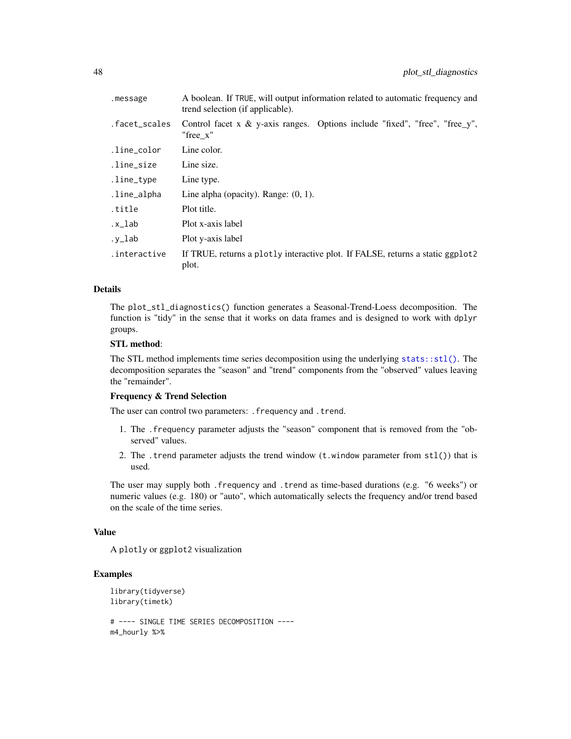| .message      | A boolean. If TRUE, will output information related to automatic frequency and<br>trend selection (if applicable). |
|---------------|--------------------------------------------------------------------------------------------------------------------|
| .facet_scales | Control facet x $\&$ y-axis ranges. Options include "fixed", "free", "free_y",<br>"free x"                         |
| .line_color   | Line color.                                                                                                        |
| .line_size    | Line size.                                                                                                         |
| .line_type    | Line type.                                                                                                         |
| .line_alpha   | Line alpha (opacity). Range: $(0, 1)$ .                                                                            |
| title.        | Plot title.                                                                                                        |
| .x_lab        | Plot x-axis label                                                                                                  |
| $.y_l$ ab     | Plot y-axis label                                                                                                  |
| .interactive  | If TRUE, returns a plotly interactive plot. If FALSE, returns a static ggplot2<br>plot.                            |

## Details

The plot\_stl\_diagnostics() function generates a Seasonal-Trend-Loess decomposition. The function is "tidy" in the sense that it works on data frames and is designed to work with dplyr groups.

# STL method:

The STL method implements time series decomposition using the underlying [stats::stl\(\)](#page-0-0). The decomposition separates the "season" and "trend" components from the "observed" values leaving the "remainder".

### Frequency & Trend Selection

The user can control two parameters: . frequency and . trend.

- 1. The .frequency parameter adjusts the "season" component that is removed from the "observed" values.
- 2. The .trend parameter adjusts the trend window  $(t \cdot w \cdot \text{indow parameter from stl())}$  that is used.

The user may supply both .frequency and .trend as time-based durations (e.g. "6 weeks") or numeric values (e.g. 180) or "auto", which automatically selects the frequency and/or trend based on the scale of the time series.

#### Value

A plotly or ggplot2 visualization

```
library(tidyverse)
library(timetk)
# ---- SINGLE TIME SERIES DECOMPOSITION ----
m4_hourly %>%
```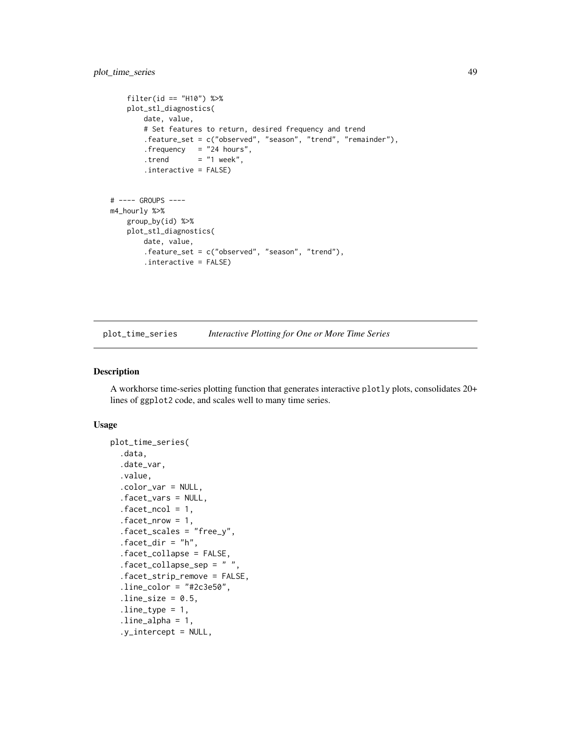```
filter(id == "H10") %>%
   plot_stl_diagnostics(
       date, value,
       # Set features to return, desired frequency and trend
        .feature_set = c("observed", "season", "trend", "remainder"),
        .frequency = "24 hours",
       . trend = "1 week",
       .interactive = FALSE)
# ---- GROUPS ----
m4_hourly %>%
   group_by(id) %>%
   plot_stl_diagnostics(
       date, value,
       .feature_set = c("observed", "season", "trend"),
        .interactive = FALSE)
```
<span id="page-48-0"></span>plot\_time\_series *Interactive Plotting for One or More Time Series*

### Description

A workhorse time-series plotting function that generates interactive plotly plots, consolidates 20+ lines of ggplot2 code, and scales well to many time series.

### Usage

```
plot_time_series(
  .data,
  .date_var,
  .value,
  .color_var = NULL,
  .facet_vars = NULL,
  facet\_ncol = 1,
  facet_nrow = 1,
  .facet_scales = "free_y",
  facet\_dir = "h",.facet_collapse = FALSE,
  facet\_collapse\_sep = " ".facet_strip_remove = FALSE,
  .line\_color = "#2c3e50",line\_size = 0.5,
  line_type = 1,line\_alpha = 1,
  .y_intercept = NULL,
```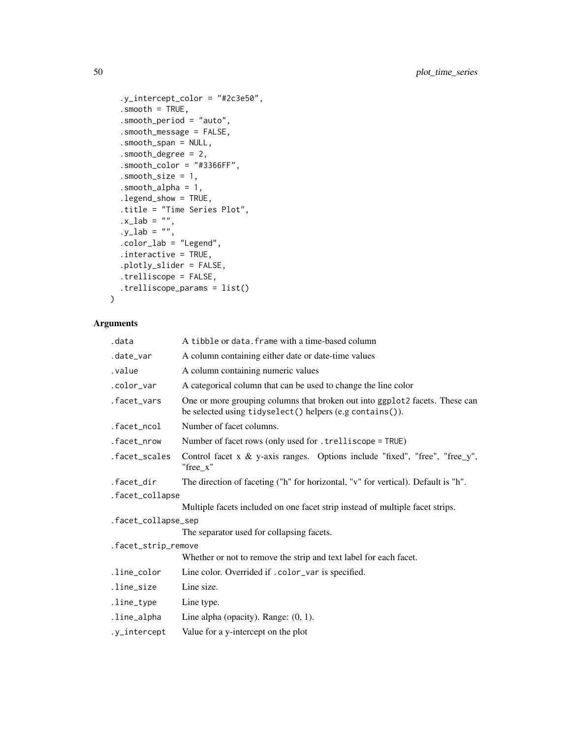```
.y_intercept_color = "#2c3e50",
  smooth = TRUE,.smooth_period = "auto",
  .smooth_message = FALSE,
  .smooth_span = NULL,
  .smooth_degree = 2,
 .smooth_color = "#3366FF",
  .smooth_size = 1,
  .smooth_alpha = 1,
  .legend_show = TRUE,
 .title = "Time Series Plot",
  .x\_lab = "".y_1 = w'',
  .color_lab = "Legend",
 .interactive = TRUE,
  .plotly_slider = FALSE,
 .trelliscope = FALSE,
 .trelliscope_params = list()
\lambda
```

| .data               | A tibble or data. frame with a time-based column                                                                                         |
|---------------------|------------------------------------------------------------------------------------------------------------------------------------------|
| .date_var           | A column containing either date or date-time values                                                                                      |
| .value              | A column containing numeric values                                                                                                       |
| .color_var          | A categorical column that can be used to change the line color                                                                           |
| .facet_vars         | One or more grouping columns that broken out into ggplot 2 facets. These can<br>be selected using tidyselect() helpers (e.g contains()). |
| .facet_ncol         | Number of facet columns.                                                                                                                 |
| .facet_nrow         | Number of facet rows (only used for . trelliscope = TRUE)                                                                                |
| .facet_scales       | Control facet $x \& y$ -axis ranges. Options include "fixed", "free", "free_y",<br>"free x"                                              |
| .facet_dir          | The direction of faceting ("h" for horizontal, "v" for vertical). Default is "h".                                                        |
| .facet_collapse     |                                                                                                                                          |
|                     | Multiple facets included on one facet strip instead of multiple facet strips.                                                            |
| .facet_collapse_sep |                                                                                                                                          |
|                     | The separator used for collapsing facets.                                                                                                |
| .facet_strip_remove |                                                                                                                                          |
|                     | Whether or not to remove the strip and text label for each facet.                                                                        |
| .line_color         | Line color. Overrided if .color_var is specified.                                                                                        |
| .line_size          | Line size.                                                                                                                               |
| .line_type          | Line type.                                                                                                                               |
| .line_alpha         | Line alpha (opacity). Range: $(0, 1)$ .                                                                                                  |
| .y_intercept        | Value for a y-intercept on the plot                                                                                                      |
|                     |                                                                                                                                          |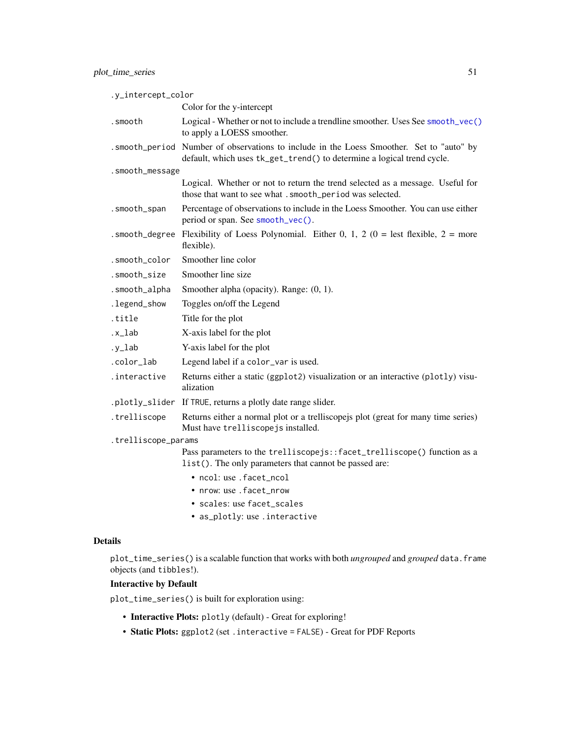| .y_intercept_color  |                                                                                                                                                                     |
|---------------------|---------------------------------------------------------------------------------------------------------------------------------------------------------------------|
|                     | Color for the y-intercept                                                                                                                                           |
| .smooth             | Logical - Whether or not to include a trendline smoother. Uses See smooth_vec()<br>to apply a LOESS smoother.                                                       |
|                     | . smooth_period Number of observations to include in the Loess Smoother. Set to "auto" by<br>default, which uses tk_get_trend() to determine a logical trend cycle. |
| .smooth_message     |                                                                                                                                                                     |
|                     | Logical. Whether or not to return the trend selected as a message. Useful for<br>those that want to see what . smooth_period was selected.                          |
| .smooth_span        | Percentage of observations to include in the Loess Smoother. You can use either<br>period or span. See smooth_vec().                                                |
|                     | . smooth_degree Flexibility of Loess Polynomial. Either 0, 1, 2 (0 = lest flexible, 2 = more<br>flexible).                                                          |
| .smooth_color       | Smoother line color                                                                                                                                                 |
| .smooth_size        | Smoother line size                                                                                                                                                  |
| .smooth_alpha       | Smoother alpha (opacity). Range: (0, 1).                                                                                                                            |
| .legend_show        | Toggles on/off the Legend                                                                                                                                           |
| .title              | Title for the plot                                                                                                                                                  |
| $.x_$ lab           | X-axis label for the plot                                                                                                                                           |
| $.y_l$ ab           | Y-axis label for the plot                                                                                                                                           |
| .color_lab          | Legend label if a color_var is used.                                                                                                                                |
| .interactive        | Returns either a static (ggplot2) visualization or an interactive (plotly) visu-<br>alization                                                                       |
|                     | .plotly_slider If TRUE, returns a plotly date range slider.                                                                                                         |
| .trelliscope        | Returns either a normal plot or a trelliscopejs plot (great for many time series)<br>Must have trelliscopejs installed.                                             |
| .trelliscope_params |                                                                                                                                                                     |
|                     | Pass parameters to the trelliscopejs::facet_trelliscope() function as a<br>list(). The only parameters that cannot be passed are:                                   |
|                     | • ncol: use . facet ncol                                                                                                                                            |
|                     | • nrow: use . facet nrow                                                                                                                                            |
|                     | · scales: use facet_scales                                                                                                                                          |
|                     | • as_plotly: use.interactive                                                                                                                                        |

# Details

plot\_time\_series() is a scalable function that works with both *ungrouped* and *grouped* data.frame objects (and tibbles!).

# Interactive by Default

plot\_time\_series() is built for exploration using:

- Interactive Plots: plotly (default) Great for exploring!
- Static Plots: ggplot2 (set .interactive = FALSE) Great for PDF Reports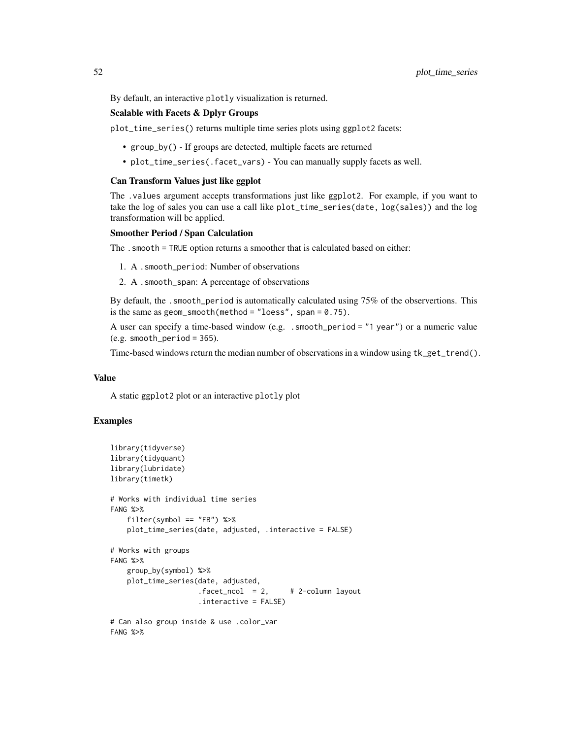By default, an interactive plotly visualization is returned.

## Scalable with Facets & Dplyr Groups

plot\_time\_series() returns multiple time series plots using ggplot2 facets:

- group\_by() If groups are detected, multiple facets are returned
- plot\_time\_series(.facet\_vars) You can manually supply facets as well.

#### Can Transform Values just like ggplot

The .values argument accepts transformations just like ggplot2. For example, if you want to take the log of sales you can use a call like plot\_time\_series(date, log(sales)) and the log transformation will be applied.

### Smoother Period / Span Calculation

The .smooth = TRUE option returns a smoother that is calculated based on either:

- 1. A .smooth\_period: Number of observations
- 2. A .smooth\_span: A percentage of observations

By default, the . smooth\_period is automatically calculated using 75% of the observertions. This is the same as geom\_smooth(method = "loess", span =  $0.75$ ).

A user can specify a time-based window (e.g. .smooth\_period = "1 year") or a numeric value  $(e.g. smooth\_period = 365).$ 

Time-based windows return the median number of observations in a window using tk\_get\_trend().

### Value

A static ggplot2 plot or an interactive plotly plot

```
library(tidyverse)
library(tidyquant)
library(lubridate)
library(timetk)
# Works with individual time series
FANG %>%
    filter(symbol == "FB") %>%
    plot_time_series(date, adjusted, .interactive = FALSE)
# Works with groups
FANG %>%
    group_by(symbol) %>%
    plot_time_series(date, adjusted,
                     facet\_ncol = 2, # 2-column layout
                     .interactive = FALSE)
# Can also group inside & use .color_var
FANG %>%
```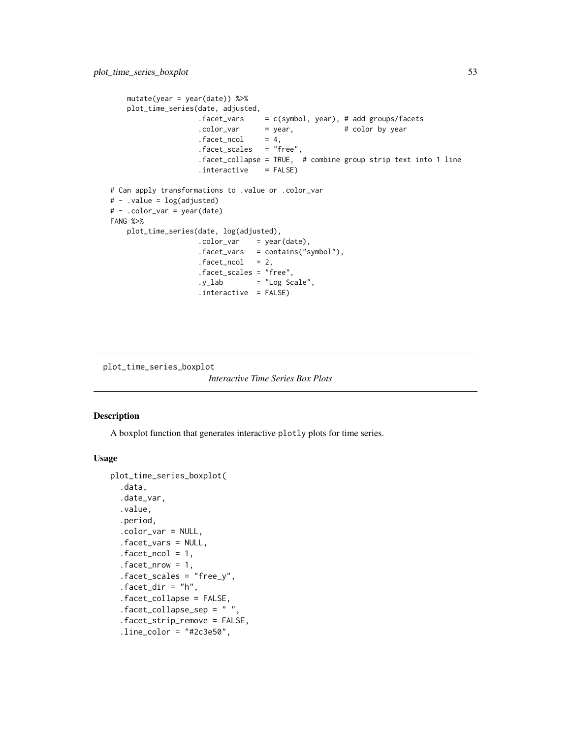```
mutate(year = year(date)) %>%
   plot_time_series(date, adjusted,
                    .facet_vars = c(symbol, year), # add groups/facets
                    \text{color\_var} = \text{year}, \text{# color by year}facet\_ncol = 4,
                    .facet_scales = "free",
                    .facet_collapse = TRUE, # combine group strip text into 1 line
                    .interactive = FALSE)
# Can apply transformations to .value or .color_var
# - .value = log(adjusted)
# - .color_var = year(date)
FANG %>%
   plot_time_series(date, log(adjusted),
                    \text{color\_var} = \text{year}(date),.facet_vars = contains("symbol"),
                    facet\_ncol = 2,.facet_scales = "free",
                    .y_lab = "Log Scale",
                     .interactive = FALSE)
```
plot\_time\_series\_boxplot

```
Interactive Time Series Box Plots
```
## Description

A boxplot function that generates interactive plotly plots for time series.

### Usage

```
plot_time_series_boxplot(
  .data,
  .date_var,
  .value,
  .period,
  .color_var = NULL,
  .facet_vars = NULL,
  facet\_ncol = 1,
  facet_nrow = 1,
  .facet_scales = "free_y",
  facet\_dir = "h",.facet_collapse = FALSE,
  facet\_collapse\_sep = " ".facet_strip_remove = FALSE,
  .line_color = "#2c3e50",
```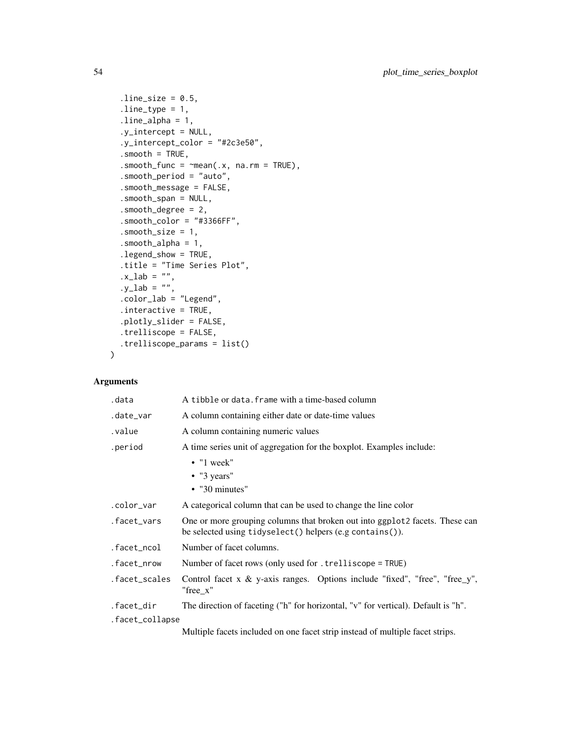```
.line_size = 0.5,
  line_type = 1,
  line\_alpha = 1,
  .y_intercept = NULL,
  .y_intercept_color = "#2c3e50",
  smooth = TRUE,.smooth_func = \simmean(.x, na.rm = TRUE),
  .smooth_period = "auto",
  .smooth_message = FALSE,
  .smooth_span = NULL,
  .smooth_degree = 2,
  smooth\_color = "#3366FF",.smooth_size = 1,
  .smooth_alpha = 1,
  .legend_show = TRUE,
  .title = "Time Series Plot",
  .x\_lab = '''',
  .y\_lab = '''',
  .color_lab = "Legend",
  .interactive = TRUE,
  .plotly_slider = FALSE,
  .trelliscope = FALSE,
  .trelliscope_params = list()
\mathcal{L}
```

| .data           | A tibble or data. frame with a time-based column                                                                                         |
|-----------------|------------------------------------------------------------------------------------------------------------------------------------------|
| .date_var       | A column containing either date or date-time values                                                                                      |
| .value          | A column containing numeric values                                                                                                       |
| .period         | A time series unit of aggregation for the boxplot. Examples include:                                                                     |
|                 | $\bullet$ "1 week"                                                                                                                       |
|                 | $\bullet$ "3 years"                                                                                                                      |
|                 | $\cdot$ "30 minutes"                                                                                                                     |
| .color_var      | A categorical column that can be used to change the line color                                                                           |
| .facet_vars     | One or more grouping columns that broken out into ggplot 2 facets. These can<br>be selected using tidyselect() helpers (e.g contains()). |
| .facet_ncol     | Number of facet columns.                                                                                                                 |
| .facet_nrow     | Number of facet rows (only used for . trelliscope = TRUE)                                                                                |
| .facet_scales   | Control facet x $\&$ y-axis ranges. Options include "fixed", "free", "free_y",<br>"free x"                                               |
| .facet_dir      | The direction of faceting ("h" for horizontal, "v" for vertical). Default is "h".                                                        |
| .facet_collapse |                                                                                                                                          |
|                 | Multiple facets included on one facet strip instead of multiple facet strips.                                                            |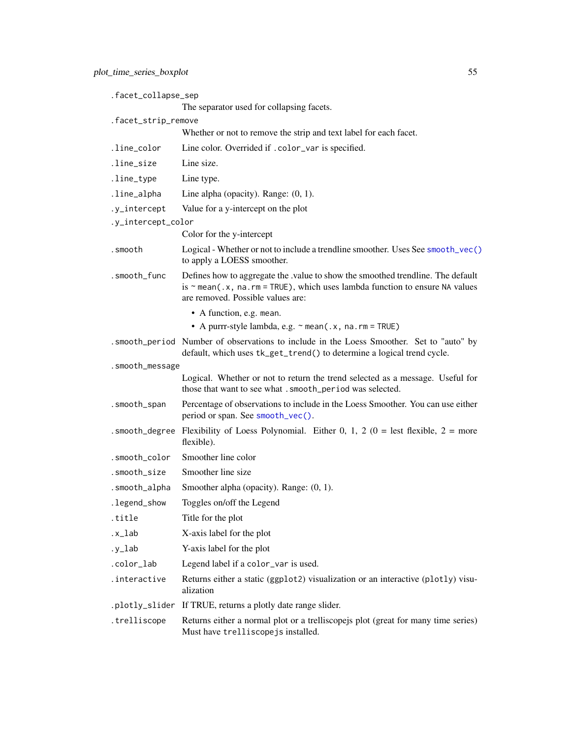| .facet_collapse_sep |                                                                                                                                                                                                          |
|---------------------|----------------------------------------------------------------------------------------------------------------------------------------------------------------------------------------------------------|
|                     | The separator used for collapsing facets.                                                                                                                                                                |
| .facet_strip_remove | Whether or not to remove the strip and text label for each facet.                                                                                                                                        |
|                     | Line color. Overrided if .color_var is specified.                                                                                                                                                        |
| .line_color         |                                                                                                                                                                                                          |
| .line_size          | Line size.                                                                                                                                                                                               |
| .line_type          | Line type.                                                                                                                                                                                               |
| .line_alpha         | Line alpha (opacity). Range: $(0, 1)$ .                                                                                                                                                                  |
| .y_intercept        | Value for a y-intercept on the plot                                                                                                                                                                      |
| .y_intercept_color  | Color for the y-intercept                                                                                                                                                                                |
|                     |                                                                                                                                                                                                          |
| .smooth             | Logical - Whether or not to include a trendline smoother. Uses See smooth_vec()<br>to apply a LOESS smoother.                                                                                            |
| .smooth_func        | Defines how to aggregate the .value to show the smoothed trendline. The default<br>is $\sim$ mean(.x, na.rm = TRUE), which uses lambda function to ensure NA values<br>are removed. Possible values are: |
|                     | • A function, e.g. mean.                                                                                                                                                                                 |
|                     | • A purrr-style lambda, e.g. $\sim$ mean(.x, na.rm = TRUE)                                                                                                                                               |
|                     | . smooth_period Number of observations to include in the Loess Smoother. Set to "auto" by<br>default, which uses tk_get_trend() to determine a logical trend cycle.                                      |
| .smooth_message     |                                                                                                                                                                                                          |
|                     | Logical. Whether or not to return the trend selected as a message. Useful for<br>those that want to see what . smooth_period was selected.                                                               |
| .smooth_span        | Percentage of observations to include in the Loess Smoother. You can use either<br>period or span. See smooth_vec().                                                                                     |
| .smooth_degree      | Flexibility of Loess Polynomial. Either 0, 1, 2 ( $0 =$ lest flexible, $2 =$ more<br>flexible).                                                                                                          |
| .smooth_color       | Smoother line color                                                                                                                                                                                      |
| .smooth_size        | Smoother line size                                                                                                                                                                                       |
| .smooth_alpha       | Smoother alpha (opacity). Range: (0, 1).                                                                                                                                                                 |
| .legend_show        | Toggles on/off the Legend                                                                                                                                                                                |
| .title              | Title for the plot                                                                                                                                                                                       |
| .x_lab              | X-axis label for the plot                                                                                                                                                                                |
| .y_lab              | Y-axis label for the plot                                                                                                                                                                                |
| .color_lab          | Legend label if a color_var is used.                                                                                                                                                                     |
| .interactive        | Returns either a static (ggplot2) visualization or an interactive (plotly) visu-<br>alization                                                                                                            |
| .plotly_slider      | If TRUE, returns a plotly date range slider.                                                                                                                                                             |
| .trelliscope        | Returns either a normal plot or a trelliscopejs plot (great for many time series)<br>Must have trelliscopejs installed.                                                                                  |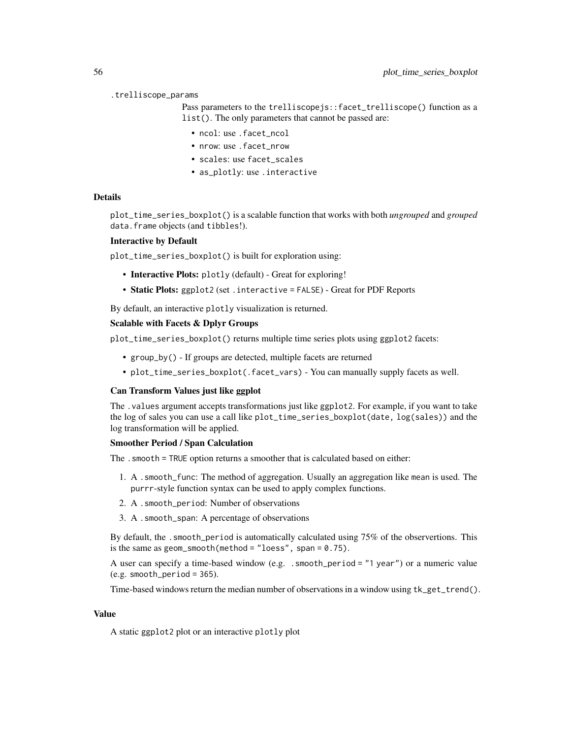#### .trelliscope\_params

Pass parameters to the trelliscopejs::facet\_trelliscope() function as a list(). The only parameters that cannot be passed are:

- ncol: use .facet\_ncol
- nrow: use . facet\_nrow
- scales: use facet\_scales
- as\_plotly: use .interactive

### Details

plot\_time\_series\_boxplot() is a scalable function that works with both *ungrouped* and *grouped* data.frame objects (and tibbles!).

#### Interactive by Default

plot\_time\_series\_boxplot() is built for exploration using:

- Interactive Plots: plotly (default) Great for exploring!
- Static Plots: ggplot2 (set . interactive = FALSE) Great for PDF Reports

By default, an interactive plotly visualization is returned.

## Scalable with Facets & Dplyr Groups

plot\_time\_series\_boxplot() returns multiple time series plots using ggplot2 facets:

- group\_by() If groups are detected, multiple facets are returned
- plot\_time\_series\_boxplot(.facet\_vars) You can manually supply facets as well.

### Can Transform Values just like ggplot

The .values argument accepts transformations just like ggplot2. For example, if you want to take the log of sales you can use a call like plot\_time\_series\_boxplot(date, log(sales)) and the log transformation will be applied.

### Smoother Period / Span Calculation

The .smooth = TRUE option returns a smoother that is calculated based on either:

- 1. A .smooth\_func: The method of aggregation. Usually an aggregation like mean is used. The purrr-style function syntax can be used to apply complex functions.
- 2. A .smooth\_period: Number of observations
- 3. A .smooth\_span: A percentage of observations

By default, the . smooth\_period is automatically calculated using 75% of the observertions. This is the same as  $geom\_smooth(method = "loess", span = 0.75)$ .

A user can specify a time-based window (e.g. .smooth\_period = "1 year") or a numeric value  $(e.g. smooth\_period = 365).$ 

Time-based windows return the median number of observations in a window using  $tk\_get\_trend()$ .

### Value

A static ggplot2 plot or an interactive plotly plot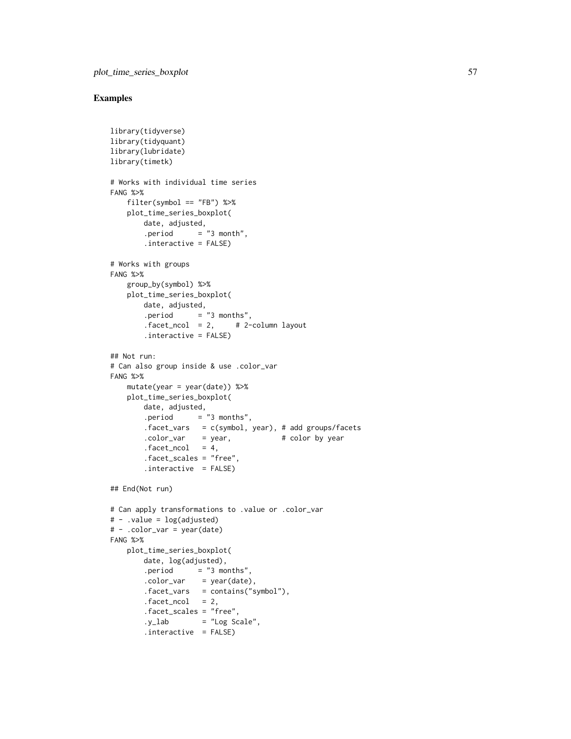```
library(tidyverse)
library(tidyquant)
library(lubridate)
library(timetk)
# Works with individual time series
FANG %>%
    filter(symbol == "FB") %>%
   plot_time_series_boxplot(
        date, adjusted,
        . period = "3 month",
        .interactive = FALSE)
# Works with groups
FANG %>%
   group_by(symbol) %>%
   plot_time_series_boxplot(
        date, adjusted,
        .period = "3 months",
        facet\_ncol = 2, # 2-column layout.interactive = FALSE)
## Not run:
# Can also group inside & use .color_var
FANG %>%
   mutate(year = year(data)) %>%
   plot_time_series_boxplot(
        date, adjusted,
        . period = "3 months",
        .facet_vars = c(symbol, year), # add groups/facets
        \text{color-var} = \text{year}, \qquad \qquad # \text{ color by year}factor<sub>1</sub> - c<sub>1</sub> = 4,.facet_scales = "free",
        .interactive = FALSE)
## End(Not run)
# Can apply transformations to .value or .color_var
# - .value = log(adjusted)
# - .color_var = year(date)
FANG %>%
    plot_time_series_boxplot(
        date, log(adjusted),
        . period = "3 months",
        \text{color\_var} = \text{year}(date),.facet_vars = contains("symbol"),
        facet\_ncol = 2,
        .facet_scales = "free",
        .y_lab = "Log Scale",
        .interactive = FALSE)
```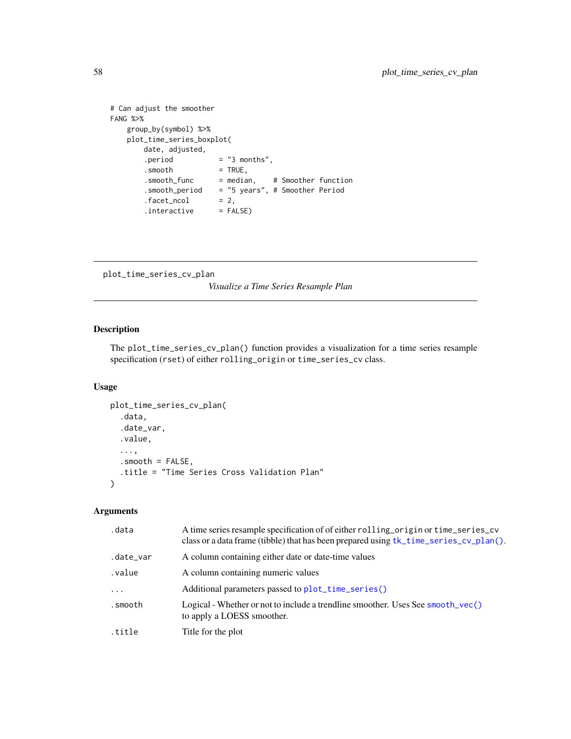```
# Can adjust the smoother
FANG %>%
   group_by(symbol) %>%
   plot_time_series_boxplot(
      date, adjusted,
      .period = "3 months",
      .smooth = TRUE,
      .smooth_func = median, # Smoother function
      .smooth_period = "5 years", # Smoother Period
       facet\_ncol = 2,
       .interactive = FALSE)
```

```
plot_time_series_cv_plan
```
*Visualize a Time Series Resample Plan*

# Description

The plot\_time\_series\_cv\_plan() function provides a visualization for a time series resample specification (rset) of either rolling\_origin or time\_series\_cv class.

### Usage

```
plot_time_series_cv_plan(
  .data,
  .date_var,
  .value,
  ...,
  .smooth = FALSE,
  .title = "Time Series Cross Validation Plan"
\mathcal{L}
```

| .data     | A time series resample specification of of either rolling_origin or time_series_cv<br>class or a data frame (tibble) that has been prepared using tk_time_series_cv_plan(). |
|-----------|-----------------------------------------------------------------------------------------------------------------------------------------------------------------------------|
| .date_var | A column containing either date or date-time values                                                                                                                         |
| .value    | A column containing numeric values                                                                                                                                          |
| .         | Additional parameters passed to plot_time_series()                                                                                                                          |
| .smooth   | Logical - Whether or not to include a trendline smoother. Uses See smooth_vec()<br>to apply a LOESS smoother.                                                               |
| .title    | Title for the plot                                                                                                                                                          |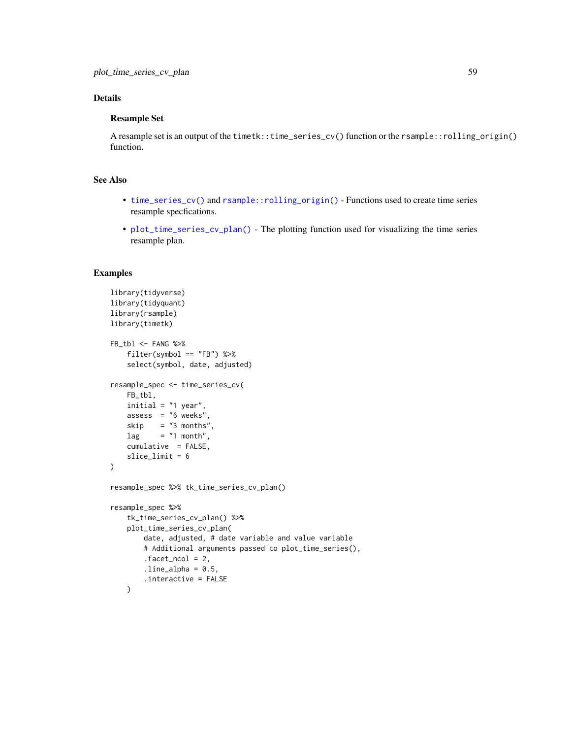# Details

# Resample Set

A resample set is an output of the timetk::time\_series\_cv() function or the rsample::rolling\_origin() function.

# See Also

- [time\\_series\\_cv\(\)](#page-114-0) and [rsample::rolling\\_origin\(\)](#page-0-0) Functions used to create time series resample specfications.
- [plot\\_time\\_series\\_cv\\_plan\(\)](#page-57-0) The plotting function used for visualizing the time series resample plan.

```
library(tidyverse)
library(tidyquant)
library(rsample)
library(timetk)
FB_tbl <- FANG %>%
    filter(symbol == "FB") %>%
    select(symbol, date, adjusted)
resample_spec <- time_series_cv(
   FB_tbl,
   initial = "1 year",assess = "6 weeks",
   skip = "3 months",
   lag = "1 month",
   cumulative = FALSE,
   slice_limit = 6
)
resample_spec %>% tk_time_series_cv_plan()
resample_spec %>%
    tk_time_series_cv_plan() %>%
    plot_time_series_cv_plan(
        date, adjusted, # date variable and value variable
        # Additional arguments passed to plot_time_series(),
        facet\_ncol = 2,
       .line\_alpha = 0.5,
        .interactive = FALSE
   )
```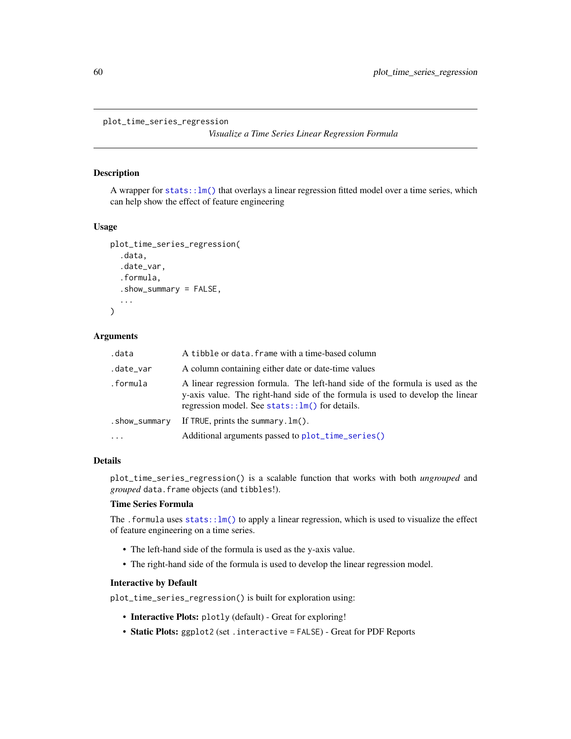plot\_time\_series\_regression

*Visualize a Time Series Linear Regression Formula*

### Description

A wrapper for  $stats::lm()$  that overlays a linear regression fitted model over a time series, which can help show the effect of feature engineering

### Usage

```
plot_time_series_regression(
  .data,
  .date_var,
  .formula,
  .show_summary = FALSE,
  ...
)
```
## Arguments

| .data         | A tibble or data. frame with a time-based column                                                                                                                                                                     |
|---------------|----------------------------------------------------------------------------------------------------------------------------------------------------------------------------------------------------------------------|
| .date_var     | A column containing either date or date-time values                                                                                                                                                                  |
| .formula      | A linear regression formula. The left-hand side of the formula is used as the<br>y-axis value. The right-hand side of the formula is used to develop the linear<br>regression model. See stats:: $lm()$ for details. |
| .show_summary | If TRUE, prints the summary, $lm()$ .                                                                                                                                                                                |
| $\cdots$      | Additional arguments passed to plot_time_series()                                                                                                                                                                    |

## Details

plot\_time\_series\_regression() is a scalable function that works with both *ungrouped* and *grouped* data.frame objects (and tibbles!).

# Time Series Formula

The . formula uses  $stats::lm()$  to apply a linear regression, which is used to visualize the effect of feature engineering on a time series.

- The left-hand side of the formula is used as the y-axis value.
- The right-hand side of the formula is used to develop the linear regression model.

## Interactive by Default

plot\_time\_series\_regression() is built for exploration using:

- Interactive Plots: plotly (default) Great for exploring!
- Static Plots: ggplot2 (set .interactive = FALSE) Great for PDF Reports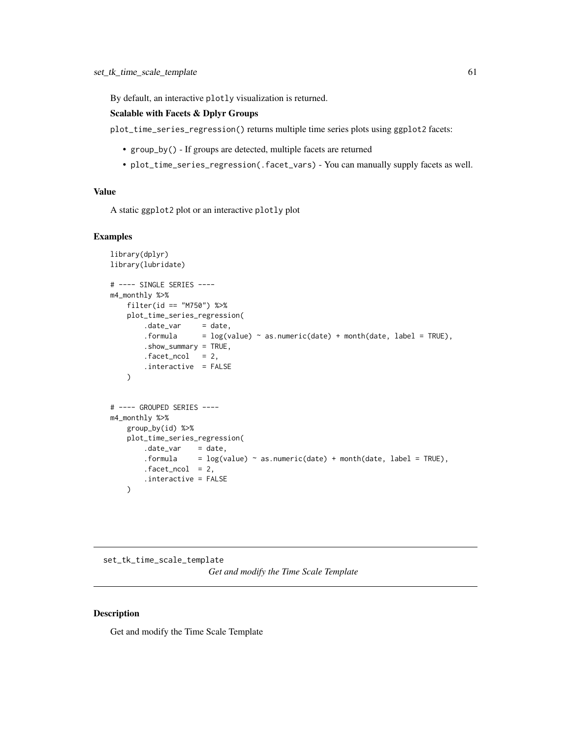By default, an interactive plotly visualization is returned.

# Scalable with Facets & Dplyr Groups

plot\_time\_series\_regression() returns multiple time series plots using ggplot2 facets:

- group\_by() If groups are detected, multiple facets are returned
- plot\_time\_series\_regression(.facet\_vars) You can manually supply facets as well.

### Value

A static ggplot2 plot or an interactive plotly plot

## Examples

```
library(dplyr)
library(lubridate)
# ---- SINGLE SERIES ----
m4_monthly %>%
   filter(id == "M750") %>%
   plot_time_series_regression(
       date\_var = date,.formula = log(value) \sim as.numeric(data) + month(data, label = TRUE),.show_summary = TRUE,
       facet\_ncol = 2,
       .interactive = FALSE
   \lambda# ---- GROUPED SERIES ----
m4_monthly %>%
   group_by(id) %>%
   plot_time_series_regression(
       .date_var = date,.formula = log(value) \sim as.numeric(data) + month(data, label = TRUE),facet\_ncol = 2,
       .interactive = FALSE
   )
```
set\_tk\_time\_scale\_template *Get and modify the Time Scale Template*

### <span id="page-60-0"></span>Description

Get and modify the Time Scale Template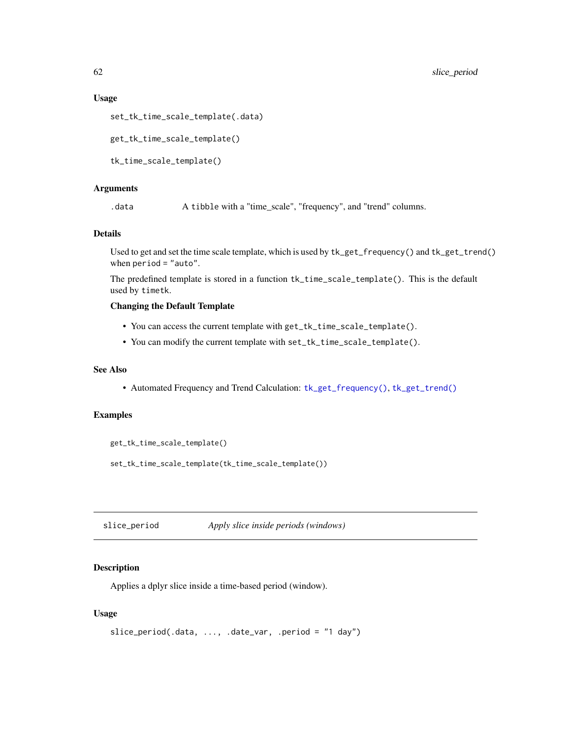## Usage

```
set_tk_time_scale_template(.data)
```
get\_tk\_time\_scale\_template()

tk\_time\_scale\_template()

### Arguments

.data A tibble with a "time\_scale", "frequency", and "trend" columns.

# Details

Used to get and set the time scale template, which is used by tk\_get\_frequency() and tk\_get\_trend() when period = "auto".

The predefined template is stored in a function tk\_time\_scale\_template(). This is the default used by timetk.

# Changing the Default Template

- You can access the current template with get\_tk\_time\_scale\_template().
- You can modify the current template with set\_tk\_time\_scale\_template().

#### See Also

• Automated Frequency and Trend Calculation: [tk\\_get\\_frequency\(\)](#page-133-0), [tk\\_get\\_trend\(\)](#page-133-1)

# Examples

```
get_tk_time_scale_template()
set_tk_time_scale_template(tk_time_scale_template())
```
<span id="page-61-0"></span>slice\_period *Apply slice inside periods (windows)*

### Description

Applies a dplyr slice inside a time-based period (window).

## Usage

```
slice_period(.data, ..., .date_var, .period = "1 day")
```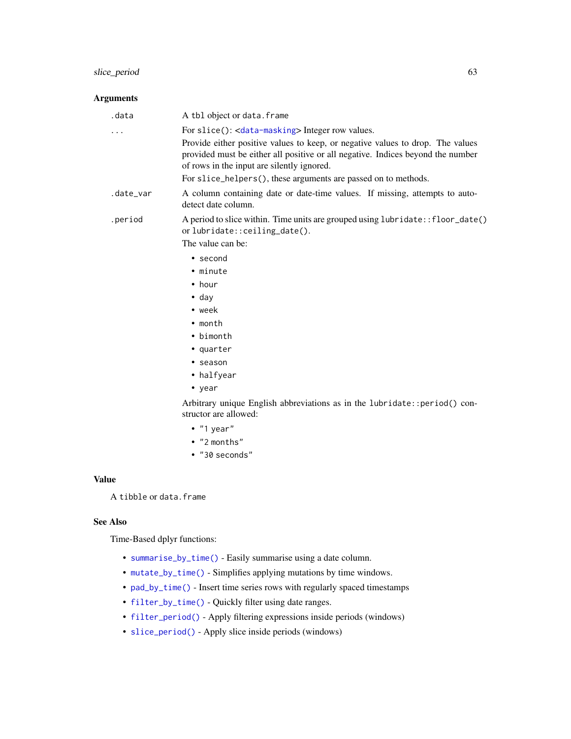# slice\_period 63

# Arguments

| .data     | A tbl object or data. frame                                                                                                                                                                                     |
|-----------|-----------------------------------------------------------------------------------------------------------------------------------------------------------------------------------------------------------------|
| .         | For slice(): <data-masking> Integer row values.</data-masking>                                                                                                                                                  |
|           | Provide either positive values to keep, or negative values to drop. The values<br>provided must be either all positive or all negative. Indices beyond the number<br>of rows in the input are silently ignored. |
|           | For slice_helpers(), these arguments are passed on to methods.                                                                                                                                                  |
| .date_var | A column containing date or date-time values. If missing, attempts to auto-<br>detect date column.                                                                                                              |
| .period   | A period to slice within. Time units are grouped using lubridate:: floor_date()<br>orlubridate::ceiling_date().                                                                                                 |
|           | The value can be:                                                                                                                                                                                               |
|           | $\bullet$ second                                                                                                                                                                                                |
|           | • minute                                                                                                                                                                                                        |
|           | $\bullet$ hour                                                                                                                                                                                                  |
|           | $\bullet$ day                                                                                                                                                                                                   |
|           | $\bullet$ week                                                                                                                                                                                                  |
|           | $\bullet$ month                                                                                                                                                                                                 |
|           | • bimonth                                                                                                                                                                                                       |
|           | • quarter                                                                                                                                                                                                       |
|           | • season                                                                                                                                                                                                        |
|           | • halfyear                                                                                                                                                                                                      |
|           | • year                                                                                                                                                                                                          |
|           | Arbitrary unique English abbreviations as in the lubridate:: period() con-<br>structor are allowed:                                                                                                             |
|           | $\bullet$ "1 year"                                                                                                                                                                                              |
|           | • "2 months"                                                                                                                                                                                                    |
|           |                                                                                                                                                                                                                 |

• "30 seconds"

# Value

A tibble or data.frame

# See Also

Time-Based dplyr functions:

- [summarise\\_by\\_time\(\)](#page-108-0) Easily summarise using a date column.
- [mutate\\_by\\_time\(\)](#page-29-0) Simplifies applying mutations by time windows.
- [pad\\_by\\_time\(\)](#page-32-0) Insert time series rows with regularly spaced timestamps
- [filter\\_by\\_time\(\)](#page-12-0) Quickly filter using date ranges.
- [filter\\_period\(\)](#page-14-0) Apply filtering expressions inside periods (windows)
- [slice\\_period\(\)](#page-61-0) Apply slice inside periods (windows)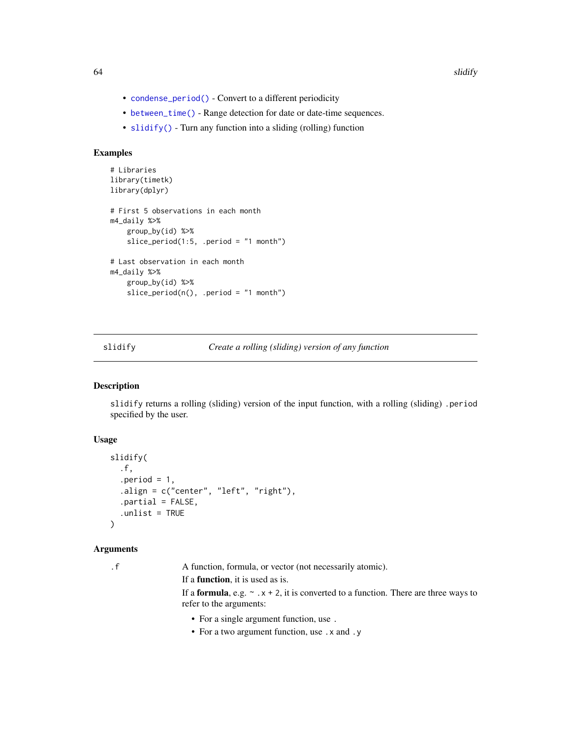- [condense\\_period\(\)](#page-8-0) Convert to a different periodicity
- [between\\_time\(\)](#page-3-0) Range detection for date or date-time sequences.
- [slidify\(\)](#page-63-0) Turn any function into a sliding (rolling) function

# Examples

```
# Libraries
library(timetk)
library(dplyr)
# First 5 observations in each month
m4_daily %>%
    group_by(id) %>%
    slice_period(1:5, .period = "1 month")
# Last observation in each month
m4_daily %>%
   group_by(id) %>%
    slice\_period(n(), .period = "1 month")
```
<span id="page-63-0"></span>

#### slidify *Create a rolling (sliding) version of any function*

## Description

slidify returns a rolling (sliding) version of the input function, with a rolling (sliding) .period specified by the user.

### Usage

```
slidify(
  .f,
  .period = 1,
  .align = c("center", "left", "right"),
  .partial = FALSE,
  .unlist = TRUE
\mathcal{L}
```
## Arguments

.f A function, formula, or vector (not necessarily atomic).

If a function, it is used as is.

If a **formula**, e.g.  $\sim x + 2$ , it is converted to a function. There are three ways to refer to the arguments:

- For a single argument function, use .
- For a two argument function, use .x and .y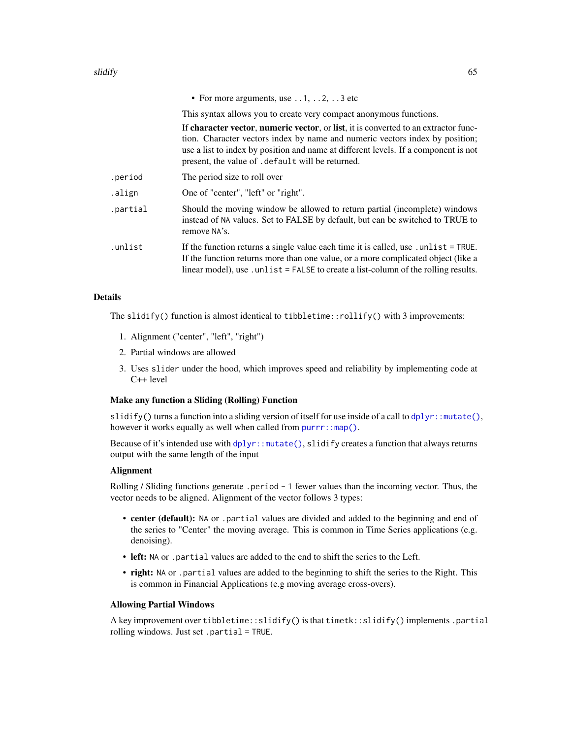• For more arguments, use . . 1, . . 2, . . 3 etc

This syntax allows you to create very compact anonymous functions.

If character vector, numeric vector, or list, it is converted to an extractor function. Character vectors index by name and numeric vectors index by position; use a list to index by position and name at different levels. If a component is not present, the value of .default will be returned.

| .period  | The period size to roll over                                                                                                                                                                                                                                 |
|----------|--------------------------------------------------------------------------------------------------------------------------------------------------------------------------------------------------------------------------------------------------------------|
| .align   | One of "center", "left" or "right".                                                                                                                                                                                                                          |
| .partial | Should the moving window be allowed to return partial (incomplete) windows<br>instead of NA values. Set to FALSE by default, but can be switched to TRUE to<br>remove NA's.                                                                                  |
| .unlist  | If the function returns a single value each time it is called, use .unlist = TRUE.<br>If the function returns more than one value, or a more complicated object (like a<br>linear model), use unlist = FALSE to create a list-column of the rolling results. |

## Details

The slidify() function is almost identical to tibbletime::rollify() with 3 improvements:

- 1. Alignment ("center", "left", "right")
- 2. Partial windows are allowed
- 3. Uses slider under the hood, which improves speed and reliability by implementing code at C++ level

### Make any function a Sliding (Rolling) Function

slidify() turns a function into a sliding version of itself for use inside of a call to  $d$ plyr::mutate(), however it works equally as well when called from [purrr::map\(\)](#page-0-0).

Because of it's intended use with  $d$ plyr:: mutate(), slidify creates a function that always returns output with the same length of the input

# Alignment

Rolling / Sliding functions generate .period - 1 fewer values than the incoming vector. Thus, the vector needs to be aligned. Alignment of the vector follows 3 types:

- center (default): NA or .partial values are divided and added to the beginning and end of the series to "Center" the moving average. This is common in Time Series applications (e.g. denoising).
- left: NA or .partial values are added to the end to shift the series to the Left.
- right: NA or . partial values are added to the beginning to shift the series to the Right. This is common in Financial Applications (e.g moving average cross-overs).

#### Allowing Partial Windows

A key improvement over tibbletime::slidify() is that timetk::slidify() implements .partial rolling windows. Just set .partial = TRUE.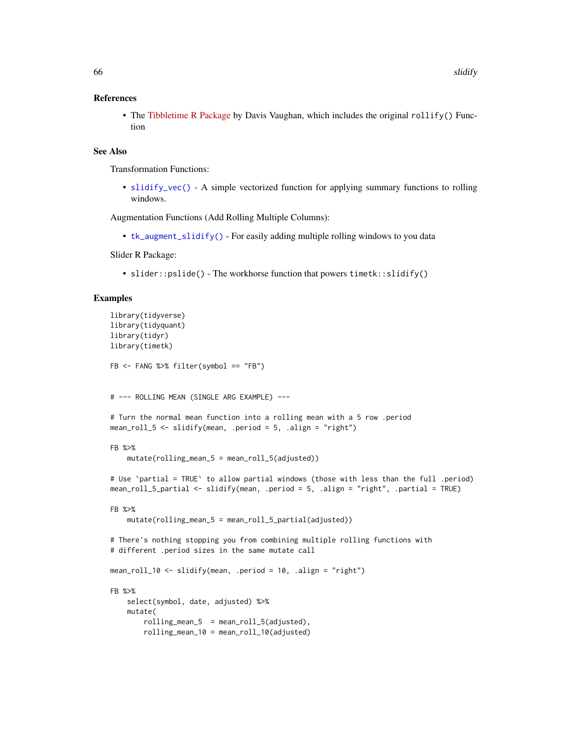### References

• The [Tibbletime R Package](https://business-science.github.io/tibbletime/index.html) by Davis Vaughan, which includes the original rollify() Function

## See Also

Transformation Functions:

• [slidify\\_vec\(\)](#page-67-0) - A simple vectorized function for applying summary functions to rolling windows.

Augmentation Functions (Add Rolling Multiple Columns):

• [tk\\_augment\\_slidify\(\)](#page-130-0) - For easily adding multiple rolling windows to you data

Slider R Package:

• slider::pslide() - The workhorse function that powers timetk::slidify()

```
library(tidyverse)
library(tidyquant)
library(tidyr)
library(timetk)
FB <- FANG %>% filter(symbol == "FB")
# --- ROLLING MEAN (SINGLE ARG EXAMPLE) ---
# Turn the normal mean function into a rolling mean with a 5 row .period
mean_roll_5 <- slidify(mean, .period = 5, .align = "right")
FB %>%
    mutate(rolling_mean_5 = mean_roll_5(adjusted))
# Use `partial = TRUE` to allow partial windows (those with less than the full .period)
mean_roll_5_partial <- slidify(mean, .period = 5, .align = "right", .partial = TRUE)
FB %>%
    mutate(rolling_mean_5 = mean_roll_5_partial(adjusted))
# There's nothing stopping you from combining multiple rolling functions with
# different .period sizes in the same mutate call
mean_roll_10 <- slidify(mean, .period = 10, .align = "right")
FB %>%
    select(symbol, date, adjusted) %>%
    mutate(
       rolling_mean_5 = mean_roll_5(adjusted),rolling_mean_10 = mean_roll_10(adjusted)
```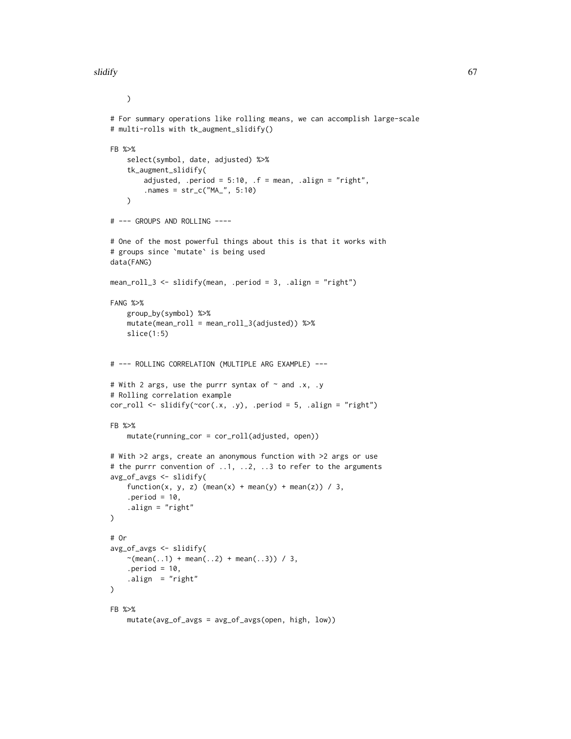### slidify 67 and 50 km s and 50 km s and 50 km s and 50 km s and 67 km s and 67 km s and 67 km s and 67 km s and

```
)
# For summary operations like rolling means, we can accomplish large-scale
# multi-rolls with tk_augment_slidify()
FB %>%
    select(symbol, date, adjusted) %>%
    tk_augment_slidify(
        adjusted, .period = 5:10, .f = mean, .align = "right",
        .names = str_c("MA_", 5:10)
    )
# --- GROUPS AND ROLLING ----
# One of the most powerful things about this is that it works with
# groups since `mutate` is being used
data(FANG)
mean_roll_3 <- slidify(mean, .period = 3, .align = "right")
FANG %>%
    group_by(symbol) %>%
    mutate(mean_roll = mean_roll_3(adjusted)) %>%
    slice(1:5)
# --- ROLLING CORRELATION (MULTIPLE ARG EXAMPLE) ---
# With 2 args, use the purrr syntax of \sim and .x, .y
# Rolling correlation example
cor\_roll \leftarrow slidify(\left\lfloor \text{cor}(x, y), \text{.period} = 5, \text{.align} = \text{"right"})
FB %>%
    mutate(running_cor = cor_roll(adjusted, open))
# With >2 args, create an anonymous function with >2 args or use
# the purrr convention of ..1, ..2, ..3 to refer to the arguments
avg_of_avgs <- slidify(
    function(x, y, z) (mean(x) + mean(y) + mean(z)) / 3,
    .period = 10,
    .align = "right"
\lambda# Or
avg_of_avgs <- slidify(
    \sim(mean(..1) + mean(..2) + mean(..3)) / 3,
    .period = 10,
    .align = "right"
\lambdaFB %>%
    mutate(avg_of_avgs = avg_of_avgs(open, high, low))
```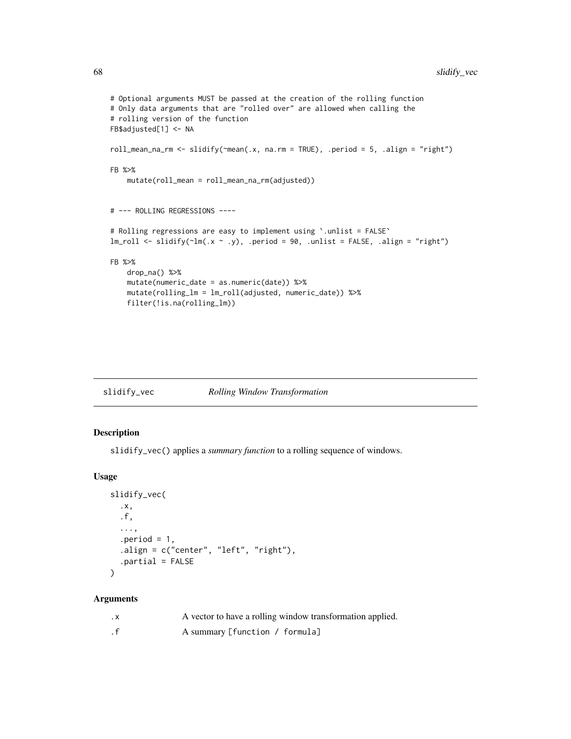```
# Optional arguments MUST be passed at the creation of the rolling function
# Only data arguments that are "rolled over" are allowed when calling the
# rolling version of the function
FB$adjusted[1] <- NA
roll_mean_na_rm <- slidify(~mean(.x, na.rm = TRUE), .period = 5, .align = "right")
FB %>%
   mutate(roll_mean = roll_mean_na_rm(adjusted))
# --- ROLLING REGRESSIONS ----
# Rolling regressions are easy to implement using `.unlist = FALSE`
lm\_roll \leftarrow slidify(\sim lm(.x \sim .y)), .period = 90, .unlist = FALSE, .align = "right")
FB %>%
   drop_na() %>%
   mutate(numeric_date = as.numeric(date)) %>%
   mutate(rolling_lm = lm_roll(adjusted, numeric_date)) %>%
    filter(!is.na(rolling_lm))
```
<span id="page-67-0"></span>

| slidify_vec |  | Rolling Window Transformation |
|-------------|--|-------------------------------|
|             |  |                               |

# Description

slidify\_vec() applies a *summary function* to a rolling sequence of windows.

# Usage

```
slidify_vec(
  .x,
  .f,
  ...,
  .period = 1,
  .align = c("center", "left", "right"),
  .partial = FALSE
\lambda
```

| . х | A vector to have a rolling window transformation applied. |
|-----|-----------------------------------------------------------|
|     | A summary [function / formula]                            |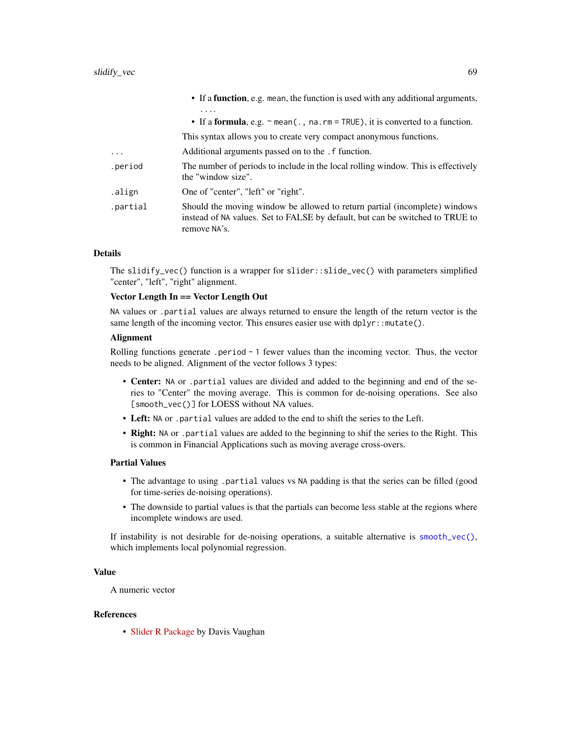|          | • If a function, e.g. mean, the function is used with any additional arguments,                                                                                             |
|----------|-----------------------------------------------------------------------------------------------------------------------------------------------------------------------------|
|          | .<br>• If a formula, e.g. $\sim$ mean(., na. rm = TRUE), it is converted to a function.                                                                                     |
|          | This syntax allows you to create very compact anonymous functions.                                                                                                          |
| .        | Additional arguments passed on to the . f function.                                                                                                                         |
| .period  | The number of periods to include in the local rolling window. This is effectively<br>the "window size".                                                                     |
| .align   | One of "center", "left" or "right".                                                                                                                                         |
| .partial | Should the moving window be allowed to return partial (incomplete) windows<br>instead of NA values. Set to FALSE by default, but can be switched to TRUE to<br>remove NA's. |

### Details

The slidify\_vec() function is a wrapper for slider::slide\_vec() with parameters simplified "center", "left", "right" alignment.

### Vector Length In == Vector Length Out

NA values or .partial values are always returned to ensure the length of the return vector is the same length of the incoming vector. This ensures easier use with  $d$ plyr::mutate().

## Alignment

Rolling functions generate .period - 1 fewer values than the incoming vector. Thus, the vector needs to be aligned. Alignment of the vector follows 3 types:

- Center: NA or .partial values are divided and added to the beginning and end of the series to "Center" the moving average. This is common for de-noising operations. See also [smooth\_vec()] for LOESS without NA values.
- Left: NA or .partial values are added to the end to shift the series to the Left.
- Right: NA or .partial values are added to the beginning to shif the series to the Right. This is common in Financial Applications such as moving average cross-overs.

#### Partial Values

- The advantage to using .partial values vs NA padding is that the series can be filled (good for time-series de-noising operations).
- The downside to partial values is that the partials can become less stable at the regions where incomplete windows are used.

If instability is not desirable for de-noising operations, a suitable alternative is [smooth\\_vec\(\)](#page-70-0), which implements local polynomial regression.

## Value

A numeric vector

## References

• [Slider R Package](https://davisvaughan.github.io/slider/) by Davis Vaughan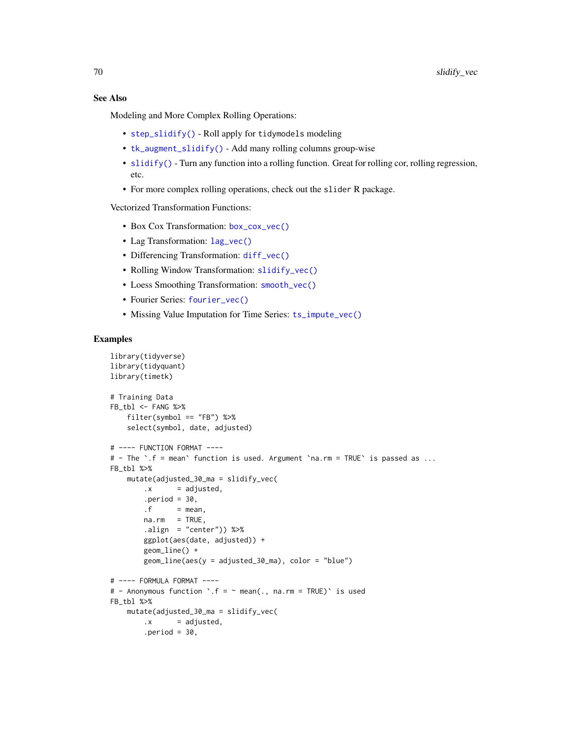# See Also

Modeling and More Complex Rolling Operations:

- [step\\_slidify\(\)](#page-87-0) Roll apply for tidymodels modeling
- [tk\\_augment\\_slidify\(\)](#page-130-0) Add many rolling columns group-wise
- [slidify\(\)](#page-63-0) Turn any function into a rolling function. Great for rolling cor, rolling regression, etc.
- For more complex rolling operations, check out the slider R package.

Vectorized Transformation Functions:

- Box Cox Transformation: [box\\_cox\\_vec\(\)](#page-6-0)
- Lag Transformation: [lag\\_vec\(\)](#page-21-0)
- Differencing Transformation: [diff\\_vec\(\)](#page-9-0)
- Rolling Window Transformation: [slidify\\_vec\(\)](#page-67-0)
- Loess Smoothing Transformation: [smooth\\_vec\(\)](#page-70-0)
- Fourier Series: [fourier\\_vec\(\)](#page-15-0)
- Missing Value Imputation for Time Series: [ts\\_impute\\_vec\(\)](#page-169-0)

```
library(tidyverse)
library(tidyquant)
library(timetk)
# Training Data
FB_tbl <- FANG %>%
    filter(symbol == "FB") %>%
    select(symbol, date, adjusted)
# ---- FUNCTION FORMAT ----
# - The `.f = mean` function is used. Argument `na.rm = TRUE` is passed as ...
FB_tbl %>%
   mutate(adjusted_30_ma = slidify_vec(
       \cdot x = adjusted,
       .period = 30,
       . f = mean,na.rm = TRUE,.align = "center")) %>%
        ggplot(aes(date, adjusted)) +
        geom_line() +
        geom_line(aes(y = adjusted_30_ma), color = "blue")
# ---- FORMULA FORMAT ----
# - Anonymous function \cdot.f = ~ mean(., na.rm = TRUE)\cdot is used
FB_tbl %>%
   mutate(adjusted_30_ma = slidify_vec(
       \cdot x = adjusted,
        .period = 30,
```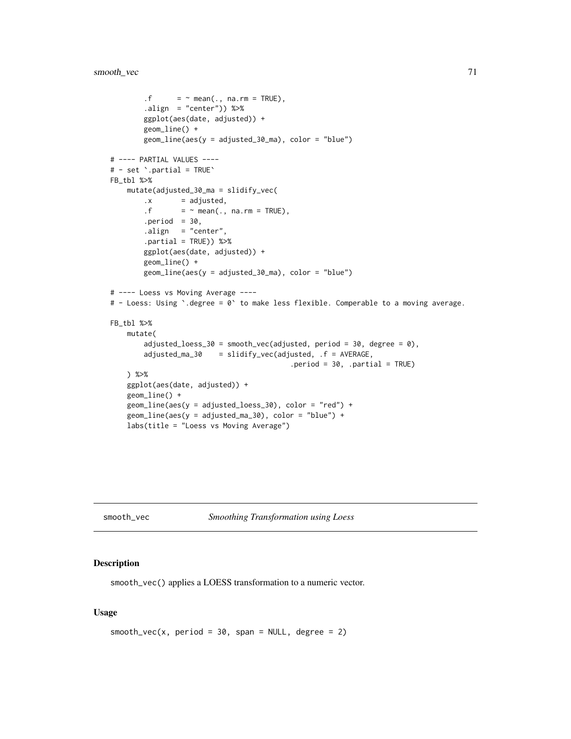```
. f = \sim mean(., na.rm = TRUE),
        .align = "center")) %>%
       ggplot(aes(date, adjusted)) +
       geom_line() +
       geom_line(aes(y = adjusted_30_ma), color = "blue")
# ---- PARTIAL VALUES ----
# - set `.partial = TRUE`
FB_tbl %>%
   mutate(adjusted_30_ma = slidify_vec(
       \cdot x = adjusted,
        .f = \sim mean(., na.rm = TRUE),
       .period = 30,.align = "center",
       .partial = TRUE)) %>%
       ggplot(aes(date, adjusted)) +
       geom_line() +
       geom_line(aes(y = adjusted_30_ma), color = "blue")
# ---- Loess vs Moving Average ----
# - Loess: Using `.degree = 0` to make less flexible. Comperable to a moving average.
FB_tbl %>%
   mutate(
       adjusted_loess_30 = smooth_vec(adjusted, period = 30, degree = 0),
       adjusted_ma_30 = slidify_vec(adjusted, .f = AVERAGE,
                                          .period = 30, .partial = TRUE)
   ) %>%
   ggplot(aes(date, adjusted)) +
   geom_line() +
   geom_line(aes(y = adjusted_loess_30), color = "red") +
   geom_line(aes(y = adjusted_ma_30), color = "blue") +
   labs(title = "Loess vs Moving Average")
```
<span id="page-70-0"></span>smooth\_vec *Smoothing Transformation using Loess*

### Description

smooth\_vec() applies a LOESS transformation to a numeric vector.

### Usage

```
smooth\_vec(x, period = 30, span = NULL, degree = 2)
```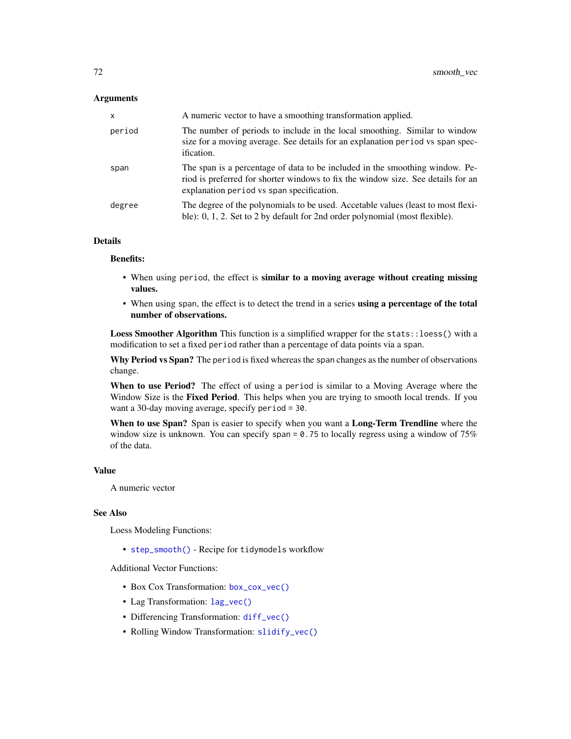## **Arguments**

| $\mathsf{x}$ | A numeric vector to have a smoothing transformation applied.                                                                                                                                                  |
|--------------|---------------------------------------------------------------------------------------------------------------------------------------------------------------------------------------------------------------|
| period       | The number of periods to include in the local smoothing. Similar to window<br>size for a moving average. See details for an explanation period vs span spec-<br>ification.                                    |
| span         | The span is a percentage of data to be included in the smoothing window. Pe-<br>riod is preferred for shorter windows to fix the window size. See details for an<br>explanation period vs span specification. |
| degree       | The degree of the polynomials to be used. Accetable values (least to most flexi-<br>ble): 0, 1, 2. Set to 2 by default for 2nd order polynomial (most flexible).                                              |

## Details

#### Benefits:

- When using period, the effect is similar to a moving average without creating missing values.
- When using span, the effect is to detect the trend in a series using a percentage of the total number of observations.

Loess Smoother Algorithm This function is a simplified wrapper for the stats::loess() with a modification to set a fixed period rather than a percentage of data points via a span.

Why Period vs Span? The period is fixed whereas the span changes as the number of observations change.

When to use Period? The effect of using a period is similar to a Moving Average where the Window Size is the Fixed Period. This helps when you are trying to smooth local trends. If you want a 30-day moving average, specify period = 30.

When to use Span? Span is easier to specify when you want a Long-Term Trendline where the window size is unknown. You can specify span =  $0.75$  to locally regress using a window of 75% of the data.

#### Value

A numeric vector

# See Also

Loess Modeling Functions:

• [step\\_smooth\(\)](#page-94-0) - Recipe for tidymodels workflow

Additional Vector Functions:

- Box Cox Transformation: [box\\_cox\\_vec\(\)](#page-6-0)
- Lag Transformation: [lag\\_vec\(\)](#page-21-0)
- Differencing Transformation: [diff\\_vec\(\)](#page-9-0)
- Rolling Window Transformation: [slidify\\_vec\(\)](#page-67-0)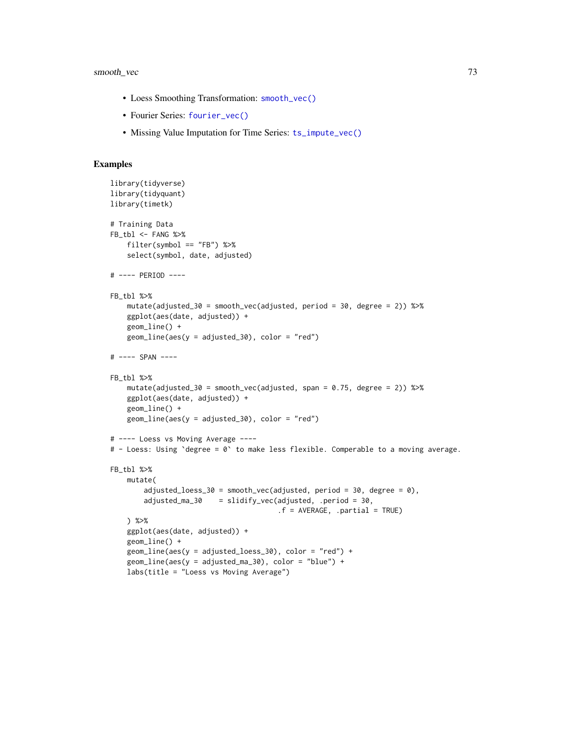## smooth\_vec 73

- Loess Smoothing Transformation: [smooth\\_vec\(\)](#page-70-0)
- Fourier Series: [fourier\\_vec\(\)](#page-15-0)
- Missing Value Imputation for Time Series: [ts\\_impute\\_vec\(\)](#page-169-0)

```
library(tidyverse)
library(tidyquant)
library(timetk)
# Training Data
FB_tbl <- FANG %>%
   filter(symbol == "FB") %>%
    select(symbol, date, adjusted)
# ---- PERIOD ----
FB_tbl %>%
   mutate(adjusted_30 = smooth_vec(adjusted, period = 30, degree = 2)) %>%
   ggplot(aes(date, adjusted)) +
   geom_line() +
   geom\_line(aes(y = adjusted_30), color = "red")# ---- SPAN ----
FB_tbl %>%
   mutate(adjusted_30 = smooth_vec(adjusted, span = 0.75, degree = 2)) %>%
    ggplot(aes(date, adjusted)) +
   geom_line() +
    geom\_line(aes(y = adjusted_30), color = "red")# ---- Loess vs Moving Average ----
# - Loess: Using `degree = 0` to make less flexible. Comperable to a moving average.
FB_tbl %>%
   mutate(
        adjusted_loess_30 = smooth_vec(adjusted, period = 30, degree = 0),
        adjusted_ma_30 = slidify_vec(adjusted, .period = 30,
                                        .f = AVERAGE, .partial = TRUE)
   ) %>%
    ggplot(aes(date, adjusted)) +
    geom_line() +
    geom_line(aes(y = adjusted_loess_30), color = "red") +
    geom_line(aes(y = adjusted_ma_30), color = "blue") +
    labs(title = "Loess vs Moving Average")
```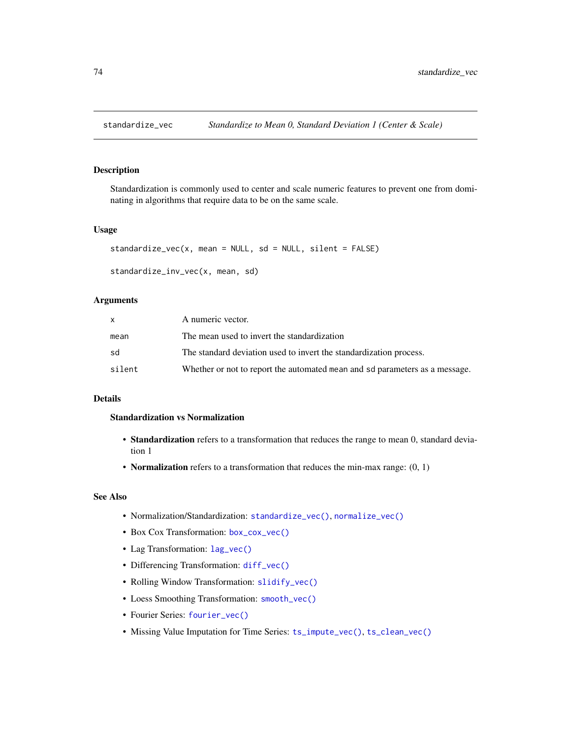<span id="page-73-0"></span>

## Description

Standardization is commonly used to center and scale numeric features to prevent one from dominating in algorithms that require data to be on the same scale.

### Usage

```
standardize_vec(x, mean = NULL, sd = NULL, silent = FALSE)
```

```
standardize_inv_vec(x, mean, sd)
```
## Arguments

|        | A numeric vector.                                                           |
|--------|-----------------------------------------------------------------------------|
| mean   | The mean used to invert the standardization                                 |
| sd     | The standard deviation used to invert the standardization process.          |
| silent | Whether or not to report the automated mean and sd parameters as a message. |

### Details

## Standardization vs Normalization

- Standardization refers to a transformation that reduces the range to mean 0, standard deviation 1
- Normalization refers to a transformation that reduces the min-max range:  $(0, 1)$

### See Also

- Normalization/Standardization: [standardize\\_vec\(\)](#page-73-0), [normalize\\_vec\(\)](#page-31-0)
- Box Cox Transformation: [box\\_cox\\_vec\(\)](#page-6-0)
- Lag Transformation: [lag\\_vec\(\)](#page-21-0)
- Differencing Transformation: [diff\\_vec\(\)](#page-9-0)
- Rolling Window Transformation: [slidify\\_vec\(\)](#page-67-0)
- Loess Smoothing Transformation: [smooth\\_vec\(\)](#page-70-0)
- Fourier Series: [fourier\\_vec\(\)](#page-15-0)
- Missing Value Imputation for Time Series: [ts\\_impute\\_vec\(\)](#page-169-0), [ts\\_clean\\_vec\(\)](#page-168-0)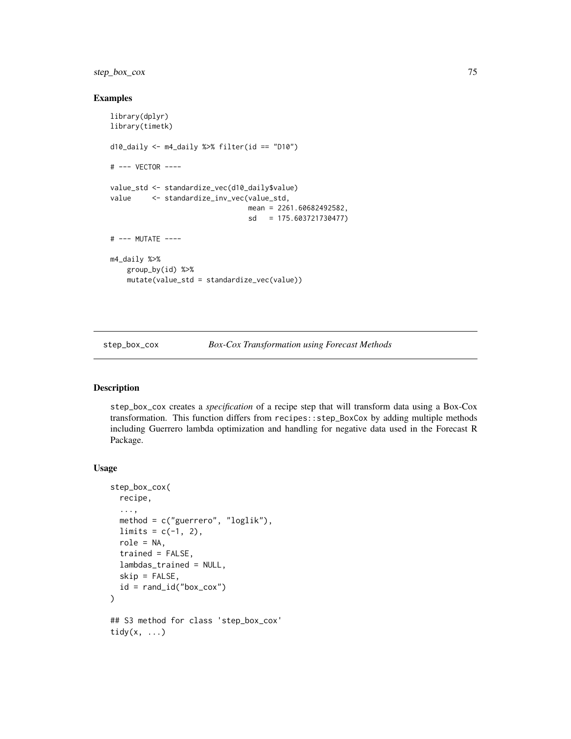step\_box\_cox 75

### Examples

```
library(dplyr)
library(timetk)
d10_daily <- m4_daily %>% filter(id == "D10")
# --- VECTOR ----
value_std <- standardize_vec(d10_daily$value)
value <- standardize_inv_vec(value_std,
                                mean = 2261.60682492582,
                                sd = 175.603721730477)
# --- MUTATE ----
m4_daily %>%
   group_by(id) %>%
   mutate(value_std = standardize_vec(value))
```
<span id="page-74-0"></span>step\_box\_cox *Box-Cox Transformation using Forecast Methods*

### Description

step\_box\_cox creates a *specification* of a recipe step that will transform data using a Box-Cox transformation. This function differs from recipes::step\_BoxCox by adding multiple methods including Guerrero lambda optimization and handling for negative data used in the Forecast R Package.

#### Usage

```
step_box_cox(
 recipe,
  ...,
 method = c("guerrero", "loglik"),
 limits = c(-1, 2),
 role = NA,
  trained = FALSE,
 lambdas_trained = NULL,
  skip = FALSE,
 id = rand_id("box\_cox"))
## S3 method for class 'step_box_cox'
tidy(x, \ldots)
```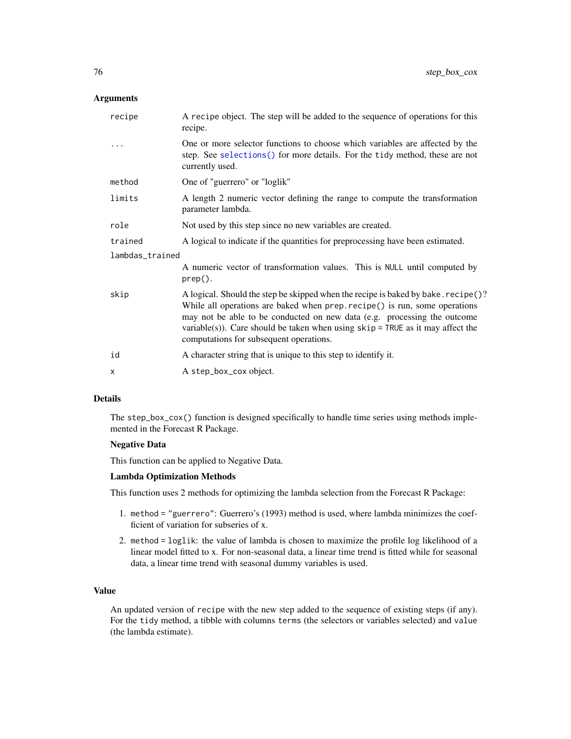### **Arguments**

| A recipe object. The step will be added to the sequence of operations for this<br>recipe.                                                                                                                                                                                                                                                                                  |  |  |
|----------------------------------------------------------------------------------------------------------------------------------------------------------------------------------------------------------------------------------------------------------------------------------------------------------------------------------------------------------------------------|--|--|
| One or more selector functions to choose which variables are affected by the<br>step. See selections () for more details. For the tidy method, these are not<br>currently used.                                                                                                                                                                                            |  |  |
| One of "guerrero" or "loglik"                                                                                                                                                                                                                                                                                                                                              |  |  |
| A length 2 numeric vector defining the range to compute the transformation<br>parameter lambda.                                                                                                                                                                                                                                                                            |  |  |
| Not used by this step since no new variables are created.                                                                                                                                                                                                                                                                                                                  |  |  |
| A logical to indicate if the quantities for preprocessing have been estimated.                                                                                                                                                                                                                                                                                             |  |  |
| lambdas_trained                                                                                                                                                                                                                                                                                                                                                            |  |  |
| A numeric vector of transformation values. This is NULL until computed by<br>$prep()$ .                                                                                                                                                                                                                                                                                    |  |  |
| A logical. Should the step be skipped when the recipe is baked by bake. recipe()?<br>While all operations are baked when prep. recipe() is run, some operations<br>may not be able to be conducted on new data (e.g. processing the outcome<br>variable(s)). Care should be taken when using $skip =$ TRUE as it may affect the<br>computations for subsequent operations. |  |  |
| A character string that is unique to this step to identify it.                                                                                                                                                                                                                                                                                                             |  |  |
| A step_box_cox object.                                                                                                                                                                                                                                                                                                                                                     |  |  |
|                                                                                                                                                                                                                                                                                                                                                                            |  |  |

#### Details

The step\_box\_cox() function is designed specifically to handle time series using methods implemented in the Forecast R Package.

### Negative Data

This function can be applied to Negative Data.

### Lambda Optimization Methods

This function uses 2 methods for optimizing the lambda selection from the Forecast R Package:

- 1. method = "guerrero": Guerrero's (1993) method is used, where lambda minimizes the coefficient of variation for subseries of x.
- 2. method = loglik: the value of lambda is chosen to maximize the profile log likelihood of a linear model fitted to x. For non-seasonal data, a linear time trend is fitted while for seasonal data, a linear time trend with seasonal dummy variables is used.

## Value

An updated version of recipe with the new step added to the sequence of existing steps (if any). For the tidy method, a tibble with columns terms (the selectors or variables selected) and value (the lambda estimate).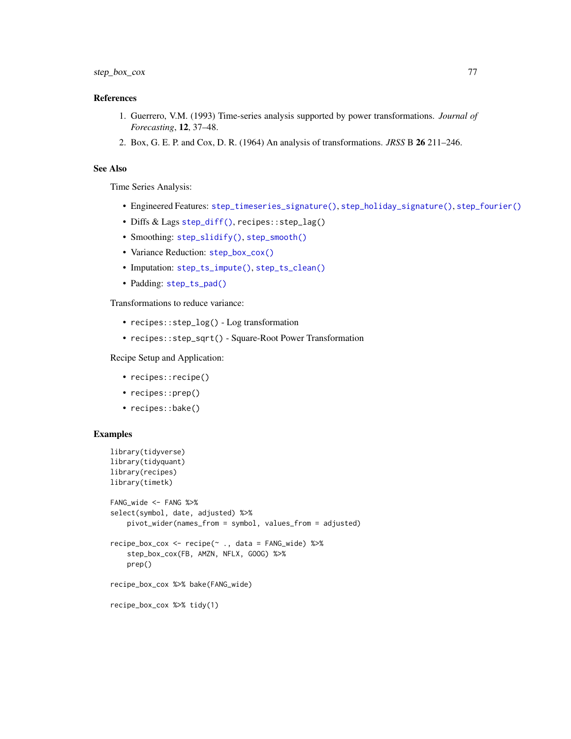## References

- 1. Guerrero, V.M. (1993) Time-series analysis supported by power transformations. *Journal of Forecasting*, 12, 37–48.
- 2. Box, G. E. P. and Cox, D. R. (1964) An analysis of transformations. *JRSS* B 26 211–246.

# See Also

Time Series Analysis:

- Engineered Features: [step\\_timeseries\\_signature\(\)](#page-97-0), [step\\_holiday\\_signature\(\)](#page-82-0), [step\\_fourier\(\)](#page-79-0)
- Diffs & Lags [step\\_diff\(\)](#page-77-0), recipes::step\_lag()
- Smoothing: [step\\_slidify\(\)](#page-87-0), [step\\_smooth\(\)](#page-94-0)
- Variance Reduction: [step\\_box\\_cox\(\)](#page-74-0)
- Imputation: [step\\_ts\\_impute\(\)](#page-103-0), [step\\_ts\\_clean\(\)](#page-100-0)
- Padding: [step\\_ts\\_pad\(\)](#page-105-0)

Transformations to reduce variance:

- recipes::step\_log() Log transformation
- recipes::step\_sqrt() Square-Root Power Transformation

Recipe Setup and Application:

- recipes::recipe()
- recipes::prep()
- recipes::bake()

```
library(tidyverse)
library(tidyquant)
library(recipes)
library(timetk)
FANG_wide <- FANG %>%
select(symbol, date, adjusted) %>%
    pivot_wider(names_from = symbol, values_from = adjusted)
recipe_box_cox <- recipe(~ ., data = FANG_wide) %>%
    step_box_cox(FB, AMZN, NFLX, GOOG) %>%
    prep()
recipe_box_cox %>% bake(FANG_wide)
recipe_box_cox %>% tidy(1)
```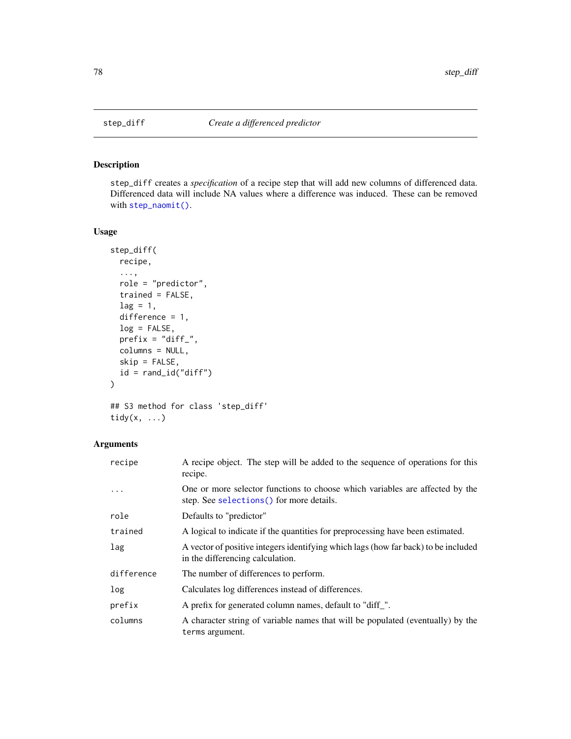<span id="page-77-0"></span>

## Description

step\_diff creates a *specification* of a recipe step that will add new columns of differenced data. Differenced data will include NA values where a difference was induced. These can be removed with [step\\_naomit\(\)](#page-0-0).

# Usage

```
step_diff(
  recipe,
  ...,
  role = "predictor",
  trained = FALSE,
  lag = 1,difference = 1,
  log = FALSE,
 prefix = "diff",
  columns = NULL,
  skip = FALSE,
  id = rand_id("diff")
\mathcal{E}## S3 method for class 'step_diff'
```
tidy $(x, \ldots)$ 

# Arguments

| recipe     | A recipe object. The step will be added to the sequence of operations for this<br>recipe.                                 |
|------------|---------------------------------------------------------------------------------------------------------------------------|
| .          | One or more selector functions to choose which variables are affected by the<br>step. See selections () for more details. |
| role       | Defaults to "predictor"                                                                                                   |
| trained    | A logical to indicate if the quantities for preprocessing have been estimated.                                            |
| lag        | A vector of positive integers identifying which lags (how far back) to be included<br>in the differencing calculation.    |
| difference | The number of differences to perform.                                                                                     |
| log        | Calculates log differences instead of differences.                                                                        |
| prefix     | A prefix for generated column names, default to "diff_".                                                                  |
| columns    | A character string of variable names that will be populated (eventually) by the<br>terms argument.                        |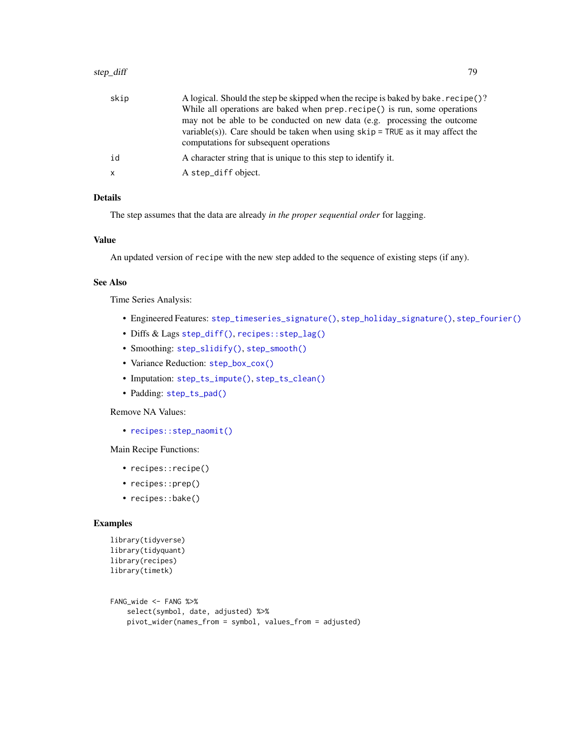| skip         | A logical. Should the step be skipped when the recipe is baked by bake. recipe()?<br>While all operations are baked when prep. recipe() is run, some operations<br>may not be able to be conducted on new data (e.g. processing the outcome<br>variable(s)). Care should be taken when using $skip =$ TRUE as it may affect the<br>computations for subsequent operations |
|--------------|---------------------------------------------------------------------------------------------------------------------------------------------------------------------------------------------------------------------------------------------------------------------------------------------------------------------------------------------------------------------------|
| id           | A character string that is unique to this step to identify it.                                                                                                                                                                                                                                                                                                            |
| $\mathsf{x}$ | A step_diff object.                                                                                                                                                                                                                                                                                                                                                       |

The step assumes that the data are already *in the proper sequential order* for lagging.

## Value

An updated version of recipe with the new step added to the sequence of existing steps (if any).

# See Also

Time Series Analysis:

- Engineered Features: [step\\_timeseries\\_signature\(\)](#page-97-0), [step\\_holiday\\_signature\(\)](#page-82-0), [step\\_fourier\(\)](#page-79-0)
- Diffs & Lags [step\\_diff\(\)](#page-77-0), [recipes::step\\_lag\(\)](#page-0-0)
- Smoothing: [step\\_slidify\(\)](#page-87-0), [step\\_smooth\(\)](#page-94-0)
- Variance Reduction: [step\\_box\\_cox\(\)](#page-74-0)
- Imputation: [step\\_ts\\_impute\(\)](#page-103-0), [step\\_ts\\_clean\(\)](#page-100-0)
- Padding: [step\\_ts\\_pad\(\)](#page-105-0)

## Remove NA Values:

• [recipes::step\\_naomit\(\)](#page-0-0)

Main Recipe Functions:

- recipes::recipe()
- recipes::prep()
- recipes::bake()

```
library(tidyverse)
library(tidyquant)
library(recipes)
library(timetk)
```

```
FANG_wide <- FANG %>%
   select(symbol, date, adjusted) %>%
   pivot_wider(names_from = symbol, values_from = adjusted)
```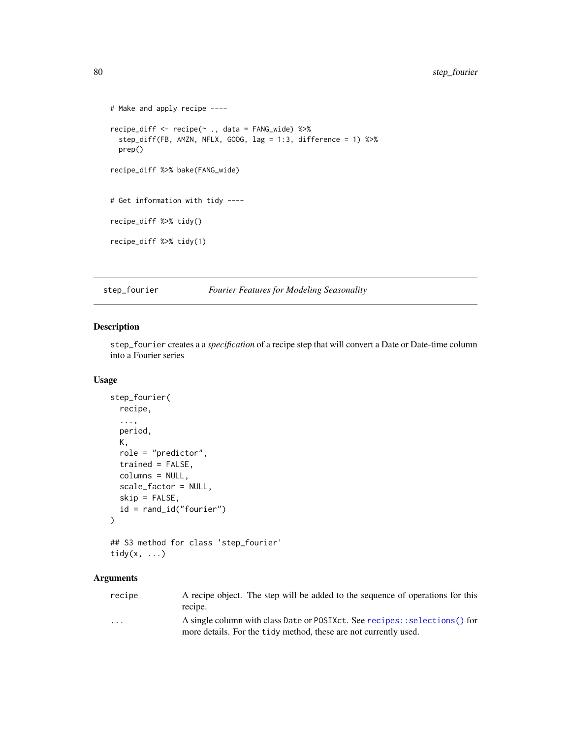```
# Make and apply recipe ----
recipe_diff <- recipe(~ ., data = FANG_wide) %>%
 step_diff(FB, AMZN, NFLX, GOOG, lag = 1:3, difference = 1) %>%
 prep()
recipe_diff %>% bake(FANG_wide)
# Get information with tidy ----
recipe_diff %>% tidy()
recipe_diff %>% tidy(1)
```
<span id="page-79-0"></span>step\_fourier *Fourier Features for Modeling Seasonality*

# Description

step\_fourier creates a a *specification* of a recipe step that will convert a Date or Date-time column into a Fourier series

# Usage

```
step_fourier(
  recipe,
  ...,
 period,
 K,
 role = "predictor",
 trained = FALSE,
 columns = NULL,
  scale_factor = NULL,
  skip = FALSE,
 id = rand_id("fourier")
\mathcal{L}## S3 method for class 'step_fourier'
```

```
tidy(x, \ldots)
```
## Arguments

| recipe                  | A recipe object. The step will be added to the sequence of operations for this<br>recipe. |
|-------------------------|-------------------------------------------------------------------------------------------|
| $\cdot$ $\cdot$ $\cdot$ | A single column with class Date or POSIXct. See recipes:: selections() for                |
|                         | more details. For the tidy method, these are not currently used.                          |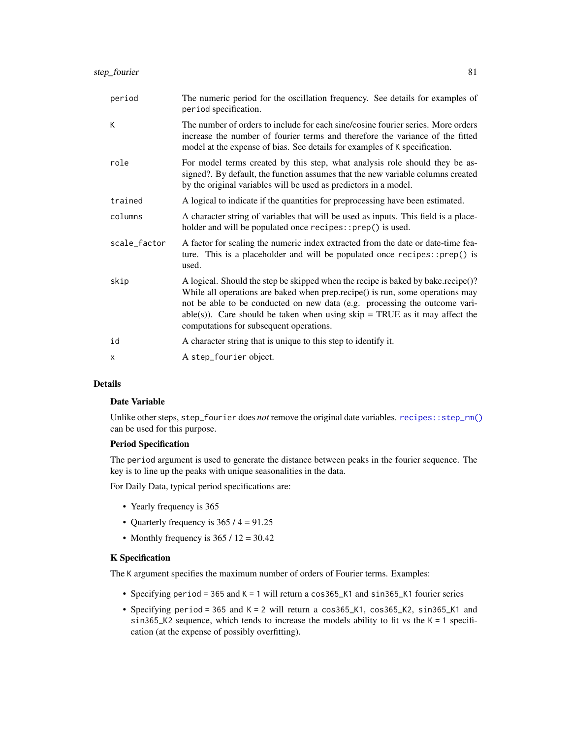| period       | The numeric period for the oscillation frequency. See details for examples of<br>period specification.                                                                                                                                                                                                                                                                      |
|--------------|-----------------------------------------------------------------------------------------------------------------------------------------------------------------------------------------------------------------------------------------------------------------------------------------------------------------------------------------------------------------------------|
| K            | The number of orders to include for each sine/cosine fourier series. More orders<br>increase the number of fourier terms and therefore the variance of the fitted<br>model at the expense of bias. See details for examples of K specification.                                                                                                                             |
| role         | For model terms created by this step, what analysis role should they be as-<br>signed?. By default, the function assumes that the new variable columns created<br>by the original variables will be used as predictors in a model.                                                                                                                                          |
| trained      | A logical to indicate if the quantities for preprocessing have been estimated.                                                                                                                                                                                                                                                                                              |
| columns      | A character string of variables that will be used as inputs. This field is a place-<br>holder and will be populated once recipes::prep() is used.                                                                                                                                                                                                                           |
| scale_factor | A factor for scaling the numeric index extracted from the date or date-time fea-<br>ture. This is a placeholder and will be populated once $recipes::prep()$ is<br>used.                                                                                                                                                                                                    |
| skip         | A logical. Should the step be skipped when the recipe is baked by bake.recipe()?<br>While all operations are baked when prep.recipe() is run, some operations may<br>not be able to be conducted on new data (e.g. processing the outcome vari-<br>$able(s)$ ). Care should be taken when using skip = TRUE as it may affect the<br>computations for subsequent operations. |
| id           | A character string that is unique to this step to identify it.                                                                                                                                                                                                                                                                                                              |
| X            | A step_fourier object.                                                                                                                                                                                                                                                                                                                                                      |

## Date Variable

Unlike other steps, step\_fourier does *not* remove the original date variables. [recipes::step\\_rm\(\)](#page-0-0) can be used for this purpose.

# Period Specification

The period argument is used to generate the distance between peaks in the fourier sequence. The key is to line up the peaks with unique seasonalities in the data.

For Daily Data, typical period specifications are:

- Yearly frequency is 365
- Quarterly frequency is  $365 / 4 = 91.25$
- Monthly frequency is  $365 / 12 = 30.42$

# K Specification

The K argument specifies the maximum number of orders of Fourier terms. Examples:

- Specifying period = 365 and K = 1 will return a cos365\_K1 and sin365\_K1 fourier series
- Specifying period = 365 and K = 2 will return a cos365\_K1, cos365\_K2, sin365\_K1 and sin365\_K2 sequence, which tends to increase the models ability to fit vs the  $K = 1$  specification (at the expense of possibly overfitting).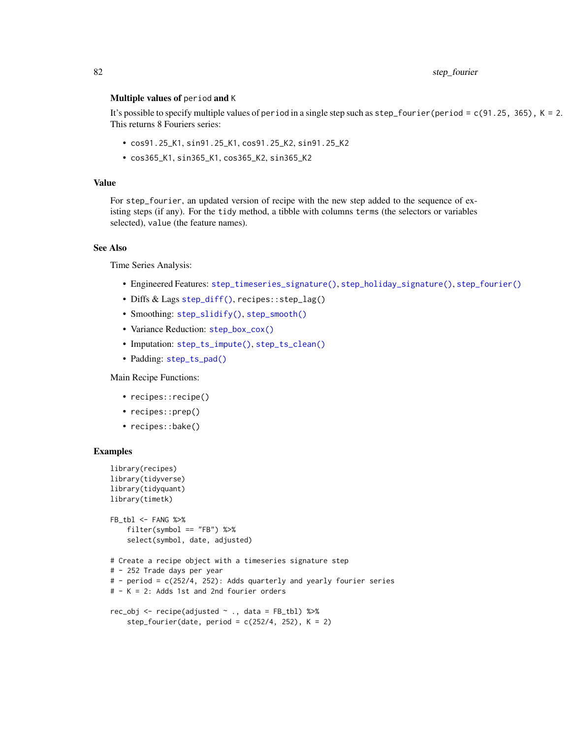### Multiple values of period and K

It's possible to specify multiple values of period in a single step such as  $step\_fourier(period = c(91.25, 365)$ ,  $K = 2$ . This returns 8 Fouriers series:

- cos91.25\_K1, sin91.25\_K1, cos91.25\_K2, sin91.25\_K2
- cos365\_K1, sin365\_K1, cos365\_K2, sin365\_K2

### Value

For step\_fourier, an updated version of recipe with the new step added to the sequence of existing steps (if any). For the tidy method, a tibble with columns terms (the selectors or variables selected), value (the feature names).

## See Also

Time Series Analysis:

- Engineered Features: [step\\_timeseries\\_signature\(\)](#page-97-0), [step\\_holiday\\_signature\(\)](#page-82-0), [step\\_fourier\(\)](#page-79-0)
- Diffs & Lags [step\\_diff\(\)](#page-77-0), recipes::step\_lag()
- Smoothing: [step\\_slidify\(\)](#page-87-0), [step\\_smooth\(\)](#page-94-0)
- Variance Reduction: [step\\_box\\_cox\(\)](#page-74-0)
- Imputation: [step\\_ts\\_impute\(\)](#page-103-0), [step\\_ts\\_clean\(\)](#page-100-0)
- Padding: [step\\_ts\\_pad\(\)](#page-105-0)

Main Recipe Functions:

- recipes::recipe()
- recipes::prep()
- recipes::bake()

```
library(recipes)
library(tidyverse)
library(tidyquant)
library(timetk)
FB_tbl <- FANG %>%
    filter(symbol == "FB") %>%
    select(symbol, date, adjusted)
# Create a recipe object with a timeseries signature step
# - 252 Trade days per year
# - period = c(252/4, 252): Adds quarterly and yearly fourier series
# - K = 2: Adds 1st and 2nd fourier orders
rec_obj <- recipe(adjusted ~ ., data = FB_tbl) %>%
    step_fourier(date, period = c(252/4, 252), K = 2)
```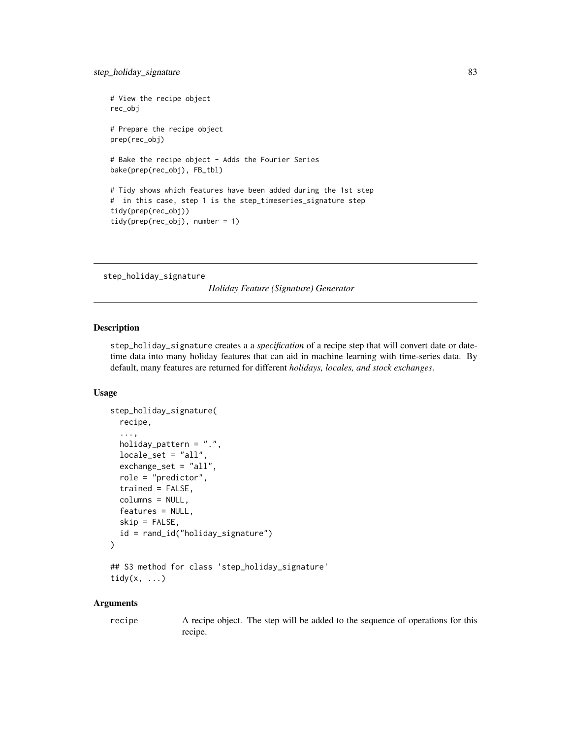```
# View the recipe object
rec_obj
# Prepare the recipe object
prep(rec_obj)
# Bake the recipe object - Adds the Fourier Series
bake(prep(rec_obj), FB_tbl)
# Tidy shows which features have been added during the 1st step
# in this case, step 1 is the step_timeseries_signature step
tidy(prep(rec_obj))
tidy(prep(rec_obj), number = 1)
```

```
step_holiday_signature
```
*Holiday Feature (Signature) Generator*

# Description

step\_holiday\_signature creates a a *specification* of a recipe step that will convert date or datetime data into many holiday features that can aid in machine learning with time-series data. By default, many features are returned for different *holidays, locales, and stock exchanges*.

#### Usage

```
step_holiday_signature(
  recipe,
  ...,
 holiday_pattern = ".",
  locale_set = "all",
  exchange_set = "all",
  role = "predictor",
  trained = FALSE,
  columns = NULL,
  features = NULL,
  skip = FALSE,
  id = rand_id("holiday_signature")
\lambda
```
## S3 method for class 'step\_holiday\_signature' tidy $(x, \ldots)$ 

## Arguments

recipe A recipe object. The step will be added to the sequence of operations for this recipe.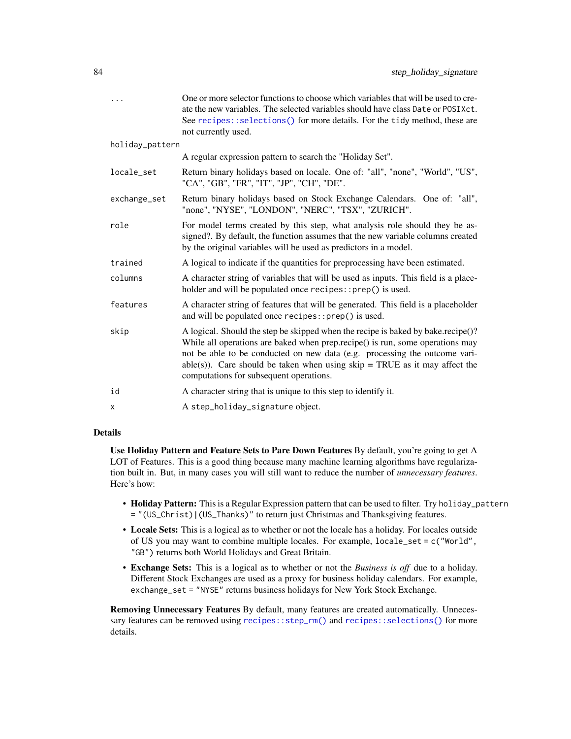| .               | One or more selector functions to choose which variables that will be used to cre-<br>ate the new variables. The selected variables should have class Date or POSIXct.<br>See recipes::selections() for more details. For the tidy method, these are<br>not currently used.                                                                                                 |
|-----------------|-----------------------------------------------------------------------------------------------------------------------------------------------------------------------------------------------------------------------------------------------------------------------------------------------------------------------------------------------------------------------------|
| holiday_pattern |                                                                                                                                                                                                                                                                                                                                                                             |
|                 | A regular expression pattern to search the "Holiday Set".                                                                                                                                                                                                                                                                                                                   |
| locale_set      | Return binary holidays based on locale. One of: "all", "none", "World", "US",<br>"CA", "GB", "FR", "IT", "JP", "CH", "DE".                                                                                                                                                                                                                                                  |
| exchange_set    | Return binary holidays based on Stock Exchange Calendars. One of: "all",<br>"none", "NYSE", "LONDON", "NERC", "TSX", "ZURICH".                                                                                                                                                                                                                                              |
| role            | For model terms created by this step, what analysis role should they be as-<br>signed?. By default, the function assumes that the new variable columns created<br>by the original variables will be used as predictors in a model.                                                                                                                                          |
| trained         | A logical to indicate if the quantities for preprocessing have been estimated.                                                                                                                                                                                                                                                                                              |
| columns         | A character string of variables that will be used as inputs. This field is a place-<br>holder and will be populated once recipes::prep() is used.                                                                                                                                                                                                                           |
| features        | A character string of features that will be generated. This field is a placeholder<br>and will be populated once recipes:: prep() is used.                                                                                                                                                                                                                                  |
| skip            | A logical. Should the step be skipped when the recipe is baked by bake.recipe()?<br>While all operations are baked when prep.recipe() is run, some operations may<br>not be able to be conducted on new data (e.g. processing the outcome vari-<br>$able(s)$ ). Care should be taken when using skip = TRUE as it may affect the<br>computations for subsequent operations. |
| id              | A character string that is unique to this step to identify it.                                                                                                                                                                                                                                                                                                              |
| X               | A step_holiday_signature object.                                                                                                                                                                                                                                                                                                                                            |
|                 |                                                                                                                                                                                                                                                                                                                                                                             |

Use Holiday Pattern and Feature Sets to Pare Down Features By default, you're going to get A LOT of Features. This is a good thing because many machine learning algorithms have regularization built in. But, in many cases you will still want to reduce the number of *unnecessary features*. Here's how:

- Holiday Pattern: This is a Regular Expression pattern that can be used to filter. Try holiday\_pattern = "(US\_Christ)|(US\_Thanks)" to return just Christmas and Thanksgiving features.
- Locale Sets: This is a logical as to whether or not the locale has a holiday. For locales outside of US you may want to combine multiple locales. For example, locale\_set = c("World", "GB") returns both World Holidays and Great Britain.
- Exchange Sets: This is a logical as to whether or not the *Business is off* due to a holiday. Different Stock Exchanges are used as a proxy for business holiday calendars. For example, exchange\_set = "NYSE" returns business holidays for New York Stock Exchange.

Removing Unnecessary Features By default, many features are created automatically. Unnecessary features can be removed using [recipes::step\\_rm\(\)](#page-0-0) and [recipes::selections\(\)](#page-0-0) for more details.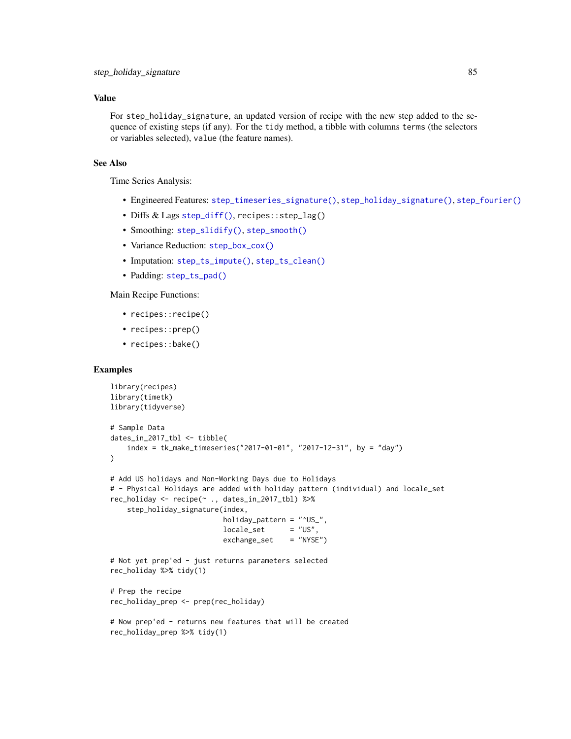## Value

For step\_holiday\_signature, an updated version of recipe with the new step added to the sequence of existing steps (if any). For the tidy method, a tibble with columns terms (the selectors or variables selected), value (the feature names).

# See Also

Time Series Analysis:

- Engineered Features: [step\\_timeseries\\_signature\(\)](#page-97-0), [step\\_holiday\\_signature\(\)](#page-82-0), [step\\_fourier\(\)](#page-79-0)
- Diffs & Lags [step\\_diff\(\)](#page-77-0), recipes::step\_lag()
- Smoothing: [step\\_slidify\(\)](#page-87-0), [step\\_smooth\(\)](#page-94-0)
- Variance Reduction: [step\\_box\\_cox\(\)](#page-74-0)
- Imputation: [step\\_ts\\_impute\(\)](#page-103-0), [step\\_ts\\_clean\(\)](#page-100-0)
- Padding: [step\\_ts\\_pad\(\)](#page-105-0)

# Main Recipe Functions:

- recipes::recipe()
- recipes::prep()
- recipes::bake()

```
library(recipes)
library(timetk)
library(tidyverse)
# Sample Data
dates_in_2017_tbl <- tibble(
    index = tk_make_timeseries("2017-01-01", "2017-12-31", by = "day")
\mathcal{L}# Add US holidays and Non-Working Days due to Holidays
# - Physical Holidays are added with holiday pattern (individual) and locale_set
rec_holiday <- recipe(~ ., dates_in_2017_tbl) %>%
    step_holiday_signature(index,
                           holiday_pattern = "^US_",
                           locale_set = "US",
                           exchange_set = "NYSE")
# Not yet prep'ed - just returns parameters selected
rec_holiday %>% tidy(1)
# Prep the recipe
rec_holiday_prep <- prep(rec_holiday)
# Now prep'ed - returns new features that will be created
rec_holiday_prep %>% tidy(1)
```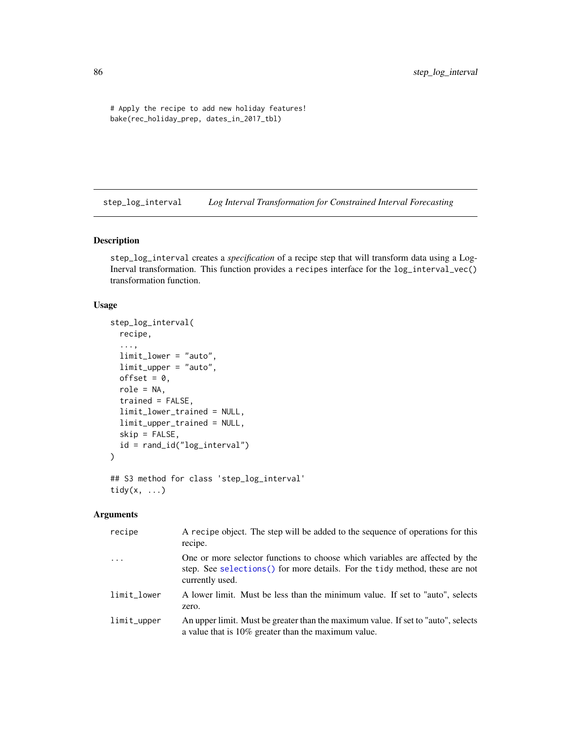```
# Apply the recipe to add new holiday features!
bake(rec_holiday_prep, dates_in_2017_tbl)
```
<span id="page-85-0"></span>step\_log\_interval *Log Interval Transformation for Constrained Interval Forecasting*

# Description

step\_log\_interval creates a *specification* of a recipe step that will transform data using a Log-Inerval transformation. This function provides a recipes interface for the log\_interval\_vec() transformation function.

## Usage

```
step_log_interval(
 recipe,
  ...,
 limit_lower = "auto",
 limit_upper = "auto",
 offset = 0,
  role = NA,
  trained = FALSE,
 limit_lower_trained = NULL,
  limit_upper_trained = NULL,
  skip = FALSE,
  id = rand_id("log_interval")
\mathcal{L}## S3 method for class 'step_log_interval'
```

```
tidy(x, \ldots)
```
## Arguments

| recipe         | A recipe object. The step will be added to the sequence of operations for this<br>recipe.                                                                                       |
|----------------|---------------------------------------------------------------------------------------------------------------------------------------------------------------------------------|
| $\ddotsc$      | One or more selector functions to choose which variables are affected by the<br>step. See selections () for more details. For the tidy method, these are not<br>currently used. |
| limit_lower    | A lower limit. Must be less than the minimum value. If set to "auto", selects<br>zero.                                                                                          |
| $limit\_upper$ | An upper limit. Must be greater than the maximum value. If set to "auto", selects<br>a value that is $10\%$ greater than the maximum value.                                     |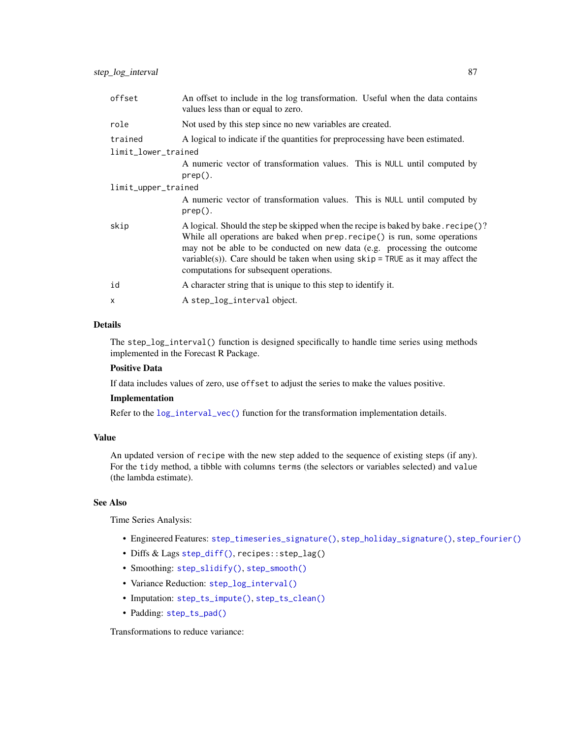| offset              | An offset to include in the log transformation. Useful when the data contains<br>values less than or equal to zero.                                                                                                                                                                                                                                                         |  |
|---------------------|-----------------------------------------------------------------------------------------------------------------------------------------------------------------------------------------------------------------------------------------------------------------------------------------------------------------------------------------------------------------------------|--|
| role                | Not used by this step since no new variables are created.                                                                                                                                                                                                                                                                                                                   |  |
| trained             | A logical to indicate if the quantities for preprocessing have been estimated.                                                                                                                                                                                                                                                                                              |  |
| limit_lower_trained |                                                                                                                                                                                                                                                                                                                                                                             |  |
|                     | A numeric vector of transformation values. This is NULL until computed by<br>$prep()$ .                                                                                                                                                                                                                                                                                     |  |
| limit_upper_trained |                                                                                                                                                                                                                                                                                                                                                                             |  |
|                     | A numeric vector of transformation values. This is NULL until computed by<br>$prep()$ .                                                                                                                                                                                                                                                                                     |  |
| skip                | A logical. Should the step be skipped when the recipe is baked by bake. recipe ()?<br>While all operations are baked when prep. recipe() is run, some operations<br>may not be able to be conducted on new data (e.g. processing the outcome<br>variable(s)). Care should be taken when using $skip =$ TRUE as it may affect the<br>computations for subsequent operations. |  |
| id                  | A character string that is unique to this step to identify it.                                                                                                                                                                                                                                                                                                              |  |
| X                   | A step_log_interval object.                                                                                                                                                                                                                                                                                                                                                 |  |

The step\_log\_interval() function is designed specifically to handle time series using methods implemented in the Forecast R Package.

## Positive Data

If data includes values of zero, use offset to adjust the series to make the values positive.

### Implementation

Refer to the  $log_$ interval<sub>\_vec</sub>() function for the transformation implementation details.

## Value

An updated version of recipe with the new step added to the sequence of existing steps (if any). For the tidy method, a tibble with columns terms (the selectors or variables selected) and value (the lambda estimate).

### See Also

Time Series Analysis:

- Engineered Features: [step\\_timeseries\\_signature\(\)](#page-97-0), [step\\_holiday\\_signature\(\)](#page-82-0), [step\\_fourier\(\)](#page-79-0)
- Diffs & Lags [step\\_diff\(\)](#page-77-0), recipes::step\_lag()
- Smoothing: [step\\_slidify\(\)](#page-87-0), [step\\_smooth\(\)](#page-94-0)
- Variance Reduction: [step\\_log\\_interval\(\)](#page-85-0)
- Imputation: [step\\_ts\\_impute\(\)](#page-103-0), [step\\_ts\\_clean\(\)](#page-100-0)
- Padding: [step\\_ts\\_pad\(\)](#page-105-0)

Transformations to reduce variance: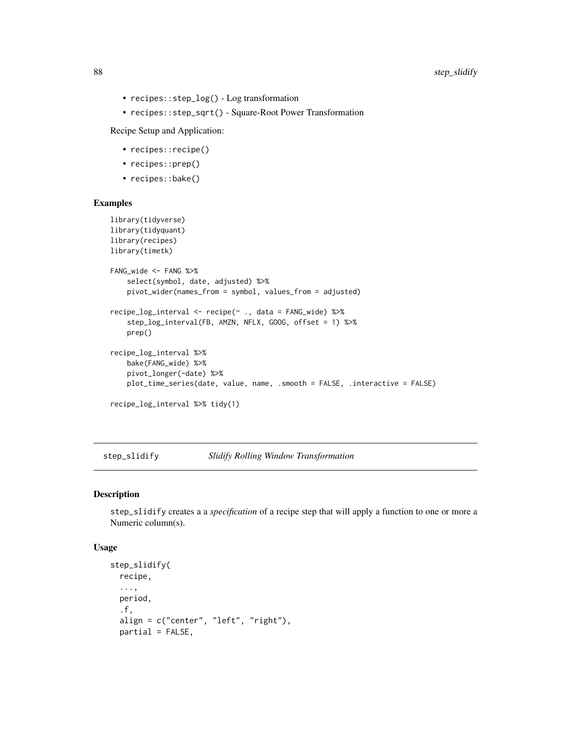- recipes::step\_log() Log transformation
- recipes::step\_sqrt() Square-Root Power Transformation

Recipe Setup and Application:

- recipes::recipe()
- recipes::prep()
- recipes::bake()

## Examples

```
library(tidyverse)
library(tidyquant)
library(recipes)
library(timetk)
FANG_wide <- FANG %>%
    select(symbol, date, adjusted) %>%
    pivot_wider(names_from = symbol, values_from = adjusted)
recipe_log_interval <- recipe(~ ., data = FANG_wide) %>%
    step_log_interval(FB, AMZN, NFLX, GOOG, offset = 1) %>%
   prep()
recipe_log_interval %>%
   bake(FANG_wide) %>%
   pivot_longer(-date) %>%
   plot_time_series(date, value, name, .smooth = FALSE, .interactive = FALSE)
recipe_log_interval %>% tidy(1)
```
<span id="page-87-0"></span>step\_slidify *Slidify Rolling Window Transformation*

#### Description

step\_slidify creates a a *specification* of a recipe step that will apply a function to one or more a Numeric column(s).

### Usage

```
step_slidify(
  recipe,
  ...,
 period,
  .f,
  align = c("center", "left", "right"),
  partial = FALSE,
```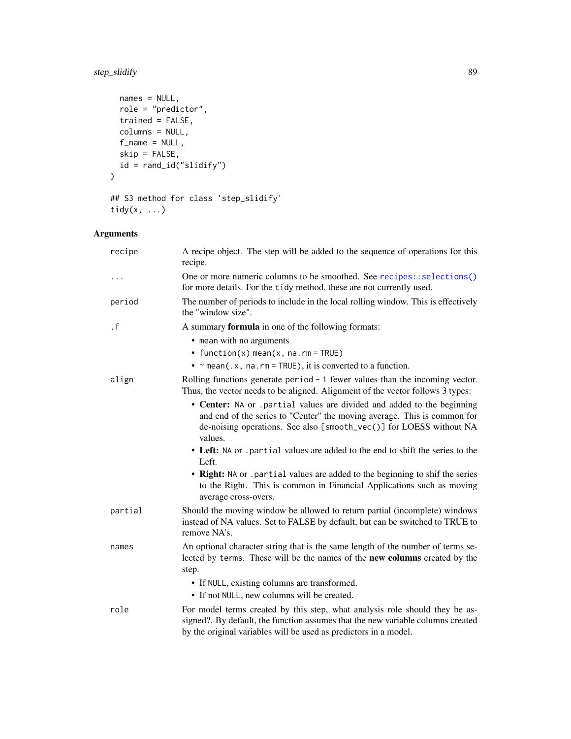# step\_slidify 89

```
names = NULL,role = "predictor",
  trained = FALSE,
  columns = NULL,
 f_name = NULL,skip = FALSE,
 id = rand_id("slidify")
\mathcal{L}
```

```
## S3 method for class 'step_slidify'
tidy(x, \ldots)
```
# Arguments

| recipe    | A recipe object. The step will be added to the sequence of operations for this<br>recipe.                                                                                                                                            |
|-----------|--------------------------------------------------------------------------------------------------------------------------------------------------------------------------------------------------------------------------------------|
|           | One or more numeric columns to be smoothed. See recipes::selections()<br>for more details. For the tidy method, these are not currently used.                                                                                        |
| period    | The number of periods to include in the local rolling window. This is effectively<br>the "window size".                                                                                                                              |
| $\cdot$ f | A summary formula in one of the following formats:                                                                                                                                                                                   |
|           | • mean with no arguments                                                                                                                                                                                                             |
|           | • function(x) mean(x, na.rm = TRUE)                                                                                                                                                                                                  |
|           | • $\sim$ mean(.x, na.rm = TRUE), it is converted to a function.                                                                                                                                                                      |
| align     | Rolling functions generate period $-1$ fewer values than the incoming vector.<br>Thus, the vector needs to be aligned. Alignment of the vector follows 3 types:                                                                      |
|           | • Center: NA or .partial values are divided and added to the beginning<br>and end of the series to "Center" the moving average. This is common for<br>de-noising operations. See also [smooth_vec()] for LOESS without NA<br>values. |
|           | • Left: NA or .partial values are added to the end to shift the series to the<br>Left.                                                                                                                                               |
|           | • Right: NA or .partial values are added to the beginning to shif the series<br>to the Right. This is common in Financial Applications such as moving<br>average cross-overs.                                                        |
| partial   | Should the moving window be allowed to return partial (incomplete) windows<br>instead of NA values. Set to FALSE by default, but can be switched to TRUE to<br>remove NA's.                                                          |
| names     | An optional character string that is the same length of the number of terms se-<br>lected by terms. These will be the names of the new columns created by the<br>step.                                                               |
|           | • If NULL, existing columns are transformed.                                                                                                                                                                                         |
|           | • If not NULL, new columns will be created.                                                                                                                                                                                          |
| role      | For model terms created by this step, what analysis role should they be as-<br>signed?. By default, the function assumes that the new variable columns created<br>by the original variables will be used as predictors in a model.   |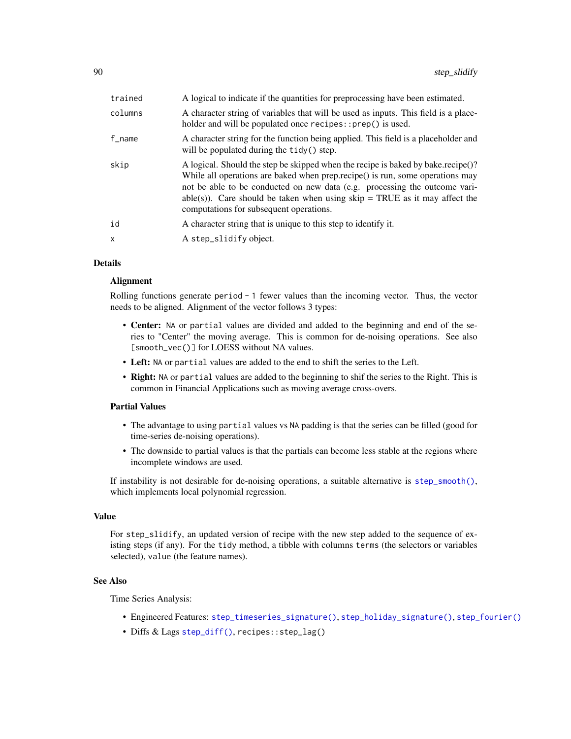| trained | A logical to indicate if the quantities for preprocessing have been estimated.                                                                                                                                                                                                                                                                                             |
|---------|----------------------------------------------------------------------------------------------------------------------------------------------------------------------------------------------------------------------------------------------------------------------------------------------------------------------------------------------------------------------------|
| columns | A character string of variables that will be used as inputs. This field is a place-<br>holder and will be populated once recipes::prep() is used.                                                                                                                                                                                                                          |
| f_name  | A character string for the function being applied. This field is a placeholder and<br>will be populated during the tidy () step.                                                                                                                                                                                                                                           |
| skip    | A logical. Should the step be skipped when the recipe is baked by bake.recipe()?<br>While all operations are baked when prep.recipe() is run, some operations may<br>not be able to be conducted on new data (e.g. processing the outcome vari-<br>able(s)). Care should be taken when using $skip = TRUE$ as it may affect the<br>computations for subsequent operations. |
| id      | A character string that is unique to this step to identify it.                                                                                                                                                                                                                                                                                                             |
| X       | A step_slidify object.                                                                                                                                                                                                                                                                                                                                                     |

## Alignment

Rolling functions generate period  $-1$  fewer values than the incoming vector. Thus, the vector needs to be aligned. Alignment of the vector follows 3 types:

- Center: NA or partial values are divided and added to the beginning and end of the series to "Center" the moving average. This is common for de-noising operations. See also [smooth\_vec()] for LOESS without NA values.
- Left: NA or partial values are added to the end to shift the series to the Left.
- Right: NA or partial values are added to the beginning to shif the series to the Right. This is common in Financial Applications such as moving average cross-overs.

### Partial Values

- The advantage to using partial values vs NA padding is that the series can be filled (good for time-series de-noising operations).
- The downside to partial values is that the partials can become less stable at the regions where incomplete windows are used.

If instability is not desirable for de-noising operations, a suitable alternative is [step\\_smooth\(\)](#page-94-0), which implements local polynomial regression.

#### Value

For step\_slidify, an updated version of recipe with the new step added to the sequence of existing steps (if any). For the tidy method, a tibble with columns terms (the selectors or variables selected), value (the feature names).

### See Also

Time Series Analysis:

- Engineered Features: [step\\_timeseries\\_signature\(\)](#page-97-0), [step\\_holiday\\_signature\(\)](#page-82-0), [step\\_fourier\(\)](#page-79-0)
- Diffs & Lags [step\\_diff\(\)](#page-77-0), recipes::step\_lag()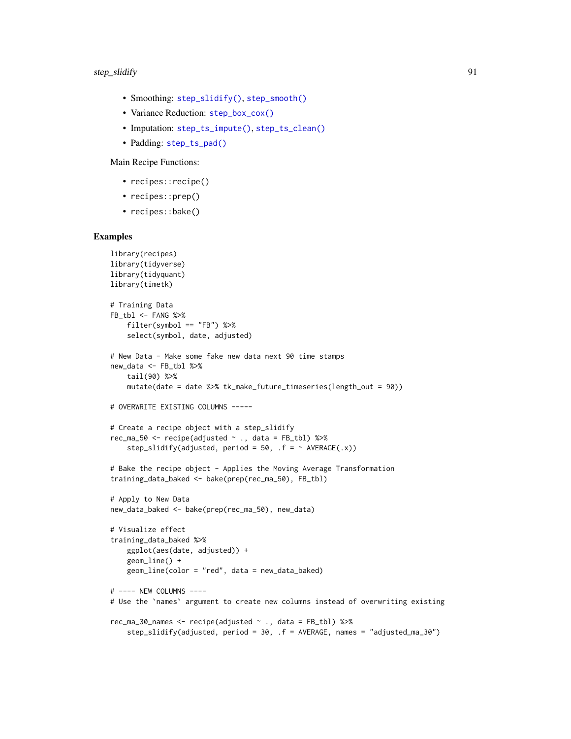- Smoothing: [step\\_slidify\(\)](#page-87-0), [step\\_smooth\(\)](#page-94-0)
- Variance Reduction: [step\\_box\\_cox\(\)](#page-74-0)
- Imputation: [step\\_ts\\_impute\(\)](#page-103-0), [step\\_ts\\_clean\(\)](#page-100-0)
- Padding: [step\\_ts\\_pad\(\)](#page-105-0)

Main Recipe Functions:

- recipes::recipe()
- recipes::prep()
- recipes::bake()

```
library(recipes)
library(tidyverse)
library(tidyquant)
library(timetk)
# Training Data
FB_tbl <- FANG %>%
    filter(symbol == "FB") %>%
    select(symbol, date, adjusted)
# New Data - Make some fake new data next 90 time stamps
new_data <- FB_tbl %>%
   tail(90) %>%
    mutate(date = date %>% tk_make_future_timeseries(length_out = 90))
# OVERWRITE EXISTING COLUMNS -----
# Create a recipe object with a step_slidify
rec_ma_50 <- recipe(adjusted \sim ., data = FB_tbl) %>%
    step_slidify(adjusted, period = 50, .f = ~\land AVERAGE(.x))
# Bake the recipe object - Applies the Moving Average Transformation
training_data_baked <- bake(prep(rec_ma_50), FB_tbl)
# Apply to New Data
new_data_baked <- bake(prep(rec_ma_50), new_data)
# Visualize effect
training_data_baked %>%
   ggplot(aes(date, adjusted)) +
    geom_line() +
    geom_line(color = "red", data = new_data_baked)
# ---- NEW COLUMNS ----
# Use the `names` argument to create new columns instead of overwriting existing
rec_ma_30_names <- recipe(adjusted ~ ., data = FB_tbl) %>%
    step_slidify(adjusted, period = 30, .f = AVERAGE, names = "adjusted_ma_30")
```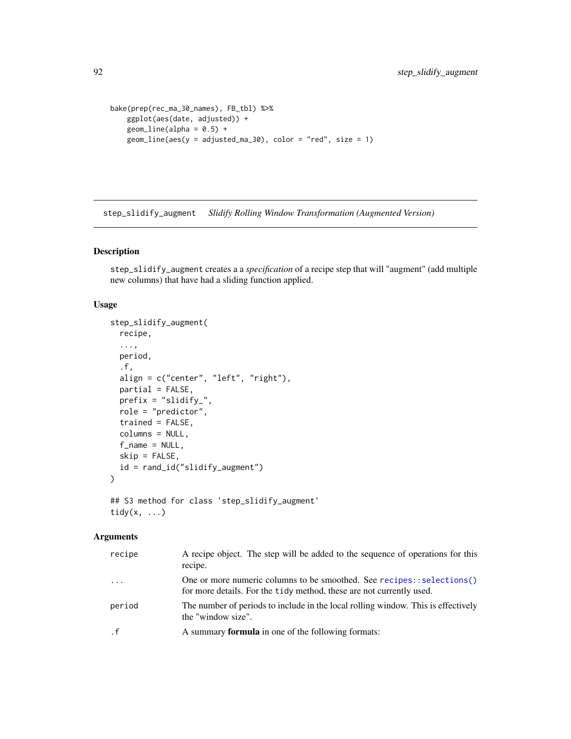```
bake(prep(rec_ma_30_names), FB_tbl) %>%
   ggplot(aes(date, adjusted)) +
   geom\_line(alpha = 0.5) +
   geom\_line(aes(y = adjusted_m a_30), color = "red", size = 1)
```
step\_slidify\_augment *Slidify Rolling Window Transformation (Augmented Version)*

# Description

step\_slidify\_augment creates a a *specification* of a recipe step that will "augment" (add multiple new columns) that have had a sliding function applied.

# Usage

```
step_slidify_augment(
  recipe,
  ...,
 period,
  .f,
  align = c("center", "left", "right"),
  partial = FALSE,
 prefix = "slidify_",
  role = "predictor",
  trained = FALSE,
  columns = NULL,
  f_name = NULL,skip = FALSE,
  id = rand_id("slidify_augment")
)
## S3 method for class 'step_slidify_augment'
```

```
tidy(x, \ldots)
```
### Arguments

| recipe    | A recipe object. The step will be added to the sequence of operations for this<br>recipe.                                                     |
|-----------|-----------------------------------------------------------------------------------------------------------------------------------------------|
| $\ddots$  | One or more numeric columns to be smoothed. See recipes::selections()<br>for more details. For the tidy method, these are not currently used. |
| period    | The number of periods to include in the local rolling window. This is effectively<br>the "window size".                                       |
| $\cdot$ f | A summary <b>formula</b> in one of the following formats:                                                                                     |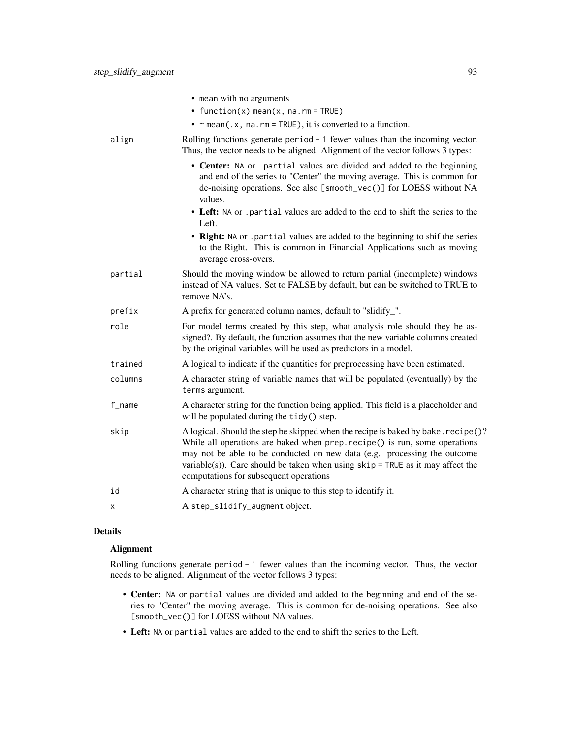|         | • mean with no arguments                                                                                                                                                                                                                                                                                                                                                  |
|---------|---------------------------------------------------------------------------------------------------------------------------------------------------------------------------------------------------------------------------------------------------------------------------------------------------------------------------------------------------------------------------|
|         | • function(x) mean(x, $na$ . $rm = TRUE$ )                                                                                                                                                                                                                                                                                                                                |
|         | • $\sim$ mean(.x, na.rm = TRUE), it is converted to a function.                                                                                                                                                                                                                                                                                                           |
| align   | Rolling functions generate period $-1$ fewer values than the incoming vector.<br>Thus, the vector needs to be aligned. Alignment of the vector follows 3 types:                                                                                                                                                                                                           |
|         | • Center: NA or .partial values are divided and added to the beginning<br>and end of the series to "Center" the moving average. This is common for<br>de-noising operations. See also [smooth_vec()] for LOESS without NA<br>values.                                                                                                                                      |
|         | • Left: NA or .partial values are added to the end to shift the series to the<br>Left.                                                                                                                                                                                                                                                                                    |
|         | • Right: NA or .partial values are added to the beginning to shif the series<br>to the Right. This is common in Financial Applications such as moving<br>average cross-overs.                                                                                                                                                                                             |
| partial | Should the moving window be allowed to return partial (incomplete) windows<br>instead of NA values. Set to FALSE by default, but can be switched to TRUE to<br>remove NA's.                                                                                                                                                                                               |
| prefix  | A prefix for generated column names, default to "slidify_".                                                                                                                                                                                                                                                                                                               |
| role    | For model terms created by this step, what analysis role should they be as-<br>signed?. By default, the function assumes that the new variable columns created<br>by the original variables will be used as predictors in a model.                                                                                                                                        |
| trained | A logical to indicate if the quantities for preprocessing have been estimated.                                                                                                                                                                                                                                                                                            |
| columns | A character string of variable names that will be populated (eventually) by the<br>terms argument.                                                                                                                                                                                                                                                                        |
| f_name  | A character string for the function being applied. This field is a placeholder and<br>will be populated during the tidy() step.                                                                                                                                                                                                                                           |
| skip    | A logical. Should the step be skipped when the recipe is baked by bake. recipe()?<br>While all operations are baked when prep. recipe() is run, some operations<br>may not be able to be conducted on new data (e.g. processing the outcome<br>variable(s)). Care should be taken when using $skip =$ TRUE as it may affect the<br>computations for subsequent operations |
| id      | A character string that is unique to this step to identify it.                                                                                                                                                                                                                                                                                                            |
| X       | A step_slidify_augment object.                                                                                                                                                                                                                                                                                                                                            |
|         |                                                                                                                                                                                                                                                                                                                                                                           |

# Alignment

Rolling functions generate period - 1 fewer values than the incoming vector. Thus, the vector needs to be aligned. Alignment of the vector follows 3 types:

- Center: NA or partial values are divided and added to the beginning and end of the series to "Center" the moving average. This is common for de-noising operations. See also [smooth\_vec()] for LOESS without NA values.
- Left: NA or partial values are added to the end to shift the series to the Left.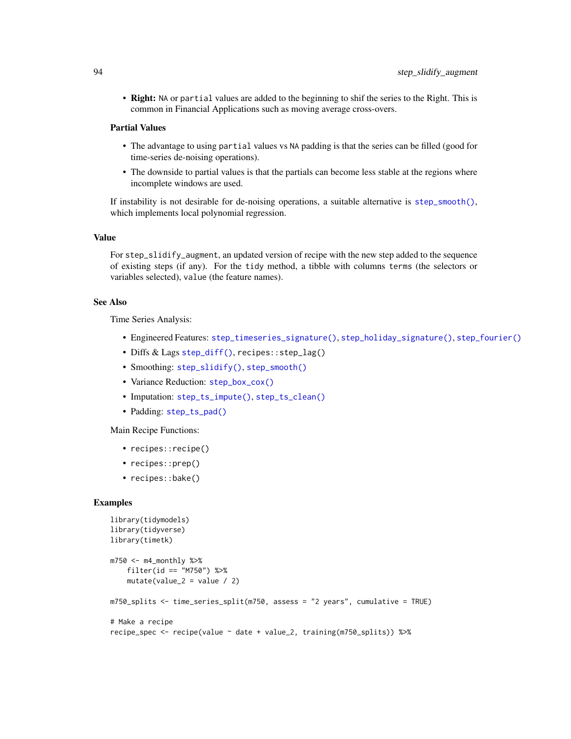• Right: NA or partial values are added to the beginning to shif the series to the Right. This is common in Financial Applications such as moving average cross-overs.

### Partial Values

- The advantage to using partial values vs NA padding is that the series can be filled (good for time-series de-noising operations).
- The downside to partial values is that the partials can become less stable at the regions where incomplete windows are used.

If instability is not desirable for de-noising operations, a suitable alternative is [step\\_smooth\(\)](#page-94-0), which implements local polynomial regression.

## Value

For step\_slidify\_augment, an updated version of recipe with the new step added to the sequence of existing steps (if any). For the tidy method, a tibble with columns terms (the selectors or variables selected), value (the feature names).

## See Also

Time Series Analysis:

- Engineered Features: [step\\_timeseries\\_signature\(\)](#page-97-0), [step\\_holiday\\_signature\(\)](#page-82-0), [step\\_fourier\(\)](#page-79-0)
- Diffs & Lags [step\\_diff\(\)](#page-77-0), recipes::step\_lag()
- Smoothing: [step\\_slidify\(\)](#page-87-0), [step\\_smooth\(\)](#page-94-0)
- Variance Reduction: [step\\_box\\_cox\(\)](#page-74-0)
- Imputation: [step\\_ts\\_impute\(\)](#page-103-0), [step\\_ts\\_clean\(\)](#page-100-0)
- Padding: [step\\_ts\\_pad\(\)](#page-105-0)

Main Recipe Functions:

- recipes::recipe()
- recipes::prep()
- recipes::bake()

```
library(tidymodels)
library(tidyverse)
library(timetk)
m750 < - m4 monthly %>%
   filter(id == "M750") %>%
    mutate(value_2 = value / 2)m750_splits <- time_series_split(m750, assess = "2 years", cumulative = TRUE)
# Make a recipe
recipe_spec <- recipe(value ~ date + value_2, training(m750_splits)) %>%
```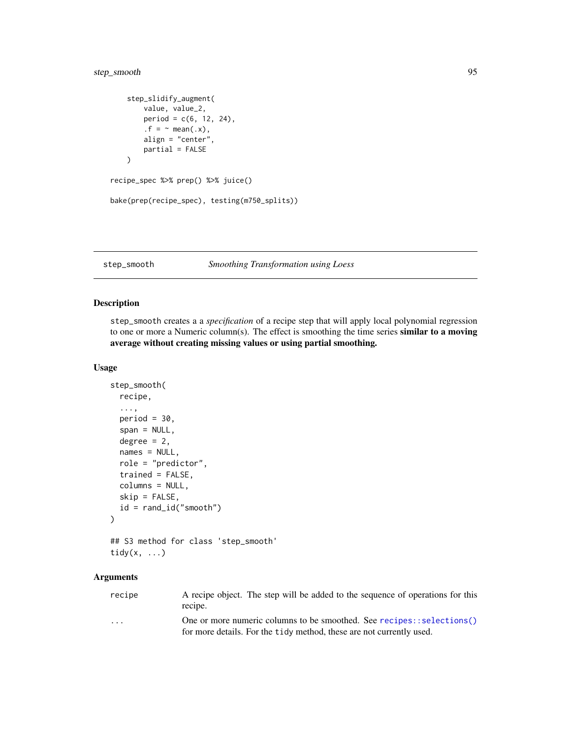# step\_smooth 95

```
step_slidify_augment(
        value, value_2,
       period = c(6, 12, 24),.f = \sim mean(.x),
        align = "center",
        partial = FALSE
   )
recipe_spec %>% prep() %>% juice()
bake(prep(recipe_spec), testing(m750_splits))
```
### <span id="page-94-0"></span>step\_smooth *Smoothing Transformation using Loess*

# Description

step\_smooth creates a a *specification* of a recipe step that will apply local polynomial regression to one or more a Numeric column(s). The effect is smoothing the time series **similar to a moving** average without creating missing values or using partial smoothing.

#### Usage

```
step_smooth(
 recipe,
  ...,
 period = 30,
  span = NULL,degree = 2,
 names = NULL,
 role = "predictor",
 trained = FALSE,
 columns = NULL,
 skip = FALSE,
 id = rand_id("smooth")
)
## S3 method for class 'step_smooth'
```

```
tidy(x, ...)
```
# Arguments

| recipe                  | A recipe object. The step will be added to the sequence of operations for this<br>recipe.                                                     |
|-------------------------|-----------------------------------------------------------------------------------------------------------------------------------------------|
| $\cdot$ $\cdot$ $\cdot$ | One or more numeric columns to be smoothed. See recipes::selections()<br>for more details. For the tidy method, these are not currently used. |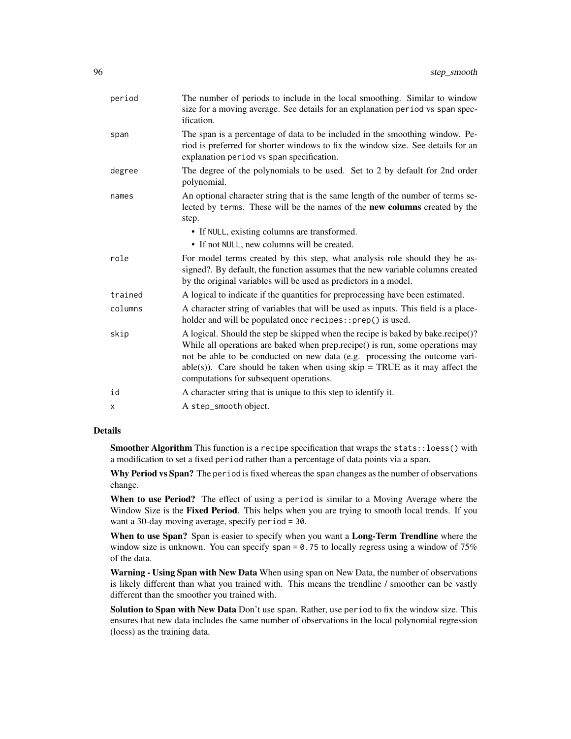| period  | The number of periods to include in the local smoothing. Similar to window<br>size for a moving average. See details for an explanation period vs span spec-<br>ification.                                                                                                                                                                                                    |
|---------|-------------------------------------------------------------------------------------------------------------------------------------------------------------------------------------------------------------------------------------------------------------------------------------------------------------------------------------------------------------------------------|
| span    | The span is a percentage of data to be included in the smoothing window. Pe-<br>riod is preferred for shorter windows to fix the window size. See details for an<br>explanation period vs span specification.                                                                                                                                                                 |
| degree  | The degree of the polynomials to be used. Set to 2 by default for 2nd order<br>polynomial.                                                                                                                                                                                                                                                                                    |
| names   | An optional character string that is the same length of the number of terms se-<br>lected by terms. These will be the names of the new columns created by the<br>step.                                                                                                                                                                                                        |
|         | • If NULL, existing columns are transformed.<br>• If not NULL, new columns will be created.                                                                                                                                                                                                                                                                                   |
| role    | For model terms created by this step, what analysis role should they be as-<br>signed?. By default, the function assumes that the new variable columns created<br>by the original variables will be used as predictors in a model.                                                                                                                                            |
| trained | A logical to indicate if the quantities for preprocessing have been estimated.                                                                                                                                                                                                                                                                                                |
| columns | A character string of variables that will be used as inputs. This field is a place-<br>holder and will be populated once recipes::prep() is used.                                                                                                                                                                                                                             |
| skip    | A logical. Should the step be skipped when the recipe is baked by bake.recipe()?<br>While all operations are baked when prep.recipe() is run, some operations may<br>not be able to be conducted on new data (e.g. processing the outcome vari-<br>$able(s)$ ). Care should be taken when using $skip = TRUE$ as it may affect the<br>computations for subsequent operations. |
| id      | A character string that is unique to this step to identify it.                                                                                                                                                                                                                                                                                                                |
| x       | A step_smooth object.                                                                                                                                                                                                                                                                                                                                                         |
|         |                                                                                                                                                                                                                                                                                                                                                                               |

Smoother Algorithm This function is a recipe specification that wraps the stats::loess() with a modification to set a fixed period rather than a percentage of data points via a span.

Why Period vs Span? The period is fixed whereas the span changes as the number of observations change.

When to use Period? The effect of using a period is similar to a Moving Average where the Window Size is the Fixed Period. This helps when you are trying to smooth local trends. If you want a 30-day moving average, specify period = 30.

When to use Span? Span is easier to specify when you want a Long-Term Trendline where the window size is unknown. You can specify span  $= 0.75$  to locally regress using a window of 75% of the data.

Warning - Using Span with New Data When using span on New Data, the number of observations is likely different than what you trained with. This means the trendline / smoother can be vastly different than the smoother you trained with.

Solution to Span with New Data Don't use span. Rather, use period to fix the window size. This ensures that new data includes the same number of observations in the local polynomial regression (loess) as the training data.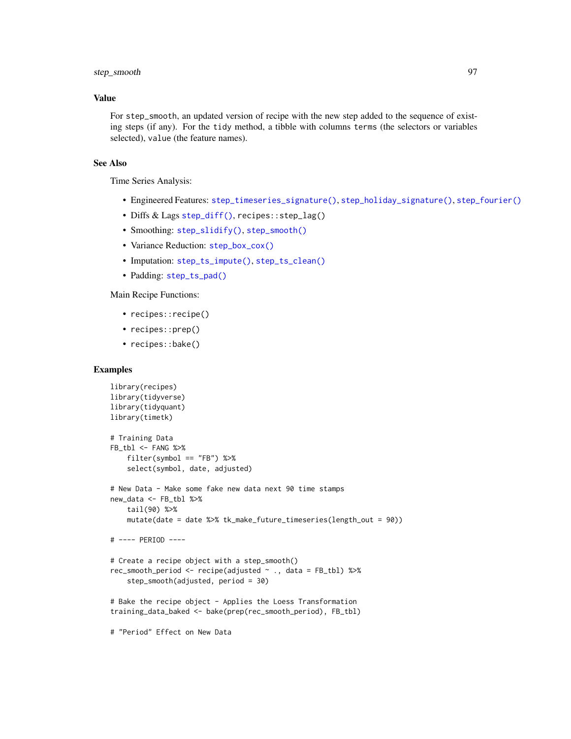# step\_smooth 97

## Value

For step\_smooth, an updated version of recipe with the new step added to the sequence of existing steps (if any). For the tidy method, a tibble with columns terms (the selectors or variables selected), value (the feature names).

# See Also

Time Series Analysis:

- Engineered Features: [step\\_timeseries\\_signature\(\)](#page-97-0), [step\\_holiday\\_signature\(\)](#page-82-0), [step\\_fourier\(\)](#page-79-0)
- Diffs & Lags [step\\_diff\(\)](#page-77-0), recipes::step\_lag()
- Smoothing: [step\\_slidify\(\)](#page-87-0), [step\\_smooth\(\)](#page-94-0)
- Variance Reduction: [step\\_box\\_cox\(\)](#page-74-0)
- Imputation: [step\\_ts\\_impute\(\)](#page-103-0), [step\\_ts\\_clean\(\)](#page-100-0)
- Padding: [step\\_ts\\_pad\(\)](#page-105-0)

# Main Recipe Functions:

- recipes::recipe()
- recipes::prep()
- recipes::bake()

## Examples

```
library(recipes)
library(tidyverse)
library(tidyquant)
library(timetk)
# Training Data
FB_tbl <- FANG %>%
    filter(symbol == "FB") %>%
    select(symbol, date, adjusted)
# New Data - Make some fake new data next 90 time stamps
new_data <- FB_tbl %>%
    tail(90) %>%
    mutate(date = date %>% tk_make_future_timeseries(length_out = 90))
# ---- PERIOD ----
# Create a recipe object with a step_smooth()
rec_smooth_period <- recipe(adjusted ~ ., data = FB_tbl) %>%
    step_smooth(adjusted, period = 30)
# Bake the recipe object - Applies the Loess Transformation
training_data_baked <- bake(prep(rec_smooth_period), FB_tbl)
```
# "Period" Effect on New Data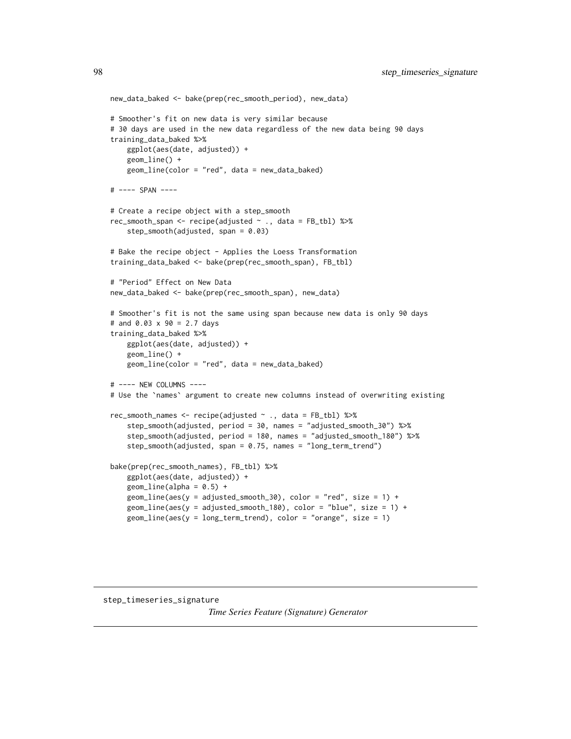```
new_data_baked <- bake(prep(rec_smooth_period), new_data)
# Smoother's fit on new data is very similar because
# 30 days are used in the new data regardless of the new data being 90 days
training_data_baked %>%
   ggplot(aes(date, adjusted)) +
   geom_line() +
   geom_line(color = "red", data = new_data_baked)
# ---- SPAN ----
# Create a recipe object with a step_smooth
rec_smooth_span <- recipe(adjusted ~ ., data = FB_tbl) %>%
    step_smooth(adjusted, span = 0.03)
# Bake the recipe object - Applies the Loess Transformation
training_data_baked <- bake(prep(rec_smooth_span), FB_tbl)
# "Period" Effect on New Data
new_data_baked <- bake(prep(rec_smooth_span), new_data)
# Smoother's fit is not the same using span because new data is only 90 days
# and 0.03 x 90 = 2.7 days
training_data_baked %>%
   ggplot(aes(date, adjusted)) +
    geom_line() +
   geom_line(color = "red", data = new_data_baked)
# ---- NEW COLUMNS ----
# Use the `names` argument to create new columns instead of overwriting existing
rec_smooth_names <- recipe(adjusted ~ ., data = FB_tbl) %>%
    step_smooth(adjusted, period = 30, names = "adjusted_smooth_30") %>%
    step_smooth(adjusted, period = 180, names = "adjusted_smooth_180") %>%
    step_smooth(adjusted, span = 0.75, names = "long_term_trend")
bake(prep(rec_smooth_names), FB_tbl) %>%
   ggplot(aes(date, adjusted)) +
    geom\_line(alpha = 0.5) +
    geom\_line(aes(y = adjusted\_smooth\_30), color = "red", size = 1) +geom\_line(aes(y = adjusted\_smooth\_180), color = "blue", size = 1) +geom_line(aes(y = long_term_trend), color = "orange", size = 1)
```
<span id="page-97-0"></span>step\_timeseries\_signature

*Time Series Feature (Signature) Generator*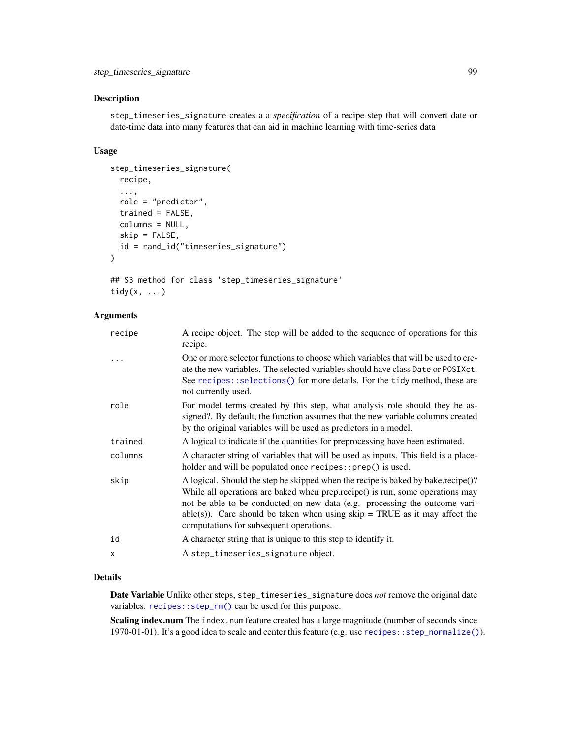## Description

step\_timeseries\_signature creates a a *specification* of a recipe step that will convert date or date-time data into many features that can aid in machine learning with time-series data

### Usage

```
step_timeseries_signature(
 recipe,
  ...,
 role = "predictor",
 trained = FALSE,
 columns = NULL,
 skip = FALSE,
 id = rand_id("timeseries_signature")
)
```

```
## S3 method for class 'step_timeseries_signature'
tidy(x, \ldots)
```
### Arguments

| recipe  | A recipe object. The step will be added to the sequence of operations for this<br>recipe.                                                                                                                                                                                                                                                                                   |
|---------|-----------------------------------------------------------------------------------------------------------------------------------------------------------------------------------------------------------------------------------------------------------------------------------------------------------------------------------------------------------------------------|
|         | One or more selector functions to choose which variables that will be used to cre-<br>ate the new variables. The selected variables should have class Date or POSIXct.<br>See recipes::selections() for more details. For the tidy method, these are<br>not currently used.                                                                                                 |
| role    | For model terms created by this step, what analysis role should they be as-<br>signed?. By default, the function assumes that the new variable columns created<br>by the original variables will be used as predictors in a model.                                                                                                                                          |
| trained | A logical to indicate if the quantities for preprocessing have been estimated.                                                                                                                                                                                                                                                                                              |
| columns | A character string of variables that will be used as inputs. This field is a place-<br>holder and will be populated once recipes::prep() is used.                                                                                                                                                                                                                           |
| skip    | A logical. Should the step be skipped when the recipe is baked by bake.recipe()?<br>While all operations are baked when prep.recipe() is run, some operations may<br>not be able to be conducted on new data (e.g. processing the outcome vari-<br>$able(s)$ ). Care should be taken when using skip = TRUE as it may affect the<br>computations for subsequent operations. |
| id      | A character string that is unique to this step to identify it.                                                                                                                                                                                                                                                                                                              |
| x       | A step_timeseries_signature object.                                                                                                                                                                                                                                                                                                                                         |
|         |                                                                                                                                                                                                                                                                                                                                                                             |

## Details

Date Variable Unlike other steps, step\_timeseries\_signature does *not* remove the original date variables. [recipes::step\\_rm\(\)](#page-0-0) can be used for this purpose.

Scaling index.num The index.num feature created has a large magnitude (number of seconds since 1970-01-01). It's a good idea to scale and center this feature (e.g. use [recipes::step\\_normalize\(\)](#page-0-0)).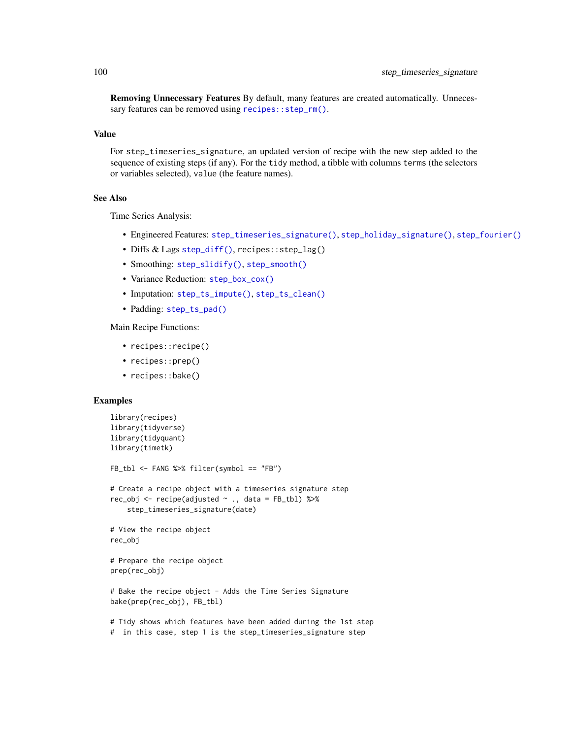Removing Unnecessary Features By default, many features are created automatically. Unnecessary features can be removed using [recipes::step\\_rm\(\)](#page-0-0).

### Value

For step\_timeseries\_signature, an updated version of recipe with the new step added to the sequence of existing steps (if any). For the tidy method, a tibble with columns terms (the selectors or variables selected), value (the feature names).

### See Also

Time Series Analysis:

- Engineered Features: [step\\_timeseries\\_signature\(\)](#page-97-0), [step\\_holiday\\_signature\(\)](#page-82-0), [step\\_fourier\(\)](#page-79-0)
- Diffs & Lags [step\\_diff\(\)](#page-77-0), recipes::step\_lag()
- Smoothing: [step\\_slidify\(\)](#page-87-0), [step\\_smooth\(\)](#page-94-0)
- Variance Reduction: [step\\_box\\_cox\(\)](#page-74-0)
- Imputation: [step\\_ts\\_impute\(\)](#page-103-0), [step\\_ts\\_clean\(\)](#page-100-0)
- Padding: [step\\_ts\\_pad\(\)](#page-105-0)

Main Recipe Functions:

- recipes::recipe()
- recipes::prep()
- recipes::bake()

```
library(recipes)
library(tidyverse)
library(tidyquant)
library(timetk)
FB_tbl <- FANG %>% filter(symbol == "FB")
# Create a recipe object with a timeseries signature step
rec_obj <- recipe(adjusted \sim ., data = FB_tbl) %>%
    step_timeseries_signature(date)
# View the recipe object
rec_obj
# Prepare the recipe object
prep(rec_obj)
# Bake the recipe object - Adds the Time Series Signature
bake(prep(rec_obj), FB_tbl)
# Tidy shows which features have been added during the 1st step
# in this case, step 1 is the step_timeseries_signature step
```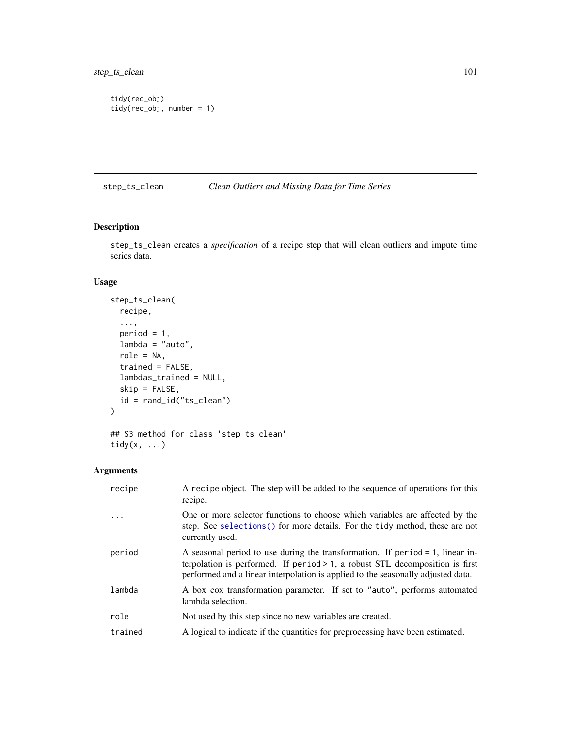```
tidy(rec_obj)
tidy(rec_obj, number = 1)
```
# <span id="page-100-0"></span>step\_ts\_clean *Clean Outliers and Missing Data for Time Series*

# Description

step\_ts\_clean creates a *specification* of a recipe step that will clean outliers and impute time series data.

# Usage

```
step_ts_clean(
 recipe,
  ...,
 period = 1,
 lambda = "auto",role = NA,
 trained = FALSE,
 lambdas_trained = NULL,
  skip = FALSE,
 id = rand_id("ts_clean")
\mathcal{L}## S3 method for class 'step_ts_clean'
```
# Arguments

tidy(x, ...)

| recipe  | A recipe object. The step will be added to the sequence of operations for this<br>recipe.                                                                                                                                                               |
|---------|---------------------------------------------------------------------------------------------------------------------------------------------------------------------------------------------------------------------------------------------------------|
|         | One or more selector functions to choose which variables are affected by the<br>step. See selections () for more details. For the tidy method, these are not<br>currently used.                                                                         |
| period  | A seasonal period to use during the transformation. If period $= 1$ , linear in-<br>terpolation is performed. If period $> 1$ , a robust STL decomposition is first<br>performed and a linear interpolation is applied to the seasonally adjusted data. |
| lambda  | A box cox transformation parameter. If set to "auto", performs automated<br>lambda selection.                                                                                                                                                           |
| role    | Not used by this step since no new variables are created.                                                                                                                                                                                               |
| trained | A logical to indicate if the quantities for preprocessing have been estimated.                                                                                                                                                                          |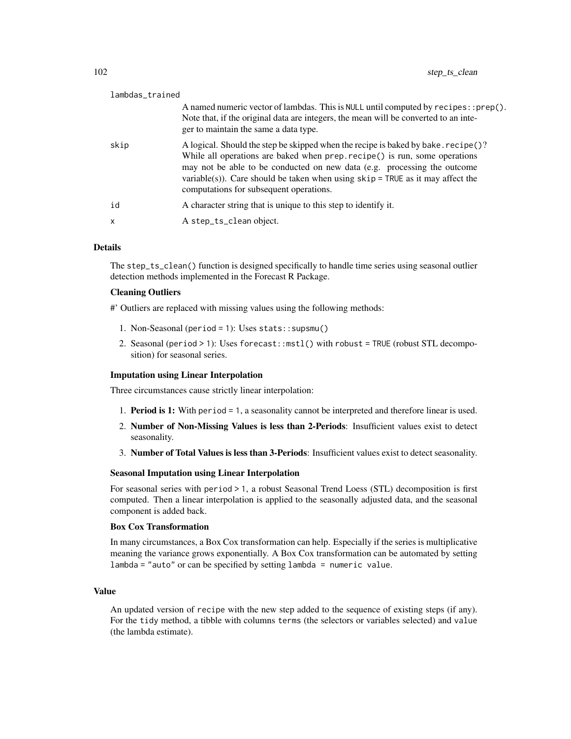| lambdas_trained           |                                                                                                                                                                                                                                                                                                                                                                            |
|---------------------------|----------------------------------------------------------------------------------------------------------------------------------------------------------------------------------------------------------------------------------------------------------------------------------------------------------------------------------------------------------------------------|
|                           | A named numeric vector of lambdas. This is NULL until computed by $recipes::prep()$ .<br>Note that, if the original data are integers, the mean will be converted to an inte-<br>ger to maintain the same a data type.                                                                                                                                                     |
| skip                      | A logical. Should the step be skipped when the recipe is baked by bake. recipe()?<br>While all operations are baked when prep. recipe() is run, some operations<br>may not be able to be conducted on new data (e.g. processing the outcome<br>variable(s)). Care should be taken when using $skip =$ TRUE as it may affect the<br>computations for subsequent operations. |
| id                        | A character string that is unique to this step to identify it.                                                                                                                                                                                                                                                                                                             |
| $\boldsymbol{\mathsf{x}}$ | A step_ts_clean object.                                                                                                                                                                                                                                                                                                                                                    |
|                           |                                                                                                                                                                                                                                                                                                                                                                            |

The step\_ts\_clean() function is designed specifically to handle time series using seasonal outlier detection methods implemented in the Forecast R Package.

### Cleaning Outliers

#' Outliers are replaced with missing values using the following methods:

- 1. Non-Seasonal (period = 1): Uses stats::supsmu()
- 2. Seasonal (period > 1): Uses forecast::mstl() with robust = TRUE (robust STL decomposition) for seasonal series.

## Imputation using Linear Interpolation

Three circumstances cause strictly linear interpolation:

- 1. Period is 1: With period = 1, a seasonality cannot be interpreted and therefore linear is used.
- 2. Number of Non-Missing Values is less than 2-Periods: Insufficient values exist to detect seasonality.
- 3. Number of Total Values is less than 3-Periods: Insufficient values exist to detect seasonality.

### Seasonal Imputation using Linear Interpolation

For seasonal series with period > 1, a robust Seasonal Trend Loess (STL) decomposition is first computed. Then a linear interpolation is applied to the seasonally adjusted data, and the seasonal component is added back.

#### Box Cox Transformation

In many circumstances, a Box Cox transformation can help. Especially if the series is multiplicative meaning the variance grows exponentially. A Box Cox transformation can be automated by setting lambda = "auto" or can be specified by setting lambda = numeric value.

#### Value

An updated version of recipe with the new step added to the sequence of existing steps (if any). For the tidy method, a tibble with columns terms (the selectors or variables selected) and value (the lambda estimate).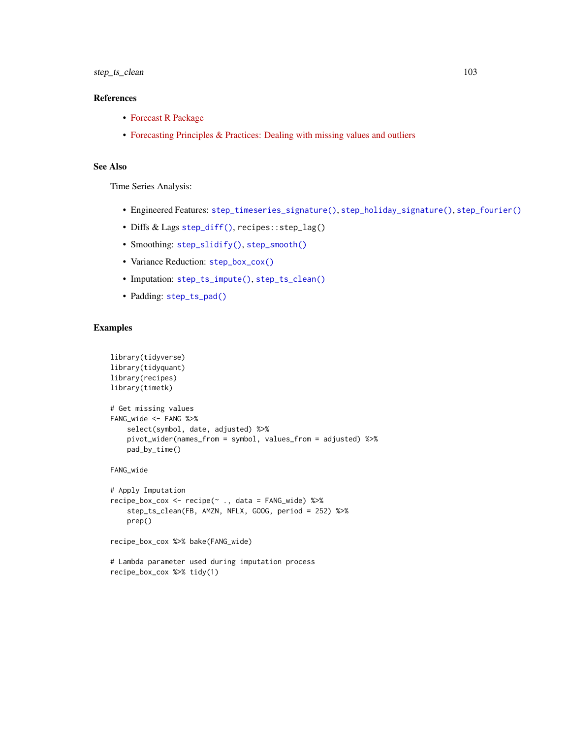## References

- [Forecast R Package](https://github.com/robjhyndman/forecast)
- [Forecasting Principles & Practices: Dealing with missing values and outliers](https://otexts.com/fpp2/missing-outliers.html)

# See Also

Time Series Analysis:

- Engineered Features: [step\\_timeseries\\_signature\(\)](#page-97-0), [step\\_holiday\\_signature\(\)](#page-82-0), [step\\_fourier\(\)](#page-79-0)
- Diffs & Lags [step\\_diff\(\)](#page-77-0), recipes::step\_lag()
- Smoothing: [step\\_slidify\(\)](#page-87-0), [step\\_smooth\(\)](#page-94-0)
- Variance Reduction: [step\\_box\\_cox\(\)](#page-74-0)
- Imputation: [step\\_ts\\_impute\(\)](#page-103-0), [step\\_ts\\_clean\(\)](#page-100-0)
- Padding: [step\\_ts\\_pad\(\)](#page-105-0)

```
library(tidyverse)
library(tidyquant)
library(recipes)
library(timetk)
# Get missing values
FANG_wide <- FANG %>%
    select(symbol, date, adjusted) %>%
   pivot_wider(names_from = symbol, values_from = adjusted) %>%
   pad_by_time()
FANG_wide
# Apply Imputation
recipe_box_cox <- recipe(~ ., data = FANG_wide) %>%
    step_ts_clean(FB, AMZN, NFLX, GOOG, period = 252) %>%
    prep()
recipe_box_cox %>% bake(FANG_wide)
```

```
# Lambda parameter used during imputation process
recipe_box_cox %>% tidy(1)
```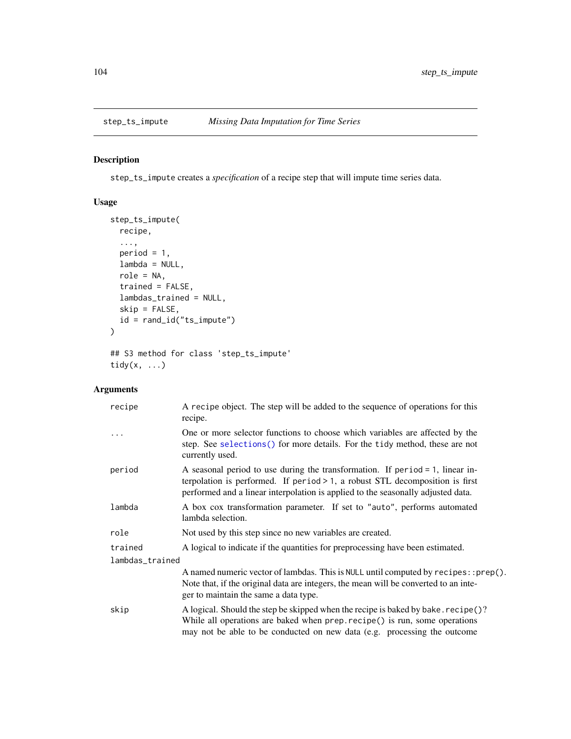<span id="page-103-0"></span>

# Description

step\_ts\_impute creates a *specification* of a recipe step that will impute time series data.

# Usage

```
step_ts_impute(
 recipe,
  ...,
 period = 1,
 lambda = NULL,
 role = NA,
 trained = FALSE,
 lambdas_trained = NULL,
 skip = FALSE,
 id = rand_id("ts_impute")
)
```
## S3 method for class 'step\_ts\_impute' tidy $(x, \ldots)$ 

# Arguments

| recipe          | A recipe object. The step will be added to the sequence of operations for this<br>recipe.                                                                                                                                                               |
|-----------------|---------------------------------------------------------------------------------------------------------------------------------------------------------------------------------------------------------------------------------------------------------|
| .               | One or more selector functions to choose which variables are affected by the<br>step. See selections () for more details. For the tidy method, these are not<br>currently used.                                                                         |
| period          | A seasonal period to use during the transformation. If period $= 1$ , linear in-<br>terpolation is performed. If period $> 1$ , a robust STL decomposition is first<br>performed and a linear interpolation is applied to the seasonally adjusted data. |
| lambda          | A box cox transformation parameter. If set to "auto", performs automated<br>lambda selection.                                                                                                                                                           |
| role            | Not used by this step since no new variables are created.                                                                                                                                                                                               |
| trained         | A logical to indicate if the quantities for preprocessing have been estimated.                                                                                                                                                                          |
| lambdas_trained |                                                                                                                                                                                                                                                         |
|                 | A named numeric vector of lambdas. This is NULL until computed by recipes:: prep().<br>Note that, if the original data are integers, the mean will be converted to an inte-<br>ger to maintain the same a data type.                                    |
| skip            | A logical. Should the step be skipped when the recipe is baked by bake. recipe()?<br>While all operations are baked when prep. recipe() is run, some operations<br>may not be able to be conducted on new data (e.g. processing the outcome             |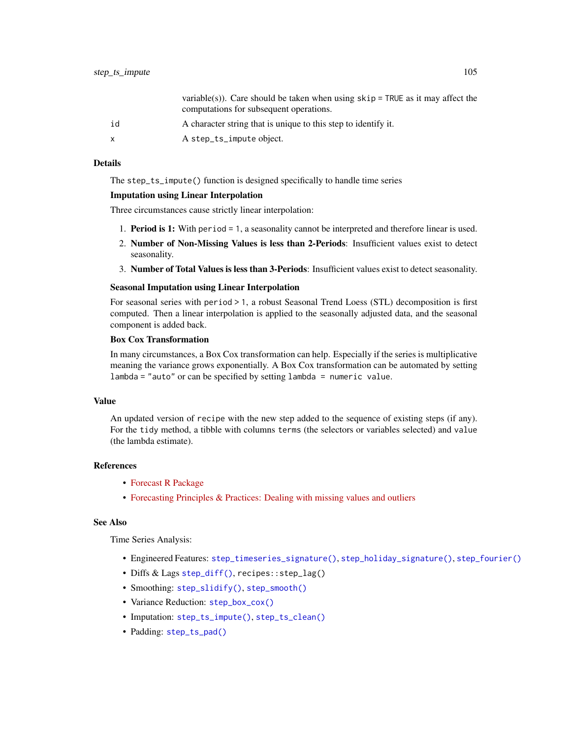|              | variable(s)). Care should be taken when using $skip =$ TRUE as it may affect the<br>computations for subsequent operations. |
|--------------|-----------------------------------------------------------------------------------------------------------------------------|
| id           | A character string that is unique to this step to identify it.                                                              |
| $\mathsf{x}$ | A step_ts_impute object.                                                                                                    |

The step\_ts\_impute() function is designed specifically to handle time series

### Imputation using Linear Interpolation

Three circumstances cause strictly linear interpolation:

- 1. Period is 1: With period = 1, a seasonality cannot be interpreted and therefore linear is used.
- 2. Number of Non-Missing Values is less than 2-Periods: Insufficient values exist to detect seasonality.
- 3. Number of Total Values is less than 3-Periods: Insufficient values exist to detect seasonality.

### Seasonal Imputation using Linear Interpolation

For seasonal series with period > 1, a robust Seasonal Trend Loess (STL) decomposition is first computed. Then a linear interpolation is applied to the seasonally adjusted data, and the seasonal component is added back.

# Box Cox Transformation

In many circumstances, a Box Cox transformation can help. Especially if the series is multiplicative meaning the variance grows exponentially. A Box Cox transformation can be automated by setting  $lambda = "auto" or can be specified by setting lambda = numeric value.$ 

#### Value

An updated version of recipe with the new step added to the sequence of existing steps (if any). For the tidy method, a tibble with columns terms (the selectors or variables selected) and value (the lambda estimate).

### References

- [Forecast R Package](https://github.com/robjhyndman/forecast)
- [Forecasting Principles & Practices: Dealing with missing values and outliers](https://otexts.com/fpp2/missing-outliers.html)

## See Also

Time Series Analysis:

- Engineered Features: [step\\_timeseries\\_signature\(\)](#page-97-0), [step\\_holiday\\_signature\(\)](#page-82-0), [step\\_fourier\(\)](#page-79-0)
- Diffs & Lags [step\\_diff\(\)](#page-77-0), recipes::step\_lag()
- Smoothing: [step\\_slidify\(\)](#page-87-0), [step\\_smooth\(\)](#page-94-0)
- Variance Reduction: [step\\_box\\_cox\(\)](#page-74-0)
- Imputation: [step\\_ts\\_impute\(\)](#page-103-0), [step\\_ts\\_clean\(\)](#page-100-0)
- Padding: [step\\_ts\\_pad\(\)](#page-105-0)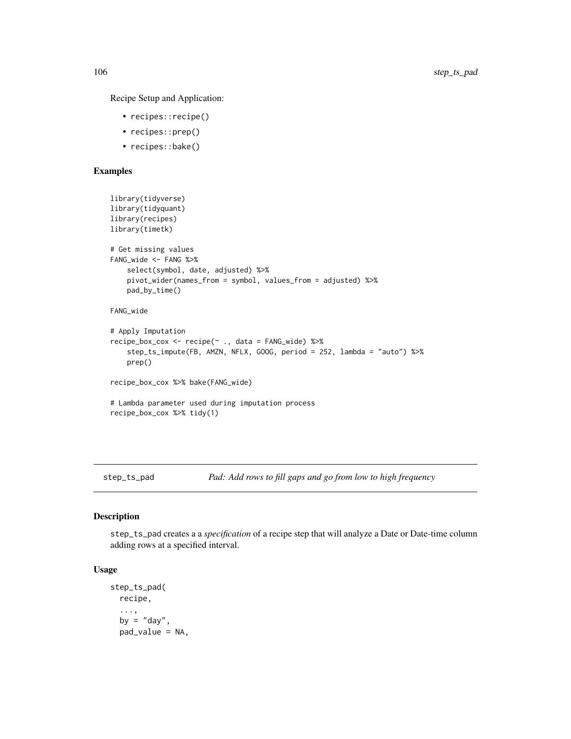Recipe Setup and Application:

- recipes::recipe()
- recipes::prep()
- recipes::bake()

# Examples

```
library(tidyverse)
library(tidyquant)
library(recipes)
library(timetk)
# Get missing values
FANG_wide <- FANG %>%
    select(symbol, date, adjusted) %>%
   pivot_wider(names_from = symbol, values_from = adjusted) %>%
   pad_by_time()
FANG_wide
# Apply Imputation
recipe_box_cox <- recipe(~ ., data = FANG_wide) %>%
    step_ts_impute(FB, AMZN, NFLX, GOOG, period = 252, lambda = "auto") %>%
    prep()
recipe_box_cox %>% bake(FANG_wide)
# Lambda parameter used during imputation process
recipe_box_cox %>% tidy(1)
```
<span id="page-105-0"></span>step\_ts\_pad *Pad: Add rows to fill gaps and go from low to high frequency*

### Description

step\_ts\_pad creates a a *specification* of a recipe step that will analyze a Date or Date-time column adding rows at a specified interval.

## Usage

```
step_ts_pad(
  recipe,
  ...,
  by = "day",pad_value = NA,
```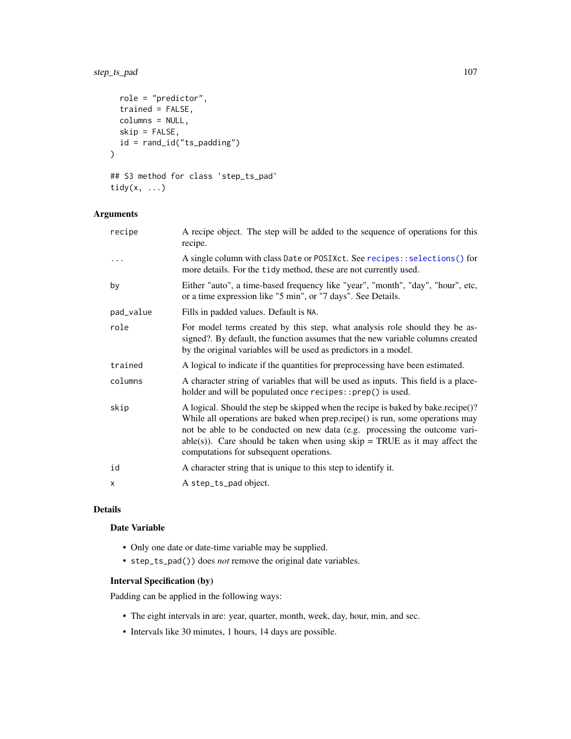# step\_ts\_pad 107

```
role = "predictor",
 trained = FALSE,
 columns = NULL,
 skip = FALSE,
 id = rand_id("ts_padding")
)
## S3 method for class 'step_ts_pad'
```

```
tidy(x, ...)
```
# Arguments

| recipe    | A recipe object. The step will be added to the sequence of operations for this<br>recipe.                                                                                                                                                                                                                                                                                  |
|-----------|----------------------------------------------------------------------------------------------------------------------------------------------------------------------------------------------------------------------------------------------------------------------------------------------------------------------------------------------------------------------------|
| .         | A single column with class Date or POSIXct. See recipes:: selections () for<br>more details. For the tidy method, these are not currently used.                                                                                                                                                                                                                            |
| by        | Either "auto", a time-based frequency like "year", "month", "day", "hour", etc,<br>or a time expression like "5 min", or "7 days". See Details.                                                                                                                                                                                                                            |
| pad_value | Fills in padded values. Default is NA.                                                                                                                                                                                                                                                                                                                                     |
| role      | For model terms created by this step, what analysis role should they be as-<br>signed?. By default, the function assumes that the new variable columns created<br>by the original variables will be used as predictors in a model.                                                                                                                                         |
| trained   | A logical to indicate if the quantities for preprocessing have been estimated.                                                                                                                                                                                                                                                                                             |
| columns   | A character string of variables that will be used as inputs. This field is a place-<br>holder and will be populated once recipes::prep() is used.                                                                                                                                                                                                                          |
| skip      | A logical. Should the step be skipped when the recipe is baked by bake.recipe()?<br>While all operations are baked when prep.recipe() is run, some operations may<br>not be able to be conducted on new data (e.g. processing the outcome vari-<br>able(s)). Care should be taken when using $skip = TRUE$ as it may affect the<br>computations for subsequent operations. |
| id        | A character string that is unique to this step to identify it.                                                                                                                                                                                                                                                                                                             |
| X         | A step_ts_pad object.                                                                                                                                                                                                                                                                                                                                                      |

## Details

# Date Variable

- Only one date or date-time variable may be supplied.
- step\_ts\_pad()) does *not* remove the original date variables.

# Interval Specification (by)

Padding can be applied in the following ways:

- The eight intervals in are: year, quarter, month, week, day, hour, min, and sec.
- Intervals like 30 minutes, 1 hours, 14 days are possible.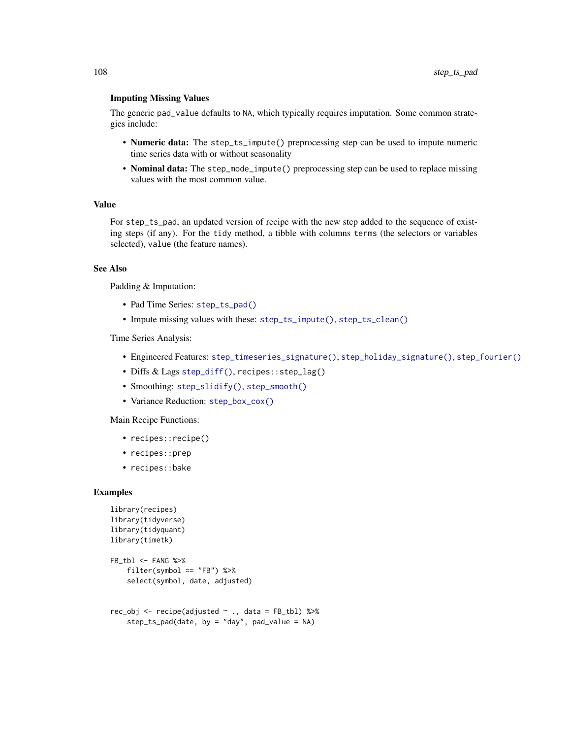### Imputing Missing Values

The generic pad\_value defaults to NA, which typically requires imputation. Some common strategies include:

- Numeric data: The step\_ts\_impute() preprocessing step can be used to impute numeric time series data with or without seasonality
- Nominal data: The step\_mode\_impute() preprocessing step can be used to replace missing values with the most common value.

### Value

For step\_ts\_pad, an updated version of recipe with the new step added to the sequence of existing steps (if any). For the tidy method, a tibble with columns terms (the selectors or variables selected), value (the feature names).

### See Also

Padding & Imputation:

- Pad Time Series: [step\\_ts\\_pad\(\)](#page-105-0)
- Impute missing values with these: [step\\_ts\\_impute\(\)](#page-103-0), [step\\_ts\\_clean\(\)](#page-100-0)

Time Series Analysis:

- Engineered Features: [step\\_timeseries\\_signature\(\)](#page-97-0), [step\\_holiday\\_signature\(\)](#page-82-0), [step\\_fourier\(\)](#page-79-0)
- Diffs & Lags [step\\_diff\(\)](#page-77-0), recipes::step\_lag()
- Smoothing: [step\\_slidify\(\)](#page-87-0), [step\\_smooth\(\)](#page-94-0)
- Variance Reduction: [step\\_box\\_cox\(\)](#page-74-0)

Main Recipe Functions:

- recipes::recipe()
- recipes::prep
- recipes::bake

```
library(recipes)
library(tidyverse)
library(tidyquant)
library(timetk)
FB_tbl <- FANG %>%
    filter(symbol == "FB") %>%
    select(symbol, date, adjusted)
rec_obj <- recipe(adjusted ~ ., data = FB_tbl) %>%
    step_ts_pad(data, by = "day", pad_value = NA)
```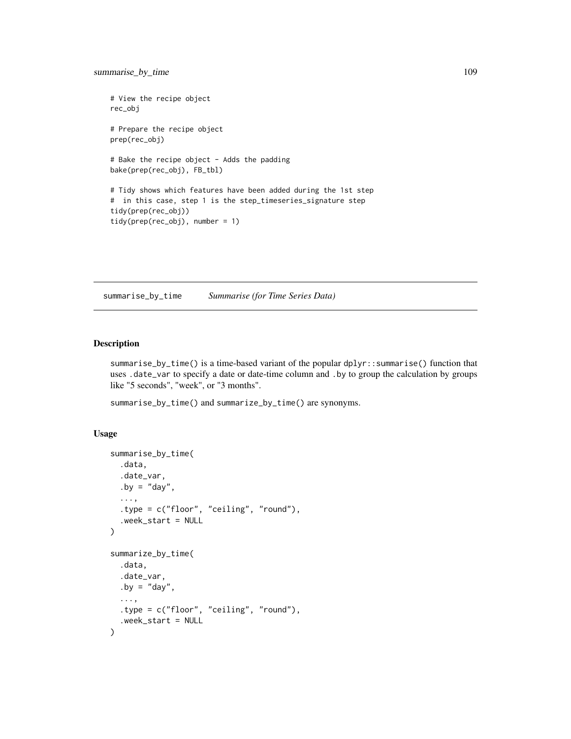```
# View the recipe object
rec_obj
# Prepare the recipe object
prep(rec_obj)
# Bake the recipe object - Adds the padding
bake(prep(rec_obj), FB_tbl)
# Tidy shows which features have been added during the 1st step
# in this case, step 1 is the step_timeseries_signature step
tidy(prep(rec_obj))
tidy(prep(rec_obj), number = 1)
```
<span id="page-108-0"></span>summarise\_by\_time *Summarise (for Time Series Data)*

## Description

summarise\_by\_time() is a time-based variant of the popular dplyr::summarise() function that uses .date\_var to specify a date or date-time column and .by to group the calculation by groups like "5 seconds", "week", or "3 months".

summarise\_by\_time() and summarize\_by\_time() are synonyms.

### Usage

```
summarise_by_time(
  .data,
  .date_var,
  .by = "day",
  ...,
  .type = c("floor", "ceiling", "round"),
  .week_start = NULL
)
summarize_by_time(
  .data,
  .date_var,
  .by = "day",
  ...,
  .type = c("floor", "ceiling", "round"),
  .week_start = NULL
\mathcal{E}
```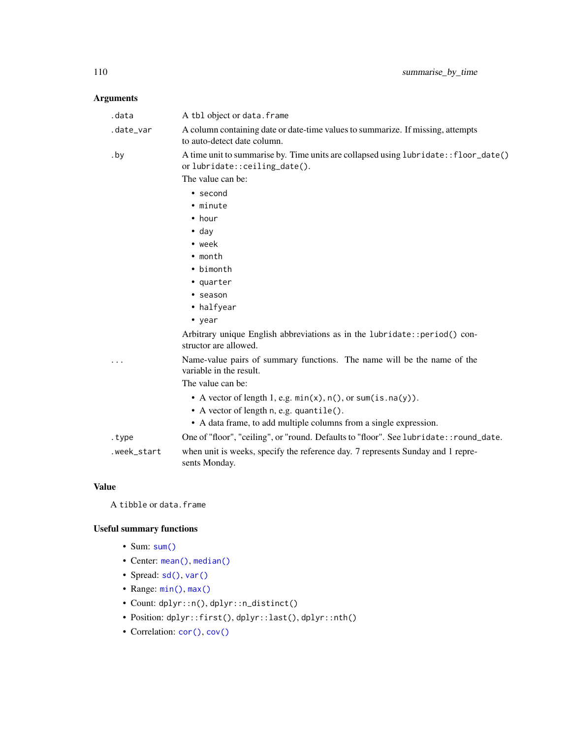# Arguments

| .data       | A tbl object or data. frame                                                                                          |
|-------------|----------------------------------------------------------------------------------------------------------------------|
| .date_var   | A column containing date or date-time values to summarize. If missing, attempts<br>to auto-detect date column.       |
| .by         | A time unit to summarise by. Time units are collapsed using lubridate:: floor_date()<br>orlubridate::ceiling_date(). |
|             | The value can be:                                                                                                    |
|             | • second                                                                                                             |
|             | • minute                                                                                                             |
|             | $\bullet$ hour                                                                                                       |
|             | $\bullet$ day                                                                                                        |
|             | $\bullet$ week                                                                                                       |
|             | $\cdot$ month                                                                                                        |
|             | • bimonth                                                                                                            |
|             | • quarter                                                                                                            |
|             | • season                                                                                                             |
|             | • halfyear                                                                                                           |
|             | • year                                                                                                               |
|             | Arbitrary unique English abbreviations as in the lubridate:: period() con-<br>structor are allowed.                  |
|             | Name-value pairs of summary functions. The name will be the name of the<br>variable in the result.                   |
|             | The value can be:                                                                                                    |
|             | • A vector of length 1, e.g. $min(x)$ , $n()$ , or $sum(is.na(y))$ .                                                 |
|             | • A vector of length n, e.g. quantile().                                                                             |
|             | • A data frame, to add multiple columns from a single expression.                                                    |
| .type       | One of "floor", "ceiling", or "round. Defaults to "floor". See lubridate:: round_date.                               |
| .week_start | when unit is weeks, specify the reference day. 7 represents Sunday and 1 repre-<br>sents Monday.                     |

# Value

A tibble or data.frame

# Useful summary functions

- Sum: [sum\(\)](#page-0-0)
- Center: [mean\(\)](#page-0-0), [median\(\)](#page-0-0)
- Spread: [sd\(\)](#page-0-0), [var\(\)](#page-0-0)
- Range: [min\(\)](#page-0-0), [max\(\)](#page-0-0)
- Count: dplyr::n(), dplyr::n\_distinct()
- Position: dplyr::first(), dplyr::last(), dplyr::nth()
- Correlation: [cor\(\)](#page-0-0), [cov\(\)](#page-0-0)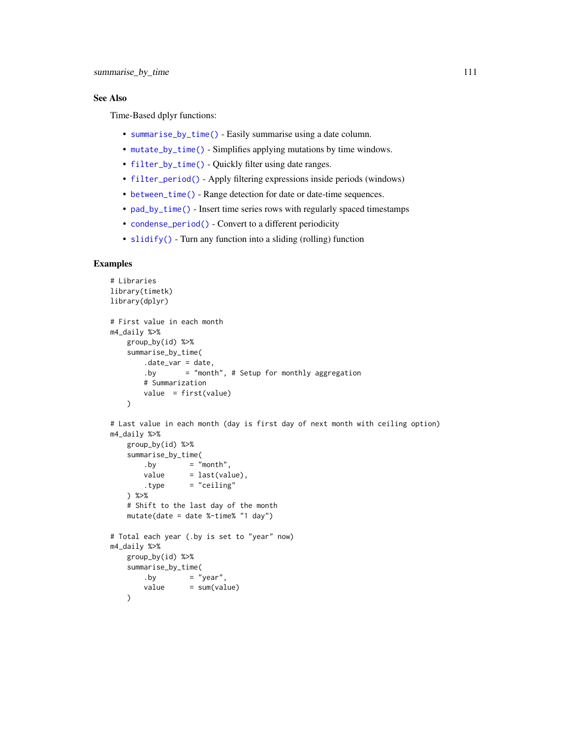## See Also

Time-Based dplyr functions:

- [summarise\\_by\\_time\(\)](#page-108-0) Easily summarise using a date column.
- [mutate\\_by\\_time\(\)](#page-29-0) Simplifies applying mutations by time windows.
- [filter\\_by\\_time\(\)](#page-12-0) Quickly filter using date ranges.
- [filter\\_period\(\)](#page-14-0) Apply filtering expressions inside periods (windows)
- [between\\_time\(\)](#page-3-0) Range detection for date or date-time sequences.
- [pad\\_by\\_time\(\)](#page-32-0) Insert time series rows with regularly spaced timestamps
- [condense\\_period\(\)](#page-8-0) Convert to a different periodicity
- [slidify\(\)](#page-63-0) Turn any function into a sliding (rolling) function

```
# Libraries
library(timetk)
library(dplyr)
# First value in each month
m4_daily %>%
   group_by(id) %>%
   summarise_by_time(
       .date_var = date,
       .by = "month", # Setup for monthly aggregation
       # Summarization
       value = first(value)
   \lambda# Last value in each month (day is first day of next month with ceiling option)
m4_daily %>%
   group_by(id) %>%
   summarise_by_time(
       .by = "month",
       value = last(value),
       .type = "ceiling"
   ) %>%
    # Shift to the last day of the month
   mutate(date = date %-time% "1 day")
# Total each year (.by is set to "year" now)
m4_daily %>%
   group_by(id) %>%
   summarise_by_time(
       .by = "year",
       value = sum(value)
   )
```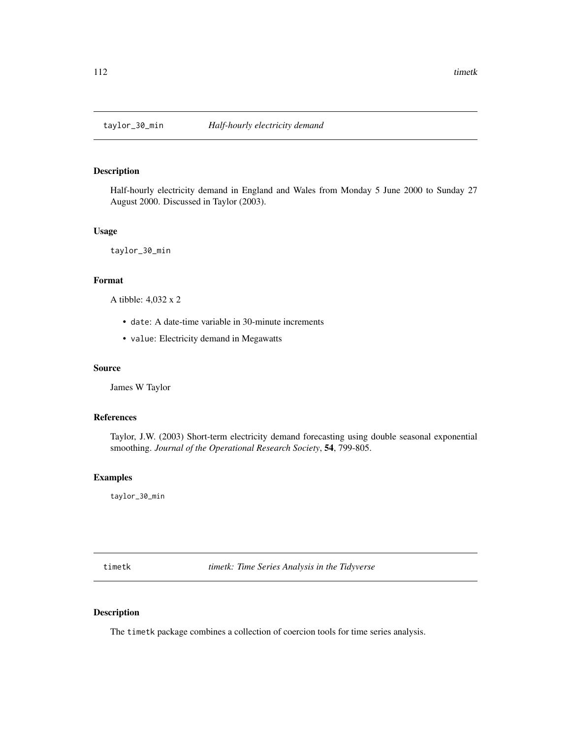## Description

Half-hourly electricity demand in England and Wales from Monday 5 June 2000 to Sunday 27 August 2000. Discussed in Taylor (2003).

#### Usage

taylor\_30\_min

### Format

A tibble: 4,032 x 2

- date: A date-time variable in 30-minute increments
- value: Electricity demand in Megawatts

## Source

James W Taylor

## References

Taylor, J.W. (2003) Short-term electricity demand forecasting using double seasonal exponential smoothing. *Journal of the Operational Research Society*, 54, 799-805.

## Examples

taylor\_30\_min

timetk *timetk: Time Series Analysis in the Tidyverse*

#### Description

The timetk package combines a collection of coercion tools for time series analysis.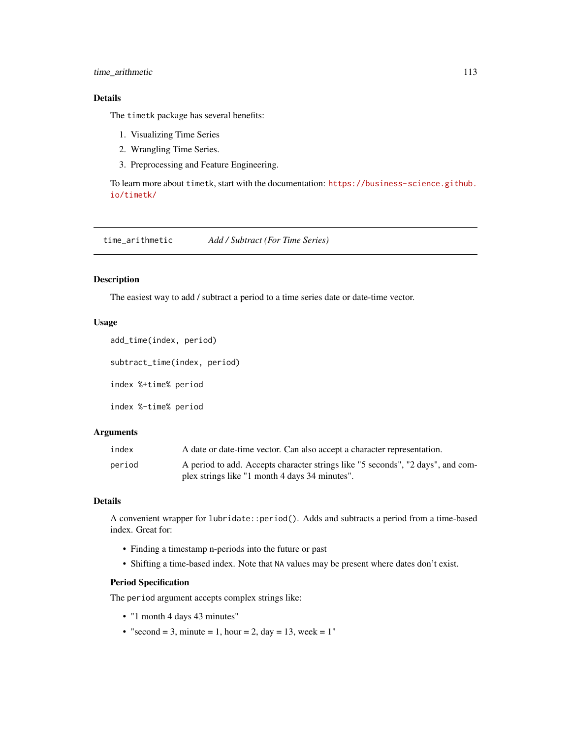## time\_arithmetic 113

## Details

The timetk package has several benefits:

- 1. Visualizing Time Series
- 2. Wrangling Time Series.
- 3. Preprocessing and Feature Engineering.

To learn more about timetk, start with the documentation: [https://business-science.github.](https://business-science.github.io/timetk/) [io/timetk/](https://business-science.github.io/timetk/)

time\_arithmetic *Add / Subtract (For Time Series)*

### Description

The easiest way to add / subtract a period to a time series date or date-time vector.

## Usage

```
add_time(index, period)
subtract_time(index, period)
index %+time% period
index %-time% period
```
# Arguments

| index  | A date or date-time vector. Can also accept a character representation.         |
|--------|---------------------------------------------------------------------------------|
| period | A period to add. Accepts character strings like "5 seconds", "2 days", and com- |
|        | plex strings like "1 month 4 days 34 minutes".                                  |

# Details

A convenient wrapper for lubridate::period(). Adds and subtracts a period from a time-based index. Great for:

- Finding a timestamp n-periods into the future or past
- Shifting a time-based index. Note that NA values may be present where dates don't exist.

# Period Specification

The period argument accepts complex strings like:

- "1 month 4 days 43 minutes"
- "second = 3, minute = 1, hour = 2, day = 13, week =  $1"$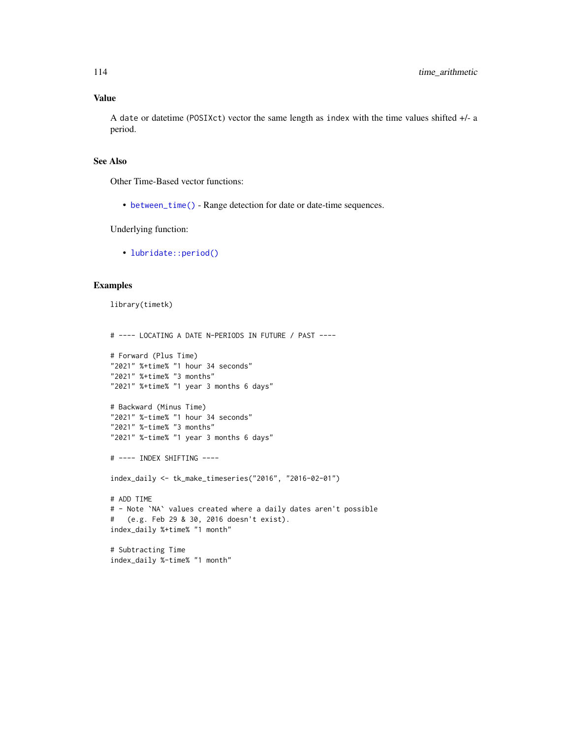### Value

A date or datetime (POSIXct) vector the same length as index with the time values shifted +/- a period.

## See Also

Other Time-Based vector functions:

• [between\\_time\(\)](#page-3-0) - Range detection for date or date-time sequences.

Underlying function:

• [lubridate::period\(\)](#page-0-0)

### Examples

library(timetk)

```
# ---- LOCATING A DATE N-PERIODS IN FUTURE / PAST ----
# Forward (Plus Time)
"2021" %+time% "1 hour 34 seconds"
"2021" %+time% "3 months"
"2021" %+time% "1 year 3 months 6 days"
# Backward (Minus Time)
"2021" %-time% "1 hour 34 seconds"
"2021" %-time% "3 months"
"2021" %-time% "1 year 3 months 6 days"
# ---- INDEX SHIFTING ----
index_daily <- tk_make_timeseries("2016", "2016-02-01")
# ADD TIME
# - Note `NA` values created where a daily dates aren't possible
# (e.g. Feb 29 & 30, 2016 doesn't exist).
index_daily %+time% "1 month"
# Subtracting Time
index_daily %-time% "1 month"
```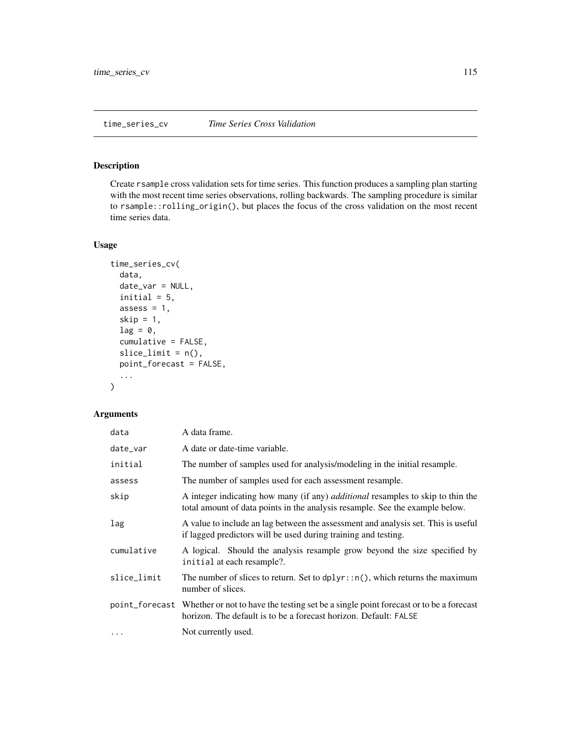### <span id="page-114-0"></span>Description

Create rsample cross validation sets for time series. This function produces a sampling plan starting with the most recent time series observations, rolling backwards. The sampling procedure is similar to rsample::rolling\_origin(), but places the focus of the cross validation on the most recent time series data.

## Usage

```
time_series_cv(
  data,
  date_var = NULL,
  initial = 5,
  assess = 1,
  skip = 1,
  lag = 0,cumulative = FALSE,
  slice\_limit = n(),point_forecast = FALSE,
  ...
\mathcal{L}
```
## Arguments

| data        | A data frame.                                                                                                                                                            |
|-------------|--------------------------------------------------------------------------------------------------------------------------------------------------------------------------|
| date_var    | A date or date-time variable.                                                                                                                                            |
| initial     | The number of samples used for analysis/modeling in the initial resample.                                                                                                |
| assess      | The number of samples used for each assessment resample.                                                                                                                 |
| skip        | A integer indicating how many (if any) <i>additional</i> resamples to skip to thin the<br>total amount of data points in the analysis resample. See the example below.   |
| lag         | A value to include an lag between the assessment and analysis set. This is useful<br>if lagged predictors will be used during training and testing.                      |
| cumulative  | A logical. Should the analysis resample grow beyond the size specified by<br>initial at each resample?.                                                                  |
| slice_limit | The number of slices to return. Set to $d$ plyr:: $n()$ , which returns the maximum<br>number of slices.                                                                 |
|             | point_forecast Whether or not to have the testing set be a single point forecast or to be a forecast<br>horizon. The default is to be a forecast horizon. Default: FALSE |
| $\cdots$    | Not currently used.                                                                                                                                                      |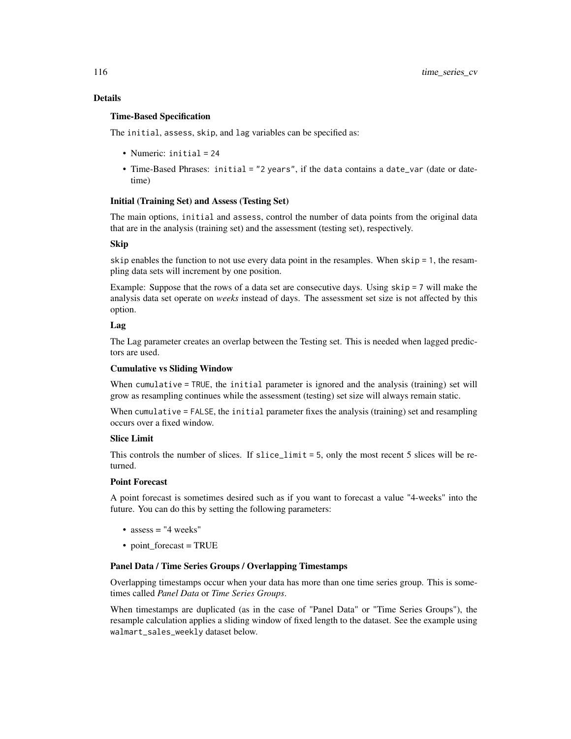## Details

## Time-Based Specification

The initial, assess, skip, and lag variables can be specified as:

- Numeric: initial = 24
- Time-Based Phrases: initial = "2 years", if the data contains a date\_var (date or datetime)

### Initial (Training Set) and Assess (Testing Set)

The main options, initial and assess, control the number of data points from the original data that are in the analysis (training set) and the assessment (testing set), respectively.

## Skip

skip enables the function to not use every data point in the resamples. When  $skip = 1$ , the resampling data sets will increment by one position.

Example: Suppose that the rows of a data set are consecutive days. Using skip = 7 will make the analysis data set operate on *weeks* instead of days. The assessment set size is not affected by this option.

## Lag

The Lag parameter creates an overlap between the Testing set. This is needed when lagged predictors are used.

## Cumulative vs Sliding Window

When cumulative = TRUE, the initial parameter is ignored and the analysis (training) set will grow as resampling continues while the assessment (testing) set size will always remain static.

When cumulative = FALSE, the initial parameter fixes the analysis (training) set and resampling occurs over a fixed window.

## Slice Limit

This controls the number of slices. If slice\_limit = 5, only the most recent 5 slices will be returned.

## Point Forecast

A point forecast is sometimes desired such as if you want to forecast a value "4-weeks" into the future. You can do this by setting the following parameters:

- assess = "4 weeks"
- point forecast = TRUE

### Panel Data / Time Series Groups / Overlapping Timestamps

Overlapping timestamps occur when your data has more than one time series group. This is sometimes called *Panel Data* or *Time Series Groups*.

When timestamps are duplicated (as in the case of "Panel Data" or "Time Series Groups"), the resample calculation applies a sliding window of fixed length to the dataset. See the example using walmart\_sales\_weekly dataset below.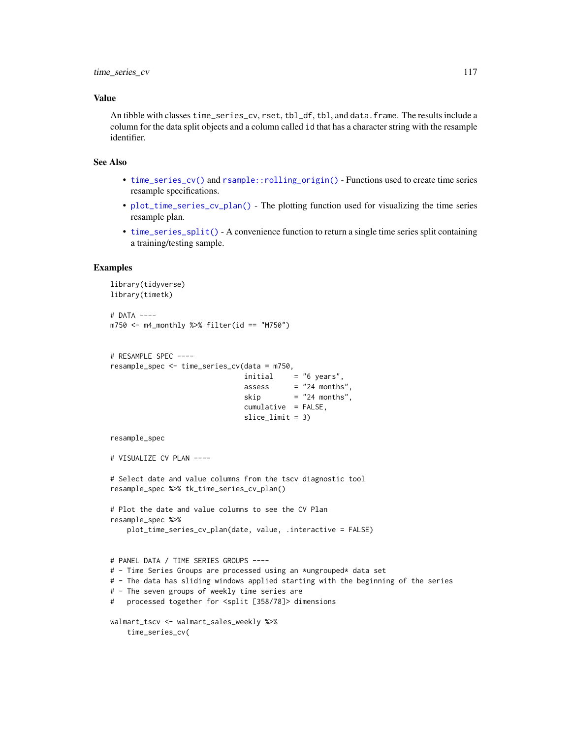#### Value

An tibble with classes time\_series\_cv, rset, tbl\_df, tbl, and data.frame. The results include a column for the data split objects and a column called id that has a character string with the resample identifier.

## See Also

- [time\\_series\\_cv\(\)](#page-114-0) and [rsample::rolling\\_origin\(\)](#page-0-0) Functions used to create time series resample specifications.
- [plot\\_time\\_series\\_cv\\_plan\(\)](#page-57-0) The plotting function used for visualizing the time series resample plan.
- [time\\_series\\_split\(\)](#page-117-0) A convenience function to return a single time series split containing a training/testing sample.

```
library(tidyverse)
library(timetk)
# DATA ----
m750 <- m4_monthly %>% filter(id == "M750")
# RESAMPLE SPEC ----
resample_spec <- time_series_cv(data = m750,
                               initial = "6 years",assess = "24 months".skip = "24 months".cumulative = FALSE,
                               slice_limit = 3)
resample_spec
# VISUALIZE CV PLAN ----
# Select date and value columns from the tscv diagnostic tool
resample_spec %>% tk_time_series_cv_plan()
# Plot the date and value columns to see the CV Plan
resample_spec %>%
   plot_time_series_cv_plan(date, value, .interactive = FALSE)
# PANEL DATA / TIME SERIES GROUPS ----
# - Time Series Groups are processed using an *ungrouped* data set
# - The data has sliding windows applied starting with the beginning of the series
# - The seven groups of weekly time series are
# processed together for <split [358/78]> dimensions
walmart_tscv <- walmart_sales_weekly %>%
```

```
time_series_cv(
```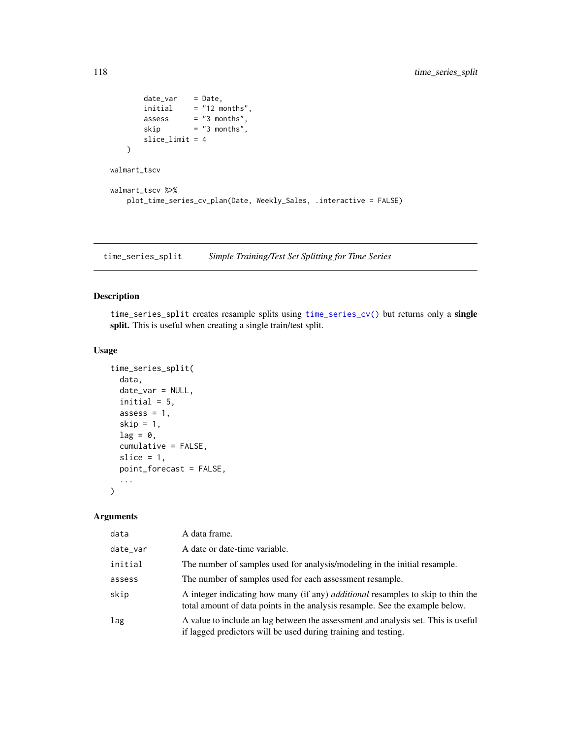```
date_var = Date,
       initial = "12 months",assess = "3 months",skip = "3 months",slice_limit = 4
   \lambdawalmart_tscv
walmart_tscv %>%
   plot_time_series_cv_plan(Date, Weekly_Sales, .interactive = FALSE)
```
<span id="page-117-0"></span>time\_series\_split *Simple Training/Test Set Splitting for Time Series*

## Description

time\_series\_split creates resample splits using [time\\_series\\_cv\(\)](#page-114-0) but returns only a single split. This is useful when creating a single train/test split.

## Usage

```
time_series_split(
  data,
 date_var = NULL,
 initial = 5,
 assess = 1,
  skip = 1,
  lag = 0,
  cumulative = FALSE,
  slice = 1,
 point_forecast = FALSE,
  ...
\mathcal{L}
```
#### Arguments

| data     | A data frame.                                                                                                                                                          |
|----------|------------------------------------------------------------------------------------------------------------------------------------------------------------------------|
| date_var | A date or date-time variable.                                                                                                                                          |
| initial  | The number of samples used for analysis/modeling in the initial resample.                                                                                              |
| assess   | The number of samples used for each assessment resample.                                                                                                               |
| skip     | A integer indicating how many (if any) <i>additional</i> resamples to skip to thin the<br>total amount of data points in the analysis resample. See the example below. |
| lag      | A value to include an lag between the assessment and analysis set. This is useful<br>if lagged predictors will be used during training and testing.                    |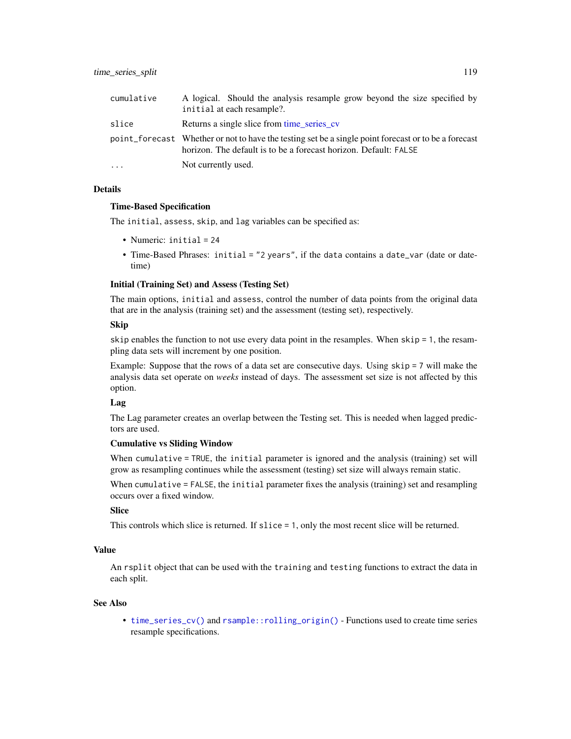| cumulative | A logical. Should the analysis resample grow beyond the size specified by<br>initial at each resample?.                                                                  |
|------------|--------------------------------------------------------------------------------------------------------------------------------------------------------------------------|
| slice      | Returns a single slice from time series cv                                                                                                                               |
|            | point_forecast Whether or not to have the testing set be a single point forecast or to be a forecast<br>horizon. The default is to be a forecast horizon. Default: FALSE |
| $\ddots$ . | Not currently used.                                                                                                                                                      |

### Details

### Time-Based Specification

The initial, assess, skip, and lag variables can be specified as:

- Numeric: initial = 24
- Time-Based Phrases: initial = "2 years", if the data contains a date\_var (date or datetime)

## Initial (Training Set) and Assess (Testing Set)

The main options, initial and assess, control the number of data points from the original data that are in the analysis (training set) and the assessment (testing set), respectively.

### Skip

skip enables the function to not use every data point in the resamples. When skip = 1, the resampling data sets will increment by one position.

Example: Suppose that the rows of a data set are consecutive days. Using skip = 7 will make the analysis data set operate on *weeks* instead of days. The assessment set size is not affected by this option.

# Lag

The Lag parameter creates an overlap between the Testing set. This is needed when lagged predictors are used.

#### Cumulative vs Sliding Window

When cumulative = TRUE, the initial parameter is ignored and the analysis (training) set will grow as resampling continues while the assessment (testing) set size will always remain static.

When cumulative = FALSE, the initial parameter fixes the analysis (training) set and resampling occurs over a fixed window.

## Slice

This controls which slice is returned. If slice = 1, only the most recent slice will be returned.

## Value

An rsplit object that can be used with the training and testing functions to extract the data in each split.

#### See Also

• [time\\_series\\_cv\(\)](#page-114-0) and [rsample::rolling\\_origin\(\)](#page-0-0) - Functions used to create time series resample specifications.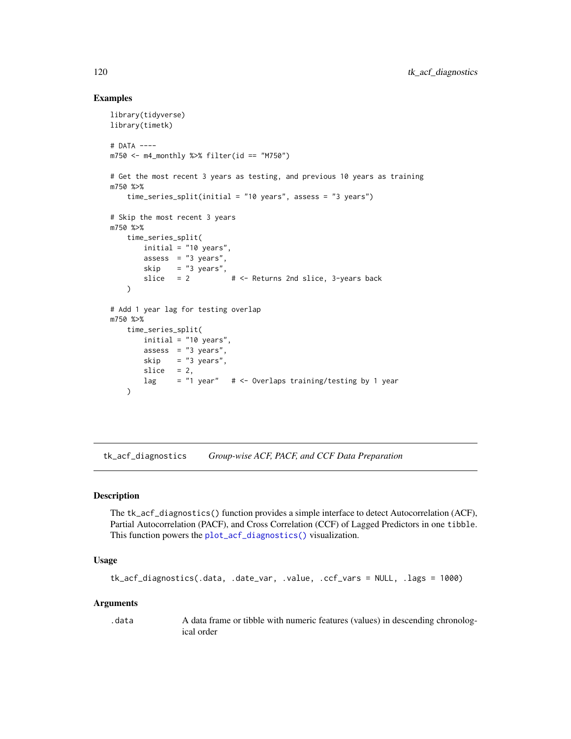## Examples

```
library(tidyverse)
library(timetk)
# DATA ----
m750 <- m4_monthly %>% filter(id == "M750")
# Get the most recent 3 years as testing, and previous 10 years as training
m750 %>%
    time_series_split(initial = "10 years", assess = "3 years")
# Skip the most recent 3 years
m750 %>%
   time_series_split(
       initial = "10 years",
       assess = "3 years",
       skip = "3 years",
       slice = 2 + 5 + - Returns 2nd slice, 3-years back
   \lambda# Add 1 year lag for testing overlap
m750 %>%
    time_series_split(
       initial = "10 years",
       assess = "3 years",
       skip = "3 years",
       slice = 2,
       lag = "1 year" # <- Overlaps training/testing by 1 year
   )
```
tk\_acf\_diagnostics *Group-wise ACF, PACF, and CCF Data Preparation*

### Description

The tk\_acf\_diagnostics() function provides a simple interface to detect Autocorrelation (ACF), Partial Autocorrelation (PACF), and Cross Correlation (CCF) of Lagged Predictors in one tibble. This function powers the [plot\\_acf\\_diagnostics\(\)](#page-36-0) visualization.

## Usage

```
tk_acf_diagnostics(.data, .date_var, .value, .ccf_vars = NULL, .lags = 1000)
```
#### Arguments

.data A data frame or tibble with numeric features (values) in descending chronological order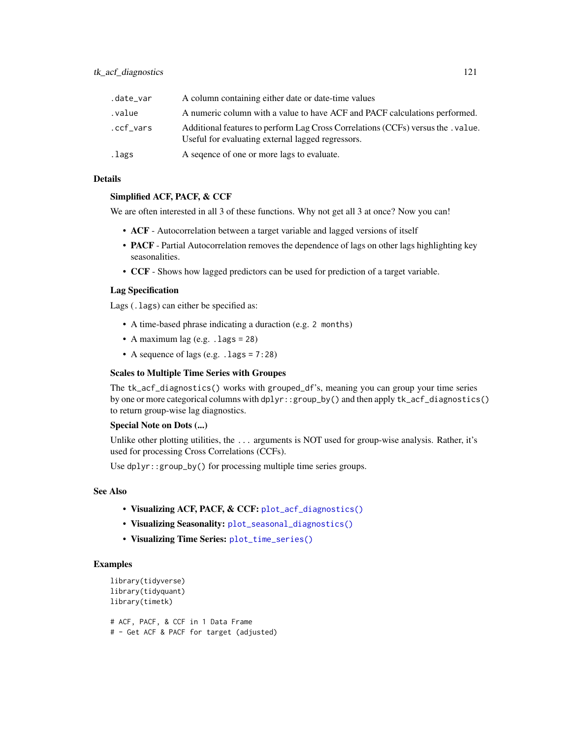| .date_var | A column containing either date or date-time values                                                                                 |
|-----------|-------------------------------------------------------------------------------------------------------------------------------------|
| .value    | A numeric column with a value to have ACF and PACF calculations performed.                                                          |
| .ccf_vars | Additional features to perform Lag Cross Correlations (CCFs) versus the value.<br>Useful for evaluating external lagged regressors. |
| .lags     | A sequence of one or more lags to evaluate.                                                                                         |

## Details

### Simplified ACF, PACF, & CCF

We are often interested in all 3 of these functions. Why not get all 3 at once? Now you can!

- ACF Autocorrelation between a target variable and lagged versions of itself
- **PACF** Partial Autocorrelation removes the dependence of lags on other lags highlighting key seasonalities.
- CCF Shows how lagged predictors can be used for prediction of a target variable.

### Lag Specification

Lags (.lags) can either be specified as:

- A time-based phrase indicating a duraction (e.g. 2 months)
- A maximum lag (e.g. .lags = 28)
- A sequence of lags (e.g.  $\lceil \cdot \cdot \rceil$  lags = 7:28)

### Scales to Multiple Time Series with Groupes

The tk\_acf\_diagnostics() works with grouped\_df's, meaning you can group your time series by one or more categorical columns with dplyr::group\_by() and then apply tk\_acf\_diagnostics() to return group-wise lag diagnostics.

## Special Note on Dots (...)

Unlike other plotting utilities, the ... arguments is NOT used for group-wise analysis. Rather, it's used for processing Cross Correlations (CCFs).

Use dplyr::group\_by() for processing multiple time series groups.

## See Also

- Visualizing ACF, PACF, & CCF: [plot\\_acf\\_diagnostics\(\)](#page-36-0)
- Visualizing Seasonality: [plot\\_seasonal\\_diagnostics\(\)](#page-43-0)
- Visualizing Time Series: [plot\\_time\\_series\(\)](#page-48-0)

```
library(tidyverse)
library(tidyquant)
library(timetk)
# ACF, PACF, & CCF in 1 Data Frame
```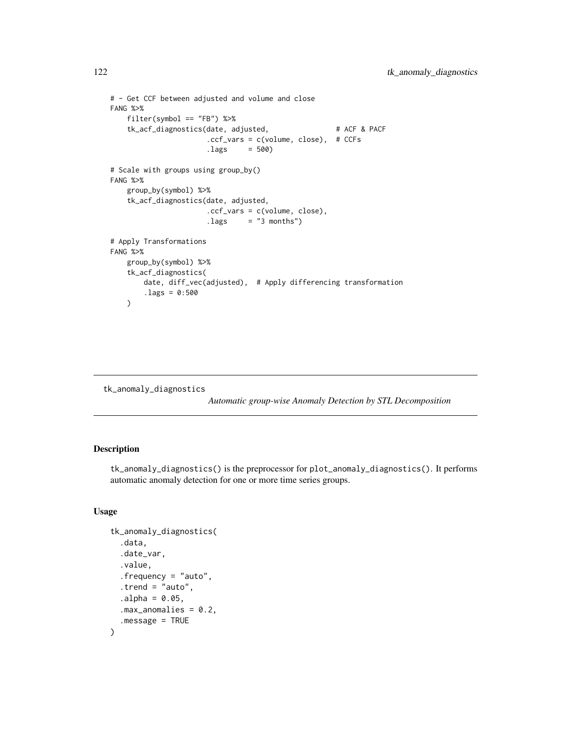```
# - Get CCF between adjusted and volume and close
FANG %>%
   filter(symbol == "FB") %>%
   tk_acf_diagnostics(date, adjusted, # ACF & PACF
                      .ccf_vars = c(volume, close), # CCFs
                      -lags = 500# Scale with groups using group_by()
FANG %>%
   group_by(symbol) %>%
   tk_acf_diagnostics(date, adjusted,
                      .ccf_vars = c(volume, close),
                      -lags = "3 months")# Apply Transformations
FANG %>%
   group_by(symbol) %>%
   tk_acf_diagnostics(
       date, diff_vec(adjusted), # Apply differencing transformation
       .lags = 0:500
   )
```

```
tk_anomaly_diagnostics
```
*Automatic group-wise Anomaly Detection by STL Decomposition*

## Description

tk\_anomaly\_diagnostics() is the preprocessor for plot\_anomaly\_diagnostics(). It performs automatic anomaly detection for one or more time series groups.

### Usage

```
tk_anomaly_diagnostics(
  .data,
  .date_var,
  .value,
  .frequency = "auto",
  . trend = "auto",a1pha = 0.05,
  .max_anomalies = 0.2,
  .message = TRUE
)
```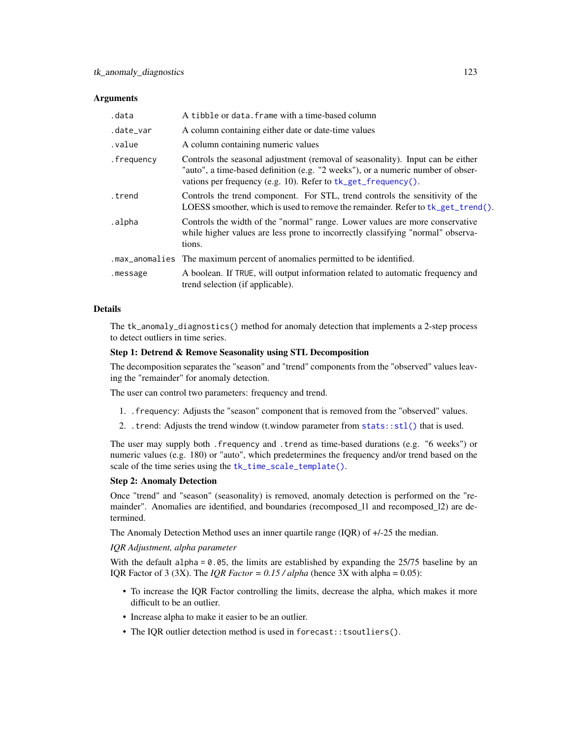### **Arguments**

| .data      | A tibble or data. frame with a time-based column                                                                                                                                                                                   |
|------------|------------------------------------------------------------------------------------------------------------------------------------------------------------------------------------------------------------------------------------|
| .date_var  | A column containing either date or date-time values                                                                                                                                                                                |
| .value     | A column containing numeric values                                                                                                                                                                                                 |
| .frequency | Controls the seasonal adjustment (removal of seasonality). Input can be either<br>"auto", a time-based definition (e.g. "2 weeks"), or a numeric number of obser-<br>vations per frequency (e.g. 10). Refer to tk_get_frequency(). |
| .trend     | Controls the trend component. For STL, trend controls the sensitivity of the<br>LOESS smoother, which is used to remove the remainder. Refer to tk_get_trend().                                                                    |
| .alpha     | Controls the width of the "normal" range. Lower values are more conservative<br>while higher values are less prone to incorrectly classifying "normal" observa-<br>tions.                                                          |
|            | . max_anomalies The maximum percent of anomalies permitted to be identified.                                                                                                                                                       |
| .message   | A boolean. If TRUE, will output information related to automatic frequency and<br>trend selection (if applicable).                                                                                                                 |

## Details

The tk\_anomaly\_diagnostics() method for anomaly detection that implements a 2-step process to detect outliers in time series.

### Step 1: Detrend & Remove Seasonality using STL Decomposition

The decomposition separates the "season" and "trend" components from the "observed" values leaving the "remainder" for anomaly detection.

The user can control two parameters: frequency and trend.

- 1. .frequency: Adjusts the "season" component that is removed from the "observed" values.
- 2. .trend: Adjusts the trend window (t.window parameter from [stats::stl\(\)](#page-0-0) that is used.

The user may supply both .frequency and .trend as time-based durations (e.g. "6 weeks") or numeric values (e.g. 180) or "auto", which predetermines the frequency and/or trend based on the scale of the time series using the [tk\\_time\\_scale\\_template\(\)](#page-60-0).

### Step 2: Anomaly Detection

Once "trend" and "season" (seasonality) is removed, anomaly detection is performed on the "remainder". Anomalies are identified, and boundaries (recomposed\_11 and recomposed\_12) are determined.

The Anomaly Detection Method uses an inner quartile range (IQR) of +/-25 the median.

### *IQR Adjustment, alpha parameter*

With the default alpha =  $0.05$ , the limits are established by expanding the 25/75 baseline by an IQR Factor of 3 (3X). The *IQR Factor* =  $0.15 / alpha$  (hence 3X with alpha = 0.05):

- To increase the IQR Factor controlling the limits, decrease the alpha, which makes it more difficult to be an outlier.
- Increase alpha to make it easier to be an outlier.
- The IQR outlier detection method is used in forecast::tsoutliers().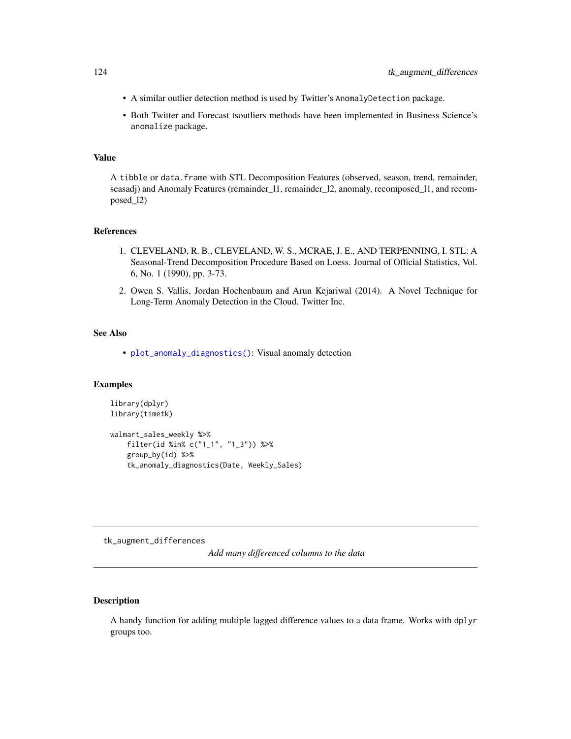- A similar outlier detection method is used by Twitter's AnomalyDetection package.
- Both Twitter and Forecast tsoutliers methods have been implemented in Business Science's anomalize package.

### Value

A tibble or data.frame with STL Decomposition Features (observed, season, trend, remainder, seasadj) and Anomaly Features (remainder\_l1, remainder\_l2, anomaly, recomposed\_l1, and recomposed\_l2)

## References

- 1. CLEVELAND, R. B., CLEVELAND, W. S., MCRAE, J. E., AND TERPENNING, I. STL: A Seasonal-Trend Decomposition Procedure Based on Loess. Journal of Official Statistics, Vol. 6, No. 1 (1990), pp. 3-73.
- 2. Owen S. Vallis, Jordan Hochenbaum and Arun Kejariwal (2014). A Novel Technique for Long-Term Anomaly Detection in the Cloud. Twitter Inc.

## See Also

• [plot\\_anomaly\\_diagnostics\(\)](#page-39-0): Visual anomaly detection

## Examples

```
library(dplyr)
library(timetk)
walmart_sales_weekly %>%
   filter(id %in% c("1_1", "1_3")) %>%
    group_by(id) %>%
```
tk\_anomaly\_diagnostics(Date, Weekly\_Sales)

<span id="page-123-0"></span>tk\_augment\_differences

*Add many differenced columns to the data*

## Description

A handy function for adding multiple lagged difference values to a data frame. Works with dplyr groups too.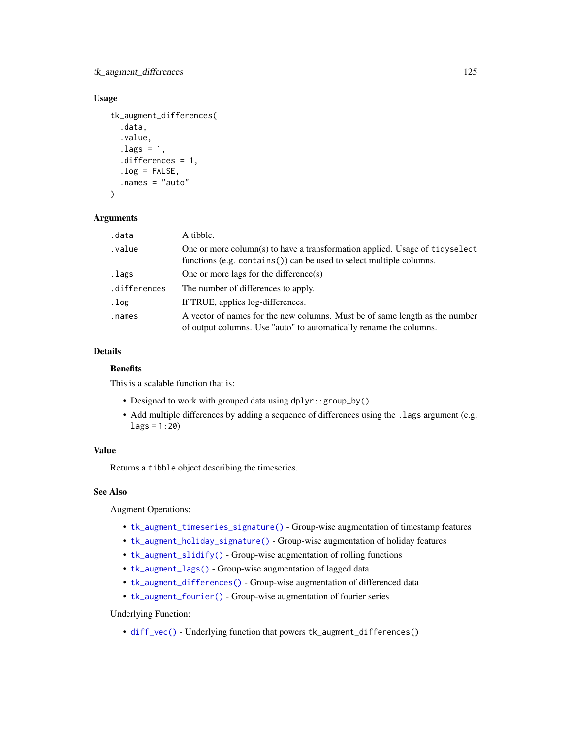tk\_augment\_differences 125

## Usage

```
tk_augment_differences(
  .data,
  .value,
  .lags = 1,
  .differences = 1,
  .log = FALSE,.names = "auto"
\lambda
```
### Arguments

| .data        | A tibble.                                                                                                                                             |
|--------------|-------------------------------------------------------------------------------------------------------------------------------------------------------|
| value.       | One or more column(s) to have a transformation applied. Usage of tidyselect<br>functions (e.g. $contains()$ ) can be used to select multiple columns. |
| .lags        | One or more lags for the difference(s)                                                                                                                |
| .differences | The number of differences to apply.                                                                                                                   |
| .log         | If TRUE, applies log-differences.                                                                                                                     |
| .names       | A vector of names for the new columns. Must be of same length as the number<br>of output columns. Use "auto" to automatically rename the columns.     |

## Details

## **Benefits**

This is a scalable function that is:

- Designed to work with grouped data using dplyr::group\_by()
- Add multiple differences by adding a sequence of differences using the . lags argument (e.g.  $lags = 1:20)$

## Value

Returns a tibble object describing the timeseries.

## See Also

Augment Operations:

- [tk\\_augment\\_timeseries\\_signature\(\)](#page-132-0) Group-wise augmentation of timestamp features
- [tk\\_augment\\_holiday\\_signature\(\)](#page-126-0) Group-wise augmentation of holiday features
- [tk\\_augment\\_slidify\(\)](#page-130-0) Group-wise augmentation of rolling functions
- [tk\\_augment\\_lags\(\)](#page-128-0) Group-wise augmentation of lagged data
- [tk\\_augment\\_differences\(\)](#page-123-0) Group-wise augmentation of differenced data
- [tk\\_augment\\_fourier\(\)](#page-125-0) Group-wise augmentation of fourier series

# Underlying Function:

• [diff\\_vec\(\)](#page-9-0) - Underlying function that powers tk\_augment\_differences()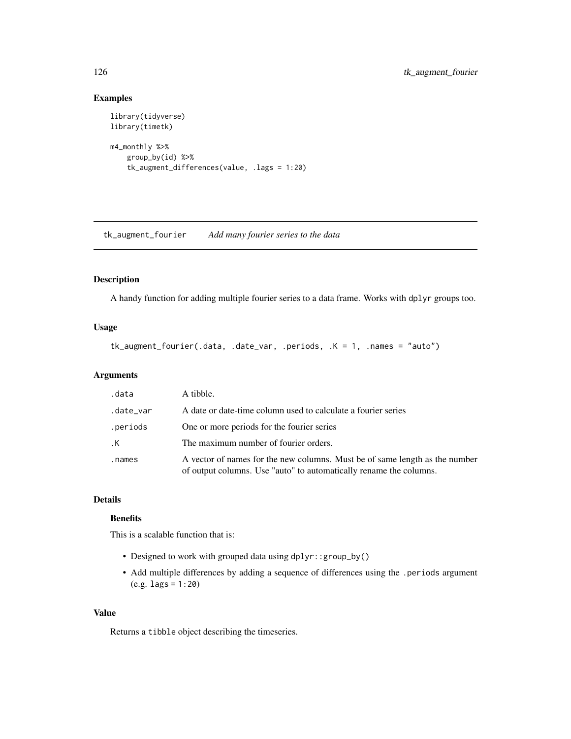# Examples

```
library(tidyverse)
library(timetk)
m4_monthly %>%
    group_by(id) %>%
    tk_augment_differences(value, .lags = 1:20)
```
<span id="page-125-0"></span>tk\_augment\_fourier *Add many fourier series to the data*

## Description

A handy function for adding multiple fourier series to a data frame. Works with dplyr groups too.

## Usage

```
tk_augment_fourier(.data, .date_var, .periods, .K = 1, .names = "auto")
```
## Arguments

| .data     | A tibble.                                                                                                                                         |
|-----------|---------------------------------------------------------------------------------------------------------------------------------------------------|
| .date_var | A date or date-time column used to calculate a fourier series                                                                                     |
| .periods  | One or more periods for the fourier series                                                                                                        |
| .К        | The maximum number of fourier orders.                                                                                                             |
| .names    | A vector of names for the new columns. Must be of same length as the number<br>of output columns. Use "auto" to automatically rename the columns. |

# Details

# **Benefits**

This is a scalable function that is:

- Designed to work with grouped data using dplyr::group\_by()
- Add multiple differences by adding a sequence of differences using the .periods argument (e.g. lags = 1:20)

#### Value

Returns a tibble object describing the timeseries.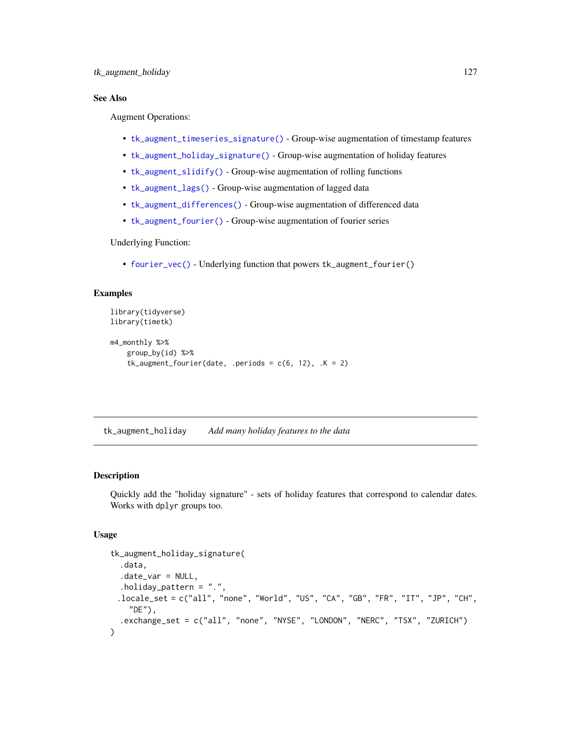## See Also

Augment Operations:

- [tk\\_augment\\_timeseries\\_signature\(\)](#page-132-0) Group-wise augmentation of timestamp features
- [tk\\_augment\\_holiday\\_signature\(\)](#page-126-0) Group-wise augmentation of holiday features
- [tk\\_augment\\_slidify\(\)](#page-130-0) Group-wise augmentation of rolling functions
- [tk\\_augment\\_lags\(\)](#page-128-0) Group-wise augmentation of lagged data
- [tk\\_augment\\_differences\(\)](#page-123-0) Group-wise augmentation of differenced data
- [tk\\_augment\\_fourier\(\)](#page-125-0) Group-wise augmentation of fourier series

Underlying Function:

• [fourier\\_vec\(\)](#page-15-0) - Underlying function that powers tk\_augment\_fourier()

## Examples

```
library(tidyverse)
library(timetk)
m4_monthly %>%
   group_by(id) %>%
    tk\_augment\_fourier(data, .periods = c(6, 12), .K = 2)
```
tk\_augment\_holiday *Add many holiday features to the data*

## <span id="page-126-0"></span>Description

Quickly add the "holiday signature" - sets of holiday features that correspond to calendar dates. Works with dplyr groups too.

### Usage

```
tk_augment_holiday_signature(
  .data,
  .date_var = NULL,
  .holiday_pattern = ".'.locale_set = c("all", "none", "World", "US", "CA", "GB", "FR", "IT", "JP", "CH",
    "DE"),
  .exchange_set = c("all", "none", "NYSE", "LONDON", "NERC", "TSX", "ZURICH")
\mathcal{E}
```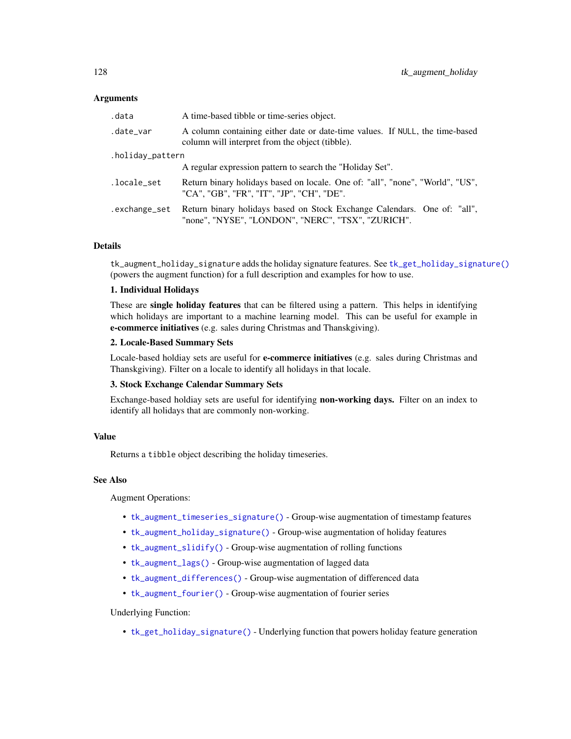### Arguments

| .data            | A time-based tibble or time-series object.                                                                                      |  |
|------------------|---------------------------------------------------------------------------------------------------------------------------------|--|
| .date_var        | A column containing either date or date-time values. If NULL, the time-based<br>column will interpret from the object (tibble). |  |
| .holiday_pattern |                                                                                                                                 |  |
|                  | A regular expression pattern to search the "Holiday Set".                                                                       |  |
| .locale_set      | Return binary holidays based on locale. One of: "all", "none", "World", "US",<br>"CA", "GB", "FR", "IT", "JP", "CH", "DE".      |  |
| .exchange_set    | Return binary holidays based on Stock Exchange Calendars. One of: "all",<br>"none", "NYSE", "LONDON", "NERC", "TSX", "ZURICH".  |  |

## Details

tk\_augment\_holiday\_signature adds the holiday signature features. See [tk\\_get\\_holiday\\_signature\(\)](#page-135-0) (powers the augment function) for a full description and examples for how to use.

### 1. Individual Holidays

These are single holiday features that can be filtered using a pattern. This helps in identifying which holidays are important to a machine learning model. This can be useful for example in e-commerce initiatives (e.g. sales during Christmas and Thanskgiving).

#### 2. Locale-Based Summary Sets

Locale-based holdiay sets are useful for e-commerce initiatives (e.g. sales during Christmas and Thanskgiving). Filter on a locale to identify all holidays in that locale.

## 3. Stock Exchange Calendar Summary Sets

Exchange-based holdiay sets are useful for identifying **non-working days.** Filter on an index to identify all holidays that are commonly non-working.

## Value

Returns a tibble object describing the holiday timeseries.

## See Also

Augment Operations:

- [tk\\_augment\\_timeseries\\_signature\(\)](#page-132-0) Group-wise augmentation of timestamp features
- [tk\\_augment\\_holiday\\_signature\(\)](#page-126-0) Group-wise augmentation of holiday features
- [tk\\_augment\\_slidify\(\)](#page-130-0) Group-wise augmentation of rolling functions
- [tk\\_augment\\_lags\(\)](#page-128-0) Group-wise augmentation of lagged data
- [tk\\_augment\\_differences\(\)](#page-123-0) Group-wise augmentation of differenced data
- [tk\\_augment\\_fourier\(\)](#page-125-0) Group-wise augmentation of fourier series

### Underlying Function:

• [tk\\_get\\_holiday\\_signature\(\)](#page-135-0) - Underlying function that powers holiday feature generation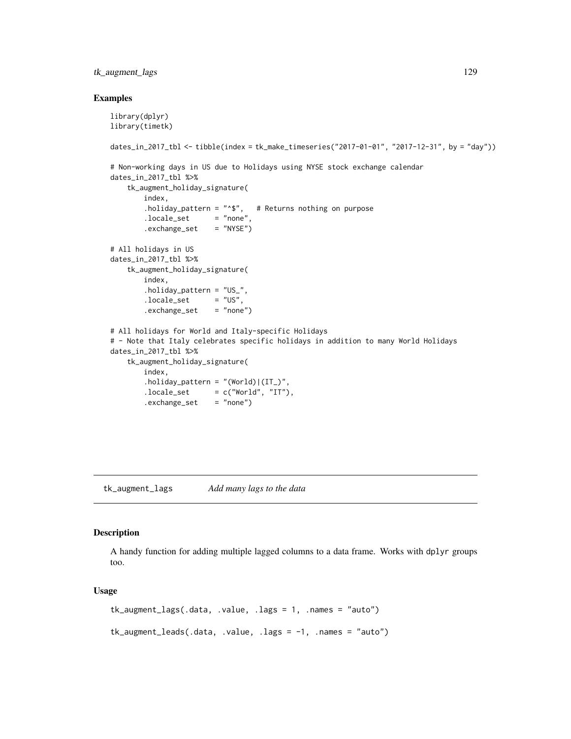## tk\_augment\_lags 129

#### Examples

```
library(dplyr)
library(timetk)
dates_in_2017_tbl <- tibble(index = tk_make_timeseries("2017-01-01", "2017-12-31", by = "day"))
# Non-working days in US due to Holidays using NYSE stock exchange calendar
dates_in_2017_tbl %>%
   tk_augment_holiday_signature(
       index,
       .holiday_pattern = "*$", # Returns nothing on purpose
       locale_set = "none",
       .exchange_set = "NYSE")
# All holidays in US
dates_in_2017_tbl %>%
    tk_augment_holiday_signature(
       index,
        .holiday_pattern = "US_",
       locale_set = "US",
       exchange_set = "none")# All holidays for World and Italy-specific Holidays
# - Note that Italy celebrates specific holidays in addition to many World Holidays
dates_in_2017_tbl %>%
    tk_augment_holiday_signature(
       index,
        holding_pattern = "(World)|(IT_)",
       locale_set = c("World", "IT")..exchange_set = "none")
```
<span id="page-128-0"></span>tk\_augment\_lags *Add many lags to the data*

### Description

A handy function for adding multiple lagged columns to a data frame. Works with dplyr groups too.

#### Usage

```
tk_augment_lags(.data, .value, .lags = 1, .names = "auto")
tk_augment_leads(.data, .value, .lags = -1, .names = "auto")
```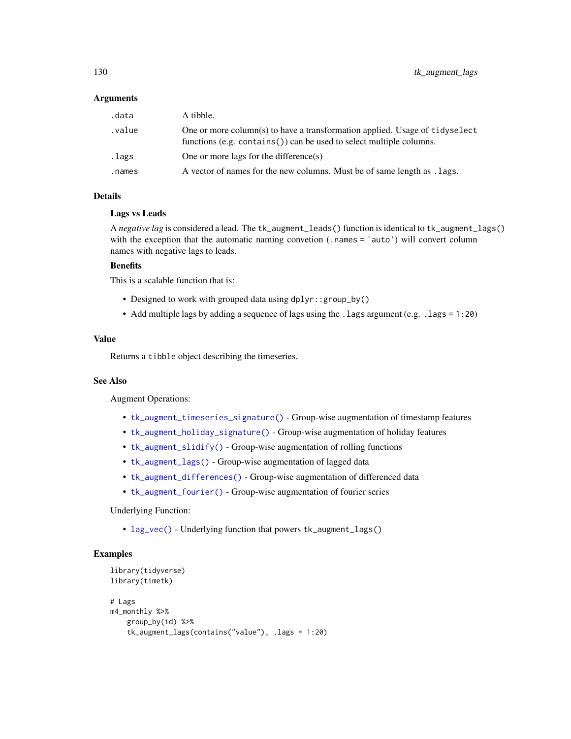### Arguments

| .data  | A tibble.                                                                                                                                          |
|--------|----------------------------------------------------------------------------------------------------------------------------------------------------|
| value. | One or more column(s) to have a transformation applied. Usage of tidyselect<br>functions (e.g. contains()) can be used to select multiple columns. |
| .lags  | One or more lags for the difference(s)                                                                                                             |
| .names | A vector of names for the new columns. Must be of same length as . lags.                                                                           |

## Details

#### Lags vs Leads

A *negative lag* is considered a lead. The tk\_augment\_leads() function is identical to tk\_augment\_lags() with the exception that the automatic naming convetion (.names = 'auto') will convert column names with negative lags to leads.

#### **Benefits**

This is a scalable function that is:

- Designed to work with grouped data using dplyr::group\_by()
- Add multiple lags by adding a sequence of lags using the .lags argument (e.g. .lags = 1:20)

## Value

Returns a tibble object describing the timeseries.

## See Also

Augment Operations:

- [tk\\_augment\\_timeseries\\_signature\(\)](#page-132-0) Group-wise augmentation of timestamp features
- [tk\\_augment\\_holiday\\_signature\(\)](#page-126-0) Group-wise augmentation of holiday features
- [tk\\_augment\\_slidify\(\)](#page-130-0) Group-wise augmentation of rolling functions
- [tk\\_augment\\_lags\(\)](#page-128-0) Group-wise augmentation of lagged data
- [tk\\_augment\\_differences\(\)](#page-123-0) Group-wise augmentation of differenced data
- [tk\\_augment\\_fourier\(\)](#page-125-0) Group-wise augmentation of fourier series

### Underlying Function:

• [lag\\_vec\(\)](#page-21-0) - Underlying function that powers tk\_augment\_lags()

```
library(tidyverse)
library(timetk)
# Lags
m4_monthly %>%
   group_by(id) %>%
   tk_augment_lags(contains("value"), .lags = 1:20)
```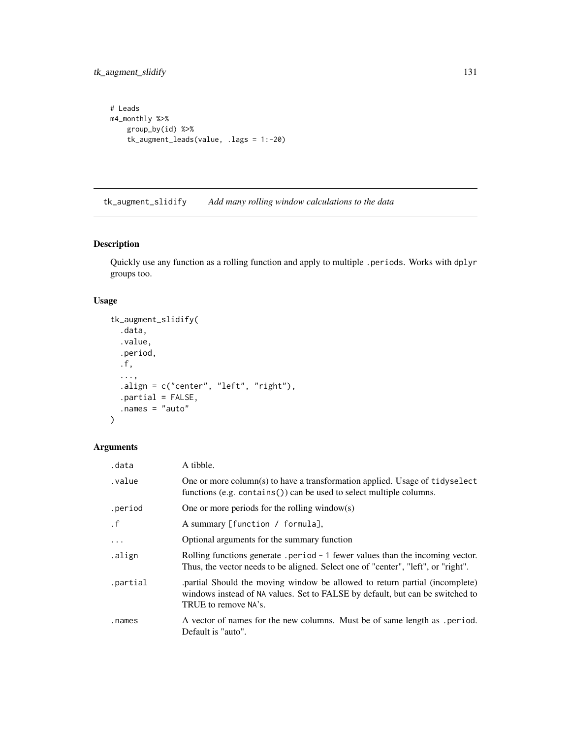```
# Leads
m4_monthly %>%
   group_by(id) %>%
   tk_augment_leads(value, .lags = 1:-20)
```
<span id="page-130-0"></span>tk\_augment\_slidify *Add many rolling window calculations to the data*

## Description

Quickly use any function as a rolling function and apply to multiple .periods. Works with dplyr groups too.

### Usage

```
tk_augment_slidify(
  .data,
  .value,
  .period,
  .f,
  ...,
  .align = c("center", "left", "right",.partial = FALSE,
  .names = "auto"
)
```
# Arguments

| .data     | A tibble.                                                                                                                                                                           |
|-----------|-------------------------------------------------------------------------------------------------------------------------------------------------------------------------------------|
| .value    | One or more column(s) to have a transformation applied. Usage of tidyselect<br>functions (e.g. contains $()$ ) can be used to select multiple columns.                              |
| .period   | One or more periods for the rolling window(s)                                                                                                                                       |
| $\cdot$ f | A summary [function / formula],                                                                                                                                                     |
| $\cdots$  | Optional arguments for the summary function                                                                                                                                         |
| .align    | Rolling functions generate . period $-1$ fewer values than the incoming vector.<br>Thus, the vector needs to be aligned. Select one of "center", "left", or "right".                |
| .partial  | partial Should the moving window be allowed to return partial (incomplete)<br>windows instead of NA values. Set to FALSE by default, but can be switched to<br>TRUE to remove NA's. |
| .names    | A vector of names for the new columns. Must be of same length as . period.<br>Default is "auto".                                                                                    |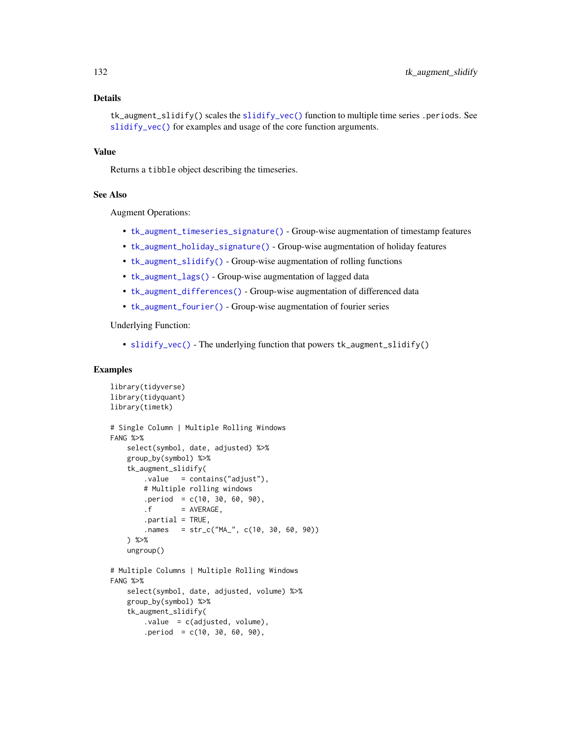## Details

tk\_augment\_slidify() scales the [slidify\\_vec\(\)](#page-67-0) function to multiple time series .periods. See [slidify\\_vec\(\)](#page-67-0) for examples and usage of the core function arguments.

### Value

Returns a tibble object describing the timeseries.

## See Also

Augment Operations:

- [tk\\_augment\\_timeseries\\_signature\(\)](#page-132-0) Group-wise augmentation of timestamp features
- [tk\\_augment\\_holiday\\_signature\(\)](#page-126-0) Group-wise augmentation of holiday features
- [tk\\_augment\\_slidify\(\)](#page-130-0) Group-wise augmentation of rolling functions
- [tk\\_augment\\_lags\(\)](#page-128-0) Group-wise augmentation of lagged data
- [tk\\_augment\\_differences\(\)](#page-123-0) Group-wise augmentation of differenced data
- [tk\\_augment\\_fourier\(\)](#page-125-0) Group-wise augmentation of fourier series

Underlying Function:

• [slidify\\_vec\(\)](#page-67-0) - The underlying function that powers tk\_augment\_slidify()

```
library(tidyverse)
library(tidyquant)
library(timetk)
# Single Column | Multiple Rolling Windows
FANG %>%
    select(symbol, date, adjusted) %>%
   group_by(symbol) %>%
    tk_augment_slidify(
        .value = contains("adjust"),
       # Multiple rolling windows
       .period = c(10, 30, 60, 90),
       . f = AVERAGE.partial = TRUE,
       names = str_c("MA", c(10, 30, 60, 90))) %>%
   ungroup()
# Multiple Columns | Multiple Rolling Windows
FANG %>%
    select(symbol, date, adjusted, volume) %>%
   group_by(symbol) %>%
   tk_augment_slidify(
       value = c(adjusted, volume),
       .period = c(10, 30, 60, 90),
```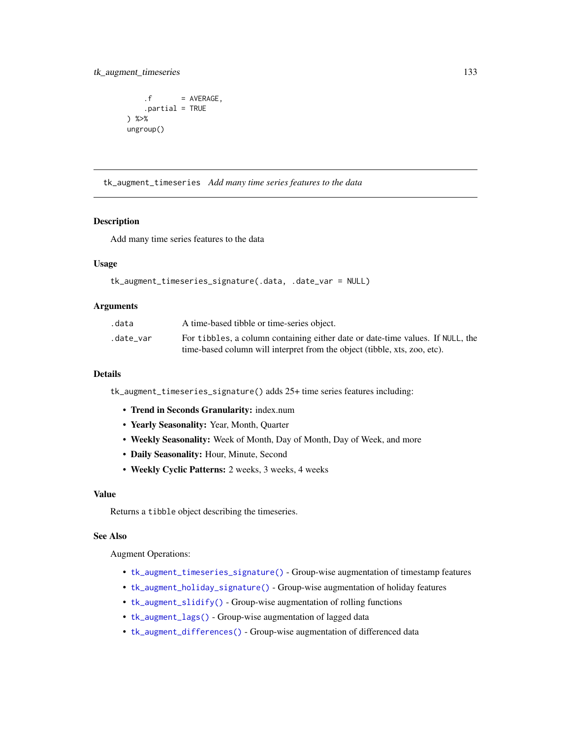## tk\_augment\_timeseries 133

```
.f = AVERAGE,.partial = TRUE
) %>%
ungroup()
```
tk\_augment\_timeseries *Add many time series features to the data*

## <span id="page-132-0"></span>**Description**

Add many time series features to the data

### Usage

```
tk_augment_timeseries_signature(.data, .date_var = NULL)
```
### **Arguments**

| .data     | A time-based tibble or time-series object.                                     |
|-----------|--------------------------------------------------------------------------------|
| .date var | For tibbles, a column containing either date or date-time values. If NULL, the |
|           | time-based column will interpret from the object (tibble, xts, zoo, etc).      |

## Details

tk\_augment\_timeseries\_signature() adds 25+ time series features including:

- Trend in Seconds Granularity: index.num
- Yearly Seasonality: Year, Month, Quarter
- Weekly Seasonality: Week of Month, Day of Month, Day of Week, and more
- Daily Seasonality: Hour, Minute, Second
- Weekly Cyclic Patterns: 2 weeks, 3 weeks, 4 weeks

#### Value

Returns a tibble object describing the timeseries.

#### See Also

Augment Operations:

- [tk\\_augment\\_timeseries\\_signature\(\)](#page-132-0) Group-wise augmentation of timestamp features
- [tk\\_augment\\_holiday\\_signature\(\)](#page-126-0) Group-wise augmentation of holiday features
- [tk\\_augment\\_slidify\(\)](#page-130-0) Group-wise augmentation of rolling functions
- [tk\\_augment\\_lags\(\)](#page-128-0) Group-wise augmentation of lagged data
- [tk\\_augment\\_differences\(\)](#page-123-0) Group-wise augmentation of differenced data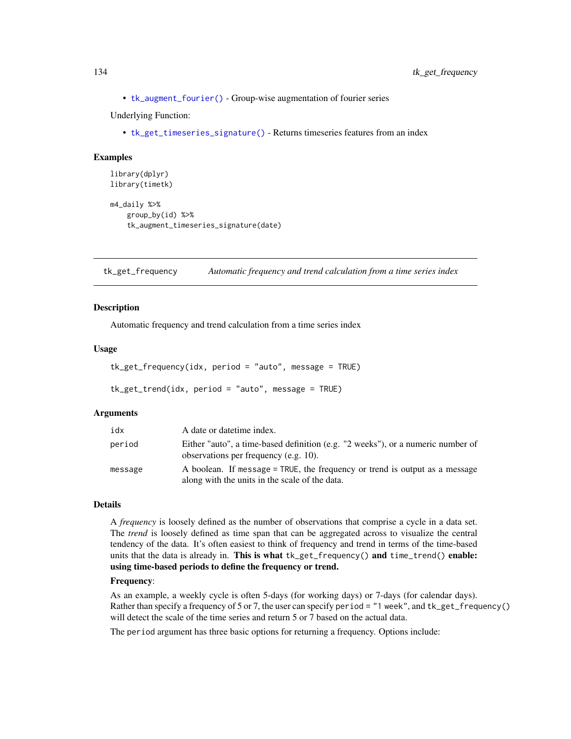• [tk\\_augment\\_fourier\(\)](#page-125-0) - Group-wise augmentation of fourier series

Underlying Function:

• [tk\\_get\\_timeseries\\_signature\(\)](#page-137-0) - Returns timeseries features from an index

### Examples

```
library(dplyr)
library(timetk)
```

```
m4_daily %>%
   group_by(id) %>%
    tk_augment_timeseries_signature(date)
```
<span id="page-133-0"></span>tk\_get\_frequency *Automatic frequency and trend calculation from a time series index*

### <span id="page-133-1"></span>Description

Automatic frequency and trend calculation from a time series index

#### Usage

```
tk_get_frequency(idx, period = "auto", message = TRUE)
```

```
tk_get_trend(idx, period = "auto", message = TRUE)
```
#### Arguments

| idx     | A date or date time index.                                                                                                    |
|---------|-------------------------------------------------------------------------------------------------------------------------------|
| period  | Either "auto", a time-based definition (e.g. "2 weeks"), or a numeric number of<br>observations per frequency (e.g. 10).      |
| message | A boolean. If message = TRUE, the frequency or trend is output as a message<br>along with the units in the scale of the data. |

#### Details

A *frequency* is loosely defined as the number of observations that comprise a cycle in a data set. The *trend* is loosely defined as time span that can be aggregated across to visualize the central tendency of the data. It's often easiest to think of frequency and trend in terms of the time-based units that the data is already in. This is what tk\_get\_frequency() and time\_trend() enable: using time-based periods to define the frequency or trend.

## Frequency:

As an example, a weekly cycle is often 5-days (for working days) or 7-days (for calendar days). Rather than specify a frequency of 5 or 7, the user can specify period = "1 week", and tk\_get\_frequency() will detect the scale of the time series and return 5 or 7 based on the actual data.

The period argument has three basic options for returning a frequency. Options include: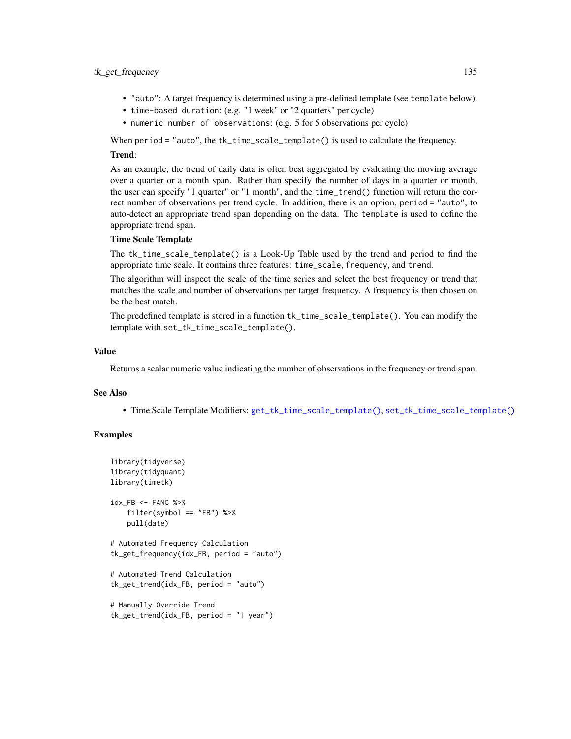### tk\_get\_frequency 135

- "auto": A target frequency is determined using a pre-defined template (see template below).
- time-based duration: (e.g. "1 week" or "2 quarters" per cycle)
- numeric number of observations: (e.g. 5 for 5 observations per cycle)

When period = "auto", the tk\_time\_scale\_template() is used to calculate the frequency.

### Trend:

As an example, the trend of daily data is often best aggregated by evaluating the moving average over a quarter or a month span. Rather than specify the number of days in a quarter or month, the user can specify "1 quarter" or "1 month", and the time\_trend() function will return the correct number of observations per trend cycle. In addition, there is an option, period = "auto", to auto-detect an appropriate trend span depending on the data. The template is used to define the appropriate trend span.

## Time Scale Template

The tk\_time\_scale\_template() is a Look-Up Table used by the trend and period to find the appropriate time scale. It contains three features: time\_scale, frequency, and trend.

The algorithm will inspect the scale of the time series and select the best frequency or trend that matches the scale and number of observations per target frequency. A frequency is then chosen on be the best match.

The predefined template is stored in a function tk\_time\_scale\_template(). You can modify the template with set\_tk\_time\_scale\_template().

#### Value

Returns a scalar numeric value indicating the number of observations in the frequency or trend span.

## See Also

• Time Scale Template Modifiers: [get\\_tk\\_time\\_scale\\_template\(\)](#page-60-0), [set\\_tk\\_time\\_scale\\_template\(\)](#page-60-1)

```
library(tidyverse)
library(tidyquant)
library(timetk)
idx_FB <- FANG %>%
    filter(symbol == "FB") %>%
   pull(date)
# Automated Frequency Calculation
tk_get_frequency(idx_FB, period = "auto")
# Automated Trend Calculation
tk_get_trend(idx_FB, period = "auto")
# Manually Override Trend
```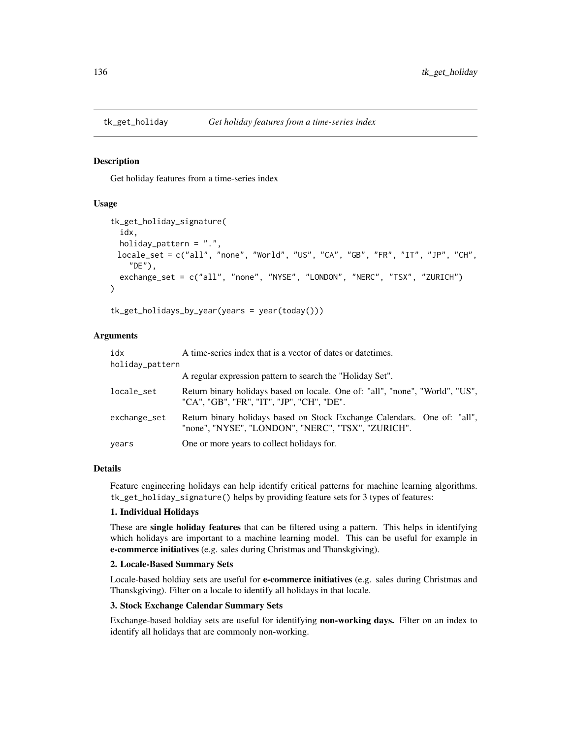### <span id="page-135-0"></span>Description

Get holiday features from a time-series index

#### Usage

```
tk_get_holiday_signature(
  idx,
 holiday_pattern = ".",
 locale_set = c("all", "none", "World", "US", "CA", "GB", "FR", "IT", "JP", "CH",
    "DE"),
  exchange_set = c("all", "none", "NYSE", "LONDON", "NERC", "TSX", "ZURICH")
)
```
tk\_get\_holidays\_by\_year(years = year(today()))

### Arguments

| idx             | A time-series index that is a vector of dates or date times.                                                                   |
|-----------------|--------------------------------------------------------------------------------------------------------------------------------|
| holiday_pattern |                                                                                                                                |
|                 | A regular expression pattern to search the "Holiday Set".                                                                      |
| locale_set      | Return binary holidays based on locale. One of: "all", "none", "World", "US",<br>"CA", "GB", "FR", "IT", "JP", "CH", "DE".     |
| exchange_set    | Return binary holidays based on Stock Exchange Calendars. One of: "all",<br>"none", "NYSE", "LONDON", "NERC", "TSX", "ZURICH". |
| years           | One or more years to collect holidays for.                                                                                     |

## Details

Feature engineering holidays can help identify critical patterns for machine learning algorithms. tk\_get\_holiday\_signature() helps by providing feature sets for 3 types of features:

#### 1. Individual Holidays

These are single holiday features that can be filtered using a pattern. This helps in identifying which holidays are important to a machine learning model. This can be useful for example in e-commerce initiatives (e.g. sales during Christmas and Thanskgiving).

#### 2. Locale-Based Summary Sets

Locale-based holdiay sets are useful for **e-commerce initiatives** (e.g. sales during Christmas and Thanskgiving). Filter on a locale to identify all holidays in that locale.

## 3. Stock Exchange Calendar Summary Sets

Exchange-based holdiay sets are useful for identifying non-working days. Filter on an index to identify all holidays that are commonly non-working.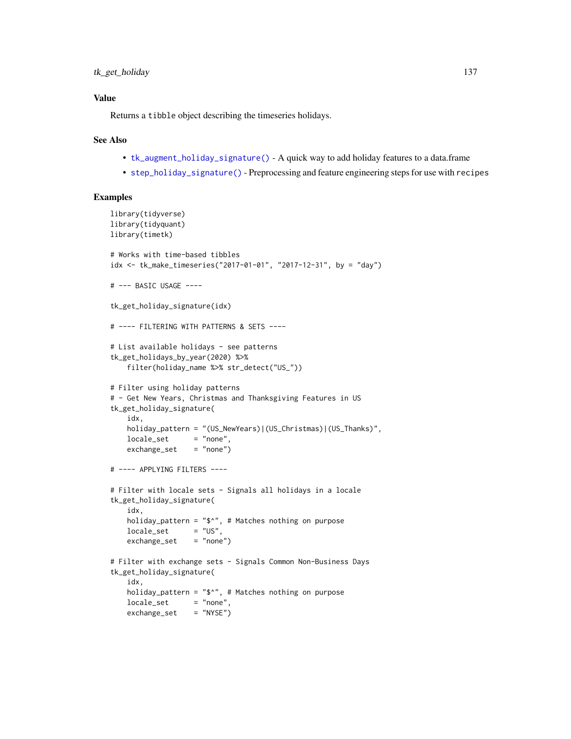## Value

Returns a tibble object describing the timeseries holidays.

#### See Also

- [tk\\_augment\\_holiday\\_signature\(\)](#page-126-0) A quick way to add holiday features to a data.frame
- [step\\_holiday\\_signature\(\)](#page-82-0) Preprocessing and feature engineering steps for use with recipes

```
library(tidyverse)
library(tidyquant)
library(timetk)
# Works with time-based tibbles
idx <- tk_make_timeseries("2017-01-01", "2017-12-31", by = "day")
# --- BASIC USAGE ----
tk_get_holiday_signature(idx)
# ---- FILTERING WITH PATTERNS & SETS ----
# List available holidays - see patterns
tk_get_holidays_by_year(2020) %>%
    filter(holiday_name %>% str_detect("US_"))
# Filter using holiday patterns
# - Get New Years, Christmas and Thanksgiving Features in US
tk_get_holiday_signature(
    idx,
    holiday_pattern = "(US_NewYears)|(US_Christmas)|(US_Thanks)",
   locale_set = "none",
   exchange_set = "none")# ---- APPLYING FILTERS ----
# Filter with locale sets - Signals all holidays in a locale
tk_get_holiday_signature(
    idx,
   holiday_pattern = "\^n, # Matches nothing on purpose
   locale_set = "US",
    exchange_set = "none")# Filter with exchange sets - Signals Common Non-Business Days
tk_get_holiday_signature(
    idx,
    holiday_pattern = "$^{\circ}", # Matches nothing on purpose
   locale_set = "none",
   exchange_set = "NYSE")
```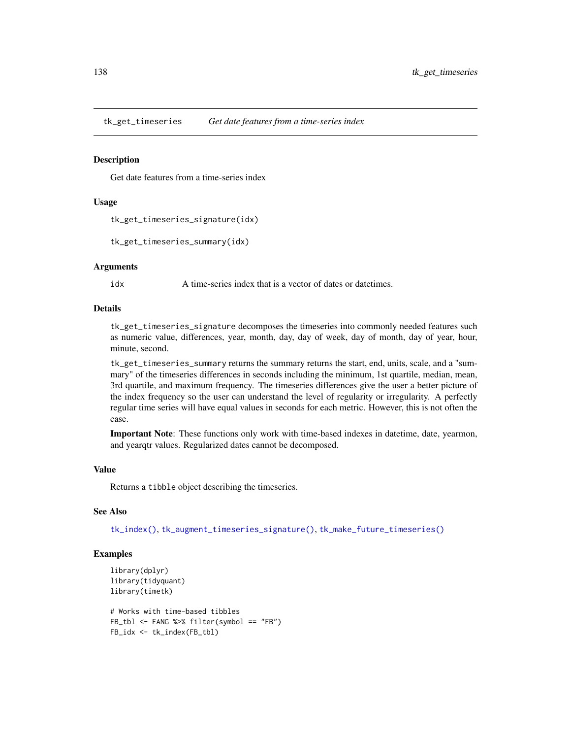tk\_get\_timeseries *Get date features from a time-series index*

#### <span id="page-137-0"></span>Description

Get date features from a time-series index

### Usage

```
tk_get_timeseries_signature(idx)
```
tk\_get\_timeseries\_summary(idx)

## **Arguments**

idx A time-series index that is a vector of dates or date times.

### Details

tk\_get\_timeseries\_signature decomposes the timeseries into commonly needed features such as numeric value, differences, year, month, day, day of week, day of month, day of year, hour, minute, second.

tk\_get\_timeseries\_summary returns the summary returns the start, end, units, scale, and a "summary" of the timeseries differences in seconds including the minimum, 1st quartile, median, mean, 3rd quartile, and maximum frequency. The timeseries differences give the user a better picture of the index frequency so the user can understand the level of regularity or irregularity. A perfectly regular time series will have equal values in seconds for each metric. However, this is not often the case.

Important Note: These functions only work with time-based indexes in datetime, date, yearmon, and yearqtr values. Regularized dates cannot be decomposed.

#### Value

Returns a tibble object describing the timeseries.

## See Also

[tk\\_index\(\)](#page-139-0), [tk\\_augment\\_timeseries\\_signature\(\)](#page-132-0), [tk\\_make\\_future\\_timeseries\(\)](#page-141-0)

```
library(dplyr)
library(tidyquant)
library(timetk)
```

```
# Works with time-based tibbles
FB_tbl <- FANG %>% filter(symbol == "FB")
FB_idx <- tk_index(FB_tbl)
```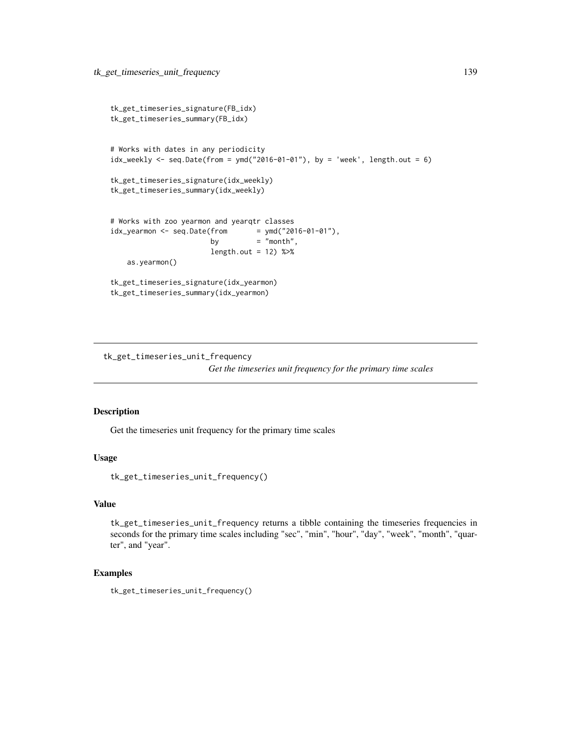```
tk_get_timeseries_signature(FB_idx)
tk_get_timeseries_summary(FB_idx)
# Works with dates in any periodicity
idx\_weakly \leq seq.DataFrame(from = ymd("2016-01-01"), by = 'week', length.out = 6)
tk_get_timeseries_signature(idx_weekly)
tk_get_timeseries_summary(idx_weekly)
# Works with zoo yearmon and yearqtr classes
idx\_yearmon <- seq.Date(from = ymd("2016-01-01"),
                       by = "month",
                       length.out = 12) %>%
    as.yearmon()
tk_get_timeseries_signature(idx_yearmon)
tk_get_timeseries_summary(idx_yearmon)
```
tk\_get\_timeseries\_unit\_frequency

*Get the timeseries unit frequency for the primary time scales*

### Description

Get the timeseries unit frequency for the primary time scales

#### Usage

tk\_get\_timeseries\_unit\_frequency()

#### Value

tk\_get\_timeseries\_unit\_frequency returns a tibble containing the timeseries frequencies in seconds for the primary time scales including "sec", "min", "hour", "day", "week", "month", "quarter", and "year".

### Examples

tk\_get\_timeseries\_unit\_frequency()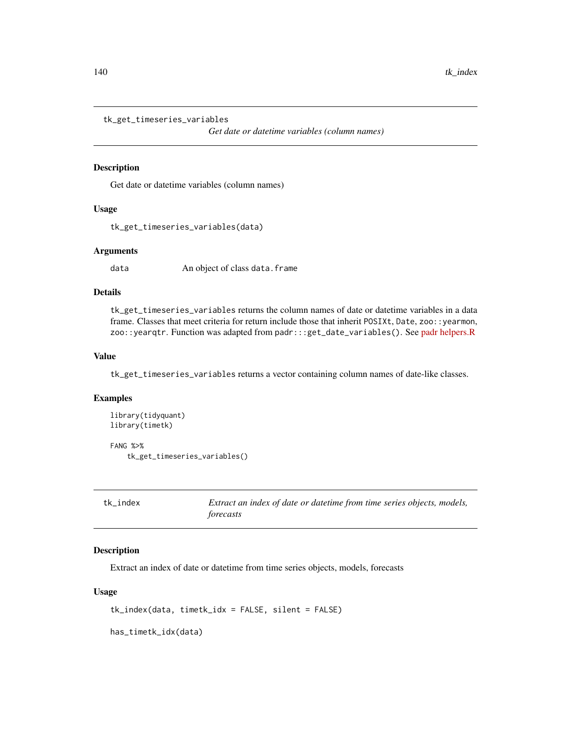```
tk_get_timeseries_variables
```
*Get date or datetime variables (column names)*

### Description

Get date or datetime variables (column names)

### Usage

```
tk_get_timeseries_variables(data)
```
## Arguments

data An object of class data.frame

# Details

tk\_get\_timeseries\_variables returns the column names of date or datetime variables in a data frame. Classes that meet criteria for return include those that inherit POSIXt, Date, zoo:: yearmon, zoo::yearqtr. Function was adapted from padr:::get\_date\_variables(). See [padr helpers.R](https://github.com/EdwinTh/padr/blob/master/R/helpers.R)

#### Value

tk\_get\_timeseries\_variables returns a vector containing column names of date-like classes.

#### Examples

```
library(tidyquant)
library(timetk)
```
FANG %>% tk\_get\_timeseries\_variables()

<span id="page-139-0"></span>tk\_index *Extract an index of date or datetime from time series objects, models, forecasts*

#### Description

Extract an index of date or datetime from time series objects, models, forecasts

#### Usage

tk\_index(data, timetk\_idx = FALSE, silent = FALSE)

has\_timetk\_idx(data)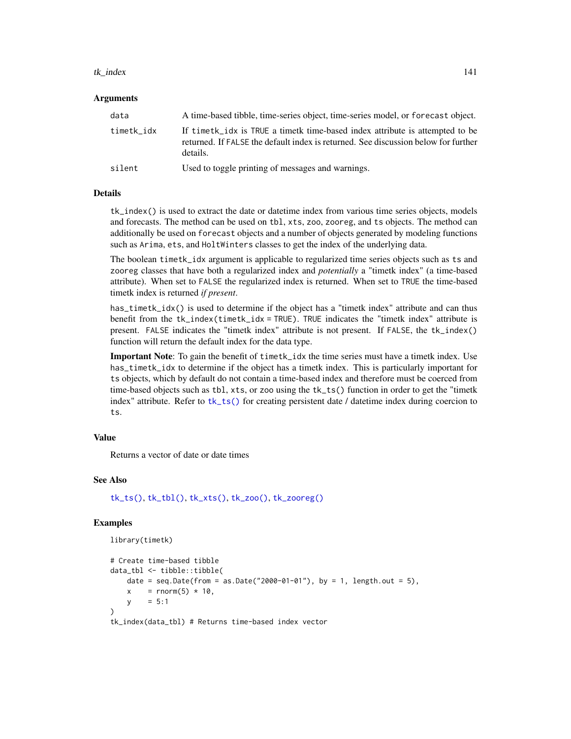#### tk\_index 141

### Arguments

| data       | A time-based tibble, time-series object, time-series model, or forecast object.                                                                                                  |
|------------|----------------------------------------------------------------------------------------------------------------------------------------------------------------------------------|
| timetk idx | If timething is TRUE a timetherm time-based index attribute is attempted to be<br>returned. If FALSE the default index is returned. See discussion below for further<br>details. |
| silent     | Used to toggle printing of messages and warnings.                                                                                                                                |

#### Details

tk\_index() is used to extract the date or datetime index from various time series objects, models and forecasts. The method can be used on tbl, xts, zoo, zooreg, and ts objects. The method can additionally be used on forecast objects and a number of objects generated by modeling functions such as Arima, ets, and HoltWinters classes to get the index of the underlying data.

The boolean timetk\_idx argument is applicable to regularized time series objects such as ts and zooreg classes that have both a regularized index and *potentially* a "timetk index" (a time-based attribute). When set to FALSE the regularized index is returned. When set to TRUE the time-based timetk index is returned *if present*.

has\_timetk\_idx() is used to determine if the object has a "timetk index" attribute and can thus benefit from the tk\_index(timetk\_idx = TRUE). TRUE indicates the "timetk index" attribute is present. FALSE indicates the "timetk index" attribute is not present. If FALSE, the tk\_index() function will return the default index for the data type.

Important Note: To gain the benefit of timetk\_idx the time series must have a timetk index. Use has\_timetk\_idx to determine if the object has a timetk index. This is particularly important for ts objects, which by default do not contain a time-based index and therefore must be coerced from time-based objects such as tbl, xts, or zoo using the tk\_ts() function in order to get the "timetk index" attribute. Refer to  $tk\_ts()$  for creating persistent date / datetime index during coercion to ts.

## Value

Returns a vector of date or date times

#### See Also

[tk\\_ts\(\)](#page-157-0), [tk\\_tbl\(\)](#page-154-0), [tk\\_xts\(\)](#page-162-0), [tk\\_zoo\(\)](#page-163-0), [tk\\_zooreg\(\)](#page-165-0)

#### Examples

library(timetk)

```
# Create time-based tibble
data_tbl <- tibble::tibble(
   date = seq.Date(from = as.Date("2000-01-01"), by = 1, length.out = 5),
   x = rnorm(5) * 10,y = 5:1)
```
tk\_index(data\_tbl) # Returns time-based index vector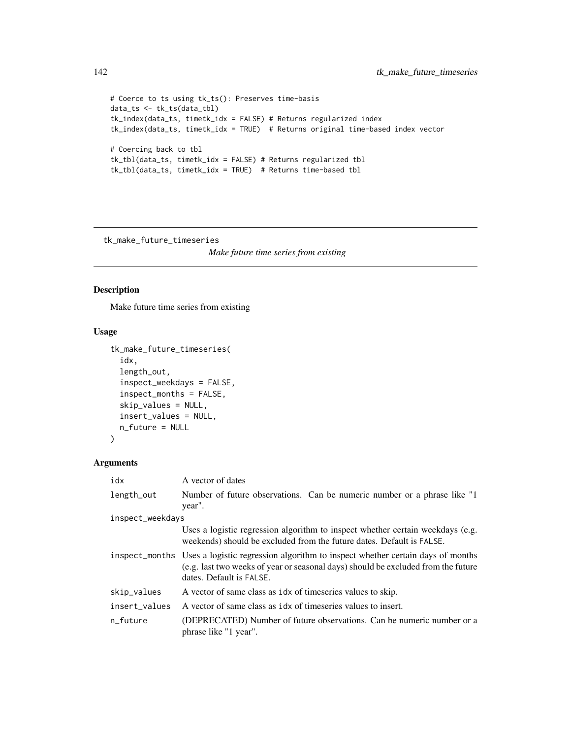```
# Coerce to ts using tk_ts(): Preserves time-basis
data_ts <- tk_ts(data_tbl)
tk_index(data_ts, timetk_idx = FALSE) # Returns regularized index
tk_index(data_ts, timetk_idx = TRUE) # Returns original time-based index vector
# Coercing back to tbl
tk_tbl(data_ts, timetk_idx = FALSE) # Returns regularized tbl
tk_tbl(data_ts, timetk_idx = TRUE) # Returns time-based tbl
```
<span id="page-141-0"></span>tk\_make\_future\_timeseries

*Make future time series from existing*

## Description

Make future time series from existing

### Usage

```
tk_make_future_timeseries(
  idx,
  length_out,
  inspect_weekdays = FALSE,
  inspect_months = FALSE,
  skip_values = NULL,
  insert_values = NULL,
 n_future = NULL
)
```
## Arguments

| idx              | A vector of dates                                                                                                                                                                                              |  |
|------------------|----------------------------------------------------------------------------------------------------------------------------------------------------------------------------------------------------------------|--|
| length_out       | Number of future observations. Can be numeric number or a phrase like "1"<br>year".                                                                                                                            |  |
| inspect_weekdays |                                                                                                                                                                                                                |  |
|                  | Uses a logistic regression algorithm to inspect whether certain weekdays (e.g.<br>weekends) should be excluded from the future dates. Default is FALSE.                                                        |  |
|                  | inspect_months Uses a logistic regression algorithm to inspect whether certain days of months<br>(e.g. last two weeks of year or seasonal days) should be excluded from the future<br>dates. Default is FALSE. |  |
| skip_values      | A vector of same class as idx of timeseries values to skip.                                                                                                                                                    |  |
| insert_values    | A vector of same class as idx of timeseries values to insert.                                                                                                                                                  |  |
| n future         | (DEPRECATED) Number of future observations. Can be numeric number or a<br>phrase like "1 year".                                                                                                                |  |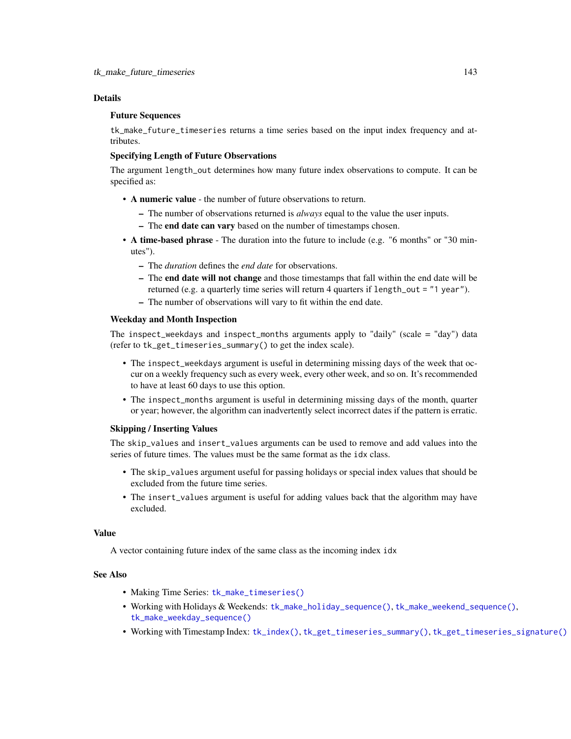## Details

### Future Sequences

tk\_make\_future\_timeseries returns a time series based on the input index frequency and attributes.

## Specifying Length of Future Observations

The argument length\_out determines how many future index observations to compute. It can be specified as:

- A numeric value the number of future observations to return.
	- The number of observations returned is *always* equal to the value the user inputs.
	- The end date can vary based on the number of timestamps chosen.
- A time-based phrase The duration into the future to include (e.g. "6 months" or "30 minutes").
	- The *duration* defines the *end date* for observations.
	- The end date will not change and those timestamps that fall within the end date will be returned (e.g. a quarterly time series will return 4 quarters if length\_out = "1 year").
	- The number of observations will vary to fit within the end date.

### Weekday and Month Inspection

The inspect\_weekdays and inspect\_months arguments apply to "daily" (scale = "day") data (refer to tk\_get\_timeseries\_summary() to get the index scale).

- The inspect\_weekdays argument is useful in determining missing days of the week that occur on a weekly frequency such as every week, every other week, and so on. It's recommended to have at least 60 days to use this option.
- The inspect\_months argument is useful in determining missing days of the month, quarter or year; however, the algorithm can inadvertently select incorrect dates if the pattern is erratic.

#### Skipping / Inserting Values

The skip\_values and insert\_values arguments can be used to remove and add values into the series of future times. The values must be the same format as the idx class.

- The skip\_values argument useful for passing holidays or special index values that should be excluded from the future time series.
- The insert\_values argument is useful for adding values back that the algorithm may have excluded.

## Value

A vector containing future index of the same class as the incoming index idx

## See Also

- Making Time Series: [tk\\_make\\_timeseries\(\)](#page-146-0)
- Working with Holidays & Weekends: [tk\\_make\\_holiday\\_sequence\(\)](#page-143-0), [tk\\_make\\_weekend\\_sequence\(\)](#page-144-0), [tk\\_make\\_weekday\\_sequence\(\)](#page-144-0)
- Working with Timestamp Index: [tk\\_index\(\)](#page-139-0), [tk\\_get\\_timeseries\\_summary\(\)](#page-137-0), [tk\\_get\\_timeseries\\_signature\(\)](#page-137-0)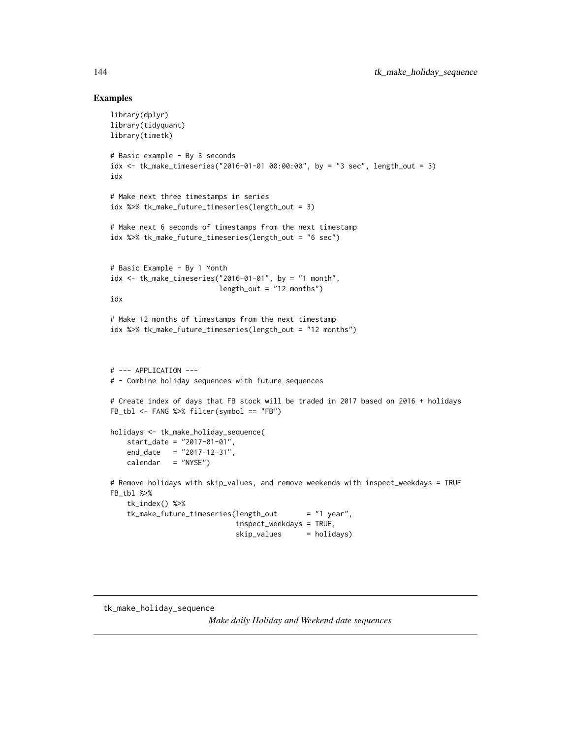## Examples

```
library(dplyr)
library(tidyquant)
library(timetk)
# Basic example - By 3 seconds
idx <- tk_make_timeseries("2016-01-01 00:00:00", by = "3 sec", length_out = 3)
idx
# Make next three timestamps in series
idx %>% tk_make_future_timeseries(length_out = 3)
# Make next 6 seconds of timestamps from the next timestamp
idx %>% tk_make_future_timeseries(length_out = "6 sec")
# Basic Example - By 1 Month
idx <- tk_make_timeseries("2016-01-01", by = "1 month",
                         length_out = "12 months")idx
# Make 12 months of timestamps from the next timestamp
idx %>% tk_make_future_timeseries(length_out = "12 months")
# --- APPLICATION ---
# - Combine holiday sequences with future sequences
# Create index of days that FB stock will be traded in 2017 based on 2016 + holidays
FB_tbl <- FANG %>% filter(symbol == "FB")
holidays <- tk_make_holiday_sequence(
    start_date = "2017-01-01",
    end\_date = "2017-12-31",calendar = "NYSE")
# Remove holidays with skip_values, and remove weekends with inspect_weekdays = TRUE
FB_tbl %>%
   tk_index() %>%
    tk_make_future_timeseries(length_out = "1 year",
                             inspect_weekdays = TRUE,
                              skip_values = holidays)
```
<span id="page-143-0"></span>tk\_make\_holiday\_sequence

*Make daily Holiday and Weekend date sequences*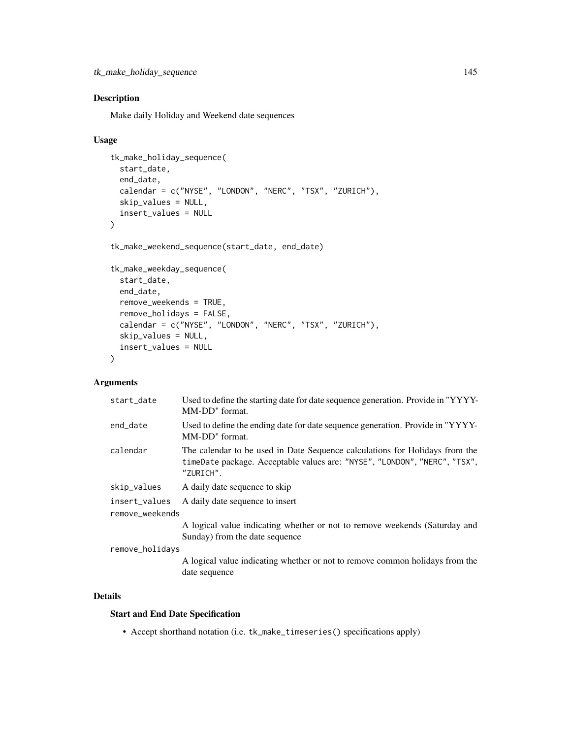<span id="page-144-1"></span>tk\_make\_holiday\_sequence 145

# <span id="page-144-0"></span>Description

Make daily Holiday and Weekend date sequences

# Usage

```
tk_make_holiday_sequence(
  start_date,
 end_date,
 calendar = c("NYSE", "LONDON", "NERC", "TSX", "ZURICH"),
  skip_values = NULL,
  insert_values = NULL
\lambdatk_make_weekend_sequence(start_date, end_date)
tk_make_weekday_sequence(
  start_date,
  end_date,
 remove_weekends = TRUE,
  remove_holidays = FALSE,
  calendar = c("NYSE", "LONDON", "NERC", "TSX", "ZURICH"),
  skip_values = NULL,
  insert_values = NULL
\lambda
```
# Arguments

| start_date      | Used to define the starting date for date sequence generation. Provide in "YYYY-<br>MM-DD" format.                                                                    |
|-----------------|-----------------------------------------------------------------------------------------------------------------------------------------------------------------------|
| end_date        | Used to define the ending date for date sequence generation. Provide in "YYYY-<br>MM-DD" format.                                                                      |
| calendar        | The calendar to be used in Date Sequence calculations for Holidays from the<br>timeDate package. Acceptable values are: "NYSE", "LONDON", "NERC", "TSX",<br>"ZURICH". |
| skip_values     | A daily date sequence to skip                                                                                                                                         |
| insert values   | A daily date sequence to insert                                                                                                                                       |
| remove_weekends |                                                                                                                                                                       |
|                 | A logical value indicating whether or not to remove weekends (Saturday and<br>Sunday) from the date sequence                                                          |
| remove_holidays |                                                                                                                                                                       |
|                 | A logical value indicating whether or not to remove common holidays from the                                                                                          |

A logical value indicating whether or not to remove common holidays from the date sequence

# Details

# Start and End Date Specification

• Accept shorthand notation (i.e. tk\_make\_timeseries() specifications apply)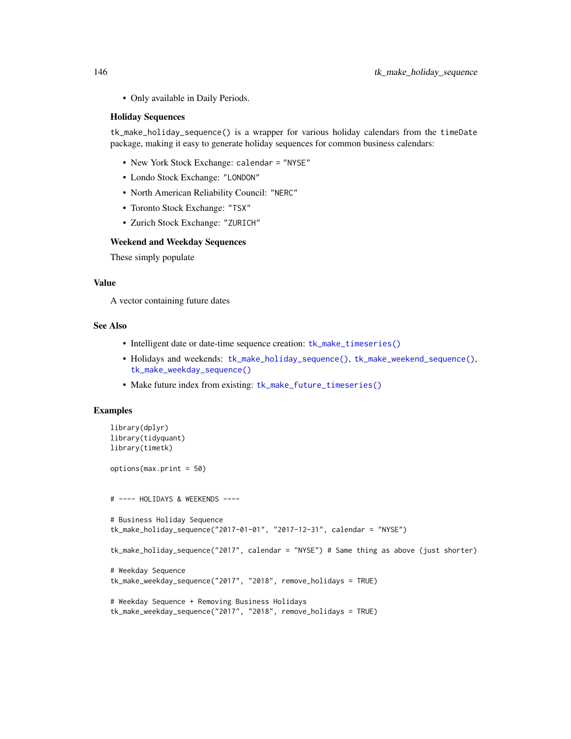• Only available in Daily Periods.

#### Holiday Sequences

tk\_make\_holiday\_sequence() is a wrapper for various holiday calendars from the timeDate package, making it easy to generate holiday sequences for common business calendars:

- New York Stock Exchange: calendar = "NYSE"
- Londo Stock Exchange: "LONDON"
- North American Reliability Council: "NERC"
- Toronto Stock Exchange: "TSX"
- Zurich Stock Exchange: "ZURICH"

#### Weekend and Weekday Sequences

These simply populate

# Value

A vector containing future dates

#### See Also

- Intelligent date or date-time sequence creation: [tk\\_make\\_timeseries\(\)](#page-146-0)
- Holidays and weekends: [tk\\_make\\_holiday\\_sequence\(\)](#page-143-0), [tk\\_make\\_weekend\\_sequence\(\)](#page-144-0), [tk\\_make\\_weekday\\_sequence\(\)](#page-144-0)
- Make future index from existing: [tk\\_make\\_future\\_timeseries\(\)](#page-141-0)

```
library(dplyr)
library(tidyquant)
library(timetk)
options(max.print = 50)
# ---- HOLIDAYS & WEEKENDS ----
# Business Holiday Sequence
tk_make_holiday_sequence("2017-01-01", "2017-12-31", calendar = "NYSE")
tk_make_holiday_sequence("2017", calendar = "NYSE") # Same thing as above (just shorter)
# Weekday Sequence
tk_make_weekday_sequence("2017", "2018", remove_holidays = TRUE)
# Weekday Sequence + Removing Business Holidays
tk_make_weekday_sequence("2017", "2018", remove_holidays = TRUE)
```
<span id="page-145-0"></span>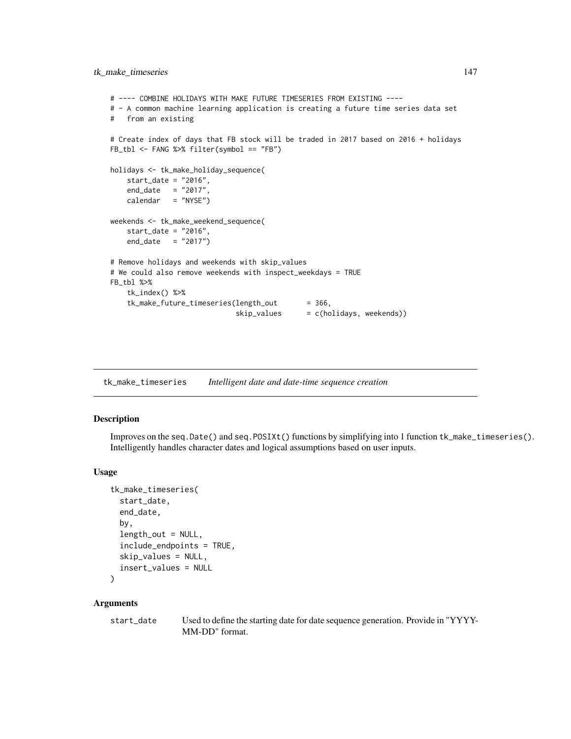# <span id="page-146-1"></span>tk\_make\_timeseries 147

```
# ---- COMBINE HOLIDAYS WITH MAKE FUTURE TIMESERIES FROM EXISTING ----
# - A common machine learning application is creating a future time series data set
# from an existing
# Create index of days that FB stock will be traded in 2017 based on 2016 + holidays
FB_tbl <- FANG %>% filter(symbol == "FB")
holidays <- tk_make_holiday_sequence(
   start_date = "2016",
   end_date = "2017",
   calendar = "NYSE")
weekends <- tk_make_weekend_sequence(
    start_date = "2016",
   end_date = "2017")
# Remove holidays and weekends with skip_values
# We could also remove weekends with inspect_weekdays = TRUE
FB_tbl %>%
    tk_index() %>%
    tk_make_future_timeseries(length_out = 366,
                             skip\_values = c(holidays, weekends)
```
<span id="page-146-0"></span>tk\_make\_timeseries *Intelligent date and date-time sequence creation*

#### Description

Improves on the seq.Date() and seq.POSIXt() functions by simplifying into 1 function tk\_make\_timeseries(). Intelligently handles character dates and logical assumptions based on user inputs.

#### Usage

```
tk_make_timeseries(
  start_date,
  end_date,
 by,
  length_out = NULL,
  include_endpoints = TRUE,
  skip_values = NULL,
  insert_values = NULL
\lambda
```
#### Arguments

start\_date Used to define the starting date for date sequence generation. Provide in "YYYY-MM-DD" format.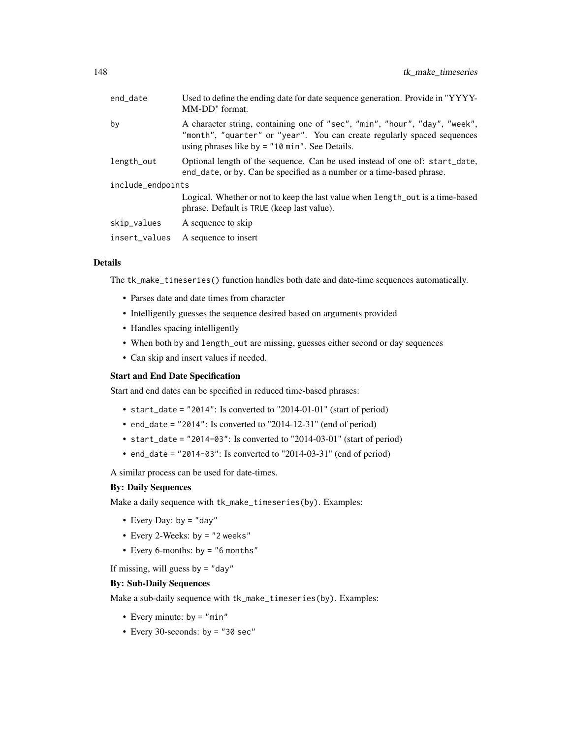| end_date          | Used to define the ending date for date sequence generation. Provide in "YYYY-<br>MM-DD" format.                                                                                                          |
|-------------------|-----------------------------------------------------------------------------------------------------------------------------------------------------------------------------------------------------------|
| by                | A character string, containing one of "sec", "min", "hour", "day", "week",<br>"month", "quarter" or "year". You can create regularly spaced sequences<br>using phrases like by $=$ "10 min". See Details. |
| length_out        | Optional length of the sequence. Can be used instead of one of: start_date,<br>end_date, or by. Can be specified as a number or a time-based phrase.                                                      |
| include_endpoints |                                                                                                                                                                                                           |
|                   | Logical. Whether or not to keep the last value when length out is a time-based<br>phrase. Default is TRUE (keep last value).                                                                              |
| skip_values       | A sequence to skip                                                                                                                                                                                        |
| insert_values     | A sequence to insert                                                                                                                                                                                      |
|                   |                                                                                                                                                                                                           |

# Details

The tk\_make\_timeseries() function handles both date and date-time sequences automatically.

- Parses date and date times from character
- Intelligently guesses the sequence desired based on arguments provided
- Handles spacing intelligently
- When both by and length\_out are missing, guesses either second or day sequences
- Can skip and insert values if needed.

#### Start and End Date Specification

Start and end dates can be specified in reduced time-based phrases:

- start\_date = "2014": Is converted to "2014-01-01" (start of period)
- end\_date = "2014": Is converted to "2014-12-31" (end of period)
- start\_date =  $"2014-03"$ : Is converted to  $"2014-03-01"$  (start of period)
- end\_date = "2014-03": Is converted to "2014-03-31" (end of period)

A similar process can be used for date-times.

#### By: Daily Sequences

Make a daily sequence with tk\_make\_timeseries(by). Examples:

- Every Day:  $by = "day"$
- Every 2-Weeks: by = "2 weeks"
- Every 6-months: by = "6 months"

If missing, will guess by  $=$  "day"

#### By: Sub-Daily Sequences

Make a sub-daily sequence with tk\_make\_timeseries(by). Examples:

- Every minute:  $by = "min"$
- Every 30-seconds: by = "30 sec"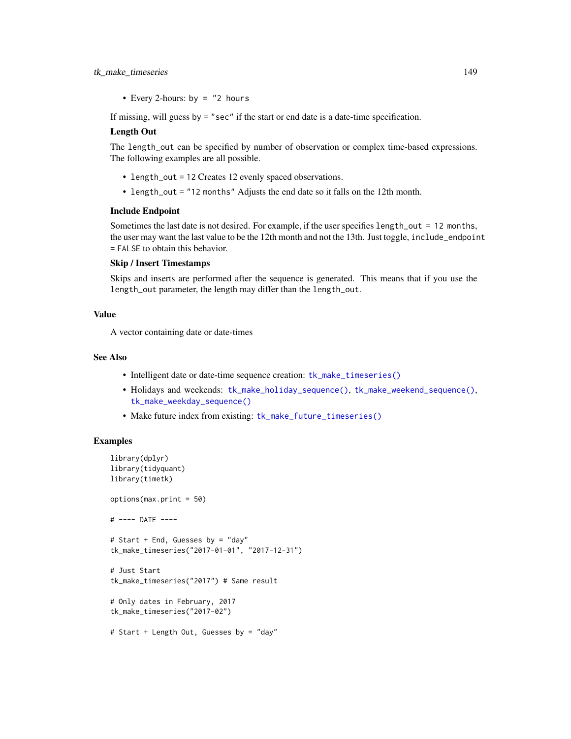### <span id="page-148-0"></span>tk\_make\_timeseries 149

• Every 2-hours: by  $=$  "2 hours

If missing, will guess by = "sec" if the start or end date is a date-time specification.

#### Length Out

The length\_out can be specified by number of observation or complex time-based expressions. The following examples are all possible.

- length\_out = 12 Creates 12 evenly spaced observations.
- length\_out = "12 months" Adjusts the end date so it falls on the 12th month.

#### Include Endpoint

Sometimes the last date is not desired. For example, if the user specifies length\_out = 12 months, the user may want the last value to be the 12th month and not the 13th. Just toggle, include\_endpoint = FALSE to obtain this behavior.

#### Skip / Insert Timestamps

Skips and inserts are performed after the sequence is generated. This means that if you use the length\_out parameter, the length may differ than the length\_out.

#### Value

A vector containing date or date-times

### See Also

- Intelligent date or date-time sequence creation: [tk\\_make\\_timeseries\(\)](#page-146-0)
- Holidays and weekends: [tk\\_make\\_holiday\\_sequence\(\)](#page-143-0), [tk\\_make\\_weekend\\_sequence\(\)](#page-144-0), [tk\\_make\\_weekday\\_sequence\(\)](#page-144-0)
- Make future index from existing: [tk\\_make\\_future\\_timeseries\(\)](#page-141-0)

```
library(dplyr)
library(tidyquant)
library(timetk)
options(max.print = 50)
# ---- DATE ----
# Start + End, Guesses by = "day"
tk_make_timeseries("2017-01-01", "2017-12-31")
# Just Start
tk_make_timeseries("2017") # Same result
# Only dates in February, 2017
tk_make_timeseries("2017-02")
# Start + Length Out, Guesses by = "day"
```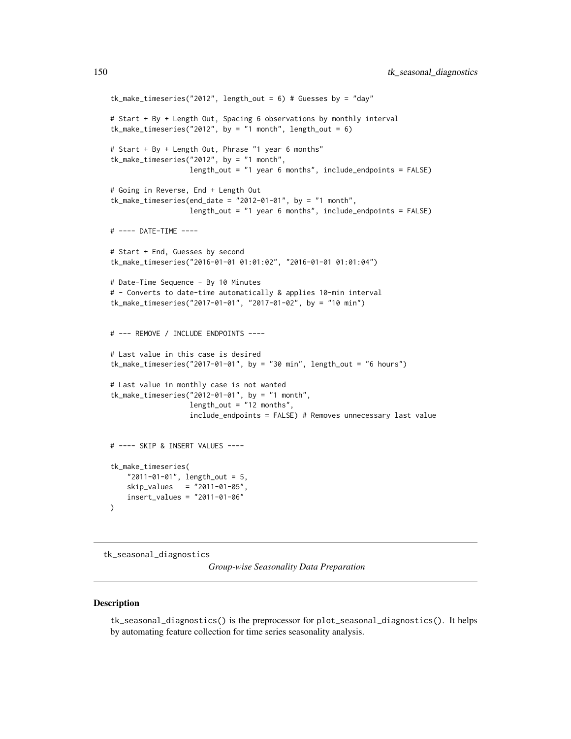```
tk_make_timeseries("2012", length_out = 6) # Guesses by = "day"
# Start + By + Length Out, Spacing 6 observations by monthly interval
tk\_make\_timeseries("2012", by = "1 month", length\_out = 6)# Start + By + Length Out, Phrase "1 year 6 months"
tk_make_timeseries("2012", by = "1 month",
                   length_out = "1 year 6 months", include_endpoints = FALSE)
# Going in Reverse, End + Length Out
tk\_make\_timeseries(end_date = "2012-01-01", by = "1 month",
                   length_out = "1 year 6 months", include_endpoints = FALSE)
# ---- DATE-TIME ----
# Start + End, Guesses by second
tk_make_timeseries("2016-01-01 01:01:02", "2016-01-01 01:01:04")
# Date-Time Sequence - By 10 Minutes
# - Converts to date-time automatically & applies 10-min interval
tk_make_timeseries("2017-01-01", "2017-01-02", by = "10 min")
# --- REMOVE / INCLUDE ENDPOINTS ----
# Last value in this case is desired
tk\_make\_timeseries("2017-01-01", by = "30 min", length\_out = "6 hours")# Last value in monthly case is not wanted
tk_make_timeseries("2012-01-01", by = "1 month",
                   length_out = "12 months",
                   include_endpoints = FALSE) # Removes unnecessary last value
# ---- SKIP & INSERT VALUES ----
tk_make_timeseries(
    "2011-01-01", length_out = 5,
    skip_values = "2011-01-05",
    insert_values = "2011-01-06"
\mathcal{L}
```
tk\_seasonal\_diagnostics

*Group-wise Seasonality Data Preparation*

#### Description

tk\_seasonal\_diagnostics() is the preprocessor for plot\_seasonal\_diagnostics(). It helps by automating feature collection for time series seasonality analysis.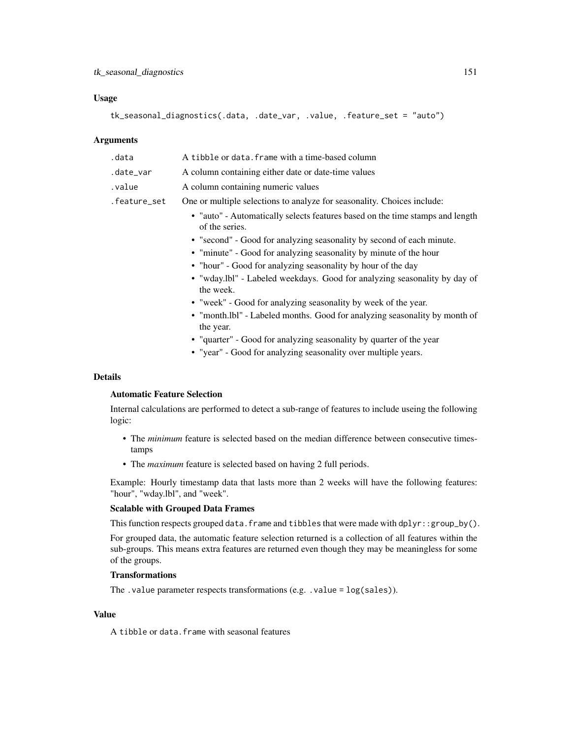#### Usage

```
tk_seasonal_diagnostics(.data, .date_var, .value, .feature_set = "auto")
```
#### Arguments

| .data        | A tibble or data. frame with a time-based column                                                |
|--------------|-------------------------------------------------------------------------------------------------|
| .date_var    | A column containing either date or date-time values                                             |
| .value       | A column containing numeric values                                                              |
| .feature_set | One or multiple selections to analyze for seasonality. Choices include:                         |
|              | • "auto" - Automatically selects features based on the time stamps and length<br>of the series. |
|              | • "second" - Good for analyzing seasonality by second of each minute.                           |
|              | • "minute" - Good for analyzing seasonality by minute of the hour                               |
|              | • "hour" - Good for analyzing seasonality by hour of the day                                    |
|              | • "wday.lbl" - Labeled weekdays. Good for analyzing seasonality by day of<br>the week.          |
|              | • "week" - Good for analyzing seasonality by week of the year.                                  |
|              | • "month.lbl" - Labeled months. Good for analyzing seasonality by month of<br>the year.         |
|              | • "quarter" - Good for analyzing seasonality by quarter of the year                             |
|              | • "year" - Good for analyzing seasonality over multiple years.                                  |

#### Details

# Automatic Feature Selection

Internal calculations are performed to detect a sub-range of features to include useing the following logic:

- The *minimum* feature is selected based on the median difference between consecutive timestamps
- The *maximum* feature is selected based on having 2 full periods.

Example: Hourly timestamp data that lasts more than 2 weeks will have the following features: "hour", "wday.lbl", and "week".

# Scalable with Grouped Data Frames

This function respects grouped data.frame and tibbles that were made with dplyr::group\_by().

For grouped data, the automatic feature selection returned is a collection of all features within the sub-groups. This means extra features are returned even though they may be meaningless for some of the groups.

# Transformations

The .value parameter respects transformations (e.g. .value = log(sales)).

# Value

A tibble or data.frame with seasonal features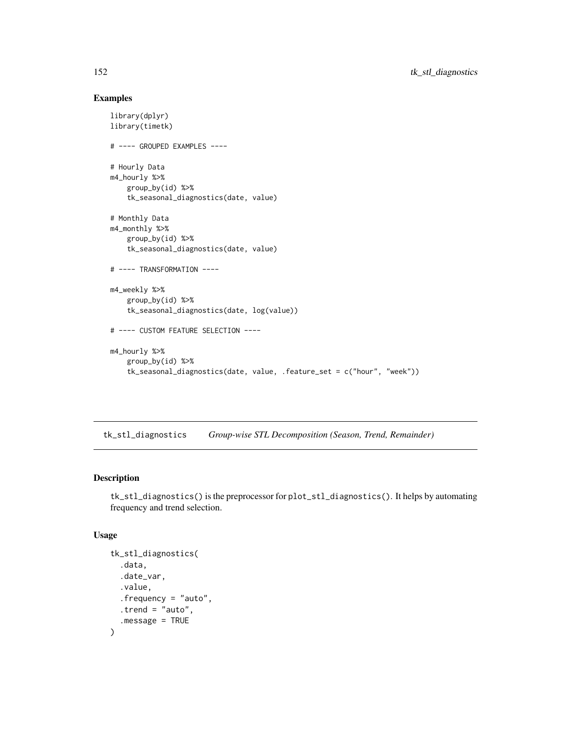# <span id="page-151-0"></span>Examples

```
library(dplyr)
library(timetk)
# ---- GROUPED EXAMPLES ----
# Hourly Data
m4_hourly %>%
   group_by(id) %>%
   tk_seasonal_diagnostics(date, value)
# Monthly Data
m4_monthly %>%
   group_by(id) %>%
    tk_seasonal_diagnostics(date, value)
# ---- TRANSFORMATION ----
m4_weekly %>%
    group_by(id) %>%
    tk_seasonal_diagnostics(date, log(value))
# ---- CUSTOM FEATURE SELECTION ----
m4_hourly %>%
   group_by(id) %>%
    tk_seasonal_diagnostics(date, value, .feature_set = c("hour", "week"))
```
tk\_stl\_diagnostics *Group-wise STL Decomposition (Season, Trend, Remainder)*

# Description

tk\_stl\_diagnostics() is the preprocessor for plot\_stl\_diagnostics(). It helps by automating frequency and trend selection.

# Usage

```
tk_stl_diagnostics(
  .data,
  .date_var,
  .value,
  .frequency = "auto",
  .trend = "auto",
  .message = TRUE
\mathcal{E}
```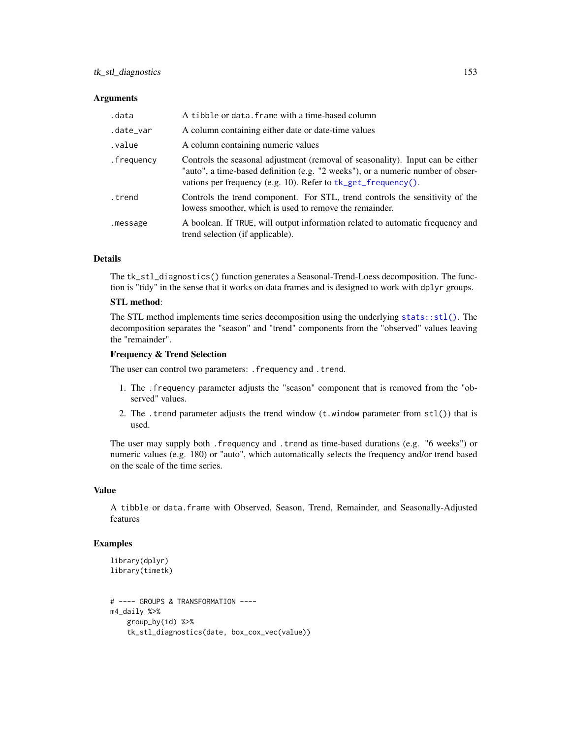# <span id="page-152-0"></span>tk\_stl\_diagnostics 153

#### **Arguments**

| .data      | A tibble or data. frame with a time-based column                                                                                                                                                                                        |
|------------|-----------------------------------------------------------------------------------------------------------------------------------------------------------------------------------------------------------------------------------------|
| .date_var  | A column containing either date or date-time values                                                                                                                                                                                     |
| .value     | A column containing numeric values                                                                                                                                                                                                      |
| .frequency | Controls the seasonal adjustment (removal of seasonality). Input can be either<br>"auto", a time-based definition (e.g. "2 weeks"), or a numeric number of obser-<br>vations per frequency (e.g. 10). Refer to $tk\_get\_frequency()$ . |
| .trend     | Controls the trend component. For STL, trend controls the sensitivity of the<br>lowess smoother, which is used to remove the remainder.                                                                                                 |
| .message   | A boolean. If TRUE, will output information related to automatic frequency and<br>trend selection (if applicable).                                                                                                                      |

#### Details

The tk\_stl\_diagnostics() function generates a Seasonal-Trend-Loess decomposition. The function is "tidy" in the sense that it works on data frames and is designed to work with dplyr groups.

### STL method:

The STL method implements time series decomposition using the underlying [stats::stl\(\)](#page-0-0). The decomposition separates the "season" and "trend" components from the "observed" values leaving the "remainder".

#### Frequency & Trend Selection

The user can control two parameters: . frequency and . trend.

- 1. The .frequency parameter adjusts the "season" component that is removed from the "observed" values.
- 2. The .trend parameter adjusts the trend window  $(t \cdot w \cdot \text{indow parameter from stl())}$  that is used.

The user may supply both .frequency and .trend as time-based durations (e.g. "6 weeks") or numeric values (e.g. 180) or "auto", which automatically selects the frequency and/or trend based on the scale of the time series.

#### Value

A tibble or data.frame with Observed, Season, Trend, Remainder, and Seasonally-Adjusted features

```
library(dplyr)
library(timetk)
# ---- GROUPS & TRANSFORMATION ----
m4_daily %>%
   group_by(id) %>%
   tk_stl_diagnostics(date, box_cox_vec(value))
```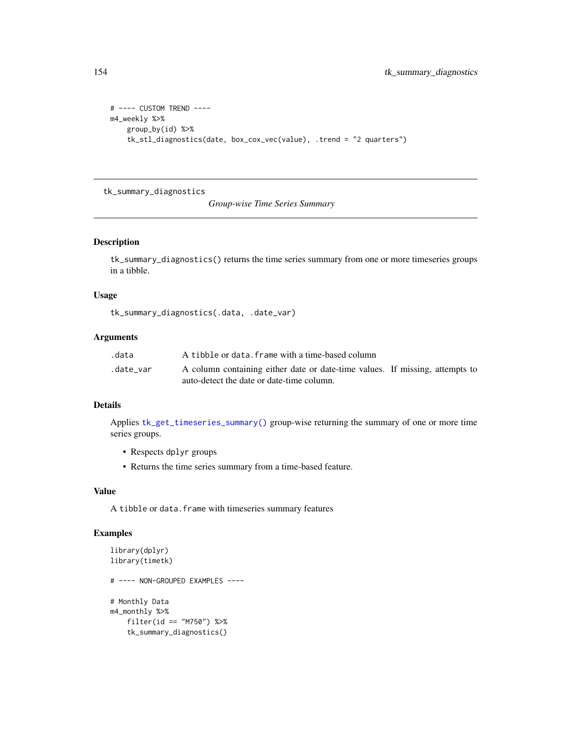```
# ---- CUSTOM TREND ----
m4_weekly %>%
   group_by(id) %>%
   tk_stl_diagnostics(date, box_cox_vec(value), .trend = "2 quarters")
```
tk\_summary\_diagnostics

*Group-wise Time Series Summary*

# Description

tk\_summary\_diagnostics() returns the time series summary from one or more timeseries groups in a tibble.

#### Usage

tk\_summary\_diagnostics(.data, .date\_var)

#### Arguments

| .data     | A tibble or data. frame with a time-based column                             |
|-----------|------------------------------------------------------------------------------|
| .date var | A column containing either date or date-time values. If missing, attempts to |
|           | auto-detect the date or date-time column.                                    |

# Details

Applies [tk\\_get\\_timeseries\\_summary\(\)](#page-137-0) group-wise returning the summary of one or more time series groups.

- Respects dplyr groups
- Returns the time series summary from a time-based feature.

# Value

A tibble or data. frame with timeseries summary features

```
library(dplyr)
library(timetk)
# ---- NON-GROUPED EXAMPLES ----
# Monthly Data
m4_monthly %>%
   filter(id == "M750") %>%
   tk_summary_diagnostics()
```
<span id="page-153-0"></span>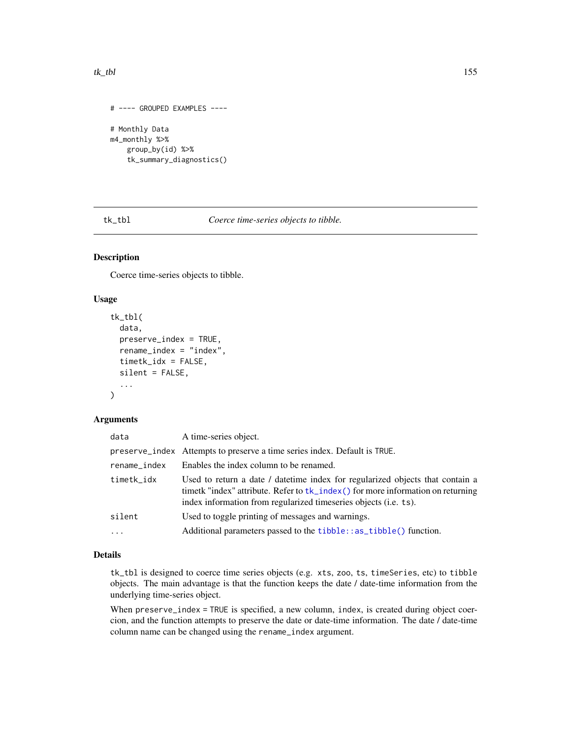#### <span id="page-154-1"></span> $tk\_tbl$  155

```
# ---- GROUPED EXAMPLES ----
# Monthly Data
m4_monthly %>%
   group_by(id) %>%
   tk_summary_diagnostics()
```
<span id="page-154-0"></span>tk\_tbl *Coerce time-series objects to tibble.*

# Description

Coerce time-series objects to tibble.

#### Usage

```
tk_tbl(
  data,
 preserve_index = TRUE,
  rename_index = "index",
  timetk_idx = FALSE,
  silent = FALSE,
  ...
)
```
#### Arguments

| data         | A time-series object.                                                                                                                                                                                                                 |
|--------------|---------------------------------------------------------------------------------------------------------------------------------------------------------------------------------------------------------------------------------------|
|              | preserve_index Attempts to preserve a time series index. Default is TRUE.                                                                                                                                                             |
| rename_index | Enables the index column to be renamed.                                                                                                                                                                                               |
| timetk_idx   | Used to return a date / date time index for regularized objects that contain a<br>timetk "index" attribute. Refer to tk_index() for more information on returning<br>index information from regularized timeseries objects (i.e. ts). |
| silent       | Used to toggle printing of messages and warnings.                                                                                                                                                                                     |
| $\cdots$     | Additional parameters passed to the <b>tibble</b> : : as_tibble() function.                                                                                                                                                           |

# Details

tk\_tbl is designed to coerce time series objects (e.g. xts, zoo, ts, timeSeries, etc) to tibble objects. The main advantage is that the function keeps the date / date-time information from the underlying time-series object.

When preserve\_index = TRUE is specified, a new column, index, is created during object coercion, and the function attempts to preserve the date or date-time information. The date / date-time column name can be changed using the rename\_index argument.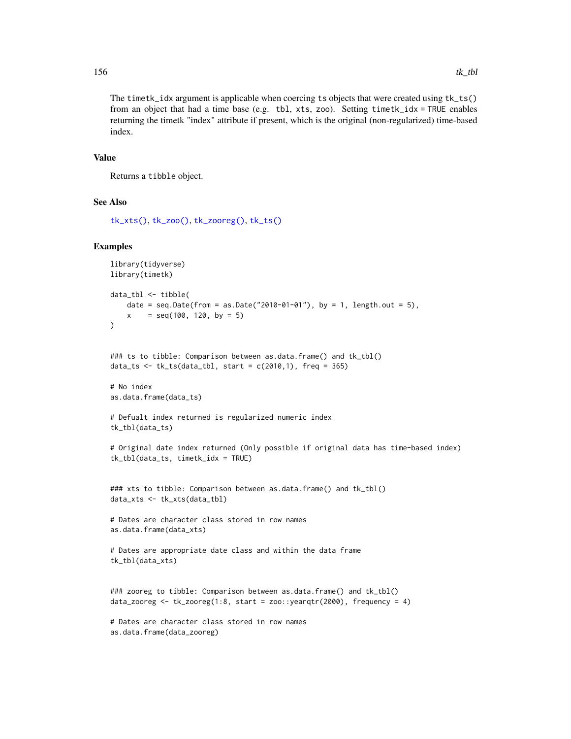The timetk\_idx argument is applicable when coercing ts objects that were created using tk\_ts() from an object that had a time base (e.g. tbl, xts, zoo). Setting timetk\_idx = TRUE enables returning the timetk "index" attribute if present, which is the original (non-regularized) time-based index.

#### Value

Returns a tibble object.

#### See Also

[tk\\_xts\(\)](#page-162-0), [tk\\_zoo\(\)](#page-163-0), [tk\\_zooreg\(\)](#page-165-0), [tk\\_ts\(\)](#page-157-0)

```
library(tidyverse)
library(timetk)
data_tbl <- tibble(
   date = seq.Date(from = as.Date("2010-01-01"), by = 1, length.out = 5),
   x = seq(100, 120, by = 5)\mathcal{L}### ts to tibble: Comparison between as.data.frame() and tk_tbl()
data_ts <- tk_{ts}(data_{tbl}, start = c(2010,1), freq = 365)# No index
as.data.frame(data_ts)
# Defualt index returned is regularized numeric index
tk_tbl(data_ts)
# Original date index returned (Only possible if original data has time-based index)
tk_tbl(data_ts, timetk_idx = TRUE)
### xts to tibble: Comparison between as.data.frame() and tk_tbl()
data_xts <- tk_xts(data_tbl)
# Dates are character class stored in row names
as.data.frame(data_xts)
# Dates are appropriate date class and within the data frame
tk_tbl(data_xts)
### zooreg to tibble: Comparison between as.data.frame() and tk_tbl()
data_zooreg <- tk_zooreg(1:8, start = zoo::yearqtr(2000), frequency = 4)
# Dates are character class stored in row names
as.data.frame(data_zooreg)
```
<span id="page-155-0"></span>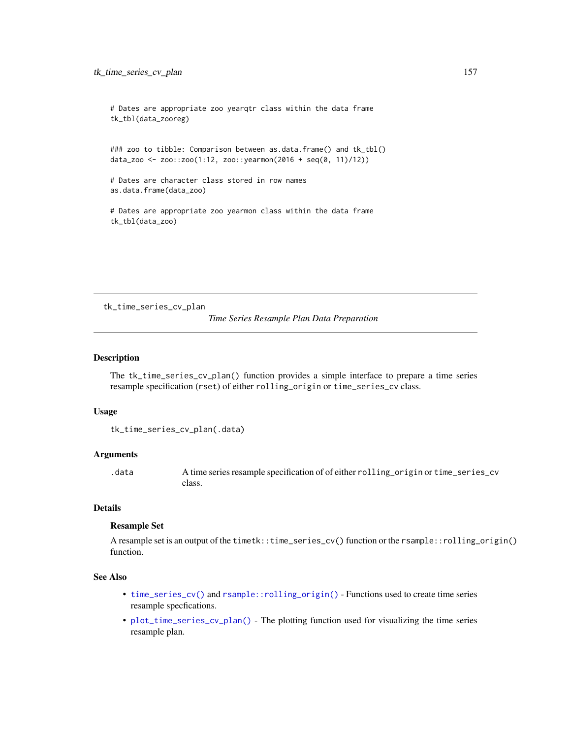```
# Dates are appropriate zoo yearqtr class within the data frame
tk_tbl(data_zooreg)
```

```
### zoo to tibble: Comparison between as.data.frame() and tk_tbl()
data_zoo <- zoo::zoo(1:12, zoo::yearmon(2016 + seq(0, 11)/12))
```

```
# Dates are character class stored in row names
as.data.frame(data_zoo)
```
# Dates are appropriate zoo yearmon class within the data frame tk\_tbl(data\_zoo)

tk\_time\_series\_cv\_plan

*Time Series Resample Plan Data Preparation*

# Description

The tk\_time\_series\_cv\_plan() function provides a simple interface to prepare a time series resample specification (rset) of either rolling\_origin or time\_series\_cv class.

#### Usage

```
tk_time_series_cv_plan(.data)
```
#### Arguments

.data A time series resample specification of of either rolling\_origin or time\_series\_cv class.

# Details

# Resample Set

A resample set is an output of the timetk::time\_series\_cv() function or the rsample::rolling\_origin() function.

# See Also

- [time\\_series\\_cv\(\)](#page-114-0) and [rsample::rolling\\_origin\(\)](#page-0-0) Functions used to create time series resample specfications.
- [plot\\_time\\_series\\_cv\\_plan\(\)](#page-57-0) The plotting function used for visualizing the time series resample plan.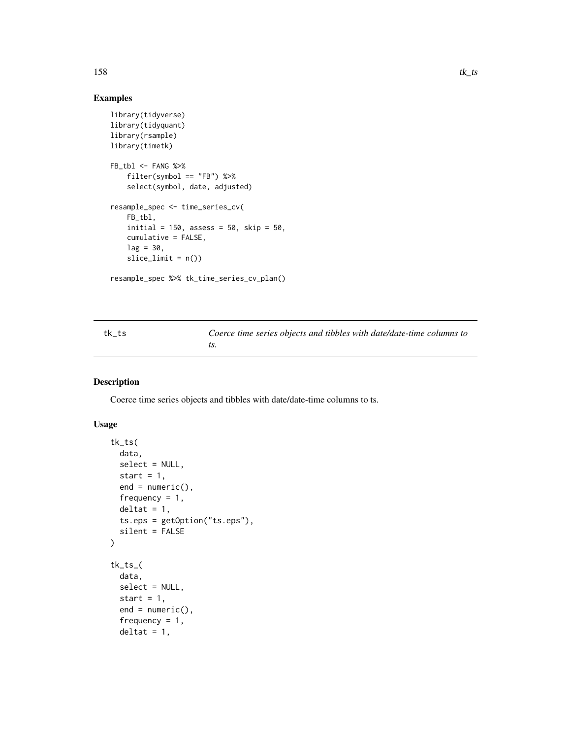# Examples

```
library(tidyverse)
library(tidyquant)
library(rsample)
library(timetk)
FB_tbl <- FANG %>%
    filter(symbol == "FB") %>%
    select(symbol, date, adjusted)
resample_spec <- time_series_cv(
    FB_tbl,
    initial = 150, assess = 50, skip = 50,
    cumulative = FALSE,
    lag = 30,slice\_limit = n()
```
resample\_spec %>% tk\_time\_series\_cv\_plan()

<span id="page-157-0"></span>tk\_ts *Coerce time series objects and tibbles with date/date-time columns to ts.*

#### Description

Coerce time series objects and tibbles with date/date-time columns to ts.

#### Usage

```
tk_ts(
  data,
  select = NULL,
 start = 1,
 end = numeric(),frequency = 1,
 delta = 1,
 ts.eps = getOption("ts.eps"),
  silent = FALSE
)
tk_ts_(
  data,
  select = NULL,
  start = 1,
  end = numeric(),frequency = 1,
 delta = 1,
```
<span id="page-157-1"></span>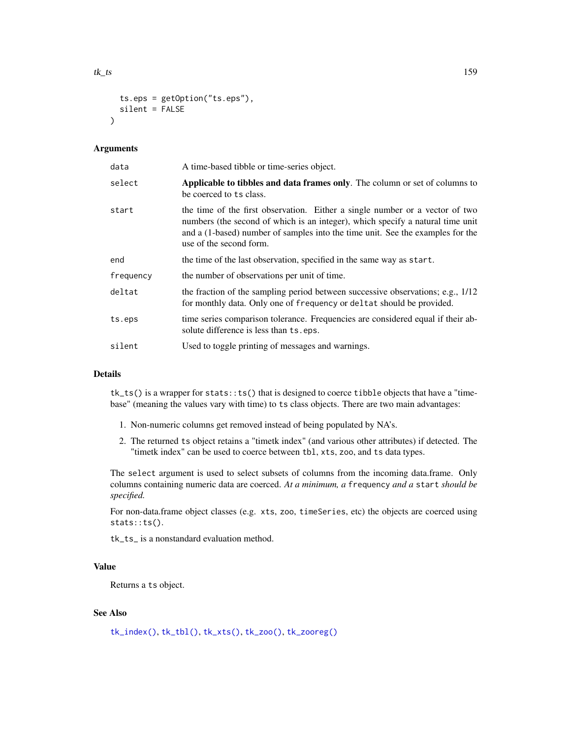```
ts.eps = getOption("ts.eps"),
  silent = FALSE
\lambda
```
# Arguments

| data      | A time-based tibble or time-series object.                                                                                                                                                                                                                                  |
|-----------|-----------------------------------------------------------------------------------------------------------------------------------------------------------------------------------------------------------------------------------------------------------------------------|
| select    | Applicable to tibbles and data frames only. The column or set of columns to<br>be coerced to ts class.                                                                                                                                                                      |
| start     | the time of the first observation. Either a single number or a vector of two<br>numbers (the second of which is an integer), which specify a natural time unit<br>and a (1-based) number of samples into the time unit. See the examples for the<br>use of the second form. |
| end       | the time of the last observation, specified in the same way as start.                                                                                                                                                                                                       |
| frequency | the number of observations per unit of time.                                                                                                                                                                                                                                |
| deltat    | the fraction of the sampling period between successive observations; e.g., 1/12<br>for monthly data. Only one of frequency or deltat should be provided.                                                                                                                    |
| ts.eps    | time series comparison tolerance. Frequencies are considered equal if their ab-<br>solute difference is less than ts.eps.                                                                                                                                                   |
| silent    | Used to toggle printing of messages and warnings.                                                                                                                                                                                                                           |

# Details

 $tk\_ts()$  is a wrapper for  $stats:ts()$  that is designed to coerce tibble objects that have a "timebase" (meaning the values vary with time) to ts class objects. There are two main advantages:

- 1. Non-numeric columns get removed instead of being populated by NA's.
- 2. The returned ts object retains a "timetk index" (and various other attributes) if detected. The "timetk index" can be used to coerce between tbl, xts, zoo, and ts data types.

The select argument is used to select subsets of columns from the incoming data.frame. Only columns containing numeric data are coerced. *At a minimum, a* frequency *and a* start *should be specified.*

For non-data.frame object classes (e.g. xts, zoo, timeSeries, etc) the objects are coerced using stats::ts().

tk\_ts\_ is a nonstandard evaluation method.

#### Value

Returns a ts object.

# See Also

[tk\\_index\(\)](#page-139-0), [tk\\_tbl\(\)](#page-154-0), [tk\\_xts\(\)](#page-162-0), [tk\\_zoo\(\)](#page-163-0), [tk\\_zooreg\(\)](#page-165-0)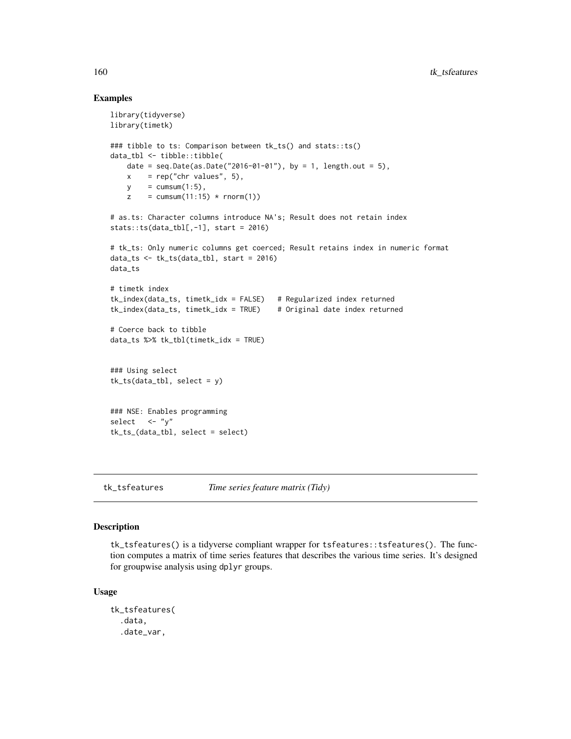#### Examples

```
library(tidyverse)
library(timetk)
### tibble to ts: Comparison between tk_ts() and stats::ts()
data_tbl <- tibble::tibble(
   date = seq.Date(as.Date("2016-01-01"), by = 1, length.out = 5),
   x = rep("chr values", 5),y = \text{cumsum}(1:5),
    z = \text{cumsum}(11:15) * \text{rnorm}(1)# as.ts: Character columns introduce NA's; Result does not retain index
stats::ts(data_tbl[, -1], start = 2016)# tk_ts: Only numeric columns get coerced; Result retains index in numeric format
data_ts \leq tk_ts(data_tbl, start = 2016)
data_ts
# timetk index
tk_index(data_ts, timetk_idx = FALSE) # Regularized index returned
tk_index(data_ts, timetk_idx = TRUE) # Original date index returned
# Coerce back to tibble
data_ts %>% tk_tbl(timetk_idx = TRUE)
### Using select
tk_ts(data_tbl, select = y)### NSE: Enables programming
select \leftarrow "y"
tk_ts_(data_tbl, select = select)
```
tk\_tsfeatures *Time series feature matrix (Tidy)*

#### Description

tk\_tsfeatures() is a tidyverse compliant wrapper for tsfeatures::tsfeatures(). The function computes a matrix of time series features that describes the various time series. It's designed for groupwise analysis using dplyr groups.

#### Usage

```
tk_tsfeatures(
  .data,
  .date_var,
```
<span id="page-159-0"></span>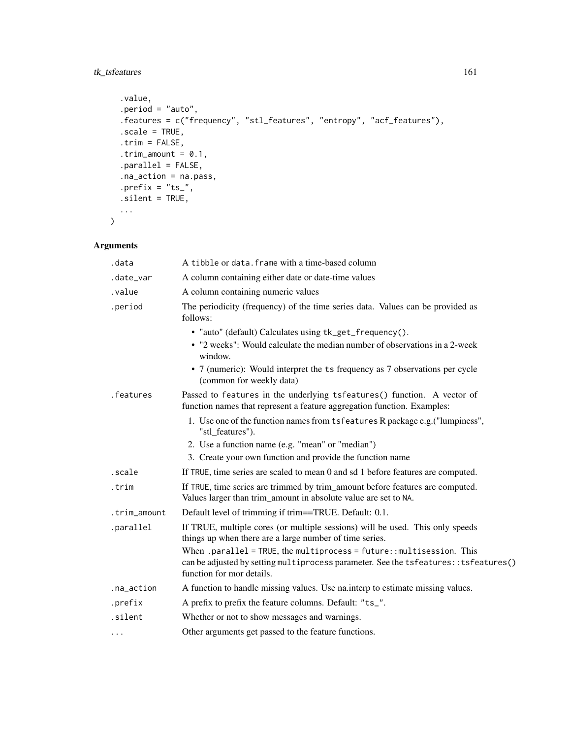# tk\_tsfeatures 161

```
.value,
 .period = "auto",
 .features = c("frequency", "stl_features", "entropy", "acf_features"),
 .scale = TRUE,
  .trim = FALSE,
 .trim_amount = 0.1,
 .parallel = FALSE,
  .na_action = na.pass,
 .prefix = "ts_",.silent = TRUE,
 ...
\mathcal{L}
```
# Arguments

| .data        | A tibble or data. frame with a time-based column                                                                                                                                                                                                            |
|--------------|-------------------------------------------------------------------------------------------------------------------------------------------------------------------------------------------------------------------------------------------------------------|
| .date_var    | A column containing either date or date-time values                                                                                                                                                                                                         |
| .value       | A column containing numeric values                                                                                                                                                                                                                          |
| .period      | The periodicity (frequency) of the time series data. Values can be provided as<br>follows:                                                                                                                                                                  |
|              | • "auto" (default) Calculates using tk_get_frequency().<br>• "2 weeks": Would calculate the median number of observations in a 2-week<br>window.<br>• 7 (numeric): Would interpret the ts frequency as 7 observations per cycle<br>(common for weekly data) |
| .features    | Passed to features in the underlying tsfeatures() function. A vector of<br>function names that represent a feature aggregation function. Examples:                                                                                                          |
|              | 1. Use one of the function names from tsfeatures R package e.g. ("lumpiness",<br>"stl_features").                                                                                                                                                           |
|              | 2. Use a function name (e.g. "mean" or "median")<br>3. Create your own function and provide the function name                                                                                                                                               |
| .scale       | If TRUE, time series are scaled to mean 0 and sd 1 before features are computed.                                                                                                                                                                            |
| .trim        | If TRUE, time series are trimmed by trim_amount before features are computed.<br>Values larger than trim_amount in absolute value are set to NA.                                                                                                            |
| .trim_amount | Default level of trimming if trim==TRUE. Default: 0.1.                                                                                                                                                                                                      |
| .parallel    | If TRUE, multiple cores (or multiple sessions) will be used. This only speeds<br>things up when there are a large number of time series.                                                                                                                    |
|              | When .parallel = TRUE, the multiprocess = $future::multisession. This$<br>can be adjusted by setting multiprocess parameter. See the tsfeatures: : tsfeatures()<br>function for mor details.                                                                |
| .na_action   | A function to handle missing values. Use na interp to estimate missing values.                                                                                                                                                                              |
| .prefix      | A prefix to prefix the feature columns. Default: "ts_".                                                                                                                                                                                                     |
| .silent      | Whether or not to show messages and warnings.                                                                                                                                                                                                               |
| .            | Other arguments get passed to the feature functions.                                                                                                                                                                                                        |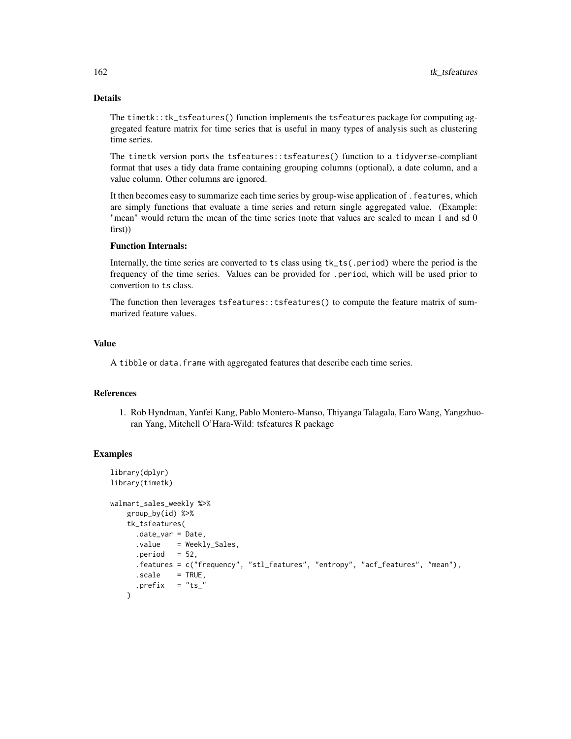# Details

The timetk::tk\_tsfeatures() function implements the tsfeatures package for computing aggregated feature matrix for time series that is useful in many types of analysis such as clustering time series.

The timetk version ports the tsfeatures::tsfeatures() function to a tidyverse-compliant format that uses a tidy data frame containing grouping columns (optional), a date column, and a value column. Other columns are ignored.

It then becomes easy to summarize each time series by group-wise application of .features, which are simply functions that evaluate a time series and return single aggregated value. (Example: "mean" would return the mean of the time series (note that values are scaled to mean 1 and sd 0 first))

#### Function Internals:

Internally, the time series are converted to ts class using tk\_ts(.period) where the period is the frequency of the time series. Values can be provided for .period, which will be used prior to convertion to ts class.

The function then leverages tsfeatures::tsfeatures() to compute the feature matrix of summarized feature values.

# Value

A tibble or data. frame with aggregated features that describe each time series.

#### References

1. Rob Hyndman, Yanfei Kang, Pablo Montero-Manso, Thiyanga Talagala, Earo Wang, Yangzhuoran Yang, Mitchell O'Hara-Wild: tsfeatures R package

```
library(dplyr)
library(timetk)
walmart_sales_weekly %>%
   group_by(id) %>%
   tk_tsfeatures(
     .date_var = Date,
     .value = Weekly_Sales,
     .period = 52,.features = c("frequency", "stl_features", "entropy", "acf_features", "mean"),
     .scale = TRUE,
     .prefix = "ts"\lambda
```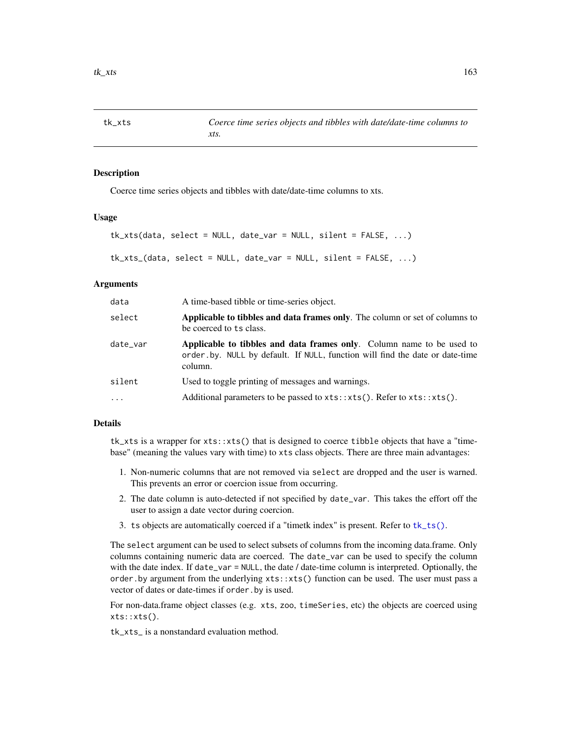<span id="page-162-1"></span><span id="page-162-0"></span>

#### Description

Coerce time series objects and tibbles with date/date-time columns to xts.

#### Usage

```
tk_xts(data, select = NULL, date_var = NULL, silent = FALSE, ...)
tk_xts_(data, select = NULL, date_var = NULL, silent = FALSE, ...)
```
#### Arguments

| data     | A time-based tibble or time-series object.                                                                                                                       |
|----------|------------------------------------------------------------------------------------------------------------------------------------------------------------------|
| select   | Applicable to tibbles and data frames only. The column or set of columns to<br>be coerced to ts class.                                                           |
| date_var | Applicable to tibbles and data frames only. Column name to be used to<br>order by. NULL by default. If NULL, function will find the date or date-time<br>column. |
| silent   | Used to toggle printing of messages and warnings.                                                                                                                |
| $\cdots$ | Additional parameters to be passed to $xts::xts()$ . Refer to $xts::xts()$ .                                                                                     |
|          |                                                                                                                                                                  |

# Details

tk\_xts is a wrapper for xts::xts() that is designed to coerce tibble objects that have a "timebase" (meaning the values vary with time) to xts class objects. There are three main advantages:

- 1. Non-numeric columns that are not removed via select are dropped and the user is warned. This prevents an error or coercion issue from occurring.
- 2. The date column is auto-detected if not specified by date\_var. This takes the effort off the user to assign a date vector during coercion.
- 3. ts objects are automatically coerced if a "timetk index" is present. Refer to [tk\\_ts\(\)](#page-157-0).

The select argument can be used to select subsets of columns from the incoming data.frame. Only columns containing numeric data are coerced. The date\_var can be used to specify the column with the date index. If date\_var = NULL, the date / date-time column is interpreted. Optionally, the order.by argument from the underlying xts::xts() function can be used. The user must pass a vector of dates or date-times if order.by is used.

For non-data.frame object classes (e.g. xts, zoo, timeSeries, etc) the objects are coerced using xts::xts().

tk\_xts\_ is a nonstandard evaluation method.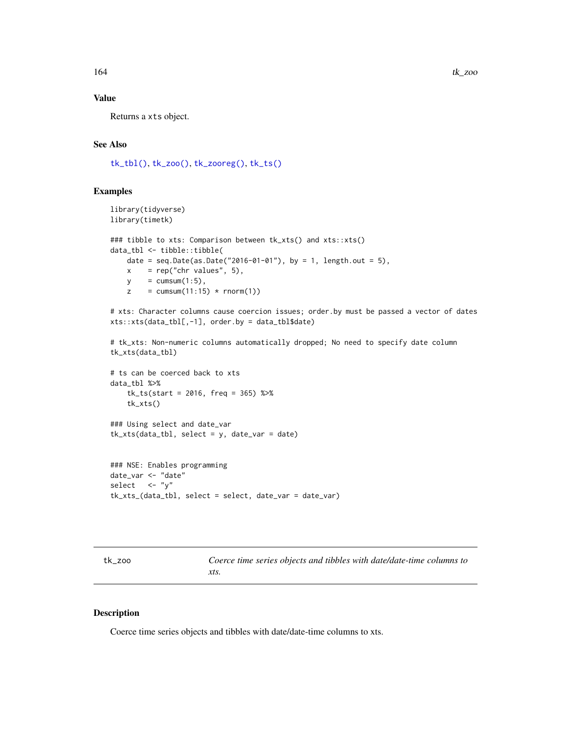# Value

Returns a xts object.

# See Also

[tk\\_tbl\(\)](#page-154-0), [tk\\_zoo\(\)](#page-163-0), [tk\\_zooreg\(\)](#page-165-0), [tk\\_ts\(\)](#page-157-0)

#### Examples

```
library(tidyverse)
library(timetk)
### tibble to xts: Comparison between tk_xts() and xts::xts()
data_tbl <- tibble::tibble(
    date = seq.Date(as.Date("2016-01-01"), by = 1, length.out = 5),
    x = rep("chr values", 5),y = \text{cumsum}(1:5),
    z = \text{cumsum}(11:15) * \text{rnorm}(1)
```
# xts: Character columns cause coercion issues; order.by must be passed a vector of dates xts::xts(data\_tbl[,-1], order.by = data\_tbl\$date)

```
# tk_xts: Non-numeric columns automatically dropped; No need to specify date column
tk_xts(data_tbl)
```

```
# ts can be coerced back to xts
data_tbl %>%
   tk_ts(start = 2016, freq = 365) %>%
   tk_xts()
### Using select and date_var
tk_xts(data_tbl, select = y, date_var = date)
```

```
### NSE: Enables programming
date_var <- "date"
select <- "y"
tk_xts_(data_tbl, select = select, date_var = date_var)
```
<span id="page-163-0"></span>tk\_zoo *Coerce time series objects and tibbles with date/date-time columns to xts.*

#### Description

Coerce time series objects and tibbles with date/date-time columns to xts.

<span id="page-163-1"></span>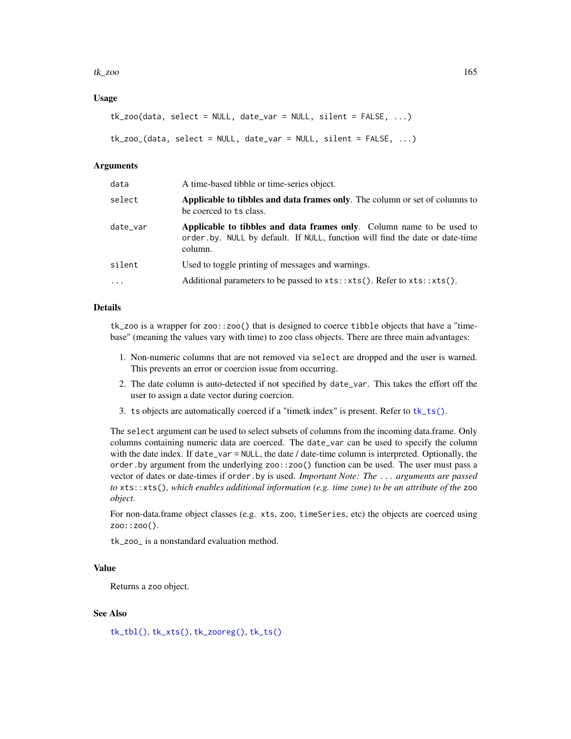#### <span id="page-164-0"></span> $tk\_zoo$  165

#### Usage

```
tk_2oo(data, select = NULL, date_var = NULL, silent = FALSE, \ldots)
```

```
tk_zoo_(data, select = NULL, date_var = NULL, silent = FALSE, ...)
```
#### Arguments

| select<br>be coerced to ts class.                                                        | data | A time-based tibble or time-series object.                                                                                                            |
|------------------------------------------------------------------------------------------|------|-------------------------------------------------------------------------------------------------------------------------------------------------------|
|                                                                                          |      | <b>Applicable to tibbles and data frames only.</b> The column or set of columns to                                                                    |
| date_var<br>column.                                                                      |      | Applicable to tibbles and data frames only. Column name to be used to<br>order.by. NULL by default. If NULL, function will find the date or date-time |
| silent<br>Used to toggle printing of messages and warnings.                              |      |                                                                                                                                                       |
| Additional parameters to be passed to $xts: xts()$ . Refer to $xts: xts()$ .<br>$\ddots$ |      |                                                                                                                                                       |

#### Details

tk\_zoo is a wrapper for zoo::zoo() that is designed to coerce tibble objects that have a "timebase" (meaning the values vary with time) to zoo class objects. There are three main advantages:

- 1. Non-numeric columns that are not removed via select are dropped and the user is warned. This prevents an error or coercion issue from occurring.
- 2. The date column is auto-detected if not specified by date\_var. This takes the effort off the user to assign a date vector during coercion.
- 3. ts objects are automatically coerced if a "timetk index" is present. Refer to [tk\\_ts\(\)](#page-157-0).

The select argument can be used to select subsets of columns from the incoming data.frame. Only columns containing numeric data are coerced. The date\_var can be used to specify the column with the date index. If date\_var = NULL, the date / date-time column is interpreted. Optionally, the order.by argument from the underlying zoo::zoo() function can be used. The user must pass a vector of dates or date-times if order.by is used. *Important Note: The* ... *arguments are passed to* xts::xts()*, which enables additional information (e.g. time zone) to be an attribute of the* zoo *object.*

For non-data.frame object classes (e.g. xts, zoo, timeSeries, etc) the objects are coerced using zoo::zoo().

tk\_zoo\_ is a nonstandard evaluation method.

# Value

Returns a zoo object.

#### See Also

[tk\\_tbl\(\)](#page-154-0), [tk\\_xts\(\)](#page-162-0), [tk\\_zooreg\(\)](#page-165-0), [tk\\_ts\(\)](#page-157-0)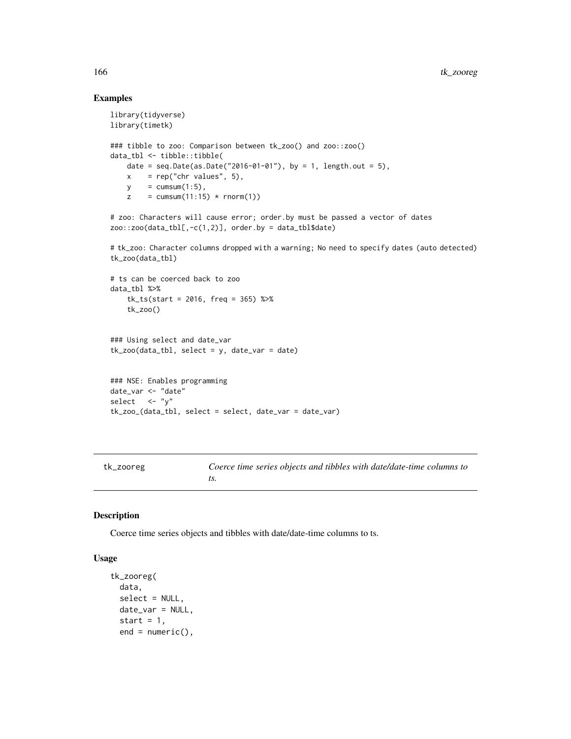# Examples

```
library(tidyverse)
library(timetk)
### tibble to zoo: Comparison between tk_zoo() and zoo::zoo()
data_tbl <- tibble::tibble(
   date = seq.Date(as.Date("2016-01-01"), by = 1, length.out = 5),
   x = rep("chr values", 5),y = \text{cumsum}(1:5),
    z = \text{cumsum}(11:15) * \text{rnorm}(1)# zoo: Characters will cause error; order.by must be passed a vector of dates
zoo::zoo(data_tbl[, -c(1,2)], order.by = data_tbl$data)# tk_zoo: Character columns dropped with a warning; No need to specify dates (auto detected)
tk_zoo(data_tbl)
# ts can be coerced back to zoo
data_tbl %>%
    tk_ts(start = 2016, freq = 365) %>%
    tk_zoo()
```

```
### Using select and date_var
tk\_zoo(data_tbl, select = y, date\_var = date)
```

```
### NSE: Enables programming
date_var <- "date"
select \leftarrow "y"
tk_zoo_(data_tbl, select = select, date_var = date_var)
```
<span id="page-165-0"></span>tk\_zooreg *Coerce time series objects and tibbles with date/date-time columns to ts.*

# Description

Coerce time series objects and tibbles with date/date-time columns to ts.

#### Usage

```
tk_zooreg(
  data,
  select = NULL,
 date_var = NULL,
  start = 1,
  end = numeric(),
```
<span id="page-165-1"></span>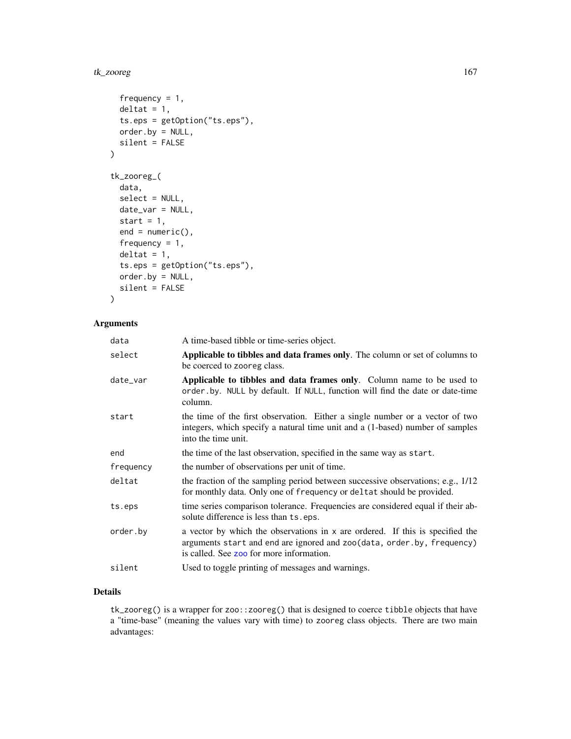#### <span id="page-166-0"></span>tk\_zooreg 167

```
frequency = 1,
 delta = 1,
  ts.eps = getOption("ts.eps"),
 order.by = NULL,
  silent = FALSE
\mathcal{L}tk_zooreg_(
 data,
  select = NULL,
 date_var = NULL,
  start = 1,end = numeric(),frequency = 1,
  delta = 1,
  ts.eps = getOption("ts.eps"),
 order.by = NULL,
  silent = FALSE
\mathcal{L}
```
# Arguments

| data      | A time-based tibble or time-series object.                                                                                                                                                          |
|-----------|-----------------------------------------------------------------------------------------------------------------------------------------------------------------------------------------------------|
| select    | Applicable to tibbles and data frames only. The column or set of columns to<br>be coerced to zooreg class.                                                                                          |
| date_var  | Applicable to tibbles and data frames only. Column name to be used to<br>order.by. NULL by default. If NULL, function will find the date or date-time<br>column.                                    |
| start     | the time of the first observation. Either a single number or a vector of two<br>integers, which specify a natural time unit and a (1-based) number of samples<br>into the time unit.                |
| end       | the time of the last observation, specified in the same way as start.                                                                                                                               |
| frequency | the number of observations per unit of time.                                                                                                                                                        |
| deltat    | the fraction of the sampling period between successive observations; e.g., 1/12<br>for monthly data. Only one of frequency or deltat should be provided.                                            |
| ts.eps    | time series comparison tolerance. Frequencies are considered equal if their ab-<br>solute difference is less than ts.eps.                                                                           |
| order.by  | a vector by which the observations in x are ordered. If this is specified the<br>arguments start and end are ignored and zoo(data, order.by, frequency)<br>is called. See zoo for more information. |
| silent    | Used to toggle printing of messages and warnings.                                                                                                                                                   |
|           |                                                                                                                                                                                                     |

# Details

tk\_zooreg() is a wrapper for zoo::zooreg() that is designed to coerce tibble objects that have a "time-base" (meaning the values vary with time) to zooreg class objects. There are two main advantages: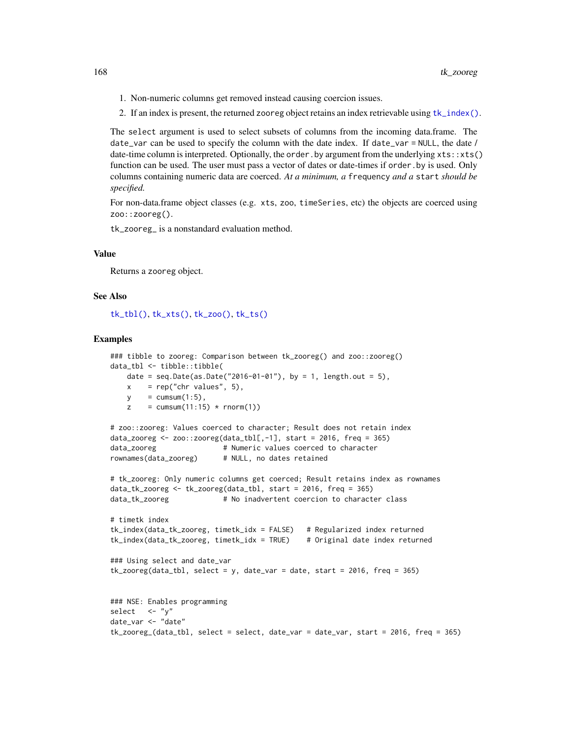- <span id="page-167-0"></span>1. Non-numeric columns get removed instead causing coercion issues.
- 2. If an index is present, the returned zooreg object retains an index retrievable using [tk\\_index\(\)](#page-139-0).

The select argument is used to select subsets of columns from the incoming data.frame. The date\_var can be used to specify the column with the date index. If date\_var = NULL, the date / date-time column is interpreted. Optionally, the order.by argument from the underlying xts::xts() function can be used. The user must pass a vector of dates or date-times if order.by is used. Only columns containing numeric data are coerced. *At a minimum, a* frequency *and a* start *should be specified.*

For non-data.frame object classes (e.g. xts, zoo, timeSeries, etc) the objects are coerced using zoo::zooreg().

tk\_zooreg\_ is a nonstandard evaluation method.

#### Value

Returns a zooreg object.

#### See Also

[tk\\_tbl\(\)](#page-154-0), [tk\\_xts\(\)](#page-162-0), [tk\\_zoo\(\)](#page-163-0), [tk\\_ts\(\)](#page-157-0)

```
### tibble to zooreg: Comparison between tk_zooreg() and zoo::zooreg()
data_tbl <- tibble::tibble(
   date = seq.Date(as.Date("2016-01-01"), by = 1, length.out = 5),
   x = rep("chr values", 5),y = \text{cumsum}(1:5),
   z = \text{cumsum}(11:15) * \text{rnorm}(1)# zoo::zooreg: Values coerced to character; Result does not retain index
data_zooreg <- zoo::zooreg(data_tbl[,-1], start = 2016, freq = 365)
data_zooreg # Numeric values coerced to character
rownames(data_zooreg) # NULL, no dates retained
# tk_zooreg: Only numeric columns get coerced; Result retains index as rownames
data_tk_zooreg <- tk_zooreg(data_tbl, start = 2016, freq = 365)
data_tk_zooreg # No inadvertent coercion to character class
# timetk index
tk_index(data_tk_zooreg, timetk_idx = FALSE) # Regularized index returned
tk_index(data_tk_zooreg, timetk_idx = TRUE) # Original date index returned
### Using select and date_var
tk_zooreg(data_tbl, select = y, date_var = date, start = 2016, freq = 365)
### NSE: Enables programming
select \langle - \, "y" \rangledate_var <- "date"
tk_zooreg_(data_tbl, select = select, date_var = date_var, start = 2016, freq = 365)
```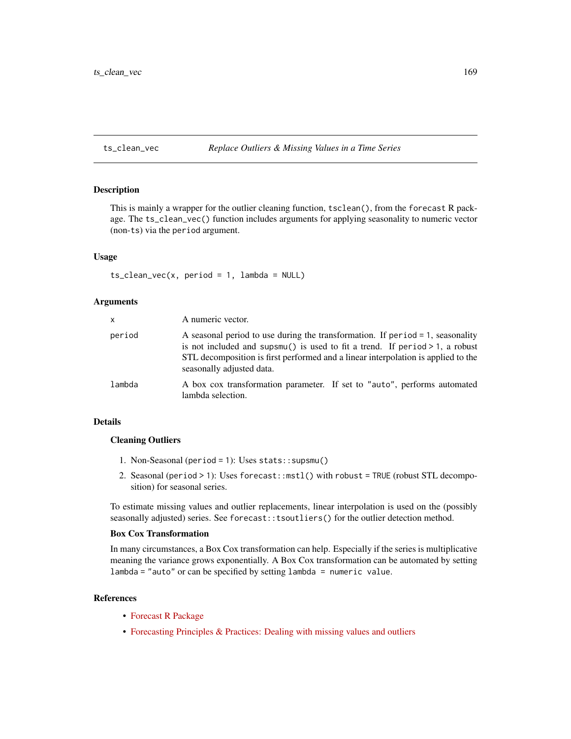# <span id="page-168-1"></span><span id="page-168-0"></span>ts\_clean\_vec *Replace Outliers & Missing Values in a Time Series*

# Description

This is mainly a wrapper for the outlier cleaning function, tsclean(), from the forecast R package. The ts\_clean\_vec() function includes arguments for applying seasonality to numeric vector (non-ts) via the period argument.

# Usage

 $ts_{\text{clean\_vec}(x, period = 1, lambda = NULL)}$ 

#### **Arguments**

| <b>X</b> | A numeric vector.                                                                                                                                                                                                                                                                      |
|----------|----------------------------------------------------------------------------------------------------------------------------------------------------------------------------------------------------------------------------------------------------------------------------------------|
| period   | A seasonal period to use during the transformation. If period $= 1$ , seasonality<br>is not included and supsmu() is used to fit a trend. If period $> 1$ , a robust<br>STL decomposition is first performed and a linear interpolation is applied to the<br>seasonally adjusted data. |
| lambda   | A box cox transformation parameter. If set to "auto", performs automated<br>lambda selection.                                                                                                                                                                                          |

# Details

#### Cleaning Outliers

- 1. Non-Seasonal (period = 1): Uses stats::supsmu()
- 2. Seasonal (period > 1): Uses forecast::mstl() with robust = TRUE (robust STL decomposition) for seasonal series.

To estimate missing values and outlier replacements, linear interpolation is used on the (possibly seasonally adjusted) series. See forecast::tsoutliers() for the outlier detection method.

#### Box Cox Transformation

In many circumstances, a Box Cox transformation can help. Especially if the series is multiplicative meaning the variance grows exponentially. A Box Cox transformation can be automated by setting lambda = "auto" or can be specified by setting lambda = numeric value.

#### References

- [Forecast R Package](https://github.com/robjhyndman/forecast)
- [Forecasting Principles & Practices: Dealing with missing values and outliers](https://otexts.com/fpp2/missing-outliers.html)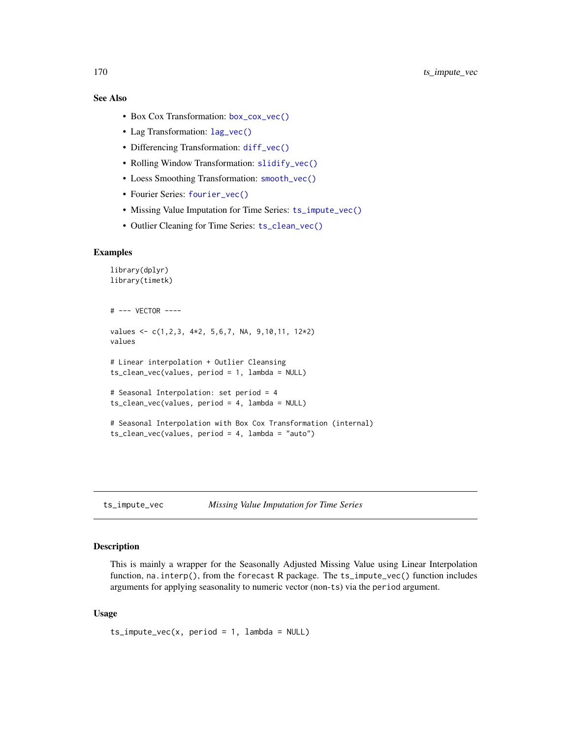# <span id="page-169-1"></span>See Also

- Box Cox Transformation: [box\\_cox\\_vec\(\)](#page-6-0)
- Lag Transformation: [lag\\_vec\(\)](#page-21-0)
- Differencing Transformation: [diff\\_vec\(\)](#page-9-0)
- Rolling Window Transformation: [slidify\\_vec\(\)](#page-67-0)
- Loess Smoothing Transformation: [smooth\\_vec\(\)](#page-70-0)
- Fourier Series: [fourier\\_vec\(\)](#page-15-0)
- Missing Value Imputation for Time Series: [ts\\_impute\\_vec\(\)](#page-169-0)
- Outlier Cleaning for Time Series: [ts\\_clean\\_vec\(\)](#page-168-0)

# Examples

```
library(dplyr)
library(timetk)
# --- VECTOR ----
values <- c(1,2,3, 4*2, 5,6,7, NA, 9,10,11, 12*2)
values
# Linear interpolation + Outlier Cleansing
ts_clean_vec(values, period = 1, lambda = NULL)
# Seasonal Interpolation: set period = 4
ts_clean_vec(values, period = 4, lambda = NULL)
# Seasonal Interpolation with Box Cox Transformation (internal)
ts_clean_vec(values, period = 4, lambda = "auto")
```
<span id="page-169-0"></span>ts\_impute\_vec *Missing Value Imputation for Time Series*

#### **Description**

This is mainly a wrapper for the Seasonally Adjusted Missing Value using Linear Interpolation function, na.interp(), from the forecast R package. The ts\_impute\_vec() function includes arguments for applying seasonality to numeric vector (non-ts) via the period argument.

#### Usage

 $ts_impute\_vec(x, period = 1, lambda = NULL)$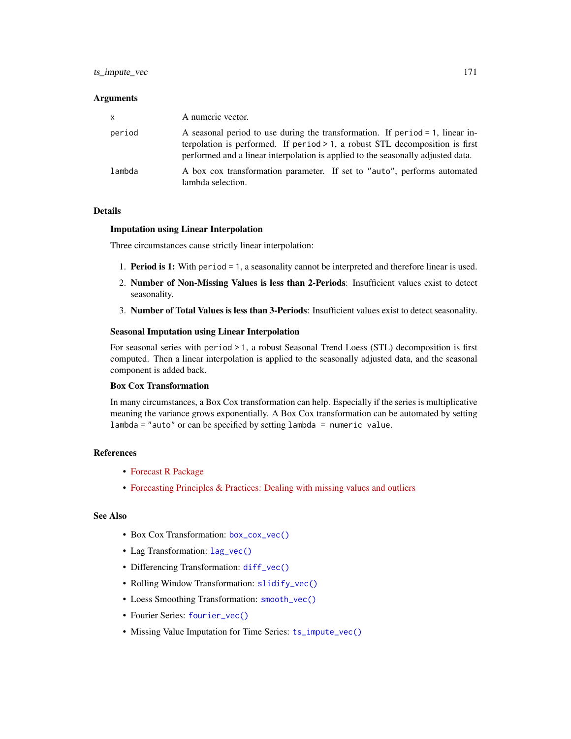# <span id="page-170-0"></span>ts\_impute\_vec 171

#### **Arguments**

| $\mathsf{x}$ | A numeric vector.                                                                                                                                                                                                                                       |
|--------------|---------------------------------------------------------------------------------------------------------------------------------------------------------------------------------------------------------------------------------------------------------|
| period       | A seasonal period to use during the transformation. If period $= 1$ , linear in-<br>terpolation is performed. If period $> 1$ , a robust STL decomposition is first<br>performed and a linear interpolation is applied to the seasonally adjusted data. |
| lambda       | A box cox transformation parameter. If set to "auto", performs automated<br>lambda selection.                                                                                                                                                           |

#### Details

#### Imputation using Linear Interpolation

Three circumstances cause strictly linear interpolation:

- 1. Period is 1: With period = 1, a seasonality cannot be interpreted and therefore linear is used.
- 2. Number of Non-Missing Values is less than 2-Periods: Insufficient values exist to detect seasonality.
- 3. Number of Total Values is less than 3-Periods: Insufficient values exist to detect seasonality.

#### Seasonal Imputation using Linear Interpolation

For seasonal series with period > 1, a robust Seasonal Trend Loess (STL) decomposition is first computed. Then a linear interpolation is applied to the seasonally adjusted data, and the seasonal component is added back.

#### Box Cox Transformation

In many circumstances, a Box Cox transformation can help. Especially if the series is multiplicative meaning the variance grows exponentially. A Box Cox transformation can be automated by setting lambda = "auto" or can be specified by setting lambda = numeric value.

#### References

- [Forecast R Package](https://github.com/robjhyndman/forecast)
- [Forecasting Principles & Practices: Dealing with missing values and outliers](https://otexts.com/fpp2/missing-outliers.html)

#### See Also

- Box Cox Transformation: [box\\_cox\\_vec\(\)](#page-6-0)
- Lag Transformation: [lag\\_vec\(\)](#page-21-0)
- Differencing Transformation: [diff\\_vec\(\)](#page-9-0)
- Rolling Window Transformation: [slidify\\_vec\(\)](#page-67-0)
- Loess Smoothing Transformation: [smooth\\_vec\(\)](#page-70-0)
- Fourier Series: [fourier\\_vec\(\)](#page-15-0)
- Missing Value Imputation for Time Series: [ts\\_impute\\_vec\(\)](#page-169-0)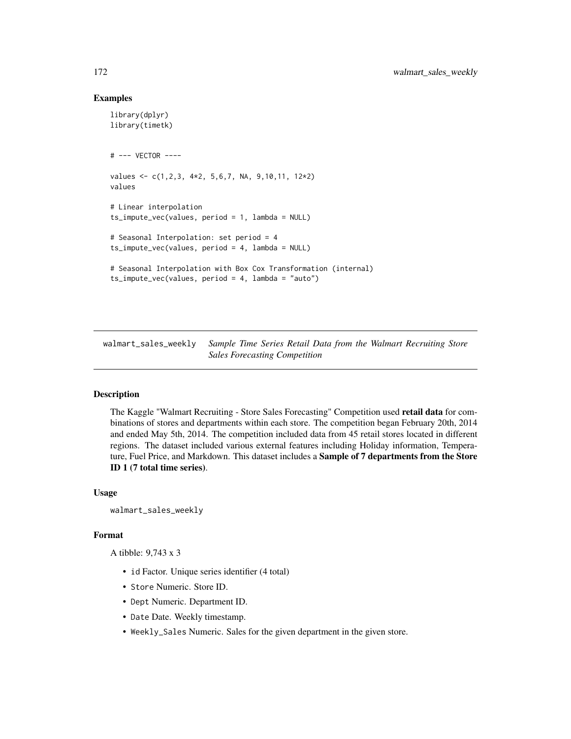# <span id="page-171-0"></span>Examples

```
library(dplyr)
library(timetk)
# --- VECTOR ----
values <- c(1,2,3, 4*2, 5,6,7, NA, 9,10,11, 12*2)
values
# Linear interpolation
ts_impute_vec(values, period = 1, lambda = NULL)
# Seasonal Interpolation: set period = 4
ts_impute_vec(values, period = 4, lambda = NULL)
# Seasonal Interpolation with Box Cox Transformation (internal)
ts_impute_vec(values, period = 4, lambda = "auto")
```
walmart\_sales\_weekly *Sample Time Series Retail Data from the Walmart Recruiting Store Sales Forecasting Competition*

# **Description**

The Kaggle "Walmart Recruiting - Store Sales Forecasting" Competition used retail data for combinations of stores and departments within each store. The competition began February 20th, 2014 and ended May 5th, 2014. The competition included data from 45 retail stores located in different regions. The dataset included various external features including Holiday information, Temperature, Fuel Price, and Markdown. This dataset includes a Sample of 7 departments from the Store ID 1 (7 total time series).

#### Usage

```
walmart_sales_weekly
```
#### Format

A tibble: 9,743 x 3

- id Factor. Unique series identifier (4 total)
- Store Numeric. Store ID.
- Dept Numeric. Department ID.
- Date Date. Weekly timestamp.
- Weekly\_Sales Numeric. Sales for the given department in the given store.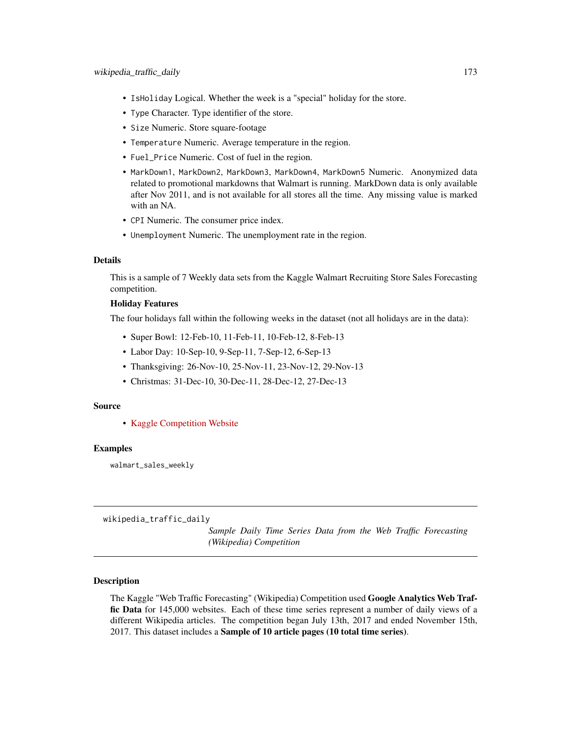- <span id="page-172-0"></span>• IsHoliday Logical. Whether the week is a "special" holiday for the store.
- Type Character. Type identifier of the store.
- Size Numeric. Store square-footage
- Temperature Numeric. Average temperature in the region.
- Fuel\_Price Numeric. Cost of fuel in the region.
- MarkDown1, MarkDown2, MarkDown3, MarkDown4, MarkDown5 Numeric. Anonymized data related to promotional markdowns that Walmart is running. MarkDown data is only available after Nov 2011, and is not available for all stores all the time. Any missing value is marked with an NA.
- CPI Numeric. The consumer price index.
- Unemployment Numeric. The unemployment rate in the region.

#### Details

This is a sample of 7 Weekly data sets from the Kaggle Walmart Recruiting Store Sales Forecasting competition.

# Holiday Features

The four holidays fall within the following weeks in the dataset (not all holidays are in the data):

- Super Bowl: 12-Feb-10, 11-Feb-11, 10-Feb-12, 8-Feb-13
- Labor Day: 10-Sep-10, 9-Sep-11, 7-Sep-12, 6-Sep-13
- Thanksgiving: 26-Nov-10, 25-Nov-11, 23-Nov-12, 29-Nov-13
- Christmas: 31-Dec-10, 30-Dec-11, 28-Dec-12, 27-Dec-13

# Source

• [Kaggle Competition Website](https://www.kaggle.com/c/walmart-recruiting-store-sales-forecasting)

#### Examples

walmart\_sales\_weekly

wikipedia\_traffic\_daily

*Sample Daily Time Series Data from the Web Traffic Forecasting (Wikipedia) Competition*

#### Description

The Kaggle "Web Traffic Forecasting" (Wikipedia) Competition used Google Analytics Web Traffic Data for 145,000 websites. Each of these time series represent a number of daily views of a different Wikipedia articles. The competition began July 13th, 2017 and ended November 15th, 2017. This dataset includes a Sample of 10 article pages (10 total time series).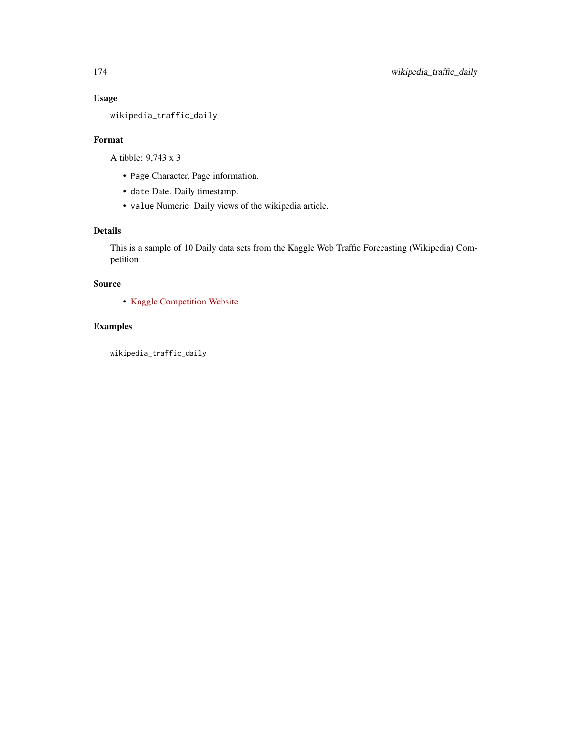# Usage

wikipedia\_traffic\_daily

# Format

A tibble: 9,743 x 3

- Page Character. Page information.
- date Date. Daily timestamp.
- value Numeric. Daily views of the wikipedia article.

# Details

This is a sample of 10 Daily data sets from the Kaggle Web Traffic Forecasting (Wikipedia) Competition

# Source

• [Kaggle Competition Website](https://www.kaggle.com/c/web-traffic-time-series-forecasting)

# Examples

wikipedia\_traffic\_daily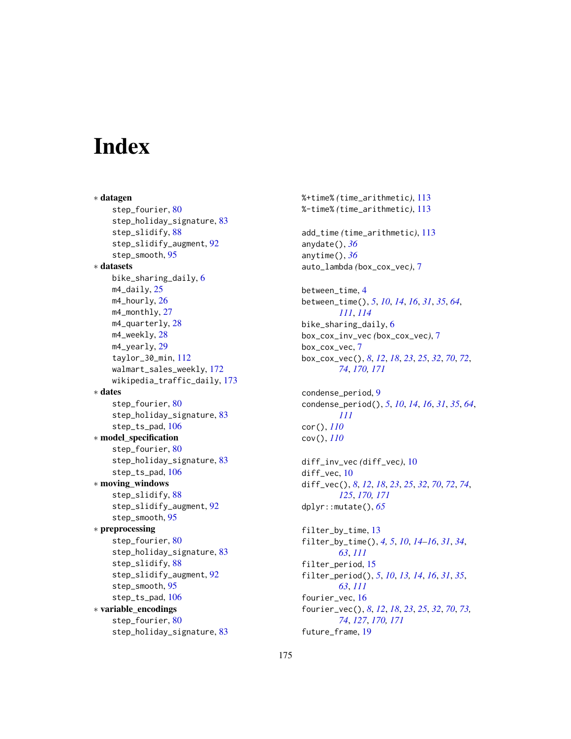# **Index**

∗ datagen step\_fourier, [80](#page-79-0) step\_holiday\_signature, [83](#page-82-0) step\_slidify, [88](#page-87-0) step\_slidify\_augment, [92](#page-91-0) step\_smooth, [95](#page-94-0) ∗ datasets bike\_sharing\_daily, [6](#page-5-0)  $m4$ <sup>daily, [25](#page-24-0)</sub></sup> m4\_hourly, [26](#page-25-0) m4\_monthly, [27](#page-26-0) m4\_quarterly, [28](#page-27-0) m4\_weekly, [28](#page-27-0) m4\_yearly, [29](#page-28-0) taylor\_30\_min, [112](#page-111-0) walmart\_sales\_weekly, [172](#page-171-0) wikipedia\_traffic\_daily, [173](#page-172-0) ∗ dates step\_fourier, [80](#page-79-0) step\_holiday\_signature, [83](#page-82-0) step\_ts\_pad, [106](#page-105-0) ∗ model\_specification step\_fourier, [80](#page-79-0) step\_holiday\_signature, [83](#page-82-0) step\_ts\_pad, [106](#page-105-0) ∗ moving\_windows step\_slidify, [88](#page-87-0) step\_slidify\_augment, [92](#page-91-0) step\_smooth, [95](#page-94-0) ∗ preprocessing step\_fourier, [80](#page-79-0) step\_holiday\_signature, [83](#page-82-0) step\_slidify, [88](#page-87-0) step\_slidify\_augment, [92](#page-91-0) step\_smooth, [95](#page-94-0) step\_ts\_pad, [106](#page-105-0) ∗ variable\_encodings step\_fourier, [80](#page-79-0) step\_holiday\_signature, [83](#page-82-0)

%-time% *(*time\_arithmetic*)*, [113](#page-112-0) add\_time *(*time\_arithmetic*)*, [113](#page-112-0) anydate(), *[36](#page-35-0)* anytime(), *[36](#page-35-0)* auto\_lambda *(*box\_cox\_vec*)*, [7](#page-6-1) between\_time, [4](#page-3-0) between\_time(), *[5](#page-4-0)*, *[10](#page-9-1)*, *[14](#page-13-0)*, *[16](#page-15-1)*, *[31](#page-30-0)*, *[35](#page-34-0)*, *[64](#page-63-0)*, *[111](#page-110-0)*, *[114](#page-113-0)* bike\_sharing\_daily, [6](#page-5-0) box\_cox\_inv\_vec *(*box\_cox\_vec*)*, [7](#page-6-1) box\_cox\_vec, [7](#page-6-1) box\_cox\_vec(), *[8](#page-7-0)*, *[12](#page-11-0)*, *[18](#page-17-0)*, *[23](#page-22-0)*, *[25](#page-24-0)*, *[32](#page-31-0)*, *[70](#page-69-0)*, *[72](#page-71-0)*, *[74](#page-73-0)*, *[170,](#page-169-1) [171](#page-170-0)* condense\_period, [9](#page-8-0) condense\_period(), *[5](#page-4-0)*, *[10](#page-9-1)*, *[14](#page-13-0)*, *[16](#page-15-1)*, *[31](#page-30-0)*, *[35](#page-34-0)*, *[64](#page-63-0)*, *[111](#page-110-0)* cor(), *[110](#page-109-0)* cov(), *[110](#page-109-0)* diff\_inv\_vec *(*diff\_vec*)*, [10](#page-9-1) diff\_vec, [10](#page-9-1) diff\_vec(), *[8](#page-7-0)*, *[12](#page-11-0)*, *[18](#page-17-0)*, *[23](#page-22-0)*, *[25](#page-24-0)*, *[32](#page-31-0)*, *[70](#page-69-0)*, *[72](#page-71-0)*, *[74](#page-73-0)*, *[125](#page-124-0)*, *[170,](#page-169-1) [171](#page-170-0)* dplyr::mutate(), *[65](#page-64-0)* filter\_by\_time, [13](#page-12-0) filter\_by\_time(), *[4,](#page-3-0) [5](#page-4-0)*, *[10](#page-9-1)*, *[14](#page-13-0)[–16](#page-15-1)*, *[31](#page-30-0)*, *[34](#page-33-0)*, *[63](#page-62-0)*, *[111](#page-110-0)* filter\_period, [15](#page-14-0) filter\_period(), *[5](#page-4-0)*, *[10](#page-9-1)*, *[13,](#page-12-0) [14](#page-13-0)*, *[16](#page-15-1)*, *[31](#page-30-0)*, *[35](#page-34-0)*, *[63](#page-62-0)*, *[111](#page-110-0)* fourier\_vec, [16](#page-15-1) fourier\_vec(), *[8](#page-7-0)*, *[12](#page-11-0)*, *[18](#page-17-0)*, *[23](#page-22-0)*, *[25](#page-24-0)*, *[32](#page-31-0)*, *[70](#page-69-0)*, *[73,](#page-72-0) [74](#page-73-0)*, *[127](#page-126-0)*, *[170,](#page-169-1) [171](#page-170-0)* future\_frame, [19](#page-18-0)

%+time% *(*time\_arithmetic*)*, [113](#page-112-0)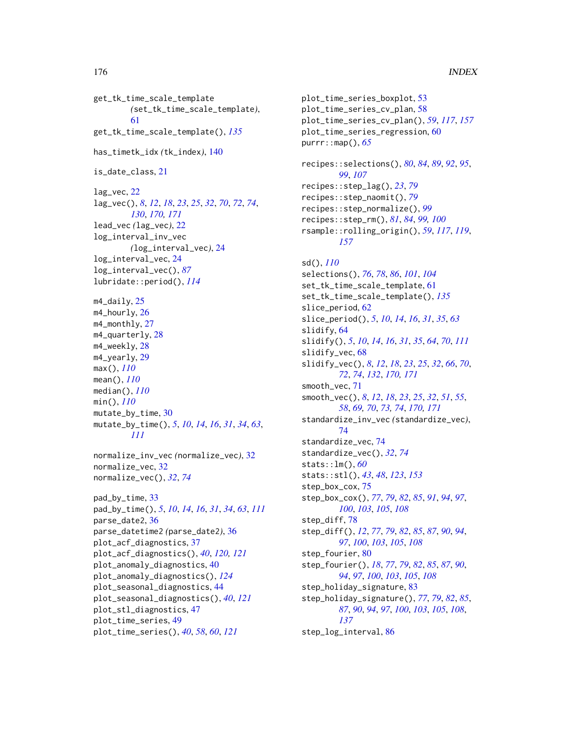get\_tk\_time\_scale\_template *(*set\_tk\_time\_scale\_template*)*, [61](#page-60-0) get\_tk\_time\_scale\_template(), *[135](#page-134-0)* has\_timetk\_idx *(*tk\_index*)*, [140](#page-139-1) is\_date\_class, [21](#page-20-0) lag\_vec, [22](#page-21-1) lag\_vec(), *[8](#page-7-0)*, *[12](#page-11-0)*, *[18](#page-17-0)*, *[23](#page-22-0)*, *[25](#page-24-0)*, *[32](#page-31-0)*, *[70](#page-69-0)*, *[72](#page-71-0)*, *[74](#page-73-0)*, *[130](#page-129-0)*, *[170,](#page-169-1) [171](#page-170-0)* lead\_vec *(*lag\_vec*)*, [22](#page-21-1) log\_interval\_inv\_vec *(*log\_interval\_vec*)*, [24](#page-23-0) log\_interval\_vec, [24](#page-23-0) log\_interval\_vec(), *[87](#page-86-0)* lubridate::period(), *[114](#page-113-0)* m4\_daily, [25](#page-24-0) m4\_hourly, [26](#page-25-0) m4\_monthly, [27](#page-26-0) m4\_quarterly, [28](#page-27-0) m4\_weekly, [28](#page-27-0) m4\_yearly, [29](#page-28-0) max(), *[110](#page-109-0)* mean(), *[110](#page-109-0)* median(), *[110](#page-109-0)* min(), *[110](#page-109-0)* mutate\_by\_time, [30](#page-29-0) mutate\_by\_time(), *[5](#page-4-0)*, *[10](#page-9-1)*, *[14](#page-13-0)*, *[16](#page-15-1)*, *[31](#page-30-0)*, *[34](#page-33-0)*, *[63](#page-62-0)*, *[111](#page-110-0)* normalize\_inv\_vec *(*normalize\_vec*)*, [32](#page-31-0) normalize\_vec, [32](#page-31-0) normalize\_vec(), *[32](#page-31-0)*, *[74](#page-73-0)* pad\_by\_time, [33](#page-32-0) pad\_by\_time(), *[5](#page-4-0)*, *[10](#page-9-1)*, *[14](#page-13-0)*, *[16](#page-15-1)*, *[31](#page-30-0)*, *[34](#page-33-0)*, *[63](#page-62-0)*, *[111](#page-110-0)* parse\_date2, [36](#page-35-0) parse\_datetime2 *(*parse\_date2*)*, [36](#page-35-0) plot\_acf\_diagnostics, [37](#page-36-0) plot\_acf\_diagnostics(), *[40](#page-39-0)*, *[120,](#page-119-0) [121](#page-120-0)* plot\_anomaly\_diagnostics, [40](#page-39-0) plot\_anomaly\_diagnostics(), *[124](#page-123-0)* plot\_seasonal\_diagnostics, [44](#page-43-0) plot\_seasonal\_diagnostics(), *[40](#page-39-0)*, *[121](#page-120-0)* plot\_stl\_diagnostics, [47](#page-46-0) plot\_time\_series, [49](#page-48-0) plot\_time\_series(), *[40](#page-39-0)*, *[58](#page-57-1)*, *[60](#page-59-0)*, *[121](#page-120-0)*

```
plot_time_series_boxplot, 53
plot_time_series_cv_plan, 58
plot_time_series_cv_plan(), 59, 117, 157
plot_time_series_regression, 60
purrr::map(), 65
recipes::selections(), 80, 84, 89, 92, 95,
         99, 107
recipes::step_lag(), 23, 79
recipes::step_naomit(), 79
recipes::step_normalize(), 99
recipes::step_rm(), 81, 84, 99, 100
rsample::rolling_origin(), 59, 117, 119,
         157
sd(), 110
selections(), 76, 78, 86, 101, 104
set_tk_time_scale_template, 61
set_tk_time_scale_template(), 135
slice_period, 62
slice_period(), 5, 10, 14, 16, 31, 35, 63
slidify, 64
slidify(), 5, 10, 14, 16, 31, 35, 64, 70, 111
slidify_vec, 68
slidify_vec(), 8, 12, 18, 23, 25, 32, 66, 70,
         72, 74, 132, 170, 171
smooth_vec, 71
smooth_vec(), 8, 12, 18, 23, 25, 32, 51, 55,
         58, 69, 70, 73, 74, 170, 171
standardize_inv_vec (standardize_vec),
         74
standardize_vec, 74
standardize_vec(), 32, 74
stats::lm(), 60
stats::stl(), 43, 48, 123, 153
step_box_cox, 75
step_box_cox(), 77, 79, 82, 85, 91, 94, 97,
         100, 103, 105, 108
step_diff, 78
step_diff(), 12, 77, 79, 82, 85, 87, 90, 94,
         97, 100, 103, 105, 108
80
step_fourier(), 18, 77, 79, 82, 85, 87, 90,
         94, 97, 100, 103, 105, 108
step_holiday_signature, 83
step_holiday_signature(), 77, 79, 82, 85,
         87, 90, 94, 97, 100, 103, 105, 108,
         137
step_log_interval, 86
```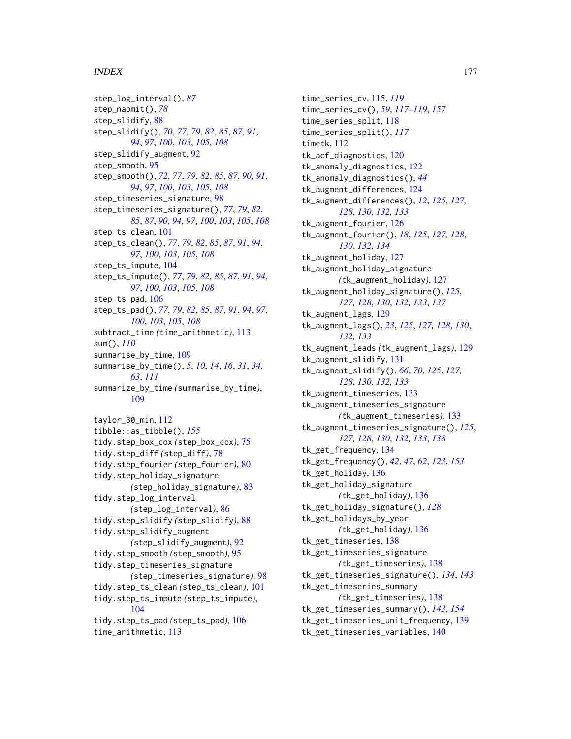#### INDEX 177

step\_log\_interval(), *[87](#page-86-0)* step\_naomit(), *[78](#page-77-0)* step\_slidify, [88](#page-87-0) step\_slidify(), *[70](#page-69-0)*, *[77](#page-76-0)*, *[79](#page-78-0)*, *[82](#page-81-0)*, *[85](#page-84-0)*, *[87](#page-86-0)*, *[91](#page-90-0)*, *[94](#page-93-0)*, *[97](#page-96-0)*, *[100](#page-99-0)*, *[103](#page-102-0)*, *[105](#page-104-0)*, *[108](#page-107-0)* step\_slidify\_augment, [92](#page-91-0) step\_smooth, [95](#page-94-0) step\_smooth(), *[72](#page-71-0)*, *[77](#page-76-0)*, *[79](#page-78-0)*, *[82](#page-81-0)*, *[85](#page-84-0)*, *[87](#page-86-0)*, *[90,](#page-89-0) [91](#page-90-0)*, *[94](#page-93-0)*, *[97](#page-96-0)*, *[100](#page-99-0)*, *[103](#page-102-0)*, *[105](#page-104-0)*, *[108](#page-107-0)* step\_timeseries\_signature, [98](#page-97-0) step\_timeseries\_signature(), *[77](#page-76-0)*, *[79](#page-78-0)*, *[82](#page-81-0)*, *[85](#page-84-0)*, *[87](#page-86-0)*, *[90](#page-89-0)*, *[94](#page-93-0)*, *[97](#page-96-0)*, *[100](#page-99-0)*, *[103](#page-102-0)*, *[105](#page-104-0)*, *[108](#page-107-0)* step\_ts\_clean, [101](#page-100-0) step\_ts\_clean(), *[77](#page-76-0)*, *[79](#page-78-0)*, *[82](#page-81-0)*, *[85](#page-84-0)*, *[87](#page-86-0)*, *[91](#page-90-0)*, *[94](#page-93-0)*, *[97](#page-96-0)*, *[100](#page-99-0)*, *[103](#page-102-0)*, *[105](#page-104-0)*, *[108](#page-107-0)* step\_ts\_impute, [104](#page-103-0) step\_ts\_impute(), *[77](#page-76-0)*, *[79](#page-78-0)*, *[82](#page-81-0)*, *[85](#page-84-0)*, *[87](#page-86-0)*, *[91](#page-90-0)*, *[94](#page-93-0)*, *[97](#page-96-0)*, *[100](#page-99-0)*, *[103](#page-102-0)*, *[105](#page-104-0)*, *[108](#page-107-0)* step\_ts\_pad, [106](#page-105-0) step\_ts\_pad(), *[77](#page-76-0)*, *[79](#page-78-0)*, *[82](#page-81-0)*, *[85](#page-84-0)*, *[87](#page-86-0)*, *[91](#page-90-0)*, *[94](#page-93-0)*, *[97](#page-96-0)*, *[100](#page-99-0)*, *[103](#page-102-0)*, *[105](#page-104-0)*, *[108](#page-107-0)* subtract\_time *(*time\_arithmetic*)*, [113](#page-112-0) sum(), *[110](#page-109-0)* summarise\_by\_time, [109](#page-108-0) summarise\_by\_time(), *[5](#page-4-0)*, *[10](#page-9-1)*, *[14](#page-13-0)*, *[16](#page-15-1)*, *[31](#page-30-0)*, *[34](#page-33-0)*, *[63](#page-62-0)*, *[111](#page-110-0)* summarize\_by\_time *(*summarise\_by\_time*)*, [109](#page-108-0) taylor\_30\_min, [112](#page-111-0) tibble::as\_tibble(), *[155](#page-154-1)* tidy.step\_box\_cox *(*step\_box\_cox*)*, [75](#page-74-0) tidy.step\_diff *(*step\_diff*)*, [78](#page-77-0) tidy.step\_fourier *(*step\_fourier*)*, [80](#page-79-0) tidy.step\_holiday\_signature *(*step\_holiday\_signature*)*, [83](#page-82-0) tidy.step\_log\_interval *(*step\_log\_interval*)*, [86](#page-85-0) tidy.step\_slidify *(*step\_slidify*)*, [88](#page-87-0) tidy.step\_slidify\_augment *(*step\_slidify\_augment*)*, [92](#page-91-0) tidy.step\_smooth *(*step\_smooth*)*, [95](#page-94-0) tidy.step\_timeseries\_signature *(*step\_timeseries\_signature*)*, [98](#page-97-0) tidy.step\_ts\_clean *(*step\_ts\_clean*)*, [101](#page-100-0) tidy.step\_ts\_impute *(*step\_ts\_impute*)*, [104](#page-103-0) tidy.step\_ts\_pad *(*step\_ts\_pad*)*, [106](#page-105-0) time\_arithmetic, [113](#page-112-0)

time\_series\_cv, [115,](#page-114-1) *[119](#page-118-0)* time\_series\_cv(), *[59](#page-58-0)*, *[117](#page-116-0)[–119](#page-118-0)*, *[157](#page-156-0)* time\_series\_split, [118](#page-117-0) time\_series\_split(), *[117](#page-116-0)* timetk, [112](#page-111-0) tk\_acf\_diagnostics, [120](#page-119-0) tk\_anomaly\_diagnostics, [122](#page-121-0) tk\_anomaly\_diagnostics(), *[44](#page-43-0)* tk\_augment\_differences, [124](#page-123-0) tk\_augment\_differences(), *[12](#page-11-0)*, *[125](#page-124-0)*, *[127,](#page-126-0) [128](#page-127-0)*, *[130](#page-129-0)*, *[132,](#page-131-0) [133](#page-132-0)* tk\_augment\_fourier, [126](#page-125-0) tk\_augment\_fourier(), *[18](#page-17-0)*, *[125](#page-124-0)*, *[127,](#page-126-0) [128](#page-127-0)*, *[130](#page-129-0)*, *[132](#page-131-0)*, *[134](#page-133-1)* tk\_augment\_holiday, [127](#page-126-0) tk\_augment\_holiday\_signature *(*tk\_augment\_holiday*)*, [127](#page-126-0) tk\_augment\_holiday\_signature(), *[125](#page-124-0)*, *[127,](#page-126-0) [128](#page-127-0)*, *[130](#page-129-0)*, *[132,](#page-131-0) [133](#page-132-0)*, *[137](#page-136-0)* tk\_augment\_lags, [129](#page-128-0) tk\_augment\_lags(), *[23](#page-22-0)*, *[125](#page-124-0)*, *[127,](#page-126-0) [128](#page-127-0)*, *[130](#page-129-0)*, *[132,](#page-131-0) [133](#page-132-0)* tk\_augment\_leads *(*tk\_augment\_lags*)*, [129](#page-128-0) tk\_augment\_slidify, [131](#page-130-0) tk\_augment\_slidify(), *[66](#page-65-0)*, *[70](#page-69-0)*, *[125](#page-124-0)*, *[127,](#page-126-0) [128](#page-127-0)*, *[130](#page-129-0)*, *[132,](#page-131-0) [133](#page-132-0)* tk\_augment\_timeseries, [133](#page-132-0) tk\_augment\_timeseries\_signature *(*tk\_augment\_timeseries*)*, [133](#page-132-0) tk\_augment\_timeseries\_signature(), *[125](#page-124-0)*, *[127,](#page-126-0) [128](#page-127-0)*, *[130](#page-129-0)*, *[132,](#page-131-0) [133](#page-132-0)*, *[138](#page-137-1)* tk\_get\_frequency, [134](#page-133-1) tk\_get\_frequency(), *[42](#page-41-0)*, *[47](#page-46-0)*, *[62](#page-61-0)*, *[123](#page-122-0)*, *[153](#page-152-0)* tk\_get\_holiday, [136](#page-135-0) tk\_get\_holiday\_signature *(*tk\_get\_holiday*)*, [136](#page-135-0) tk\_get\_holiday\_signature(), *[128](#page-127-0)* tk\_get\_holidays\_by\_year *(*tk\_get\_holiday*)*, [136](#page-135-0) tk\_get\_timeseries, [138](#page-137-1) tk\_get\_timeseries\_signature *(*tk\_get\_timeseries*)*, [138](#page-137-1) tk\_get\_timeseries\_signature(), *[134](#page-133-1)*, *[143](#page-142-0)* tk\_get\_timeseries\_summary *(*tk\_get\_timeseries*)*, [138](#page-137-1) tk\_get\_timeseries\_summary(), *[143](#page-142-0)*, *[154](#page-153-0)* tk\_get\_timeseries\_unit\_frequency, [139](#page-138-0) tk\_get\_timeseries\_variables, [140](#page-139-1)